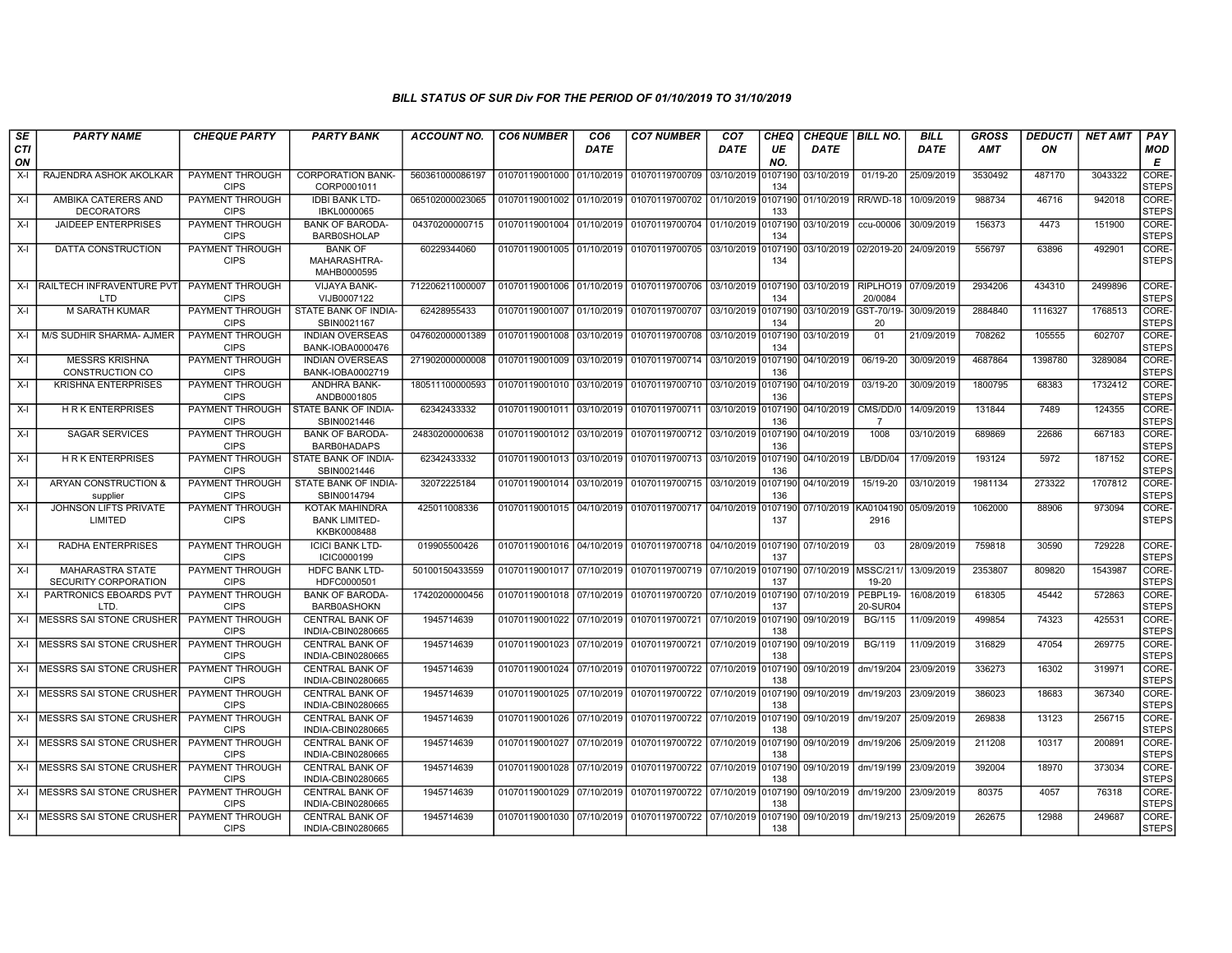| SE        | <b>PARTY NAME</b>                               | <b>CHEQUE PARTY</b>                   | <b>PARTY BANK</b>                                            | <b>ACCOUNT NO.</b> | <b>CO6 NUMBER</b>         | CO <sub>6</sub> | <b>CO7 NUMBER</b>                 | CO <sub>7</sub> | <b>CHEQ</b>    | <b>CHEQUE   BILL NO.</b> |                            | <b>BILL</b> | <b>GROSS</b> | <b>DEDUCTI</b> | <b>NET AMT</b> | PAY                   |
|-----------|-------------------------------------------------|---------------------------------------|--------------------------------------------------------------|--------------------|---------------------------|-----------------|-----------------------------------|-----------------|----------------|--------------------------|----------------------------|-------------|--------------|----------------|----------------|-----------------------|
| CTI<br>ON |                                                 |                                       |                                                              |                    |                           | <b>DATE</b>     |                                   | <b>DATE</b>     | UE<br>NO.      | <b>DATE</b>              |                            | DATE        | AMT          | ON             |                | MOD<br>Е              |
| $X-I$     | RAJENDRA ASHOK AKOLKAR                          | PAYMENT THROUGH<br><b>CIPS</b>        | <b>CORPORATION BANK-</b><br>CORP0001011                      | 560361000086197    | 01070119001000            | 01/10/2019      | 01070119700709                    | 03/10/2019      | 0107190<br>134 | 03/10/2019               | 01/19-20                   | 25/09/2019  | 3530492      | 487170         | 3043322        | CORE-<br><b>STEPS</b> |
| $X-I$     | AMBIKA CATERERS AND<br><b>DECORATORS</b>        | PAYMENT THROUGH<br><b>CIPS</b>        | <b>IDBI BANK LTD-</b><br>IBKL0000065                         | 065102000023065    | 01070119001002            | 01/10/2019      | 01070119700702                    | 01/10/2019      | 107190<br>133  | 01/10/2019               | RR/WD-18                   | 10/09/2019  | 988734       | 46716          | 942018         | CORE-<br><b>STEPS</b> |
| $X-I$     | <b>JAIDEEP ENTERPRISES</b>                      | PAYMENT THROUGH<br><b>CIPS</b>        | <b>BANK OF BARODA</b><br><b>BARB0SHOLAP</b>                  | 04370200000715     | 01070119001004            | 01/10/2019      | 01070119700704                    | 01/10/2019      | 0107190<br>134 | 03/10/2019               | ccu-00006                  | 30/09/2019  | 156373       | 4473           | 151900         | CORE-<br><b>STEPS</b> |
| $X-I$     | DATTA CONSTRUCTION                              | PAYMENT THROUGH<br><b>CIPS</b>        | <b>BANK OF</b><br>MAHARASHTRA-<br>MAHB0000595                | 60229344060        | 01070119001005 01/10/2019 |                 | 01070119700705                    | 03/10/2019      | 107190<br>134  |                          | 03/10/2019 02/2019-20      | 24/09/2019  | 556797       | 63896          | 492901         | CORE-<br><b>STEPS</b> |
| $X-I$     | RAILTECH INFRAVENTURE PV<br><b>LTD</b>          | PAYMENT THROUGH<br><b>CIPS</b>        | <b>VIJAYA BANK-</b><br>VIJB0007122                           | 712206211000007    | 01070119001006 01/10/2019 |                 | 01070119700706                    | 03/10/2019      | 0107190<br>134 | 03/10/2019               | RIPLHO19<br>20/0084        | 07/09/2019  | 2934206      | 434310         | 2499896        | CORE-<br><b>STEPS</b> |
| $X-I$     | M SARATH KUMAR                                  | PAYMENT THROUGH<br><b>CIPS</b>        | STATE BANK OF INDIA-<br>SBIN0021167                          | 62428955433        | 01070119001007            | 01/10/2019      | 01070119700707                    | 03/10/2019      | 0107190<br>134 | 03/10/2019 GST-70/19-    | 20                         | 30/09/2019  | 2884840      | 1116327        | 1768513        | CORE-<br><b>STEPS</b> |
| $X-I$     | M/S SUDHIR SHARMA- AJMER                        | <b>PAYMENT THROUGH</b><br><b>CIPS</b> | <b>INDIAN OVERSEAS</b><br>BANK-IOBA0000476                   | 047602000001389    | 01070119001008            | 03/10/2019      | 01070119700708                    | 03/10/2019      | 0107190<br>134 | 03/10/2019               | 01                         | 21/09/2019  | 708262       | 105555         | 602707         | CORE-<br><b>STEPS</b> |
| $X-I$     | <b>MESSRS KRISHNA</b><br><b>CONSTRUCTION CO</b> | <b>PAYMENT THROUGH</b><br><b>CIPS</b> | <b>INDIAN OVERSEAS</b><br>BANK-IOBA0002719                   | 271902000000008    | 01070119001009            | 03/10/2019      | 01070119700714                    | 03/10/2019      | 0107190<br>136 | 04/10/2019               | 06/19-20                   | 30/09/2019  | 4687864      | 1398780        | 3289084        | CORE-<br><b>STEPS</b> |
| $X-I$     | <b>KRISHNA ENTERPRISES</b>                      | PAYMENT THROUGH<br><b>CIPS</b>        | ANDHRA BANK-<br>ANDB0001805                                  | 180511100000593    | 01070119001010            | 03/10/2019      | 01070119700710                    | 03/10/2019      | 107190<br>136  | 04/10/2019               | 03/19-20                   | 30/09/2019  | 1800795      | 68383          | 1732412        | CORE-<br><b>STEPS</b> |
| X-I       | <b>HRK ENTERPRISES</b>                          | PAYMENT THROUGH<br><b>CIPS</b>        | STATE BANK OF INDIA-<br>SBIN0021446                          | 62342433332        | 01070119001011            | 03/10/2019      | 01070119700711                    | 03/10/2019      | 0107190<br>136 | 04/10/2019               | CMS/DD/0<br>$\overline{7}$ | 14/09/2019  | 131844       | 7489           | 124355         | CORE-<br><b>STEPS</b> |
| $X-I$     | <b>SAGAR SERVICES</b>                           | <b>PAYMENT THROUGH</b><br><b>CIPS</b> | <b>BANK OF BARODA</b><br><b>BARB0HADAPS</b>                  | 24830200000638     | 01070119001012            | 03/10/2019      | 01070119700712                    | 03/10/2019      | 0107190<br>136 | 04/10/2019               | 1008                       | 03/10/2019  | 689869       | 22686          | 667183         | CORE-<br><b>STEPS</b> |
| $X-I$     | <b>HRK ENTERPRISES</b>                          | PAYMENT THROUGH<br><b>CIPS</b>        | STATE BANK OF INDIA-<br>SBIN0021446                          | 62342433332        | 01070119001013            | 03/10/2019      | 01070119700713                    | 03/10/2019      | 0107190<br>136 | 04/10/2019               | $L$ B/DD/04                | 17/09/2019  | 193124       | 5972           | 187152         | CORE-<br><b>STEPS</b> |
| $X-I$     | ARYAN CONSTRUCTION &<br>supplier                | PAYMENT THROUGH<br><b>CIPS</b>        | STATE BANK OF INDIA-<br>SBIN0014794                          | 32072225184        | 01070119001014            | 03/10/2019      | 01070119700715 03/10/2019         |                 | 0107190<br>136 | 04/10/2019               | 15/19-20                   | 03/10/2019  | 1981134      | 273322         | 1707812        | CORE-<br><b>STEPS</b> |
| $X-I$     | <b>JOHNSON LIFTS PRIVATE</b><br>LIMITED         | PAYMENT THROUGH<br><b>CIPS</b>        | <b>KOTAK MAHINDRA</b><br><b>BANK LIMITED-</b><br>KKBK0008488 | 425011008336       | 01070119001015 04/10/2019 |                 | 01070119700717 04/10/2019         |                 | 107190<br>137  | 07/10/2019               | KA0104190<br>2916          | 05/09/2019  | 1062000      | 88906          | 973094         | CORE-<br><b>STEPS</b> |
| $X-I$     | RADHA ENTERPRISES                               | PAYMENT THROUGH<br><b>CIPS</b>        | <b>ICICI BANK LTD-</b><br>ICIC0000199                        | 019905500426       | 01070119001016 04/10/2019 |                 | 01070119700718 04/10/2019 0107190 |                 | 137            | 07/10/2019               | 03                         | 28/09/2019  | 759818       | 30590          | 729228         | CORE-<br><b>STEPS</b> |
| $X-I$     | <b>MAHARASTRA STATE</b><br>SECURITY CORPORATION | PAYMENT THROUGH<br><b>CIPS</b>        | HDFC BANK LTD-<br>HDFC0000501                                | 50100150433559     | 01070119001017 07/10/2019 |                 | 01070119700719                    | 07/10/2019      | 0107190<br>137 | 07/10/2019   MSSC/211    | 19-20                      | 13/09/2019  | 2353807      | 809820         | 1543987        | CORE-<br><b>STEPS</b> |
| $X-I$     | PARTRONICS EBOARDS PVT<br>LTD.                  | PAYMENT THROUGH<br><b>CIPS</b>        | <b>BANK OF BARODA</b><br><b>BARB0ASHOKN</b>                  | 17420200000456     | 01070119001018 07/10/2019 |                 | 01070119700720                    | 07/10/2019      | 0107190<br>137 | 07/10/2019               | PEBPL19-<br>20-SUR04       | 16/08/2019  | 618305       | 45442          | 572863         | CORE-<br><b>STEPS</b> |
| X-I       | MESSRS SAI STONE CRUSHER                        | PAYMENT THROUGH<br><b>CIPS</b>        | <b>CENTRAL BANK OF</b><br>INDIA-CBIN0280665                  | 1945714639         | 01070119001022            | 07/10/2019      | 01070119700721                    | 07/10/2019      | 0107190<br>138 | 09/10/2019               | <b>BG/115</b>              | 11/09/2019  | 499854       | 74323          | 425531         | CORE-<br><b>STEPS</b> |
| X-I       | MESSRS SAI STONE CRUSHER                        | PAYMENT THROUGH<br><b>CIPS</b>        | <b>CENTRAL BANK OF</b><br>INDIA-CBIN0280665                  | 1945714639         | 01070119001023            | 07/10/2019      | 01070119700721 07/10/2019         |                 | 0107190<br>138 | 09/10/2019               | <b>BG/119</b>              | 11/09/2019  | 316829       | 47054          | 269775         | CORE-<br><b>STEPS</b> |
| X-I       | <b>MESSRS SAI STONE CRUSHER</b>                 | PAYMENT THROUGH<br><b>CIPS</b>        | <b>CENTRAL BANK OF</b><br>INDIA-CBIN0280665                  | 1945714639         | 01070119001024            | 07/10/2019      | 01070119700722                    | 07/10/2019      | 0107190<br>138 | 09/10/2019               | dm/19/204                  | 23/09/2019  | 336273       | 16302          | 319971         | CORE-<br><b>STEPS</b> |
| X-I       | <b>MESSRS SAI STONE CRUSHER</b>                 | PAYMENT THROUGH<br><b>CIPS</b>        | <b>CENTRAL BANK OF</b><br>INDIA-CBIN0280665                  | 1945714639         | 01070119001025            | 07/10/2019      | 01070119700722                    | 07/10/2019      | 0107190<br>138 | 09/10/2019               | dm/19/203                  | 23/09/2019  | 386023       | 18683          | 367340         | CORE-<br><b>STEPS</b> |
| X-I       | MESSRS SAI STONE CRUSHER                        | <b>PAYMENT THROUGH</b><br><b>CIPS</b> | <b>CENTRAL BANK OF</b><br>INDIA-CBIN0280665                  | 1945714639         | 01070119001026 07/10/2019 |                 | 01070119700722                    | 07/10/2019      | 0107190<br>138 | 09/10/2019               | dm/19/207                  | 25/09/2019  | 269838       | 13123          | 256715         | CORE-<br><b>STEPS</b> |
| $X-I$     | MESSRS SAI STONE CRUSHER                        | <b>PAYMENT THROUGH</b><br><b>CIPS</b> | <b>CENTRAL BANK OF</b><br>INDIA-CBIN0280665                  | 1945714639         | 01070119001027            | 07/10/2019      | 01070119700722                    | 07/10/2019      | 0107190<br>138 | 09/10/2019               | dm/19/206                  | 25/09/2019  | 211208       | 10317          | 200891         | CORE-<br><b>STEPS</b> |
| X-I       | MESSRS SAI STONE CRUSHER                        | PAYMENT THROUGH<br><b>CIPS</b>        | <b>CENTRAL BANK OF</b><br>INDIA-CBIN0280665                  | 1945714639         | 01070119001028 07/10/2019 |                 | 01070119700722 07/10/2019         |                 | 0107190<br>138 | 09/10/2019               | dm/19/199                  | 23/09/2019  | 392004       | 18970          | 373034         | CORE-<br><b>STEPS</b> |
| X-I       | MESSRS SAI STONE CRUSHER                        | PAYMENT THROUGH<br><b>CIPS</b>        | <b>CENTRAL BANK OF</b><br>INDIA-CBIN0280665                  | 1945714639         | 01070119001029 07/10/2019 |                 | 01070119700722 07/10/2019         |                 | 0107190<br>138 | 09/10/2019               | dm/19/200                  | 23/09/2019  | 80375        | 4057           | 76318          | CORE-<br><b>STEPS</b> |
| $X-I$     | IMESSRS SAI STONE CRUSHER                       | PAYMENT THROUGH<br><b>CIPS</b>        | <b>CENTRAL BANK OF</b><br>INDIA-CBIN0280665                  | 1945714639         | 01070119001030 07/10/2019 |                 | 01070119700722                    | 07/10/2019      | 0107190<br>138 | 09/10/2019               | dm/19/213                  | 25/09/2019  | 262675       | 12988          | 249687         | CORE-<br><b>STEPS</b> |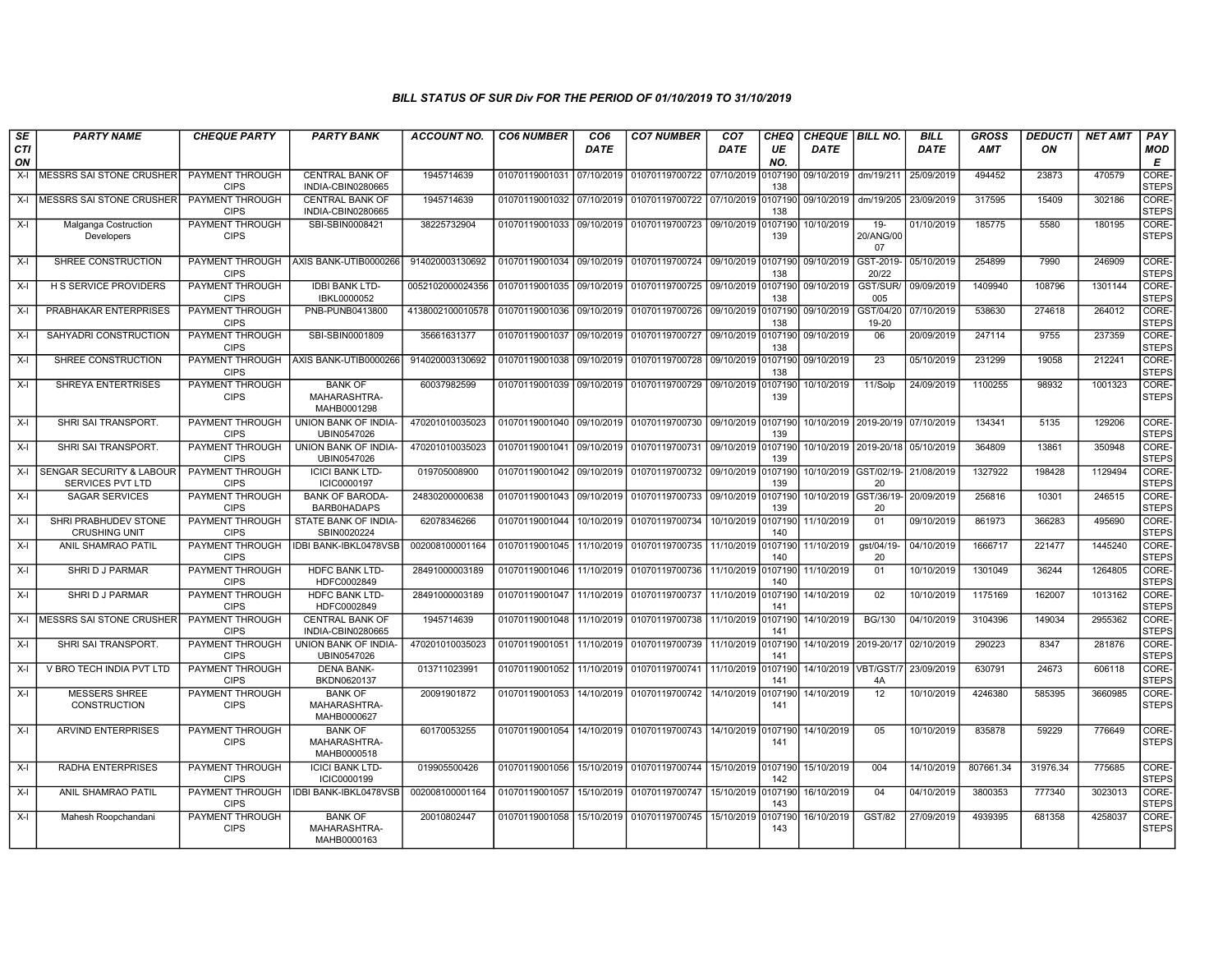| SE<br><b>CTI</b> | <b>PARTY NAME</b>                                              | <b>CHEQUE PARTY</b>                   | <b>PARTY BANK</b>                             | <b>ACCOUNT NO.</b> | <b>CO6 NUMBER</b>         | CO <sub>6</sub><br><b>DATE</b> | <b>CO7 NUMBER</b>                 | CO <sub>7</sub><br>DATE | CHEQ<br>UE     | CHEQUE BILL NO.<br><b>DATE</b> |                             | <b>BILL</b><br><b>DATE</b> | <b>GROSS</b><br><b>AMT</b> | <b>DEDUCTI</b><br>ON | <b>NET AMT</b> | PAY<br><b>MOD</b>           |
|------------------|----------------------------------------------------------------|---------------------------------------|-----------------------------------------------|--------------------|---------------------------|--------------------------------|-----------------------------------|-------------------------|----------------|--------------------------------|-----------------------------|----------------------------|----------------------------|----------------------|----------------|-----------------------------|
| ON               |                                                                |                                       |                                               |                    |                           |                                |                                   |                         | NO.            |                                |                             |                            |                            |                      |                | E                           |
| $X-I$            | <b>MESSRS SAI STONE CRUSHER</b>                                | PAYMENT THROUGH<br><b>CIPS</b>        | <b>CENTRAL BANK OF</b><br>INDIA-CBIN0280665   | 1945714639         | 01070119001031 07/10/2019 |                                | 01070119700722 07/10/2019         |                         | 0107190<br>138 | 09/10/2019                     | dm/19/211                   | 25/09/2019                 | 494452                     | 23873                | 470579         | <b>CORE</b><br>STEPS        |
| X-I              | MESSRS SAI STONE CRUSHER                                       | PAYMENT THROUGH<br><b>CIPS</b>        | <b>CENTRAL BANK OF</b><br>INDIA-CBIN0280665   | 1945714639         | 01070119001032 07/10/2019 |                                | 01070119700722 07/10/2019 0107190 |                         | 138            | 09/10/2019                     | dm/19/205                   | 23/09/2019                 | 317595                     | 15409                | 302186         | CORE-<br><b>STEPS</b>       |
| X-I              | Malganga Costruction<br>Developers                             | PAYMENT THROUGH<br><b>CIPS</b>        | SBI-SBIN0008421                               | 38225732904        | 01070119001033 09/10/2019 |                                | 01070119700723 09/10/2019 0107190 |                         | 139            | 10/10/2019                     | $19-$<br>20/ANG/00<br>07    | 01/10/2019                 | 185775                     | 5580                 | 180195         | CORE-<br><b>STEPS</b>       |
| $X-I$            | SHREE CONSTRUCTION                                             | PAYMENT THROUGH<br><b>CIPS</b>        | AXIS BANK-UTIB0000266                         | 914020003130692    | 01070119001034 09/10/2019 |                                | 01070119700724 09/10/2019 0107190 |                         | 138            | 09/10/2019                     | GST-2019-<br>20/22          | 05/10/2019                 | 254899                     | 7990                 | 246909         | <b>CORE</b><br><b>STEPS</b> |
| $X-I$            | <b>H S SERVICE PROVIDERS</b>                                   | <b>PAYMENT THROUGH</b><br><b>CIPS</b> | <b>IDBI BANK LTD-</b><br>IBKL0000052          | 0052102000024356   | 01070119001035 09/10/2019 |                                | 01070119700725 09/10/2019 0107190 |                         | 138            | 09/10/2019                     | GST/SUR/<br>005             | 09/09/2019                 | 1409940                    | 108796               | 1301144        | CORE-<br><b>STEPS</b>       |
| $X-I$            | PRABHAKAR ENTERPRISES                                          | <b>PAYMENT THROUGH</b><br><b>CIPS</b> | PNB-PUNB0413800                               | 4138002100010578   | 01070119001036 09/10/2019 |                                | 01070119700726 09/10/2019 0107190 |                         | 138            | 09/10/2019                     | GST/04/20<br>19-20          | 07/10/2019                 | 538630                     | 274618               | 264012         | CORE-<br><b>STEPS</b>       |
| X-I              | SAHYADRI CONSTRUCTION                                          | <b>PAYMENT THROUGH</b><br><b>CIPS</b> | SBI-SBIN0001809                               | 35661631377        | 01070119001037 09/10/2019 |                                | 01070119700727 09/10/2019 0107190 |                         | 138            | 09/10/2019                     | 06                          | 20/09/2019                 | 247114                     | 9755                 | 237359         | CORE-<br><b>STEPS</b>       |
| $X-I$            | SHREE CONSTRUCTION                                             | PAYMENT THROUGH<br><b>CIPS</b>        | AXIS BANK-UTIB0000266                         | 914020003130692    | 01070119001038            | 09/10/2019                     | 01070119700728 09/10/2019 0107190 |                         | 138            | 09/10/2019                     | 23                          | 05/10/2019                 | 231299                     | 19058                | 212241         | CORE-<br><b>STEPS</b>       |
| X-I              | SHREYA ENTERTRISES                                             | PAYMENT THROUGH<br><b>CIPS</b>        | <b>BANK OF</b><br>MAHARASHTRA-<br>MAHB0001298 | 60037982599        | 01070119001039 09/10/2019 |                                | 01070119700729 09/10/2019 0107190 |                         | 139            | 10/10/2019                     | 11/Solp                     | 24/09/2019                 | 1100255                    | 98932                | 1001323        | CORE-<br><b>STEPS</b>       |
| X-I              | SHRI SAI TRANSPORT.                                            | PAYMENT THROUGH<br><b>CIPS</b>        | UNION BANK OF INDIA-<br>UBIN0547026           | 470201010035023    | 01070119001040 09/10/2019 |                                | 01070119700730 09/10/2019 0107190 |                         | 139            |                                | 10/10/2019 2019-20/19       | 07/10/2019                 | 134341                     | 5135                 | 129206         | CORE-<br>STEPS              |
| X-I              | SHRI SAI TRANSPORT.                                            | PAYMENT THROUGH<br><b>CIPS</b>        | UNION BANK OF INDIA-<br>UBIN0547026           | 470201010035023    | 01070119001041            | 09/10/2019                     | 01070119700731 09/10/2019 0107190 |                         | 139            |                                | 10/10/2019 2019-20/18       | 05/10/2019                 | 364809                     | 13861                | 350948         | CORE-<br><b>STEPS</b>       |
| $X-I$            | <b>SENGAR SECURITY &amp; LABOUR</b><br><b>SERVICES PVT LTD</b> | <b>PAYMENT THROUGH</b><br><b>CIPS</b> | <b>ICICI BANK LTD-</b><br>ICIC0000197         | 019705008900       | 01070119001042 09/10/2019 |                                | 01070119700732 09/10/2019         |                         | 0107190<br>139 |                                | 10/10/2019 GST/02/19-<br>20 | 21/08/2019                 | 1327922                    | 198428               | 1129494        | CORE-<br><b>STEPS</b>       |
| $X-I$            | <b>SAGAR SERVICES</b>                                          | <b>PAYMENT THROUGH</b><br><b>CIPS</b> | <b>BANK OF BARODA-</b><br>BARB0HADAPS         | 24830200000638     | 01070119001043 09/10/2019 |                                | 01070119700733 09/10/2019         |                         | 0107190<br>139 | 10/10/2019 GST/36/19-          | 20                          | 20/09/2019                 | 256816                     | 10301                | 246515         | CORE-<br><b>STEPS</b>       |
| $X-I$            | SHRI PRABHUDEV STONE<br><b>CRUSHING UNIT</b>                   | PAYMENT THROUGH<br><b>CIPS</b>        | STATE BANK OF INDIA-<br>SBIN0020224           | 62078346266        | 01070119001044            | 10/10/2019                     | 01070119700734                    | 10/10/2019 0107190      | 140            | 11/10/2019                     | 01                          | 09/10/2019                 | 861973                     | 366283               | 495690         | CORE-<br><b>STEPS</b>       |
| X-I              | <b>ANIL SHAMRAO PATIL</b>                                      | PAYMENT THROUGH<br><b>CIPS</b>        | <b>IDBI BANK-IBKL0478VSB</b>                  | 002008100001164    | 01070119001045            | 11/10/2019                     | 01070119700735 11/10/2019 0107190 |                         | 140            | 11/10/2019                     | gst/04/19-<br>20            | 04/10/2019                 | 1666717                    | 221477               | 1445240        | CORE-<br><b>STEPS</b>       |
| X-I              | SHRI D J PARMAR                                                | PAYMENT THROUGH<br><b>CIPS</b>        | <b>HDFC BANK LTD-</b><br>HDFC0002849          | 28491000003189     | 01070119001046            | 11/10/2019                     | 01070119700736 11/10/2019 0107190 |                         | 140            | 11/10/2019                     | 01                          | 10/10/2019                 | 1301049                    | 36244                | 1264805        | CORE-<br><b>STEPS</b>       |
| X-I              | SHRI D J PARMAR                                                | <b>PAYMENT THROUGH</b><br><b>CIPS</b> | <b>HDFC BANK LTD-</b><br>HDFC0002849          | 28491000003189     | 01070119001047            | 11/10/2019                     | 01070119700737                    | 11/10/2019              | 0107190<br>141 | 14/10/2019                     | 02                          | 10/10/2019                 | 1175169                    | 162007               | 1013162        | CORE-<br><b>STEPS</b>       |
| X-I              | MESSRS SAI STONE CRUSHER                                       | <b>PAYMENT THROUGH</b><br><b>CIPS</b> | <b>CENTRAL BANK OF</b><br>INDIA-CBIN0280665   | 1945714639         | 01070119001048            | 11/10/2019                     | 01070119700738                    | 11/10/2019 0107190      | 141            | 14/10/2019                     | <b>BG/130</b>               | 04/10/2019                 | 3104396                    | 149034               | 2955362        | CORE-<br><b>STEPS</b>       |
| X-I              | SHRI SAI TRANSPORT.                                            | PAYMENT THROUGH<br><b>CIPS</b>        | UNION BANK OF INDIA-<br>UBIN0547026           | 470201010035023    | 01070119001051            | 11/10/2019                     | 01070119700739                    | 11/10/2019 0107190      | 141            | 14/10/2019 2019-20/17          |                             | 02/10/2019                 | 290223                     | 8347                 | 281876         | CORE-<br><b>STEPS</b>       |
| X-I              | V BRO TECH INDIA PVT LTD                                       | PAYMENT THROUGH<br><b>CIPS</b>        | <b>DENA BANK-</b><br>BKDN0620137              | 013711023991       | 01070119001052            | 11/10/2019                     | 01070119700741 11/10/2019 0107190 |                         | 141            | 14/10/2019   VBT/GST/7         | 4A                          | 23/09/2019                 | 630791                     | 24673                | 606118         | CORE-<br><b>STEPS</b>       |
| X-I              | <b>MESSERS SHREE</b><br><b>CONSTRUCTION</b>                    | <b>PAYMENT THROUGH</b><br><b>CIPS</b> | <b>BANK OF</b><br>MAHARASHTRA-<br>MAHB0000627 | 20091901872        | 01070119001053            | 14/10/2019                     | 01070119700742                    | 14/10/2019              | 0107190<br>141 | 14/10/2019                     | 12                          | 10/10/2019                 | 4246380                    | 585395               | 3660985        | CORE-<br><b>STEPS</b>       |
| X-I              | <b>ARVIND ENTERPRISES</b>                                      | PAYMENT THROUGH<br><b>CIPS</b>        | <b>BANK OF</b><br>MAHARASHTRA-<br>MAHB0000518 | 60170053255        | 01070119001054            | 14/10/2019                     | 01070119700743 14/10/2019 0107190 |                         | 141            | 14/10/2019                     | 05                          | 10/10/2019                 | 835878                     | 59229                | 776649         | CORE-<br><b>STEPS</b>       |
| X-I              | <b>RADHA ENTERPRISES</b>                                       | PAYMENT THROUGH<br><b>CIPS</b>        | <b>ICICI BANK LTD-</b><br>ICIC0000199         | 019905500426       | 01070119001056            | 15/10/2019                     | 01070119700744 15/10/2019         |                         | 0107190<br>142 | 15/10/2019                     | 004                         | 14/10/2019                 | 807661.34                  | 31976.34             | 775685         | CORE-<br><b>STEPS</b>       |
| X-I              | ANIL SHAMRAO PATIL                                             | PAYMENT THROUGH<br><b>CIPS</b>        | <b>IDBI BANK-IBKL0478VSB</b>                  | 002008100001164    | 01070119001057            | 15/10/2019                     | 01070119700747                    | 15/10/2019 0107190      | 143            | 16/10/2019                     | 04                          | 04/10/2019                 | 3800353                    | 777340               | 3023013        | CORE-<br><b>STEPS</b>       |
| X-I              | Mahesh Roopchandani                                            | PAYMENT THROUGH<br><b>CIPS</b>        | <b>BANK OF</b><br>MAHARASHTRA-<br>MAHB0000163 | 20010802447        | 01070119001058            | 15/10/2019                     | 01070119700745                    | 15/10/2019              | 0107190<br>143 | 16/10/2019                     | GST/82                      | 27/09/2019                 | 4939395                    | 681358               | 4258037        | CORE-<br><b>STEPS</b>       |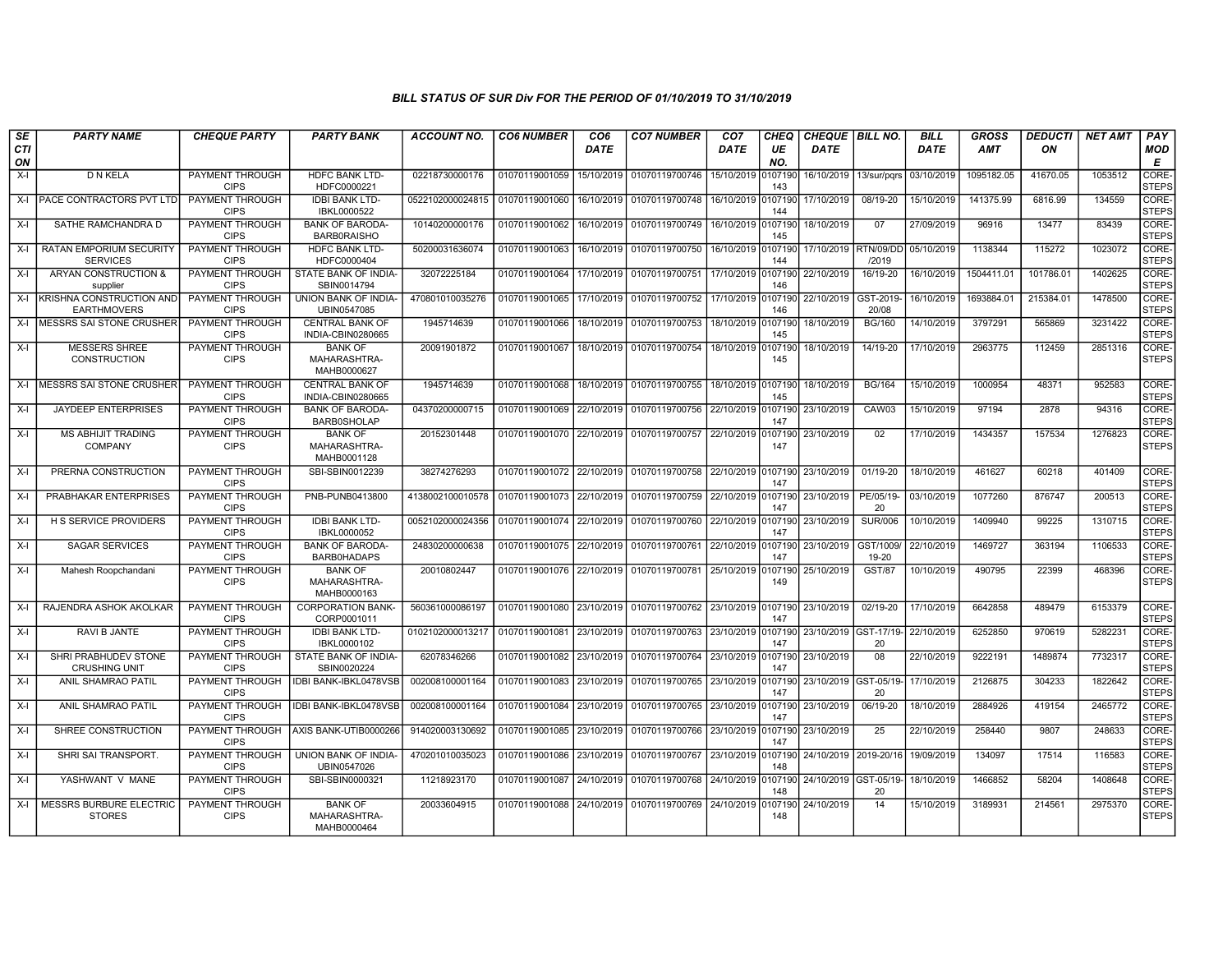| SE        | <b>PARTY NAME</b>                                 | <b>CHEQUE PARTY</b>                   | <b>PARTY BANK</b>                             | <b>ACCOUNT NO.</b> | <b>CO6 NUMBER</b>         | CO <sub>6</sub> | <b>CO7 NUMBER</b> | CO <sub>7</sub> | <b>CHEQ</b>    | <b>CHEQUE   BILL NO.</b> |                               | <b>BILL</b> | <b>GROSS</b> | <b>DEDUCTI</b> | <b>NET AMT</b> | PAY                   |
|-----------|---------------------------------------------------|---------------------------------------|-----------------------------------------------|--------------------|---------------------------|-----------------|-------------------|-----------------|----------------|--------------------------|-------------------------------|-------------|--------------|----------------|----------------|-----------------------|
| CTI<br>ON |                                                   |                                       |                                               |                    |                           | <b>DATE</b>     |                   | <b>DATE</b>     | UE<br>NO.      | <b>DATE</b>              |                               | <b>DATE</b> | AMT          | ON             |                | MOD<br>Е              |
| $X-I$     | D N KELA                                          | PAYMENT THROUGH<br><b>CIPS</b>        | <b>HDFC BANK LTD-</b><br>HDFC0000221          | 02218730000176     | 01070119001059            | 15/10/2019      | 01070119700746    | 15/10/2019      | 0107190<br>143 | 16/10/2019               | 13/sur/pqrs                   | 03/10/2019  | 1095182.05   | 41670.05       | 1053512        | CORE-<br><b>STEPS</b> |
| $X-I$     | PACE CONTRACTORS PVT LTD                          | PAYMENT THROUGH<br><b>CIPS</b>        | <b>IDBI BANK LTD-</b><br>IBKL0000522          | 0522102000024815   | 01070119001060            | 16/10/2019      | 01070119700748    | 16/10/2019      | 107190<br>144  | 17/10/2019               | 08/19-20                      | 15/10/2019  | 141375.99    | 6816.99        | 134559         | CORE-<br><b>STEPS</b> |
| $X-I$     | SATHE RAMCHANDRA D                                | <b>PAYMENT THROUGH</b><br><b>CIPS</b> | <b>BANK OF BARODA</b><br><b>BARBORAISHO</b>   | 10140200000176     | 01070119001062            | 16/10/2019      | 01070119700749    | 16/10/2019      | 0107190<br>145 | 18/10/2019               | 07                            | 27/09/2019  | 96916        | 13477          | 83439          | CORE-<br><b>STEPS</b> |
| X-I       | <b>RATAN EMPORIUM SECURITY</b><br><b>SERVICES</b> | PAYMENT THROUGH<br><b>CIPS</b>        | <b>HDFC BANK LTD-</b><br>HDFC0000404          | 50200031636074     | 01070119001063            | 16/10/2019      | 01070119700750    | 16/10/2019      | 0107190<br>144 |                          | 17/10/2019 RTN/09/DD<br>/2019 | 05/10/2019  | 1138344      | 115272         | 1023072        | CORE-<br><b>STEPS</b> |
| $X-I$     | <b>ARYAN CONSTRUCTION &amp;</b><br>supplier       | PAYMENT THROUGH<br><b>CIPS</b>        | STATE BANK OF INDIA<br>SBIN0014794            | 32072225184        | 01070119001064            | 17/10/2019      | 01070119700751    | 17/10/2019      | 0107190<br>146 | 22/10/2019               | 16/19-20                      | 16/10/2019  | 1504411.01   | 101786.01      | 1402625        | CORE-<br><b>STEPS</b> |
| $X-I$     | KRISHNA CONSTRUCTION AND<br><b>EARTHMOVERS</b>    | PAYMENT THROUGH<br><b>CIPS</b>        | <b>UNION BANK OF INDIA-</b><br>UBIN0547085    | 470801010035276    | 01070119001065            | 17/10/2019      | 01070119700752    | 17/10/2019      | 0107190<br>146 | 22/10/2019               | GST-2019-<br>20/08            | 16/10/2019  | 1693884.01   | 215384.01      | 1478500        | CORE-<br><b>STEPS</b> |
| $X-I$     | <b>MESSRS SAI STONE CRUSHER</b>                   | PAYMENT THROUGH<br><b>CIPS</b>        | <b>CENTRAL BANK OF</b><br>INDIA-CBIN0280665   | 1945714639         | 01070119001066            | 18/10/2019      | 01070119700753    | 18/10/2019      | 107190<br>145  | 18/10/2019               | <b>BG/160</b>                 | 14/10/2019  | 3797291      | 565869         | 3231422        | CORE-<br><b>STEPS</b> |
| X-I       | <b>MESSERS SHREE</b><br>CONSTRUCTION              | <b>PAYMENT THROUGH</b><br><b>CIPS</b> | <b>BANK OF</b><br>MAHARASHTRA-<br>MAHB0000627 | 20091901872        | 01070119001067            | 18/10/2019      | 01070119700754    | 18/10/2019      | 0107190<br>145 | 18/10/2019               | 14/19-20                      | 17/10/2019  | 2963775      | 112459         | 2851316        | CORE-<br><b>STEPS</b> |
| $X-I$     | MESSRS SAI STONE CRUSHER                          | PAYMENT THROUGH<br><b>CIPS</b>        | <b>CENTRAL BANK OF</b><br>INDIA-CBIN0280665   | 1945714639         | 01070119001068            | 18/10/2019      | 01070119700755    | 18/10/2019      | 0107190<br>145 | 18/10/2019               | <b>BG/164</b>                 | 15/10/2019  | 1000954      | 48371          | 952583         | CORE-<br><b>STEPS</b> |
| X-I       | <b>JAYDEEP ENTERPRISES</b>                        | PAYMENT THROUGH<br><b>CIPS</b>        | <b>BANK OF BARODA-</b><br><b>BARB0SHOLAP</b>  | 04370200000715     | 01070119001069            | 22/10/2019      | 01070119700756    | 22/10/2019      | 0107190<br>147 | 23/10/2019               | CAW03                         | 15/10/2019  | 97194        | 2878           | 94316          | CORE-<br><b>STEPS</b> |
| $X-I$     | <b>MS ABHIJIT TRADING</b><br><b>COMPANY</b>       | <b>PAYMENT THROUGH</b><br><b>CIPS</b> | <b>BANK OF</b><br>MAHARASHTRA-<br>MAHB0001128 | 20152301448        | 01070119001070            | 22/10/2019      | 01070119700757    | 22/10/2019      | 0107190<br>147 | 23/10/2019               | 02                            | 17/10/2019  | 1434357      | 157534         | 1276823        | CORE-<br><b>STEPS</b> |
| $X-I$     | PRERNA CONSTRUCTION                               | PAYMENT THROUGH<br><b>CIPS</b>        | SBI-SBIN0012239                               | 38274276293        | 01070119001072 22/10/2019 |                 | 01070119700758    | 22/10/2019      | 0107190<br>147 | 23/10/2019               | $01/19 - 20$                  | 18/10/2019  | 461627       | 60218          | 401409         | CORE-<br><b>STEPS</b> |
| $X-I$     | PRABHAKAR ENTERPRISES                             | PAYMENT THROUGH<br><b>CIPS</b>        | PNB-PUNB0413800                               | 4138002100010578   | 01070119001073 22/10/2019 |                 | 01070119700759    | 22/10/2019      | 0107190<br>147 | 23/10/2019               | PE/05/19-<br>20               | 03/10/2019  | 1077260      | 876747         | 200513         | CORE-<br><b>STEPS</b> |
| $X-I$     | <b>H S SERVICE PROVIDERS</b>                      | PAYMENT THROUGH<br><b>CIPS</b>        | <b>IDBI BANK LTD-</b><br>IBKL0000052          | 0052102000024356   | 01070119001074            | 22/10/2019      | 01070119700760    | 22/10/2019      | 107190<br>147  | 23/10/2019               | <b>SUR/006</b>                | 10/10/2019  | 1409940      | 99225          | 1310715        | CORE-<br><b>STEPS</b> |
| $X-I$     | <b>SAGAR SERVICES</b>                             | PAYMENT THROUGH<br><b>CIPS</b>        | <b>BANK OF BARODA</b><br>BARB0HADAPS          | 24830200000638     | 01070119001075 22/10/2019 |                 | 01070119700761    | 22/10/2019      | 0107190<br>147 | 23/10/2019               | GST/1009/<br>19-20            | 22/10/2019  | 1469727      | 363194         | 1106533        | CORE-<br><b>STEPS</b> |
| $X-I$     | Mahesh Roopchandani                               | PAYMENT THROUGH<br><b>CIPS</b>        | <b>BANK OF</b><br>MAHARASHTRA-<br>MAHB0000163 | 20010802447        | 01070119001076            | 22/10/2019      | 01070119700781    | 25/10/2019      | 107190<br>149  | 25/10/2019               | <b>GST/87</b>                 | 10/10/2019  | 490795       | 22399          | 468396         | CORE-<br><b>STEPS</b> |
| $X-I$     | RAJENDRA ASHOK AKOLKAR                            | PAYMENT THROUGH<br><b>CIPS</b>        | <b>CORPORATION BANK-</b><br>CORP0001011       | 560361000086197    | 01070119001080 23/10/2019 |                 | 01070119700762    | 23/10/2019      | 0107190<br>147 | 23/10/2019               | 02/19-20                      | 17/10/2019  | 6642858      | 489479         | 6153379        | CORE-<br><b>STEPS</b> |
| $X-I$     | RAVI B JANTE                                      | PAYMENT THROUGH<br><b>CIPS</b>        | <b>IDBI BANK LTD-</b><br>IBKL0000102          | 0102102000013217   | 01070119001081            | 23/10/2019      | 01070119700763    | 23/10/2019      | 0107190<br>147 |                          | 23/10/2019 GST-17/19-<br>20   | 22/10/2019  | 6252850      | 970619         | 5282231        | CORE-<br><b>STEPS</b> |
| $X-I$     | SHRI PRABHUDEV STONE<br><b>CRUSHING UNIT</b>      | PAYMENT THROUGH<br><b>CIPS</b>        | STATE BANK OF INDIA-<br>SBIN0020224           | 62078346266        | 01070119001082            | 23/10/2019      | 01070119700764    | 23/10/2019      | 0107190<br>147 | 23/10/2019               | 08                            | 22/10/2019  | 9222191      | 1489874        | 7732317        | CORE-<br><b>STEPS</b> |
| $X-I$     | ANIL SHAMRAO PATIL                                | <b>PAYMENT THROUGH</b><br><b>CIPS</b> | <b>IDBI BANK-IBKL0478VSB</b>                  | 002008100001164    | 01070119001083 23/10/2019 |                 | 01070119700765    | 23/10/2019      | 0107190<br>147 | 23/10/2019 GST-05/19-    | 20                            | 17/10/2019  | 2126875      | 304233         | 1822642        | CORE-<br><b>STEPS</b> |
| $X-I$     | ANIL SHAMRAO PATIL                                | PAYMENT THROUGH<br><b>CIPS</b>        | IDBI BANK-IBKL0478VSB                         | 002008100001164    | 01070119001084            | 23/10/2019      | 01070119700765    | 23/10/2019      | 0107190<br>147 | 23/10/2019               | 06/19-20                      | 18/10/2019  | 2884926      | 419154         | 2465772        | CORE-<br><b>STEPS</b> |
| $X-I$     | SHREE CONSTRUCTION                                | PAYMENT THROUGH<br><b>CIPS</b>        | AXIS BANK-UTIB0000266                         | 914020003130692    | 01070119001085            | 23/10/2019      | 01070119700766    | 23/10/2019      | 107190<br>147  | 23/10/2019               | 25                            | 22/10/2019  | 258440       | 9807           | 248633         | CORE-<br><b>STEPS</b> |
| $X-I$     | SHRI SAI TRANSPORT.                               | <b>PAYMENT THROUGH</b><br><b>CIPS</b> | UNION BANK OF INDIA-<br>UBIN0547026           | 470201010035023    | 01070119001086            | 23/10/2019      | 01070119700767    | 23/10/2019      | 0107190<br>148 | 24/10/2019 2019-20/16    |                               | 19/09/2019  | 134097       | 17514          | 116583         | CORE-<br><b>STEPS</b> |
| $X-I$     | YASHWANT V MANE                                   | PAYMENT THROUGH<br><b>CIPS</b>        | SBI-SBIN0000321                               | 11218923170        | 01070119001087            | 24/10/2019      | 01070119700768    | 24/10/2019      | 0107190<br>148 | 24/10/2019 GST-05/19-    | 20                            | 18/10/2019  | 1466852      | 58204          | 1408648        | CORE-<br><b>STEPS</b> |
| $X-I$     | MESSRS BURBURE ELECTRIC<br><b>STORES</b>          | PAYMENT THROUGH<br><b>CIPS</b>        | <b>BANK OF</b><br>MAHARASHTRA-<br>MAHB0000464 | 20033604915        | 01070119001088 24/10/2019 |                 | 01070119700769    | 24/10/2019      | 107190<br>148  | 24/10/2019               | 14                            | 15/10/2019  | 3189931      | 214561         | 2975370        | CORE-<br><b>STEPS</b> |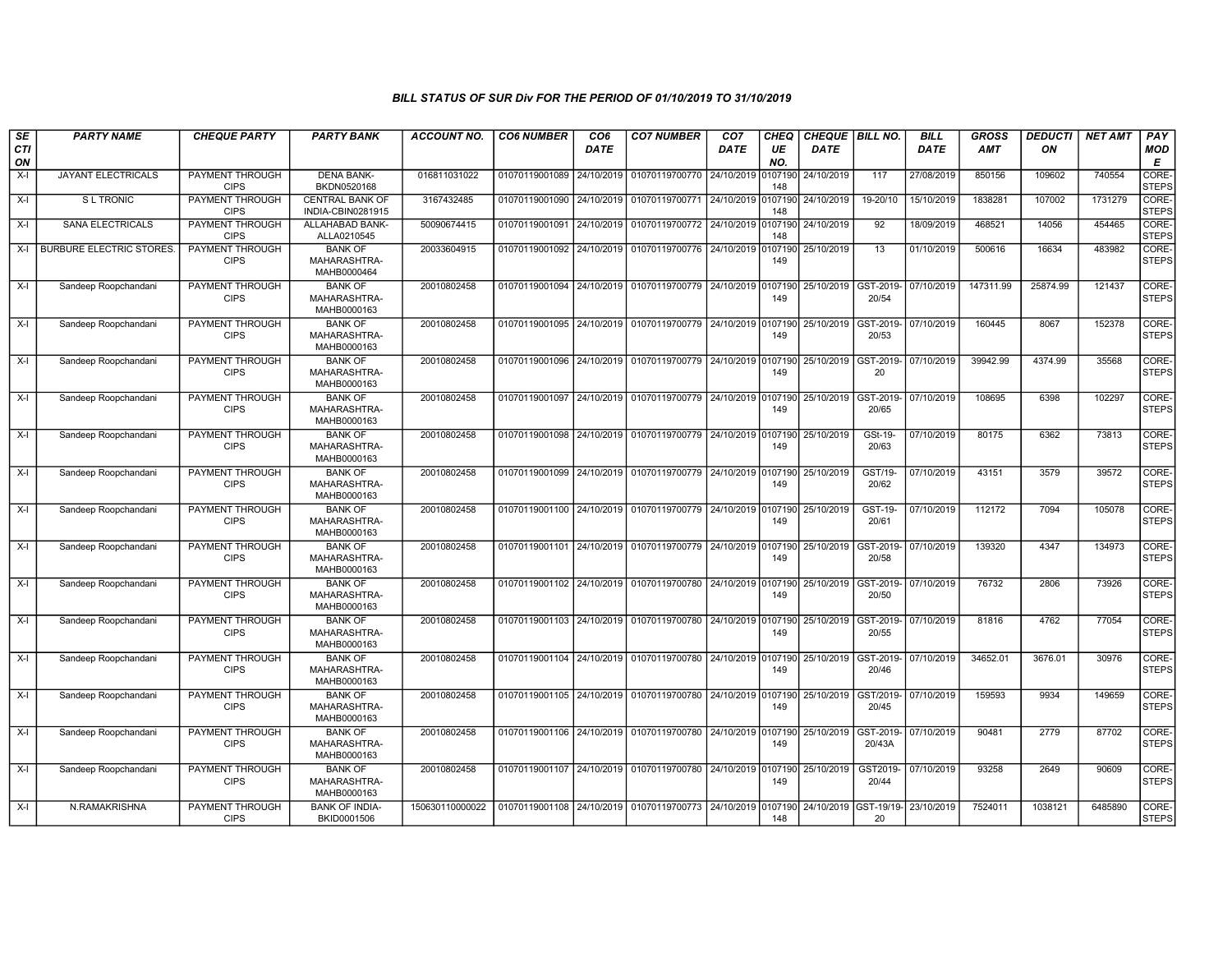| SE<br><b>CTI</b> | <b>PARTY NAME</b>              | <b>CHEQUE PARTY</b>                   | <b>PARTY BANK</b>                             | <b>ACCOUNT NO.</b> | <b>CO6 NUMBER</b>         | CO <sub>6</sub><br><b>DATE</b> | <b>CO7 NUMBER</b> | CO <sub>7</sub><br><b>DATE</b> | CHEQ<br>UE     | <b>CHEQUE   BILL NO.</b><br><b>DATE</b> |                                | <b>BILL</b><br>DATE | <b>GROSS</b><br>AMT | <b>DEDUCTI</b><br>ON | <b>NET AMT</b> | PAY<br>MOD            |
|------------------|--------------------------------|---------------------------------------|-----------------------------------------------|--------------------|---------------------------|--------------------------------|-------------------|--------------------------------|----------------|-----------------------------------------|--------------------------------|---------------------|---------------------|----------------------|----------------|-----------------------|
| ON               |                                |                                       |                                               |                    |                           |                                |                   |                                | NO.            |                                         |                                |                     |                     |                      |                | Е                     |
| X-I              | JAYANT ELECTRICALS             | PAYMENT THROUGH<br><b>CIPS</b>        | <b>DENA BANK-</b><br>BKDN0520168              | 016811031022       | 01070119001089            | 24/10/2019                     | 01070119700770    | 24/10/2019                     | 0107190<br>148 | 24/10/2019                              | 117                            | 27/08/2019          | 850156              | 109602               | 740554         | CORE-<br><b>STEPS</b> |
| X-I              | <b>SL TRONIC</b>               | <b>PAYMENT THROUGH</b><br><b>CIPS</b> | <b>CENTRAL BANK OF</b><br>INDIA-CBIN0281915   | 3167432485         | 01070119001090            | 24/10/2019                     | 01070119700771    | 24/10/2019                     | )10719(<br>148 | 24/10/2019                              | 19-20/10                       | 15/10/2019          | 1838281             | 107002               | 1731279        | CORE-<br><b>STEPS</b> |
| X-I              | <b>SANA ELECTRICALS</b>        | PAYMENT THROUGH<br><b>CIPS</b>        | ALLAHABAD BANK-<br>ALLA0210545                | 50090674415        | 01070119001091            | 24/10/2019                     | 01070119700772    | 24/10/2019                     | 0107190<br>148 | 24/10/2019                              | 92                             | 18/09/2019          | 468521              | 14056                | 454465         | CORE-<br><b>STEPS</b> |
| X-I              | <b>BURBURE ELECTRIC STORES</b> | PAYMENT THROUGH<br><b>CIPS</b>        | <b>BANK OF</b><br>MAHARASHTRA-<br>MAHB0000464 | 20033604915        | 01070119001092            | 24/10/2019                     | 01070119700776    | 24/10/2019                     | 0107190<br>149 | 25/10/2019                              | 13                             | 01/10/2019          | 500616              | 16634                | 483982         | CORE-<br><b>STEPS</b> |
| X-I              | Sandeep Roopchandani           | PAYMENT THROUGH<br><b>CIPS</b>        | <b>BANK OF</b><br>MAHARASHTRA-<br>MAHB0000163 | 20010802458        | 01070119001094            | 24/10/2019                     | 01070119700779    | 24/10/2019                     | 0107190<br>149 | 25/10/2019                              | GST-2019<br>20/54              | 07/10/2019          | 147311.99           | 25874.99             | 121437         | CORE-<br><b>STEPS</b> |
| X-I              | Sandeep Roopchandani           | PAYMENT THROUGH<br><b>CIPS</b>        | <b>BANK OF</b><br>MAHARASHTRA-<br>MAHB0000163 | 20010802458        | 01070119001095            | 24/10/2019                     | 01070119700779    | 24/10/2019                     | 0107190<br>149 | 25/10/2019                              | GST-2019<br>20/53              | 07/10/2019          | 160445              | 8067                 | 152378         | CORE-<br><b>STEPS</b> |
| X-I              | Sandeep Roopchandani           | PAYMENT THROUGH<br><b>CIPS</b>        | <b>BANK OF</b><br>MAHARASHTRA-<br>MAHB0000163 | 20010802458        | 01070119001096            | 24/10/2019                     | 01070119700779    | 24/10/2019                     | 0107190<br>149 | 25/10/2019                              | GST-2019-<br>20                | 07/10/2019          | 39942.99            | 4374.99              | 35568          | CORE-<br><b>STEPS</b> |
| X-I              | Sandeep Roopchandani           | PAYMENT THROUGH<br><b>CIPS</b>        | <b>BANK OF</b><br>MAHARASHTRA-<br>MAHB0000163 | 20010802458        | 01070119001097            | 24/10/2019                     | 01070119700779    | 24/10/2019                     | 0107190<br>149 | 25/10/2019                              | GST-2019<br>20/65              | 07/10/2019          | 108695              | 6398                 | 102297         | CORE-<br><b>STEPS</b> |
| X-I              | Sandeep Roopchandani           | PAYMENT THROUGH<br><b>CIPS</b>        | <b>BANK OF</b><br>MAHARASHTRA-<br>MAHB0000163 | 20010802458        | 01070119001098            | 24/10/2019                     | 01070119700779    | 24/10/2019                     | 0107190<br>149 | 25/10/2019                              | GSt-19-<br>20/63               | 07/10/2019          | 80175               | 6362                 | 73813          | CORE-<br><b>STEPS</b> |
| X-I              | Sandeep Roopchandani           | <b>PAYMENT THROUGH</b><br><b>CIPS</b> | <b>BANK OF</b><br>MAHARASHTRA-<br>MAHB0000163 | 20010802458        | 01070119001099            | 24/10/2019                     | 01070119700779    | 24/10/2019                     | 0107190<br>149 | 25/10/2019                              | GST/19-<br>20/62               | 07/10/2019          | 43151               | 3579                 | 39572          | CORE-<br><b>STEPS</b> |
| X-I              | Sandeep Roopchandani           | PAYMENT THROUGH<br><b>CIPS</b>        | <b>BANK OF</b><br>MAHARASHTRA-<br>MAHB0000163 | 20010802458        | 01070119001100            | 24/10/2019                     | 01070119700779    | 24/10/2019                     | 107190<br>149  | 25/10/2019                              | GST-19-<br>20/61               | 07/10/2019          | 112172              | 7094                 | 105078         | CORE-<br><b>STEPS</b> |
| X-I              | Sandeep Roopchandani           | PAYMENT THROUGH<br><b>CIPS</b>        | <b>BANK OF</b><br>MAHARASHTRA-<br>MAHB0000163 | 20010802458        | 01070119001101            | 24/10/2019                     | 01070119700779    | 24/10/2019                     | 107190<br>149  | 25/10/2019                              | GST-2019<br>20/58              | 07/10/2019          | 139320              | 4347                 | 134973         | CORE-<br><b>STEPS</b> |
| X-I              | Sandeep Roopchandani           | <b>PAYMENT THROUGH</b><br><b>CIPS</b> | <b>BANK OF</b><br>MAHARASHTRA-<br>MAHB0000163 | 20010802458        | 01070119001102 24/10/2019 |                                | 01070119700780    | 24/10/2019                     | 0107190<br>149 | 25/10/2019                              | GST-2019-<br>20/50             | 07/10/2019          | 76732               | 2806                 | 73926          | CORE-<br><b>STEPS</b> |
| X-I              | Sandeep Roopchandani           | PAYMENT THROUGH<br><b>CIPS</b>        | <b>BANK OF</b><br>MAHARASHTRA-<br>MAHB0000163 | 20010802458        | 01070119001103 24/10/2019 |                                | 01070119700780    | 24/10/2019                     | )107190<br>149 | 25/10/2019                              | GST-2019-<br>20/55             | 07/10/2019          | 81816               | 4762                 | 77054          | CORE-<br><b>STEPS</b> |
| X-I              | Sandeep Roopchandani           | PAYMENT THROUGH<br><b>CIPS</b>        | <b>BANK OF</b><br>MAHARASHTRA-<br>MAHB0000163 | 20010802458        | 01070119001104            | 24/10/2019                     | 01070119700780    | 24/10/2019                     | 0107190<br>149 | 25/10/2019                              | GST-2019-<br>20/46             | 07/10/2019          | 34652.01            | 3676.01              | 30976          | CORE-<br><b>STEPS</b> |
| X-I              | Sandeep Roopchandani           | <b>PAYMENT THROUGH</b><br><b>CIPS</b> | <b>BANK OF</b><br>MAHARASHTRA-<br>MAHB0000163 | 20010802458        | 01070119001105 24/10/2019 |                                | 01070119700780    | 24/10/2019                     | 0107190<br>149 | 25/10/2019                              | GST/2019 <sub>·</sub><br>20/45 | 07/10/2019          | 159593              | 9934                 | 149659         | CORE-<br><b>STEPS</b> |
| X-I              | Sandeep Roopchandani           | <b>PAYMENT THROUGH</b><br><b>CIPS</b> | <b>BANK OF</b><br>MAHARASHTRA-<br>MAHB0000163 | 20010802458        | 01070119001106 24/10/2019 |                                | 01070119700780    | 24/10/2019                     | 107190<br>149  | 25/10/2019                              | GST-2019<br>20/43A             | 07/10/2019          | 90481               | 2779                 | 87702          | CORE-<br><b>STEPS</b> |
| X-I              | Sandeep Roopchandani           | PAYMENT THROUGH<br><b>CIPS</b>        | <b>BANK OF</b><br>MAHARASHTRA-<br>MAHB0000163 | 20010802458        | 01070119001107 24/10/2019 |                                | 01070119700780    | 24/10/2019                     | 0107190<br>149 | 25/10/2019                              | GST2019-<br>20/44              | 07/10/2019          | 93258               | 2649                 | 90609          | CORE-<br><b>STEPS</b> |
| X-I              | N.RAMAKRISHNA                  | <b>PAYMENT THROUGH</b><br><b>CIPS</b> | <b>BANK OF INDIA-</b><br>BKID0001506          | 150630110000022    | 01070119001108            | 24/10/2019                     | 01070119700773    | 24/10/2019                     | )107190<br>148 | 24/10/2019                              | GST-19/19-<br>20               | 23/10/2019          | 7524011             | 1038121              | 6485890        | CORE-<br><b>STEPS</b> |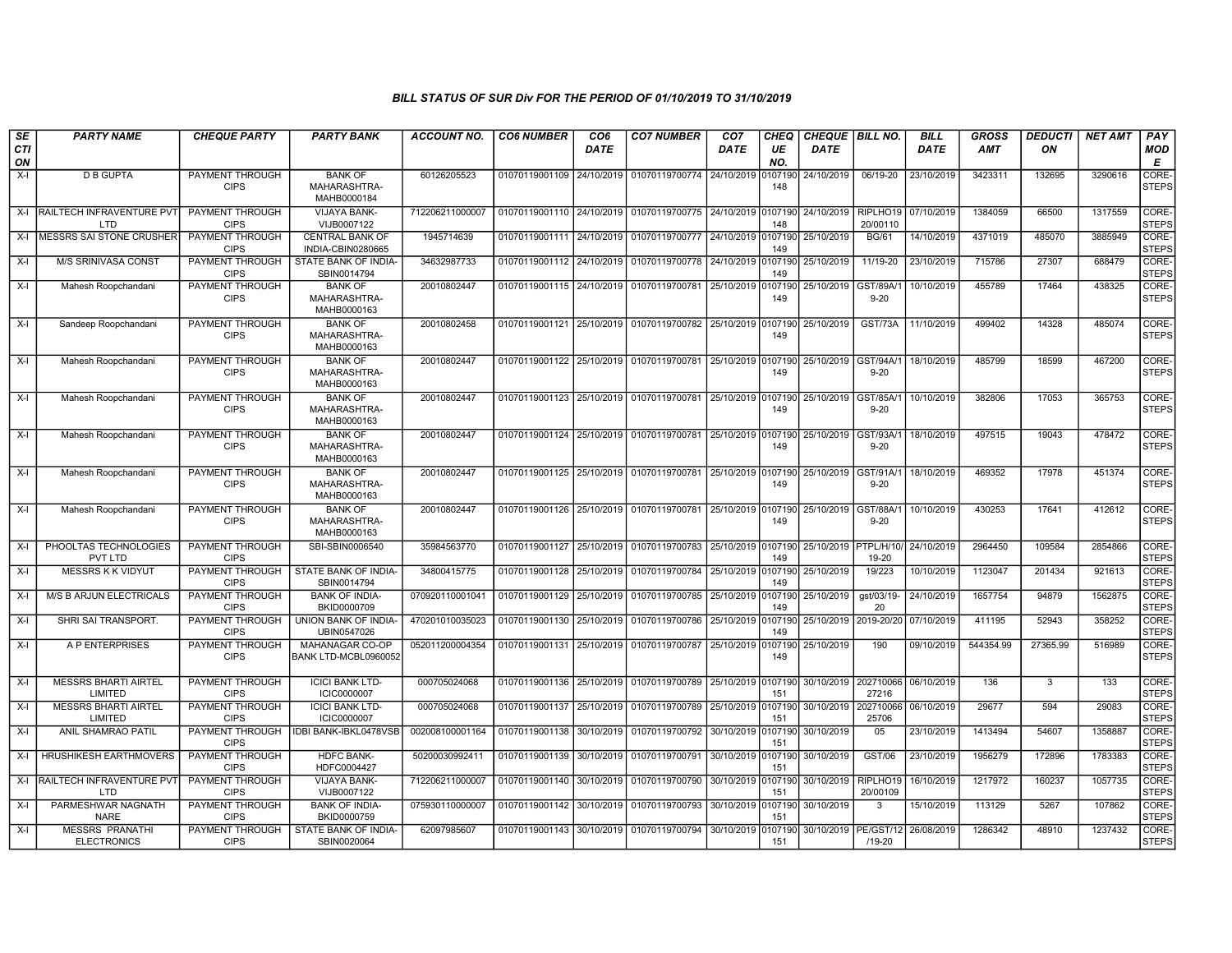| SE               | <b>PARTY NAME</b>                            | <b>CHEQUE PARTY</b>                   | <b>PARTY BANK</b>                             | <b>ACCOUNT NO.</b> | <b>CO6 NUMBER</b>         | CO <sub>6</sub> | <b>CO7 NUMBER</b>                                           | CO <sub>7</sub>    | <b>CHEQ</b>    | <b>CHEQUE   BILL NO.</b> |                       | <b>BILL</b>          | <b>GROSS</b> | <b>DEDUCTI</b> | <b>NET AMT</b> | <b>PAY</b>            |
|------------------|----------------------------------------------|---------------------------------------|-----------------------------------------------|--------------------|---------------------------|-----------------|-------------------------------------------------------------|--------------------|----------------|--------------------------|-----------------------|----------------------|--------------|----------------|----------------|-----------------------|
| <b>CTI</b><br>ON |                                              |                                       |                                               |                    |                           | <b>DATE</b>     |                                                             | <b>DATE</b>        | UE<br>NO.      | <b>DATE</b>              |                       | DATE                 | <b>AMT</b>   | ΟN             |                | MOD<br>Е              |
| $X-I$            | <b>D B GUPTA</b>                             | PAYMENT THROUGH<br><b>CIPS</b>        | <b>BANK OF</b><br>MAHARASHTRA-<br>MAHB0000184 | 60126205523        | 01070119001109            | 24/10/2019      | 01070119700774                                              | 24/10/2019         | 107190<br>148  | 24/10/2019               | 06/19-20              | 23/10/2019           | 3423311      | 132695         | 3290616        | CORE-<br><b>STEPS</b> |
| $X-I$            | <b>RAILTECH INFRAVENTURE PVT</b><br>LTD      | PAYMENT THROUGH<br><b>CIPS</b>        | <b>VIJAYA BANK-</b><br>VIJB0007122            | 712206211000007    | 01070119001110 24/10/2019 |                 | 01070119700775 24/10/2019                                   |                    | 0107190<br>148 | 24/10/2019               | RIPLHO19<br>20/00110  | 07/10/2019           | 1384059      | 66500          | 1317559        | CORE-<br><b>STEPS</b> |
| $X-I$            | MESSRS SAI STONE CRUSHER                     | <b>PAYMENT THROUGH</b><br><b>CIPS</b> | <b>CENTRAL BANK OF</b><br>INDIA-CBIN0280665   | 1945714639         | 01070119001111 24/10/2019 |                 | 01070119700777 24/10/2019 0107190                           |                    | 149            | 25/10/2019               | <b>BG/61</b>          | 14/10/2019           | 4371019      | 485070         | 3885949        | CORE-<br><b>STEPS</b> |
| $X-I$            | M/S SRINIVASA CONST                          | PAYMENT THROUGH<br><b>CIPS</b>        | STATE BANK OF INDIA-<br>SBIN0014794           | 34632987733        | 01070119001112            | 24/10/2019      | 01070119700778 24/10/2019                                   |                    | 107190<br>149  | 25/10/2019               | 11/19-20              | 23/10/2019           | 715786       | 27307          | 688479         | CORE-<br><b>STEPS</b> |
| X-I              | Mahesh Roopchandani                          | PAYMENT THROUGH<br><b>CIPS</b>        | <b>BANK OF</b><br>MAHARASHTRA-<br>MAHB0000163 | 20010802447        | 01070119001115 24/10/2019 |                 | 01070119700781 25/10/2019                                   |                    | 107190<br>149  | 25/10/2019               | GST/89A/<br>$9 - 20$  | 10/10/2019           | 455789       | 17464          | 438325         | CORE-<br><b>STEPS</b> |
| X-I              | Sandeep Roopchandani                         | PAYMENT THROUGH<br><b>CIPS</b>        | <b>BANK OF</b><br>MAHARASHTRA-<br>MAHB0000163 | 20010802458        | 01070119001121            | 25/10/2019      | 01070119700782                                              | 25/10/2019 0107190 | 149            | 25/10/2019               | GST/73A               | 11/10/2019           | 499402       | 14328          | 485074         | CORE-<br><b>STEPS</b> |
| X-I              | Mahesh Roopchandani                          | <b>PAYMENT THROUGH</b><br><b>CIPS</b> | <b>BANK OF</b><br>MAHARASHTRA-<br>MAHB0000163 | 20010802447        | 01070119001122 25/10/2019 |                 | 01070119700781 25/10/2019 0107190                           |                    | 149            | 25/10/2019               | GST/94A/1<br>$9 - 20$ | 18/10/2019           | 485799       | 18599          | 467200         | CORE-<br><b>STEPS</b> |
| $X-I$            | Mahesh Roopchandani                          | PAYMENT THROUGH<br><b>CIPS</b>        | <b>BANK OF</b><br>MAHARASHTRA-<br>MAHB0000163 | 20010802447        | 01070119001123 25/10/2019 |                 | 01070119700781 25/10/2019 0107190                           |                    | 149            | 25/10/2019               | GST/85A/1<br>$9 - 20$ | 10/10/2019           | 382806       | 17053          | 365753         | CORE-<br><b>STEPS</b> |
| X-I              | Mahesh Roopchandani                          | PAYMENT THROUGH<br><b>CIPS</b>        | <b>BANK OF</b><br>MAHARASHTRA-<br>MAHB0000163 | 20010802447        |                           |                 | 01070119001124 25/10/2019 01070119700781 25/10/2019 0107190 |                    | 149            | 25/10/2019               | GST/93A/1<br>$9 - 20$ | 18/10/2019           | 497515       | 19043          | 478472         | CORE-<br><b>STEPS</b> |
| X-I              | Mahesh Roopchandani                          | <b>PAYMENT THROUGH</b><br><b>CIPS</b> | <b>BANK OF</b><br>MAHARASHTRA-<br>MAHB0000163 | 20010802447        | 01070119001125 25/10/2019 |                 | 01070119700781 25/10/2019                                   |                    | 0107190<br>149 | 25/10/2019               | GST/91A/1<br>$9 - 20$ | 18/10/2019           | 469352       | 17978          | 451374         | CORE-<br><b>STEPS</b> |
| X-I              | Mahesh Roopchandani                          | PAYMENT THROUGH<br><b>CIPS</b>        | <b>BANK OF</b><br>MAHARASHTRA-<br>MAHB0000163 | 20010802447        | 01070119001126 25/10/2019 |                 | 01070119700781 25/10/2019 0107190                           |                    | 149            | 25/10/2019               | GST/88A/1<br>$9 - 20$ | 10/10/2019           | 430253       | 17641          | 412612         | CORE-<br><b>STEPS</b> |
| $X-I$            | PHOOLTAS TECHNOLOGIES<br>PVT LTD             | PAYMENT THROUGH<br><b>CIPS</b>        | SBI-SBIN0006540                               | 35984563770        | 01070119001127            | 25/10/2019      | 01070119700783                                              | 25/10/2019         | 0107190<br>149 | 25/10/2019   PTPL/H/10/  | 19-20                 | 24/10/2019           | 2964450      | 109584         | 2854866        | CORE-<br><b>STEPS</b> |
| X-I              | MESSRS K K VIDYUT                            | PAYMENT THROUGH<br><b>CIPS</b>        | STATE BANK OF INDIA-<br>SBIN0014794           | 34800415775        | 01070119001128            | 25/10/2019      | 01070119700784                                              | 25/10/2019         | 0107190<br>149 | 25/10/2019               | 19/223                | 10/10/2019           | 1123047      | 201434         | 921613         | CORE-<br><b>STEPS</b> |
| $X-I$            | <b>M/S B ARJUN ELECTRICALS</b>               | <b>PAYMENT THROUGH</b><br><b>CIPS</b> | <b>BANK OF INDIA-</b><br>BKID0000709          | 070920110001041    | 01070119001129            | 25/10/2019      | 01070119700785                                              | 25/10/2019         | 0107190<br>149 | 25/10/2019               | gst/03/19-<br>20      | 24/10/2019           | 1657754      | 94879          | 1562875        | CORE-<br><b>STEPS</b> |
| X-I              | SHRI SAI TRANSPORT.                          | PAYMENT THROUGH<br><b>CIPS</b>        | UNION BANK OF INDIA-<br>UBIN0547026           | 470201010035023    | 01070119001130            | 25/10/2019      | 01070119700786                                              | 25/10/2019 0107190 | 149            | 25/10/2019               | 2019-20/20            | 07/10/2019           | 411195       | 52943          | 358252         | CORE-<br><b>STEPS</b> |
| X-I              | A P ENTERPRISES                              | PAYMENT THROUGH<br><b>CIPS</b>        | MAHANAGAR CO-OP<br>BANK LTD-MCBL0960052       | 052011200004354    | 01070119001131 25/10/2019 |                 | 01070119700787 25/10/2019                                   |                    | 107190<br>149  | 25/10/2019               | 190                   | 09/10/2019           | 544354.99    | 27365.99       | 516989         | CORE-<br><b>STEPS</b> |
| X-I              | <b>MESSRS BHARTI AIRTEL</b><br>LIMITED       | <b>PAYMENT THROUGH</b><br><b>CIPS</b> | <b>ICICI BANK LTD-</b><br>ICIC0000007         | 000705024068       | 01070119001136 25/10/2019 |                 | 01070119700789 25/10/2019 0107190                           |                    | 151            | 30/10/2019               | 202710066<br>27216    | 06/10/2019           | 136          | 3              | 133            | CORE-<br><b>STEPS</b> |
| X-I              | <b>MESSRS BHARTI AIRTEL</b><br>LIMITED       | PAYMENT THROUGH<br><b>CIPS</b>        | <b>ICICI BANK LTD-</b><br>ICIC0000007         | 000705024068       | 01070119001137            | 25/10/2019      | 01070119700789                                              | 25/10/2019         | 0107190<br>151 | 30/10/2019               | 25706                 | 202710066 06/10/2019 | 29677        | 594            | 29083          | CORE-<br><b>STEPS</b> |
| X-I              | ANIL SHAMRAO PATIL                           | PAYMENT THROUGH<br><b>CIPS</b>        | IDBI BANK-IBKL0478VSB                         | 002008100001164    | 01070119001138            | 30/10/2019      | 01070119700792 30/10/2019                                   |                    | 0107190<br>151 | 30/10/2019               | 05                    | 23/10/2019           | 1413494      | 54607          | 1358887        | CORE-<br><b>STEPS</b> |
| X-I              | <b>HRUSHIKESH EARTHMOVERS</b>                | PAYMENT THROUGH<br><b>CIPS</b>        | <b>HDFC BANK-</b><br>HDFC0004427              | 50200030992411     | 01070119001139            | 30/10/2019      | 01070119700791                                              | 30/10/2019         | 107190<br>151  | 30/10/2019               | GST/06                | 23/10/2019           | 1956279      | 172896         | 1783383        | CORE-<br><b>STEPS</b> |
| X-I              | RAILTECH INFRAVENTURE PVT<br>LTD             | <b>PAYMENT THROUGH</b><br><b>CIPS</b> | <b>VIJAYA BANK-</b><br>VIJB0007122            | 712206211000007    | 01070119001140            | 30/10/2019      | 01070119700790 30/10/2019                                   |                    | 107190<br>151  | 30/10/2019               | RIPLHO19<br>20/00109  | 16/10/2019           | 1217972      | 160237         | 1057735        | CORE-<br><b>STEPS</b> |
| X-I              | PARMESHWAR NAGNATH<br><b>NARE</b>            | PAYMENT THROUGH<br><b>CIPS</b>        | <b>BANK OF INDIA-</b><br>BKID0000759          | 075930110000007    | 01070119001142            | 30/10/2019      | 01070119700793                                              | 30/10/2019 0107190 | 151            | 30/10/2019               | 3                     | 15/10/2019           | 113129       | 5267           | 107862         | CORE-<br><b>STEPS</b> |
| X-I              | <b>MESSRS PRANATHI</b><br><b>ELECTRONICS</b> | PAYMENT THROUGH<br><b>CIPS</b>        | STATE BANK OF INDIA-<br>SBIN0020064           | 62097985607        | 01070119001143 30/10/2019 |                 | 01070119700794 30/10/2019                                   |                    | 0107190<br>151 | 30/10/2019   PE/GST/12   | /19-20                | 26/08/2019           | 1286342      | 48910          | 1237432        | CORE-<br><b>STEPS</b> |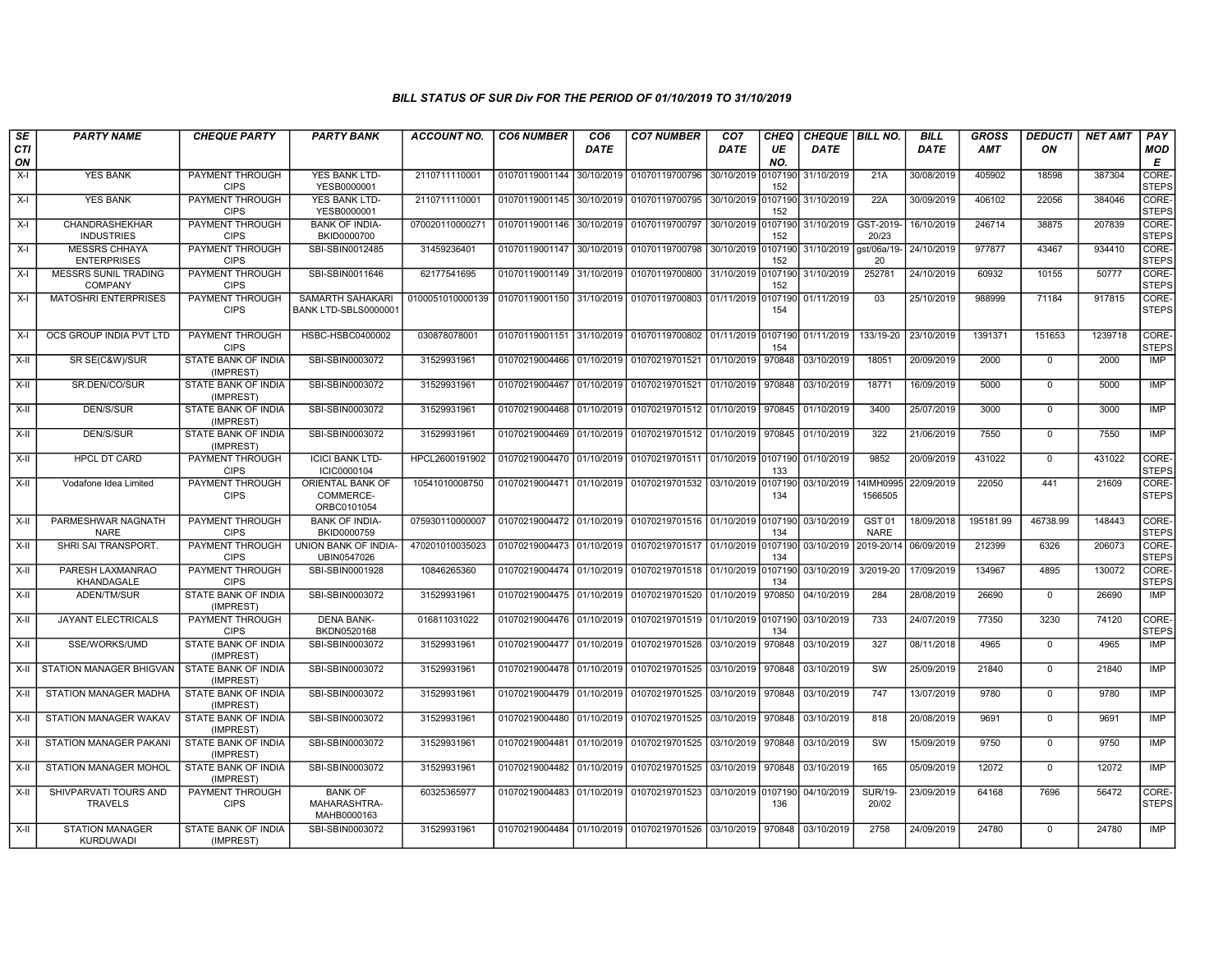| SE        | <b>PARTY NAME</b>                          | <b>CHEQUE PARTY</b>                     | <b>PARTY BANK</b>                             | <b>ACCOUNT NO.</b> | <b>CO6 NUMBER</b>         | CO <sub>6</sub> | <b>CO7 NUMBER</b>                                           | CO <sub>7</sub>    | <b>CHEQ</b>    | CHEQUE   BILL NO. |                                  | <b>BILL</b> | <b>GROSS</b> | <b>DEDUCTI</b> | <b>NET AMT</b> | <b>PAY</b>            |
|-----------|--------------------------------------------|-----------------------------------------|-----------------------------------------------|--------------------|---------------------------|-----------------|-------------------------------------------------------------|--------------------|----------------|-------------------|----------------------------------|-------------|--------------|----------------|----------------|-----------------------|
| CTI<br>ON |                                            |                                         |                                               |                    |                           | <b>DATE</b>     |                                                             | <b>DATE</b>        | UE<br>NO.      | <b>DATE</b>       |                                  | <b>DATE</b> | <b>AMT</b>   | ΟN             |                | <b>MOD</b><br>Е       |
| $X-I$     | <b>YES BANK</b>                            | PAYMENT THROUGH<br><b>CIPS</b>          | YES BANK LTD-<br>YESB0000001                  | 2110711110001      | 01070119001144            | 30/10/2019      | 01070119700796                                              | 30/10/2019         | 0107190<br>152 | 31/10/2019        | 21A                              | 30/08/2019  | 405902       | 18598          | 387304         | CORE-<br><b>STEPS</b> |
| $X-I$     | <b>YES BANK</b>                            | PAYMENT THROUGH<br><b>CIPS</b>          | YES BANK LTD-<br>YESB0000001                  | 2110711110001      | 01070119001145            | 30/10/2019      | 01070119700795 30/10/2019 0107190                           |                    | 152            | 31/10/2019        | 22A                              | 30/09/2019  | 406102       | 22056          | 384046         | CORE-<br><b>STEPS</b> |
| $X-I$     | <b>CHANDRASHEKHAR</b><br><b>INDUSTRIES</b> | <b>PAYMENT THROUGH</b><br><b>CIPS</b>   | <b>BANK OF INDIA-</b><br>BKID0000700          | 070020110000271    | 01070119001146 30/10/2019 |                 | 01070119700797 30/10/2019 0107190                           |                    | 152            | 31/10/2019        | GST-2019-<br>20/23               | 16/10/2019  | 246714       | 38875          | 207839         | CORE-<br><b>STEPS</b> |
| $X-I$     | <b>MESSRS CHHAYA</b><br><b>ENTERPRISES</b> | <b>PAYMENT THROUGH</b><br><b>CIPS</b>   | SBI-SBIN0012485                               | 31459236401        | 01070119001147 30/10/2019 |                 | 01070119700798                                              | 30/10/2019 0107190 | 152            | 31/10/2019        | gst/06a/19-<br>20                | 24/10/2019  | 977877       | 43467          | 934410         | CORE-<br><b>STEPS</b> |
| $X-I$     | MESSRS SUNIL TRADING<br><b>COMPANY</b>     | PAYMENT THROUGH<br><b>CIPS</b>          | SBI-SBIN0011646                               | 62177541695        | 01070119001149 31/10/2019 |                 | 01070119700800 31/10/2019 0107190                           |                    | 152            | 31/10/2019        | 252781                           | 24/10/2019  | 60932        | 10155          | 50777          | CORE-<br><b>STEPS</b> |
| $X-I$     | <b>MATOSHRI ENTERPRISES</b>                | PAYMENT THROUGH<br><b>CIPS</b>          | SAMARTH SAHAKARI<br>BANK LTD-SBLS0000001      | 0100051010000139   | 01070119001150 31/10/2019 |                 | 01070119700803 01/11/2019 0107190                           |                    | 154            | 01/11/2019        | 03                               | 25/10/2019  | 988999       | 71184          | 917815         | CORE-<br><b>STEPS</b> |
| $X-I$     | OCS GROUP INDIA PVT LTD                    | <b>PAYMENT THROUGH</b><br><b>CIPS</b>   | HSBC-HSBC0400002                              | 030878078001       | 01070119001151 31/10/2019 |                 | 01070119700802 01/11/2019 0107190                           |                    | 154            | 01/11/2019        | 133/19-20                        | 23/10/2019  | 1391371      | 151653         | 1239718        | CORE-<br><b>STEPS</b> |
| X-II      | SR SE(C&W)/SUR                             | STATE BANK OF INDIA<br>(IMPREST)        | SBI-SBIN0003072                               | 31529931961        | 01070219004466 01/10/2019 |                 | 01070219701521 01/10/2019                                   |                    | 970848         | 03/10/2019        | 18051                            | 20/09/2019  | 2000         | $\mathbf 0$    | 2000           | <b>IMP</b>            |
| X-II      | SR.DEN/CO/SUR                              | STATE BANK OF INDIA<br>(IMPREST)        | SBI-SBIN0003072                               | 31529931961        | 01070219004467            | 01/10/2019      | 01070219701521                                              | 01/10/2019         | 970848         | 03/10/2019        | 18771                            | 16/09/2019  | 5000         | $\mathbf 0$    | 5000           | <b>IMP</b>            |
| X-II      | DEN/S/SUR                                  | <b>STATE BANK OF INDIA</b><br>(IMPREST) | SBI-SBIN0003072                               | 31529931961        | 01070219004468 01/10/2019 |                 | 01070219701512 01/10/2019 970845                            |                    |                | 01/10/2019        | 3400                             | 25/07/2019  | 3000         | $\Omega$       | 3000           | IMP                   |
| X-II      | <b>DEN/S/SUR</b>                           | <b>STATE BANK OF INDIA</b><br>(IMPREST) | SBI-SBIN0003072                               | 31529931961        | 01070219004469            | 01/10/2019      | 01070219701512 01/10/2019 970845                            |                    |                | 01/10/2019        | 322                              | 21/06/2019  | 7550         | $\mathbf 0$    | 7550           | IMP                   |
| $X-II$    | HPCL DT CARD                               | PAYMENT THROUGH<br><b>CIPS</b>          | <b>ICICI BANK LTD-</b><br>ICIC0000104         | HPCL2600191902     | 01070219004470 01/10/2019 |                 | 01070219701511 01/10/2019 0107190                           |                    | 133            | 01/10/2019        | 9852                             | 20/09/2019  | 431022       | $\mathbf 0$    | 431022         | CORE-<br><b>STEPS</b> |
| X-II      | Vodafone Idea Limited                      | PAYMENT THROUGH<br><b>CIPS</b>          | ORIENTAL BANK OF<br>COMMERCE-<br>ORBC0101054  | 10541010008750     | 01070219004471 01/10/2019 |                 | 01070219701532 03/10/2019 0107190                           |                    | 134            | 03/10/2019        | 14IMH0995<br>1566505             | 22/09/2019  | 22050        | 441            | 21609          | CORE-<br><b>STEPS</b> |
| X-II      | PARMESHWAR NAGNATH<br><b>NARE</b>          | PAYMENT THROUGH<br><b>CIPS</b>          | <b>BANK OF INDIA-</b><br>BKID0000759          | 075930110000007    | 01070219004472 01/10/2019 |                 | 01070219701516 01/10/2019 0107190                           |                    | 134            | 03/10/2019        | GST <sub>01</sub><br><b>NARE</b> | 18/09/2018  | 195181.99    | 46738.99       | 148443         | CORE-<br><b>STEPS</b> |
| X-II      | SHRI SAI TRANSPORT.                        | PAYMENT THROUGH<br><b>CIPS</b>          | UNION BANK OF INDIA-<br>UBIN0547026           | 470201010035023    | 01070219004473            | 01/10/2019      | 01070219701517 01/10/2019 0107190                           |                    | 134            | 03/10/2019        | 2019-20/14                       | 06/09/2019  | 212399       | 6326           | 206073         | CORE-<br><b>STEPS</b> |
| $X-H$     | PARESH LAXMANRAO<br>KHANDAGALE             | PAYMENT THROUGH<br><b>CIPS</b>          | SBI-SBIN0001928                               | 10846265360        | 01070219004474 01/10/2019 |                 | 01070219701518 01/10/2019 0107190                           |                    | 134            | 03/10/2019        | 3/2019-20                        | 17/09/2019  | 134967       | 4895           | 130072         | CORE-<br><b>STEPS</b> |
| $X-H$     | ADEN/TM/SUR                                | <b>STATE BANK OF INDIA</b><br>(IMPREST) | SBI-SBIN0003072                               | 31529931961        | 01070219004475 01/10/2019 |                 | 01070219701520 01/10/2019 970850                            |                    |                | 04/10/2019        | 284                              | 28/08/2019  | 26690        | $\Omega$       | 26690          | IMP                   |
| $X-H$     | JAYANT ELECTRICALS                         | PAYMENT THROUGH<br><b>CIPS</b>          | <b>DENA BANK-</b><br>BKDN0520168              | 016811031022       | 01070219004476 01/10/2019 |                 | 01070219701519 01/10/2019 0107190                           |                    | 134            | 03/10/2019        | 733                              | 24/07/2019  | 77350        | 3230           | 74120          | CORE-<br><b>STEPS</b> |
| $X-II$    | SSE/WORKS/UMD                              | STATE BANK OF INDIA<br>(IMPREST)        | SBI-SBIN0003072                               | 31529931961        | 01070219004477 01/10/2019 |                 | 01070219701528 03/10/2019                                   |                    | 970848         | 03/10/2019        | 327                              | 08/11/2018  | 4965         | $\mathbf{0}$   | 4965           | IMP                   |
| $X-H$     | STATION MANAGER BHIGVAN                    | STATE BANK OF INDIA<br>(IMPREST)        | SBI-SBIN0003072                               | 31529931961        | 01070219004478 01/10/2019 |                 | 01070219701525 03/10/2019 970848                            |                    |                | 03/10/2019        | <b>SW</b>                        | 25/09/2019  | 21840        | $\mathbf 0$    | 21840          | IMP                   |
| X-II      | STATION MANAGER MADHA                      | <b>STATE BANK OF INDIA</b><br>(IMPREST) | SBI-SBIN0003072                               | 31529931961        | 01070219004479 01/10/2019 |                 | 01070219701525 03/10/2019 970848                            |                    |                | 03/10/2019        | 747                              | 13/07/2019  | 9780         | $\mathbf 0$    | 9780           | <b>IMP</b>            |
| X-II      | <b>STATION MANAGER WAKAV</b>               | <b>STATE BANK OF INDIA</b><br>(IMPREST) | SBI-SBIN0003072                               | 31529931961        | 01070219004480 01/10/2019 |                 | 01070219701525 03/10/2019 970848                            |                    |                | 03/10/2019        | 818                              | 20/08/2019  | 9691         | $\Omega$       | 9691           | <b>IMP</b>            |
| X-II      | STATION MANAGER PAKANI                     | STATE BANK OF INDIA<br>(IMPREST)        | SBI-SBIN0003072                               | 31529931961        | 01070219004481            | 01/10/2019      | 01070219701525 03/10/2019 970848                            |                    |                | 03/10/2019        | SW                               | 15/09/2019  | 9750         | $\mathbf 0$    | 9750           | IMP                   |
| $X-II$    | STATION MANAGER MOHOL                      | STATE BANK OF INDIA<br>(IMPREST)        | SBI-SBIN0003072                               | 31529931961        | 01070219004482 01/10/2019 |                 | 01070219701525 03/10/2019 970848                            |                    |                | 03/10/2019        | 165                              | 05/09/2019  | 12072        | $\overline{0}$ | 12072          | <b>IMP</b>            |
| X-II      | SHIVPARVATI TOURS AND<br><b>TRAVELS</b>    | PAYMENT THROUGH<br><b>CIPS</b>          | <b>BANK OF</b><br>MAHARASHTRA-<br>MAHB0000163 | 60325365977        |                           |                 | 01070219004483 01/10/2019 01070219701523 03/10/2019 0107190 |                    | 136            | 04/10/2019        | <b>SUR/19-</b><br>20/02          | 23/09/2019  | 64168        | 7696           | 56472          | CORE-<br><b>STEPS</b> |
| $X-II$    | <b>STATION MANAGER</b><br><b>KURDUWADI</b> | STATE BANK OF INDIA<br>(IMPREST)        | SBI-SBIN0003072                               | 31529931961        |                           |                 | 01070219004484 01/10/2019 01070219701526 03/10/2019 970848  |                    |                | 03/10/2019        | 2758                             | 24/09/2019  | 24780        | $\mathbf 0$    | 24780          | <b>IMP</b>            |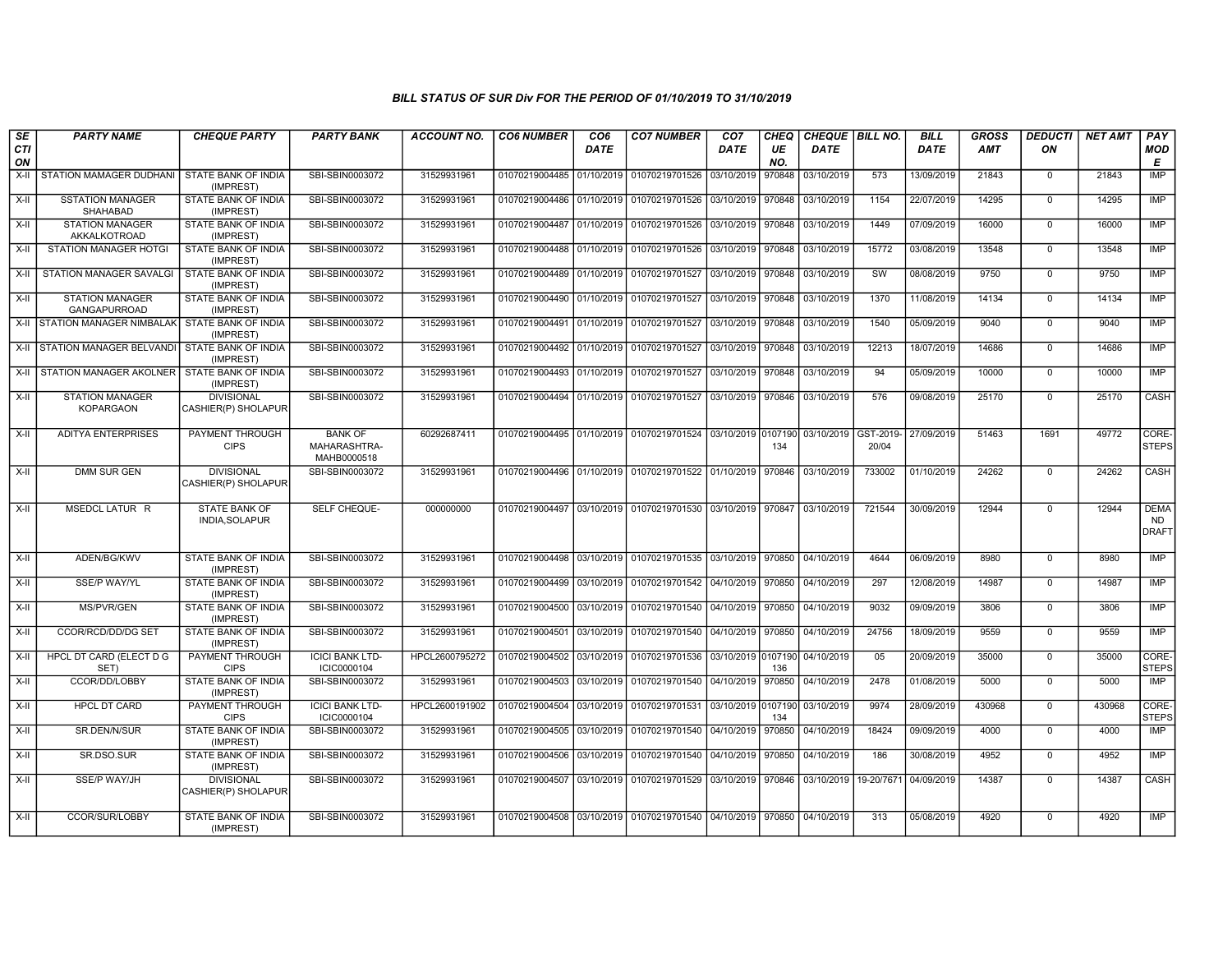| SE<br>CTI<br>ON | <b>PARTY NAME</b>                             | <b>CHEQUE PARTY</b>                      | <b>PARTY BANK</b>                             | <b>ACCOUNT NO.</b> | <b>CO6 NUMBER</b>         | CO <sub>6</sub><br><b>DATE</b> | <b>CO7 NUMBER</b>                                                                | CO <sub>7</sub><br><b>DATE</b> | <b>CHEQ</b><br>UE<br>NO. | CHEQUE   BILL NO.<br><b>DATE</b> |            | <b>BILL</b><br><b>DATE</b> | GROSS<br><b>AMT</b> | <b>DEDUCTI</b><br>ON | <b>NET AMT</b> | PAY<br><b>MOD</b><br>Е                   |
|-----------------|-----------------------------------------------|------------------------------------------|-----------------------------------------------|--------------------|---------------------------|--------------------------------|----------------------------------------------------------------------------------|--------------------------------|--------------------------|----------------------------------|------------|----------------------------|---------------------|----------------------|----------------|------------------------------------------|
| X-II            | STATION MAMAGER DUDHANI                       | STATE BANK OF INDIA<br>(IMPREST)         | SBI-SBIN0003072                               | 31529931961        | 01070219004485 01/10/2019 |                                | 01070219701526                                                                   | 03/10/2019                     | 970848                   | 03/10/2019                       | 573        | 13/09/2019                 | 21843               | $^{\circ}$           | 21843          | <b>IMP</b>                               |
| X-II            | <b>SSTATION MANAGER</b><br>SHAHABAD           | STATE BANK OF INDIA<br>(IMPREST)         | SBI-SBIN0003072                               | 31529931961        | 01070219004486 01/10/2019 |                                | 01070219701526 03/10/2019                                                        |                                | 970848                   | 03/10/2019                       | 1154       | 22/07/2019                 | 14295               | $\overline{0}$       | 14295          | <b>IMP</b>                               |
| $X-H$           | <b>STATION MANAGER</b><br>AKKALKOTROAD        | STATE BANK OF INDIA<br>(IMPREST)         | SBI-SBIN0003072                               | 31529931961        |                           |                                | 01070219004487 01/10/2019 01070219701526 03/10/2019 970848                       |                                |                          | 03/10/2019                       | 1449       | 07/09/2019                 | 16000               | $\mathbf 0$          | 16000          | <b>IMP</b>                               |
| X-II            | <b>STATION MANAGER HOTGI</b>                  | STATE BANK OF INDIA<br>(IMPREST)         | SBI-SBIN0003072                               | 31529931961        |                           |                                | 01070219004488 01/10/2019 01070219701526 03/10/2019 970848                       |                                |                          | 03/10/2019                       | 15772      | 03/08/2019                 | 13548               | $\mathbf 0$          | 13548          | IMP                                      |
| X-II            | STATION MANAGER SAVALGI                       | <b>STATE BANK OF INDIA</b><br>(IMPREST)  | SBI-SBIN0003072                               | 31529931961        | 01070219004489            | 01/10/2019                     | 01070219701527                                                                   | 03/10/2019 970848              |                          | 03/10/2019                       | SW         | 08/08/2019                 | 9750                | $\mathbf 0$          | 9750           | IMP                                      |
| X-II            | <b>STATION MANAGER</b><br><b>GANGAPURROAD</b> | STATE BANK OF INDIA<br>(IMPREST)         | SBI-SBIN0003072                               | 31529931961        | 01070219004490 01/10/2019 |                                | 01070219701527 03/10/2019 970848                                                 |                                |                          | 03/10/2019                       | 1370       | 11/08/2019                 | 14134               | $\Omega$             | 14134          | <b>IMP</b>                               |
|                 | X-II STATION MANAGER NIMBALAK                 | STATE BANK OF INDIA<br>(IMPREST)         | SBI-SBIN0003072                               | 31529931961        | 01070219004491 01/10/2019 |                                | 01070219701527 03/10/2019 970848                                                 |                                |                          | 03/10/2019                       | 1540       | 05/09/2019                 | 9040                | $\mathbf 0$          | 9040           | <b>IMP</b>                               |
|                 | X-II STATION MANAGER BELVANDI                 | <b>STATE BANK OF INDIA</b><br>(IMPREST)  | SBI-SBIN0003072                               | 31529931961        |                           |                                | 01070219004492 01/10/2019 01070219701527 03/10/2019                              |                                | 970848                   | 03/10/2019                       | 12213      | 18/07/2019                 | 14686               | $\mathbf 0$          | 14686          | <b>IMP</b>                               |
|                 | X-II STATION MANAGER AKOLNER                  | STATE BANK OF INDIA<br>(IMPREST)         | SBI-SBIN0003072                               | 31529931961        |                           |                                | 01070219004493 01/10/2019 01070219701527                                         | 03/10/2019 970848              |                          | 03/10/2019                       | 94         | 05/09/2019                 | 10000               | $\mathbf 0$          | 10000          | IMP                                      |
| X-II            | <b>STATION MANAGER</b><br><b>KOPARGAON</b>    | <b>DIVISIONAL</b><br>CASHIER(P) SHOLAPUR | SBI-SBIN0003072                               | 31529931961        | 01070219004494            | 01/10/2019                     | 01070219701527 03/10/2019 970846                                                 |                                |                          | 03/10/2019                       | 576        | 09/08/2019                 | 25170               | $\Omega$             | 25170          | CASH                                     |
| X-II            | <b>ADITYA ENTERPRISES</b>                     | PAYMENT THROUGH<br><b>CIPS</b>           | <b>BANK OF</b><br>MAHARASHTRA-<br>MAHB0000518 | 60292687411        |                           |                                | 01070219004495 01/10/2019 01070219701524 03/10/2019 0107190 03/10/2019 GST-2019- |                                | 134                      |                                  | 20/04      | 27/09/2019                 | 51463               | 1691                 | 49772          | CORE-<br><b>STEPS</b>                    |
| X-II            | DMM SUR GEN                                   | <b>DIVISIONAL</b><br>CASHIER(P) SHOLAPUR | SBI-SBIN0003072                               | 31529931961        |                           |                                | 01070219004496 01/10/2019 01070219701522 01/10/2019 970846                       |                                |                          | 03/10/2019                       | 733002     | 01/10/2019                 | 24262               | $\Omega$             | 24262          | CASH                                     |
| X-II            | MSEDCL LATUR R                                | <b>STATE BANK OF</b><br>INDIA, SOLAPUR   | SELF CHEQUE-                                  | 000000000          |                           |                                | 01070219004497 03/10/2019 01070219701530 03/10/2019 970847                       |                                |                          | 03/10/2019                       | 721544     | 30/09/2019                 | 12944               | $\mathbf 0$          | 12944          | <b>DEMA</b><br><b>ND</b><br><b>DRAFT</b> |
| X-II            | ADEN/BG/KWV                                   | STATE BANK OF INDIA<br>(IMPREST)         | SBI-SBIN0003072                               | 31529931961        | 01070219004498            | 03/10/2019                     | 01070219701535 03/10/2019 970850                                                 |                                |                          | 04/10/2019                       | 4644       | 06/09/2019                 | 8980                | $\Omega$             | 8980           | IMP                                      |
| X-II            | SSE/P WAY/YL                                  | STATE BANK OF INDIA<br>(IMPREST)         | SBI-SBIN0003072                               | 31529931961        | 01070219004499            | 03/10/2019                     | 01070219701542 04/10/2019 970850                                                 |                                |                          | 04/10/2019                       | 297        | 12/08/2019                 | 14987               | $\mathbf 0$          | 14987          | IMP                                      |
| X-II            | <b>MS/PVR/GEN</b>                             | STATE BANK OF INDIA<br>(IMPREST)         | SBI-SBIN0003072                               | 31529931961        | 01070219004500 03/10/2019 |                                | 01070219701540 04/10/2019 970850                                                 |                                |                          | 04/10/2019                       | 9032       | 09/09/2019                 | 3806                | $\overline{0}$       | 3806           | <b>IMP</b>                               |
| X-II            | <b>CCOR/RCD/DD/DG SET</b>                     | <b>STATE BANK OF INDIA</b><br>(IMPREST)  | SBI-SBIN0003072                               | 31529931961        | 01070219004501 03/10/2019 |                                | 01070219701540 04/10/2019 970850                                                 |                                |                          | 04/10/2019                       | 24756      | 18/09/2019                 | 9559                | $\mathbf 0$          | 9559           | <b>IMP</b>                               |
| X-II            | HPCL DT CARD (ELECT D G<br>SET)               | PAYMENT THROUGH<br><b>CIPS</b>           | <b>ICICI BANK LTD-</b><br>ICIC0000104         | HPCL2600795272     | 01070219004502 03/10/2019 |                                | 01070219701536 03/10/2019 0107190                                                |                                | 136                      | 04/10/2019                       | 05         | 20/09/2019                 | 35000               | $\mathbf 0$          | 35000          | CORE-<br><b>STEPS</b>                    |
| $X-II$          | CCOR/DD/LOBBY                                 | STATE BANK OF INDIA<br>(IMPREST)         | SBI-SBIN0003072                               | 31529931961        | 01070219004503            | 03/10/2019                     | 01070219701540 04/10/2019                                                        |                                | 970850                   | 04/10/2019                       | 2478       | 01/08/2019                 | 5000                | $\Omega$             | 5000           | <b>IMP</b>                               |
| $X-H$           | <b>HPCL DT CARD</b>                           | PAYMENT THROUGH<br><b>CIPS</b>           | <b>ICICI BANK LTD-</b><br>ICIC0000104         | HPCL2600191902     | 01070219004504            | 03/10/2019                     | 01070219701531 03/10/2019 0107190                                                |                                | 134                      | 03/10/2019                       | 9974       | 28/09/2019                 | 430968              | $\mathbf 0$          | 430968         | CORE-<br><b>STEPS</b>                    |
| $X-H$           | SR.DEN/N/SUR                                  | STATE BANK OF INDIA<br>(IMPREST)         | SBI-SBIN0003072                               | 31529931961        | 01070219004505 03/10/2019 |                                | 01070219701540 04/10/2019 970850                                                 |                                |                          | 04/10/2019                       | 18424      | 09/09/2019                 | 4000                | $\overline{0}$       | 4000           | <b>IMP</b>                               |
| X-II            | SR.DSO.SUR                                    | STATE BANK OF INDIA<br>(IMPREST)         | SBI-SBIN0003072                               | 31529931961        |                           |                                | 01070219004506 03/10/2019 01070219701540 04/10/2019 970850                       |                                |                          | 04/10/2019                       | 186        | 30/08/2019                 | 4952                | $\mathbf 0$          | 4952           | <b>IMP</b>                               |
| X-II            | <b>SSE/P WAY/JH</b>                           | <b>DIVISIONAL</b><br>CASHIER(P) SHOLAPUR | SBI-SBIN0003072                               | 31529931961        | 01070219004507 03/10/2019 |                                | 01070219701529 03/10/2019 970846                                                 |                                |                          | 03/10/2019                       | 19-20/7671 | 04/09/2019                 | 14387               | $\mathbf 0$          | 14387          | CASH                                     |
| X-II            | CCOR/SUR/LOBBY                                | STATE BANK OF INDIA<br>(IMPREST)         | SBI-SBIN0003072                               | 31529931961        |                           |                                | 01070219004508 03/10/2019 01070219701540 04/10/2019 970850                       |                                |                          | 04/10/2019                       | 313        | 05/08/2019                 | 4920                | $\mathbf 0$          | 4920           | <b>IMP</b>                               |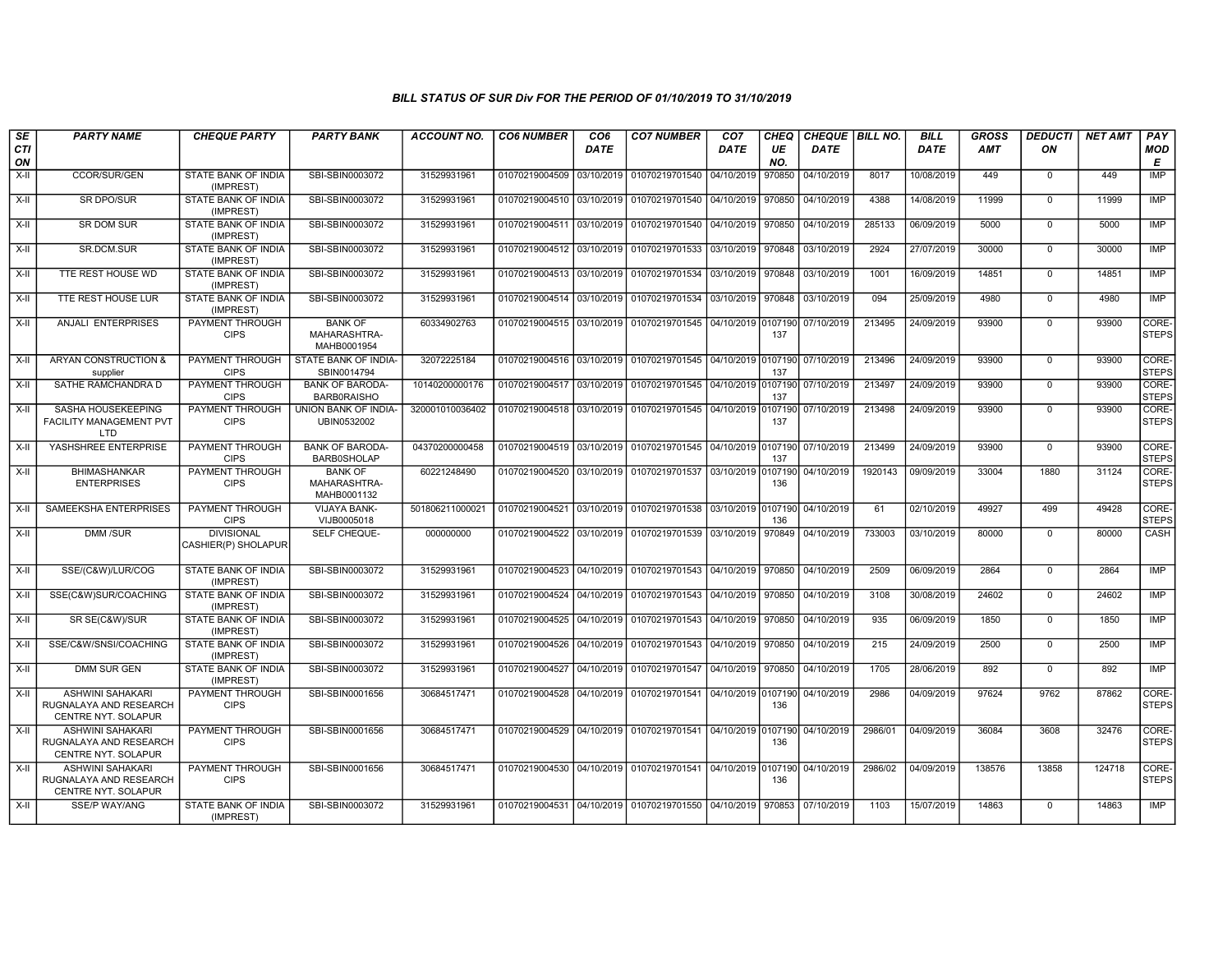| SE<br>CTI<br>ON | <b>PARTY NAME</b>                                                        | <b>CHEQUE PARTY</b>                      | <b>PARTY BANK</b>                             | <b>ACCOUNT NO.</b> | <b>CO6 NUMBER</b>         | CO <sub>6</sub><br><b>DATE</b> | <b>CO7 NUMBER</b>                                          | CO <sub>7</sub><br><b>DATE</b> | <b>CHEQ</b><br>UE<br>NO. | CHEQUE BILL NO.<br><b>DATE</b> |         | <b>BILL</b><br><b>DATE</b> | <b>GROSS</b><br><b>AMT</b> | <b>DEDUCTI</b><br>ON | <b>NET AMT</b> | PAY<br><b>MOD</b><br>E |
|-----------------|--------------------------------------------------------------------------|------------------------------------------|-----------------------------------------------|--------------------|---------------------------|--------------------------------|------------------------------------------------------------|--------------------------------|--------------------------|--------------------------------|---------|----------------------------|----------------------------|----------------------|----------------|------------------------|
| X-II            | CCOR/SUR/GEN                                                             | STATE BANK OF INDIA<br>(IMPREST)         | SBI-SBIN0003072                               | 31529931961        | 01070219004509            | 03/10/2019                     | 01070219701540                                             | 04/10/2019                     | 970850                   | 04/10/2019                     | 8017    | 10/08/2019                 | 449                        | $\mathbf 0$          | 449            | <b>IMP</b>             |
| X-II            | <b>SR DPO/SUR</b>                                                        | STATE BANK OF INDIA<br>(IMPREST)         | SBI-SBIN0003072                               | 31529931961        | 01070219004510            | 03/10/2019                     | 01070219701540 04/10/2019                                  |                                | 970850                   | 04/10/2019                     | 4388    | 14/08/2019                 | 11999                      | $\mathbf 0$          | 11999          | IMP                    |
| $X-II$          | <b>SR DOM SUR</b>                                                        | STATE BANK OF INDIA<br>(IMPREST)         | SBI-SBIN0003072                               | 31529931961        | 01070219004511 03/10/2019 |                                | 01070219701540 04/10/2019                                  |                                | 970850                   | 04/10/2019                     | 285133  | 06/09/2019                 | 5000                       | $\mathbf 0$          | 5000           | IMP                    |
| X-II            | SR.DCM.SUR                                                               | STATE BANK OF INDIA<br>(IMPREST)         | SBI-SBIN0003072                               | 31529931961        | 01070219004512 03/10/2019 |                                | 01070219701533 03/10/2019 970848                           |                                |                          | 03/10/2019                     | 2924    | 27/07/2019                 | 30000                      | $\mathbf 0$          | 30000          | <b>IMP</b>             |
| X-II            | TTE REST HOUSE WD                                                        | STATE BANK OF INDIA<br>(IMPREST)         | SBI-SBIN0003072                               | 31529931961        | 01070219004513 03/10/2019 |                                | 01070219701534                                             | 03/10/2019                     | 970848                   | 03/10/2019                     | 1001    | 16/09/2019                 | 14851                      | $\Omega$             | 14851          | <b>IMP</b>             |
| $X-II$          | TTE REST HOUSE LUR                                                       | STATE BANK OF INDIA<br>(IMPREST)         | SBI-SBIN0003072                               | 31529931961        | 01070219004514            | 03/10/2019                     | 01070219701534 03/10/2019                                  |                                | 970848                   | 03/10/2019                     | 094     | 25/09/2019                 | 4980                       | $\Omega$             | 4980           | <b>IMP</b>             |
| X-II            | ANJALI ENTERPRISES                                                       | PAYMENT THROUGH<br><b>CIPS</b>           | <b>BANK OF</b><br>MAHARASHTRA-<br>MAHB0001954 | 60334902763        | 01070219004515 03/10/2019 |                                | 01070219701545 04/10/2019 0107190                          |                                | 137                      | 07/10/2019                     | 213495  | 24/09/2019                 | 93900                      | $\Omega$             | 93900          | CORE-<br><b>STEPS</b>  |
| X-II            | ARYAN CONSTRUCTION &<br>supplier                                         | PAYMENT THROUGH<br><b>CIPS</b>           | STATE BANK OF INDIA-<br>SBIN0014794           | 32072225184        | 01070219004516 03/10/2019 |                                | 01070219701545 04/10/2019 0107190                          |                                | 137                      | 07/10/2019                     | 213496  | 24/09/2019                 | 93900                      | $\mathbf 0$          | 93900          | CORE-<br><b>STEPS</b>  |
| X-II            | SATHE RAMCHANDRA D                                                       | PAYMENT THROUGH<br><b>CIPS</b>           | <b>BANK OF BARODA-</b><br><b>BARBORAISHO</b>  | 10140200000176     | 01070219004517 03/10/2019 |                                | 01070219701545 04/10/2019 0107190                          |                                | 137                      | 07/10/2019                     | 213497  | 24/09/2019                 | 93900                      | $\mathbf 0$          | 93900          | CORE-<br><b>STEPS</b>  |
| X-II            | SASHA HOUSEKEEPING<br><b>FACILITY MANAGEMENT PVT</b><br>LTD              | PAYMENT THROUGH<br><b>CIPS</b>           | UNION BANK OF INDIA-<br>UBIN0532002           | 320001010036402    | 01070219004518            | 03/10/2019                     | 01070219701545 04/10/2019 0107190                          |                                | 137                      | 07/10/2019                     | 213498  | 24/09/2019                 | 93900                      | $\Omega$             | 93900          | CORE-<br><b>STEPS</b>  |
| X-II            | YASHSHREE ENTERPRISE                                                     | PAYMENT THROUGH<br><b>CIPS</b>           | <b>BANK OF BARODA</b><br><b>BARB0SHOLAP</b>   | 04370200000458     | 01070219004519 03/10/2019 |                                | 01070219701545 04/10/2019 0107190                          |                                | 137                      | 07/10/2019                     | 213499  | 24/09/2019                 | 93900                      | $\Omega$             | 93900          | CORE-<br><b>STEPS</b>  |
| X-II            | <b>BHIMASHANKAR</b><br><b>ENTERPRISES</b>                                | PAYMENT THROUGH<br><b>CIPS</b>           | <b>BANK OF</b><br>MAHARASHTRA-<br>MAHB0001132 | 60221248490        | 01070219004520            | 03/10/2019                     | 01070219701537 03/10/2019 0107190                          |                                | 136                      | 04/10/2019                     | 1920143 | 09/09/2019                 | 33004                      | 1880                 | 31124          | CORE-<br><b>STEPS</b>  |
| $X-H$           | SAMEEKSHA ENTERPRISES                                                    | PAYMENT THROUGH<br><b>CIPS</b>           | <b>VIJAYA BANK-</b><br>VIJB0005018            | 501806211000021    | 01070219004521            | 03/10/2019                     | 01070219701538 03/10/2019 0107190                          |                                | 136                      | 04/10/2019                     | 61      | 02/10/2019                 | 49927                      | 499                  | 49428          | CORE-<br><b>STEPS</b>  |
| X-II            | DMM /SUR                                                                 | <b>DIVISIONAL</b><br>CASHIER(P) SHOLAPUR | SELF CHEQUE-                                  | 000000000          | 01070219004522            | 03/10/2019                     | 01070219701539 03/10/2019                                  |                                | 970849                   | 04/10/2019                     | 733003  | 03/10/2019                 | 80000                      | $\Omega$             | 80000          | CASH                   |
| X-II            | SSE/(C&W)/LUR/COG                                                        | STATE BANK OF INDIA<br>(IMPREST)         | SBI-SBIN0003072                               | 31529931961        | 01070219004523            | 04/10/2019                     | 01070219701543 04/10/2019                                  |                                | 970850                   | 04/10/2019                     | 2509    | 06/09/2019                 | 2864                       | $\mathbf 0$          | 2864           | <b>IMP</b>             |
| X-II            | SSE(C&W)SUR/COACHING                                                     | <b>STATE BANK OF INDIA</b><br>(IMPREST)  | SBI-SBIN0003072                               | 31529931961        | 01070219004524            | 04/10/2019                     | 01070219701543 04/10/2019                                  |                                | 970850                   | 04/10/2019                     | 3108    | 30/08/2019                 | 24602                      | $\Omega$             | 24602          | IMP                    |
| X-II            | SR SE(C&W)/SUR                                                           | STATE BANK OF INDIA<br>(IMPREST)         | SBI-SBIN0003072                               | 31529931961        | 01070219004525 04/10/2019 |                                | 01070219701543 04/10/2019                                  |                                | 970850                   | 04/10/2019                     | 935     | 06/09/2019                 | 1850                       | $\mathbf 0$          | 1850           | <b>IMP</b>             |
| X-II            | SSE/C&W/SNSI/COACHING                                                    | STATE BANK OF INDIA<br>(IMPREST)         | SBI-SBIN0003072                               | 31529931961        | 01070219004526 04/10/2019 |                                | 01070219701543   04/10/2019   970850                       |                                |                          | 04/10/2019                     | 215     | 24/09/2019                 | 2500                       | $\mathbf 0$          | 2500           | <b>IMP</b>             |
| X-II            | <b>DMM SUR GEN</b>                                                       | STATE BANK OF INDIA<br>(IMPREST)         | SBI-SBIN0003072                               | 31529931961        | 01070219004527            | 04/10/2019                     | 01070219701547   04/10/2019   970850                       |                                |                          | 04/10/2019                     | 1705    | 28/06/2019                 | 892                        | $\Omega$             | 892            | IMP                    |
| $X-I$           | <b>ASHWINI SAHAKARI</b><br>RUGNALAYA AND RESEARCH<br>CENTRE NYT. SOLAPUR | PAYMENT THROUGH<br><b>CIPS</b>           | SBI-SBIN0001656                               | 30684517471        | 01070219004528            | 04/10/2019                     | 01070219701541 04/10/2019 0107190                          |                                | 136                      | 04/10/2019                     | 2986    | 04/09/2019                 | 97624                      | 9762                 | 87862          | CORE-<br><b>STEPS</b>  |
| $X-II$          | <b>ASHWINI SAHAKARI</b><br>RUGNALAYA AND RESEARCH<br>CENTRE NYT. SOLAPUR | PAYMENT THROUGH<br><b>CIPS</b>           | SBI-SBIN0001656                               | 30684517471        | 01070219004529 04/10/2019 |                                | 01070219701541 04/10/2019 0107190                          |                                | 136                      | 04/10/2019                     | 2986/01 | 04/09/2019                 | 36084                      | 3608                 | 32476          | CORE-<br><b>STEPS</b>  |
| X-II            | ASHWINI SAHAKARI<br>RUGNALAYA AND RESEARCH<br>CENTRE NYT. SOLAPUR        | PAYMENT THROUGH<br><b>CIPS</b>           | SBI-SBIN0001656                               | 30684517471        | 01070219004530 04/10/2019 |                                | 01070219701541 04/10/2019 0107190                          |                                | 136                      | 04/10/2019                     | 2986/02 | 04/09/2019                 | 138576                     | 13858                | 124718         | CORE-<br><b>STEPS</b>  |
| X-II            | SSE/P WAY/ANG                                                            | STATE BANK OF INDIA<br>(IMPREST)         | SBI-SBIN0003072                               | 31529931961        |                           |                                | 01070219004531 04/10/2019 01070219701550 04/10/2019 970853 |                                |                          | 07/10/2019                     | 1103    | 15/07/2019                 | 14863                      | $\mathbf 0$          | 14863          | IMP                    |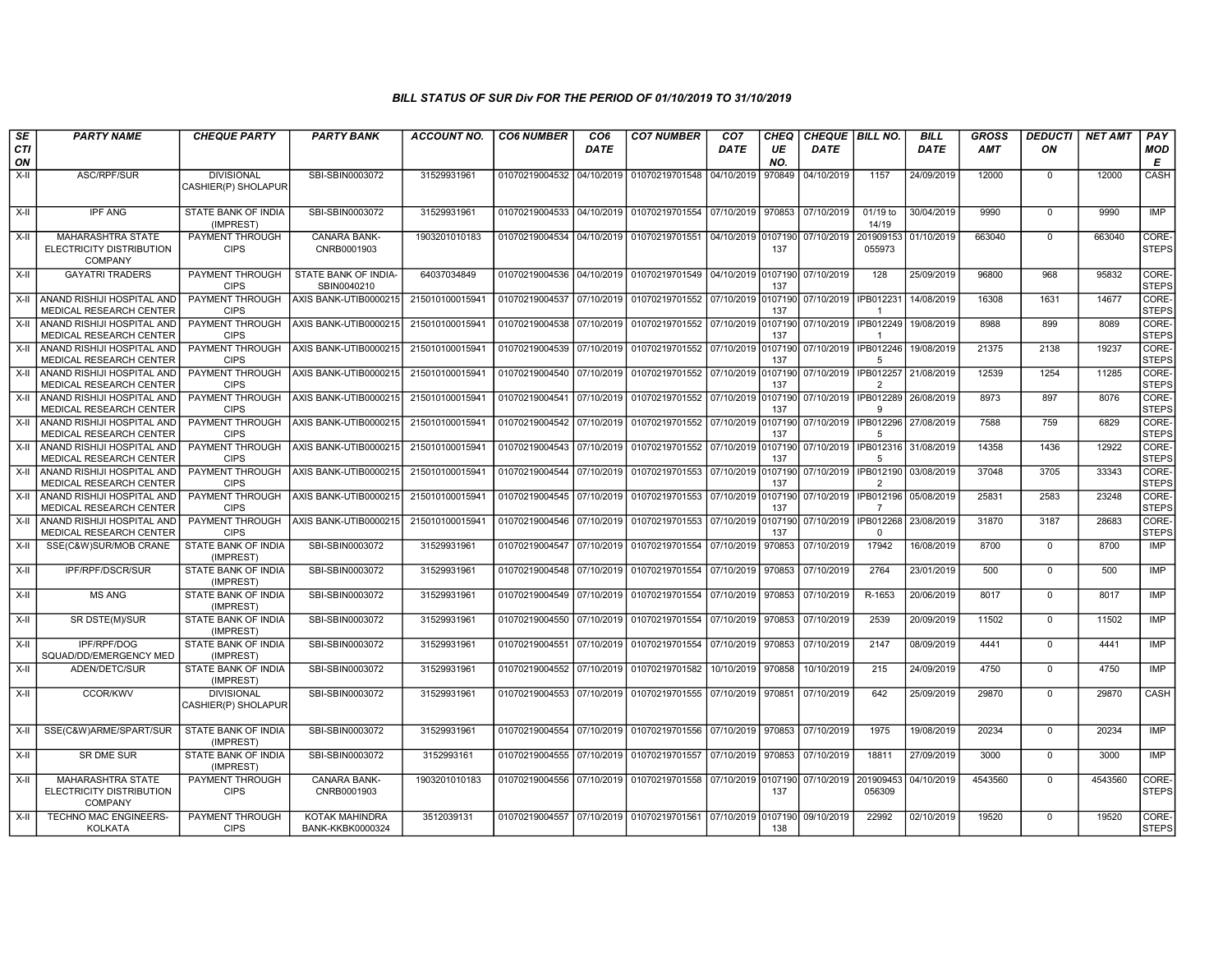| SE               | <b>PARTY NAME</b>                                                      | <b>CHEQUE PARTY</b>                      | <b>PARTY BANK</b>                         | <b>ACCOUNT NO.</b> | <b>CO6 NUMBER</b>                        | CO <sub>6</sub> | <b>CO7 NUMBER</b>                                                                | CO <sub>7</sub>    | <b>CHEQ</b>    | CHEQUE   BILL NO. |                                        | <b>BILL</b> | GROSS      | <b>DEDUCTI</b> | <b>NET AMT</b> | <b>PAY</b>            |
|------------------|------------------------------------------------------------------------|------------------------------------------|-------------------------------------------|--------------------|------------------------------------------|-----------------|----------------------------------------------------------------------------------|--------------------|----------------|-------------------|----------------------------------------|-------------|------------|----------------|----------------|-----------------------|
| <b>CTI</b><br>ON |                                                                        |                                          |                                           |                    |                                          | <b>DATE</b>     |                                                                                  | <b>DATE</b>        | UE<br>NO.      | <b>DATE</b>       |                                        | <b>DATE</b> | <b>AMT</b> | ON             |                | MOD<br>E              |
| $X-I$            | ASC/RPF/SUR                                                            | <b>DIVISIONAL</b><br>CASHIER(P) SHOLAPUR | SBI-SBIN0003072                           | 31529931961        | 01070219004532 04/10/2019                |                 | 01070219701548                                                                   | 04/10/2019         | 970849         | 04/10/2019        | 1157                                   | 24/09/2019  | 12000      | $\mathbf 0$    | 12000          | CASH                  |
| $X-H$            | <b>IPF ANG</b>                                                         | STATE BANK OF INDIA<br>(IMPREST)         | SBI-SBIN0003072                           | 31529931961        | 01070219004533                           |                 | 04/10/2019 01070219701554                                                        | 07/10/2019 970853  |                | 07/10/2019        | $01/19$ to<br>14/19                    | 30/04/2019  | 9990       | $\Omega$       | 9990           | IMP                   |
| $X-H$            | <b>MAHARASHTRA STATE</b><br>ELECTRICITY DISTRIBUTION<br><b>COMPANY</b> | <b>PAYMENT THROUGH</b><br><b>CIPS</b>    | CANARA BANK-<br>CNRB0001903               | 1903201010183      |                                          |                 | 01070219004534 04/10/2019 01070219701551 04/10/2019 0107190                      |                    | 137            | 07/10/2019        | 201909153<br>055973                    | 01/10/2019  | 663040     | $\overline{0}$ | 663040         | CORE-<br><b>STEPS</b> |
| $X-H$            | <b>GAYATRI TRADERS</b>                                                 | <b>PAYMENT THROUGH</b><br><b>CIPS</b>    | STATE BANK OF INDIA-<br>SBIN0040210       | 64037034849        | 01070219004536                           |                 | 04/10/2019 01070219701549 04/10/2019 0107190                                     |                    | 137            | 07/10/2019        | 128                                    | 25/09/2019  | 96800      | 968            | 95832          | CORE-<br><b>STEPS</b> |
|                  | X-II ANAND RISHIJI HOSPITAL AND<br>MEDICAL RESEARCH CENTER             | PAYMENT THROUGH<br><b>CIPS</b>           | AXIS BANK-UTIB0000215                     | 215010100015941    |                                          |                 | 01070219004537 07/10/2019 01070219701552 07/10/2019 0107190 07/10/2019 IPB012231 |                    | 137            |                   |                                        | 14/08/2019  | 16308      | 1631           | 14677          | CORE-<br><b>STEPS</b> |
| X-II             | ANAND RISHIJI HOSPITAL AND<br><b>MEDICAL RESEARCH CENTER</b>           | PAYMENT THROUGH<br><b>CIPS</b>           | AXIS BANK-UTIB0000215                     | 215010100015941    | 01070219004538 07/10/2019                |                 | 01070219701552                                                                   | 07/10/2019         | 0107190<br>137 | 07/10/2019        | IPB012249                              | 19/08/2019  | 8988       | 899            | 8089           | CORE-<br><b>STEPS</b> |
| X-II             | ANAND RISHIJI HOSPITAL AND<br><b>MEDICAL RESEARCH CENTER</b>           | <b>PAYMENT THROUGH</b><br><b>CIPS</b>    | AXIS BANK-UTIB0000215                     | 215010100015941    | 01070219004539                           | 07/10/2019      | 01070219701552 07/10/2019 0107190                                                |                    | 137            | 07/10/2019        | IPB012246<br>-5                        | 19/08/2019  | 21375      | 2138           | 19237          | CORE-<br><b>STEPS</b> |
| X-II             | ANAND RISHIJI HOSPITAL AND<br><b>MEDICAL RESEARCH CENTER</b>           | PAYMENT THROUGH<br><b>CIPS</b>           | AXIS BANK-UTIB0000215                     | 215010100015941    | 01070219004540 07/10/2019                |                 | 01070219701552 07/10/2019 0107190                                                |                    | 137            | 07/10/2019        | IPB012257 21/08/2019<br>$\mathcal{P}$  |             | 12539      | 1254           | 11285          | CORE-<br><b>STEPS</b> |
| $X-H$            | ANAND RISHIJI HOSPITAL AND<br>MEDICAL RESEARCH CENTER                  | <b>PAYMENT THROUGH</b><br><b>CIPS</b>    | AXIS BANK-UTIB0000215                     | 215010100015941    | 01070219004541 07/10/2019                |                 | 01070219701552 07/10/2019 0107190 07/10/2019   IPB012289 26/08/2019              |                    | 137            |                   | 9                                      |             | 8973       | 897            | 8076           | CORE-<br><b>STEPS</b> |
| X-II             | ANAND RISHIJI HOSPITAL AND<br><b>MEDICAL RESEARCH CENTER</b>           | PAYMENT THROUGH<br><b>CIPS</b>           | AXIS BANK-UTIB0000215                     | 215010100015941    |                                          |                 | 01070219004542 07/10/2019 01070219701552 07/10/2019 0107190                      |                    | 137            | 07/10/2019        | IPB012296 27/08/2019<br>.5             |             | 7588       | 759            | 6829           | CORE-<br><b>STEPS</b> |
| X-II             | ANAND RISHIJI HOSPITAL AND<br>MEDICAL RESEARCH CENTER                  | PAYMENT THROUGH<br><b>CIPS</b>           | AXIS BANK-UTIB0000215                     | 215010100015941    | 01070219004543 07/10/2019                |                 | 01070219701552 07/10/2019 0107190                                                |                    | 137            | 07/10/2019        | IPB012316 31/08/2019<br>-5             |             | 14358      | 1436           | 12922          | CORE-<br><b>STEPS</b> |
| $X-II$           | ANAND RISHIJI HOSPITAL AND<br>MEDICAL RESEARCH CENTER                  | <b>PAYMENT THROUGH</b><br><b>CIPS</b>    | AXIS BANK-UTIB0000215                     | 215010100015941    |                                          |                 | 01070219004544 07/10/2019 01070219701553 07/10/2019 0107190                      |                    | 137            | 07/10/2019        | IPB012190 03/08/2019<br>$\overline{2}$ |             | 37048      | 3705           | 33343          | CORE-<br><b>STEPS</b> |
| X-II             | ANAND RISHIJI HOSPITAL AND<br>MEDICAL RESEARCH CENTER                  | <b>PAYMENT THROUGH</b><br><b>CIPS</b>    | AXIS BANK-UTIB0000215                     | 215010100015941    | 01070219004545 07/10/2019 01070219701553 |                 |                                                                                  | 07/10/2019 0107190 | 137            | 07/10/2019        | IPB012196 05/08/2019<br>$\overline{7}$ |             | 25831      | 2583           | 23248          | CORE-<br><b>STEPS</b> |
| $X-H$            | ANAND RISHIJI HOSPITAL AND<br>MEDICAL RESEARCH CENTER                  | <b>PAYMENT THROUGH</b><br><b>CIPS</b>    | AXIS BANK-UTIB0000215                     | 215010100015941    | 01070219004546 07/10/2019                |                 | 01070219701553 07/10/2019 0107190                                                |                    | 137            | 07/10/2019        | <b>IPB012268</b><br>$\mathbf 0$        | 23/08/2019  | 31870      | 3187           | 28683          | CORE-<br><b>STEPS</b> |
| X-II             | SSE(C&W)SUR/MOB CRANE                                                  | STATE BANK OF INDIA<br>(IMPREST)         | SBI-SBIN0003072                           | 31529931961        | 01070219004547 07/10/2019 01070219701554 |                 |                                                                                  | 07/10/2019         | 970853         | 07/10/2019        | 17942                                  | 16/08/2019  | 8700       | $\mathbf 0$    | 8700           | <b>IMP</b>            |
| $X-H$            | IPF/RPF/DSCR/SUR                                                       | <b>STATE BANK OF INDIA</b><br>(IMPREST)  | SBI-SBIN0003072                           | 31529931961        | 01070219004548 07/10/2019                |                 | 01070219701554                                                                   | 07/10/2019         | 970853         | 07/10/2019        | 2764                                   | 23/01/2019  | 500        | $\overline{0}$ | 500            | <b>IMP</b>            |
| X-II             | <b>MS ANG</b>                                                          | <b>STATE BANK OF INDIA</b><br>(IMPREST)  | SBI-SBIN0003072                           | 31529931961        |                                          |                 | 01070219004549 07/10/2019 01070219701554 07/10/2019                              |                    | 970853         | 07/10/2019        | R-1653                                 | 20/06/2019  | 8017       | $\mathbf 0$    | 8017           | IMP                   |
| X-II             | SR DSTE(M)/SUR                                                         | STATE BANK OF INDIA<br>(IMPREST)         | SBI-SBIN0003072                           | 31529931961        | 01070219004550                           | 07/10/2019      | 01070219701554                                                                   | 07/10/2019         | 970853         | 07/10/2019        | 2539                                   | 20/09/2019  | 11502      | $\mathbf 0$    | 11502          | IMP                   |
| $X-I$            | IPF/RPF/DOG<br>SQUAD/DD/EMERGENCY MED                                  | STATE BANK OF INDIA<br>(IMPREST)         | SBI-SBIN0003072                           | 31529931961        | 01070219004551 07/10/2019                |                 | 01070219701554                                                                   | 07/10/2019         | 970853         | 07/10/2019        | 2147                                   | 08/09/2019  | 4441       | $\Omega$       | 4441           | <b>IMP</b>            |
| X-II             | ADEN/DETC/SUR                                                          | STATE BANK OF INDIA<br>(IMPREST)         | SBI-SBIN0003072                           | 31529931961        |                                          |                 | 01070219004552 07/10/2019 01070219701582                                         | 10/10/2019 970858  |                | 10/10/2019        | 215                                    | 24/09/2019  | 4750       | $\mathbf 0$    | 4750           | <b>IMP</b>            |
| $X-H$            | <b>CCOR/KWV</b>                                                        | <b>DIVISIONAL</b><br>CASHIER(P) SHOLAPUR | SBI-SBIN0003072                           | 31529931961        |                                          |                 | 01070219004553 07/10/2019 01070219701555 07/10/2019                              |                    | 970851         | 07/10/2019        | 642                                    | 25/09/2019  | 29870      | $\mathbf 0$    | 29870          | CASH                  |
| X-II             | SSE(C&W)ARME/SPART/SUR                                                 | STATE BANK OF INDIA<br>(IMPREST)         | SBI-SBIN0003072                           | 31529931961        |                                          |                 | 01070219004554 07/10/2019 01070219701556 07/10/2019                              |                    | 970853         | 07/10/2019        | 1975                                   | 19/08/2019  | 20234      | $\mathbf 0$    | 20234          | <b>IMP</b>            |
| X-II             | SR DME SUR                                                             | STATE BANK OF INDIA<br>(IMPREST)         | SBI-SBIN0003072                           | 3152993161         |                                          |                 | 01070219004555 07/10/2019 01070219701557 07/10/2019                              |                    | 970853         | 07/10/2019        | 18811                                  | 27/09/2019  | 3000       | $\mathbf 0$    | 3000           | IMP                   |
| X-II             | <b>MAHARASHTRA STATE</b><br>ELECTRICITY DISTRIBUTION<br><b>COMPANY</b> | <b>PAYMENT THROUGH</b><br><b>CIPS</b>    | CANARA BANK-<br>CNRB0001903               | 1903201010183      | 01070219004556 07/10/2019 01070219701558 |                 |                                                                                  | 07/10/2019 0107190 | 137            | 07/10/2019        | 201909453<br>056309                    | 04/10/2019  | 4543560    | $\mathbf 0$    | 4543560        | CORE-<br><b>STEPS</b> |
| X-II             | <b>TECHNO MAC ENGINEERS-</b><br><b>KOLKATA</b>                         | PAYMENT THROUGH<br><b>CIPS</b>           | KOTAK MAHINDRA<br><b>BANK-KKBK0000324</b> | 3512039131         |                                          |                 | 01070219004557 07/10/2019 01070219701561 07/10/2019 0107190                      |                    | 138            | 09/10/2019        | 22992                                  | 02/10/2019  | 19520      | $\Omega$       | 19520          | CORE-<br><b>STEPS</b> |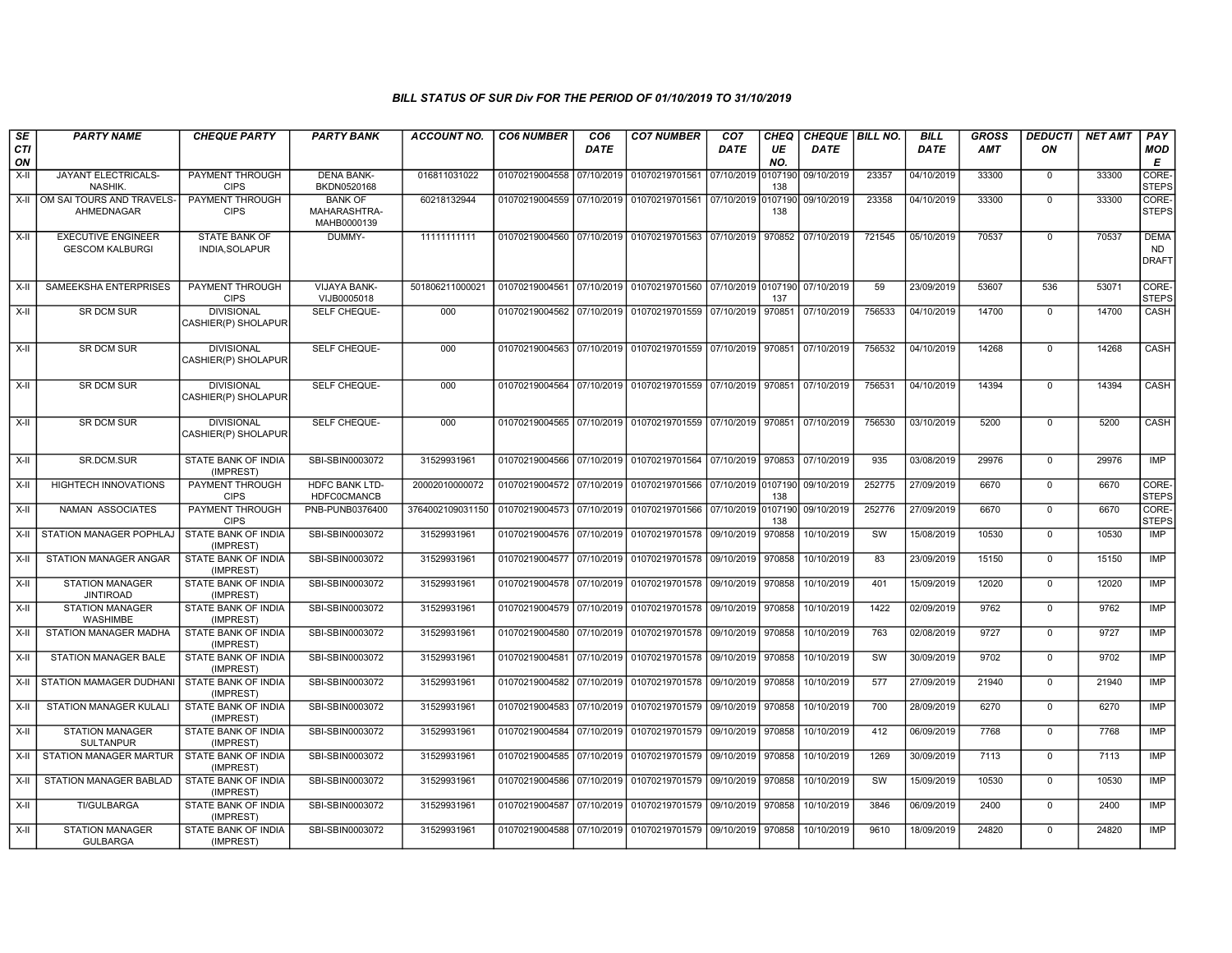| SE        | <b>PARTY NAME</b>                                   | <b>CHEQUE PARTY</b>                      | <b>PARTY BANK</b>                             | <b>ACCOUNT NO.</b> | <b>CO6 NUMBER</b>         | CO <sub>6</sub> | <b>CO7 NUMBER</b>                                                      | CO <sub>7</sub>    | <b>CHEQ</b>    | CHEQUE   BILL NO. |        | <b>BILL</b> | <b>GROSS</b> | <b>DEDUCTI</b> | <b>NET AMT</b> | <b>PAY</b>                               |
|-----------|-----------------------------------------------------|------------------------------------------|-----------------------------------------------|--------------------|---------------------------|-----------------|------------------------------------------------------------------------|--------------------|----------------|-------------------|--------|-------------|--------------|----------------|----------------|------------------------------------------|
| CTI<br>ON |                                                     |                                          |                                               |                    |                           | DATE            |                                                                        | DATE               | UE<br>NO.      | <b>DATE</b>       |        | <b>DATE</b> | AMT          | ON             |                | <b>MOD</b><br>E                          |
| X-II      | JAYANT ELECTRICALS-<br>NASHIK.                      | PAYMENT THROUGH<br><b>CIPS</b>           | <b>DENA BANK-</b><br>BKDN0520168              | 016811031022       | 01070219004558            | 07/10/2019      | 01070219701561                                                         | 07/10/2019         | 0107190<br>138 | 09/10/2019        | 23357  | 04/10/2019  | 33300        | $\mathbf 0$    | 33300          | <b>CORE</b><br><b>STEPS</b>              |
| $X-H$     | OM SAI TOURS AND TRAVELS-<br>AHMEDNAGAR             | PAYMENT THROUGH<br><b>CIPS</b>           | <b>BANK OF</b><br>MAHARASHTRA-<br>MAHB0000139 | 60218132944        | 01070219004559 07/10/2019 |                 | 01070219701561                                                         | 07/10/2019 0107190 | 138            | 09/10/2019        | 23358  | 04/10/2019  | 33300        | $\Omega$       | 33300          | CORE-<br><b>STEPS</b>                    |
| $X-H$     | <b>EXECUTIVE ENGINEER</b><br><b>GESCOM KALBURGI</b> | <b>STATE BANK OF</b><br>INDIA, SOLAPUR   | DUMMY-                                        | 11111111111        |                           |                 | 01070219004560 07/10/2019 01070219701563 07/10/2019 970852             |                    |                | 07/10/2019        | 721545 | 05/10/2019  | 70537        | $\Omega$       | 70537          | <b>DEMA</b><br><b>ND</b><br><b>DRAFT</b> |
| $X-H$     | <b>SAMEEKSHA ENTERPRISES</b>                        | <b>PAYMENT THROUGH</b><br><b>CIPS</b>    | <b>VIJAYA BANK-</b><br>VIJB0005018            | 501806211000021    |                           |                 | 01070219004561 07/10/2019 01070219701560 07/10/2019 0107190 07/10/2019 |                    | 137            |                   | 59     | 23/09/2019  | 53607        | 536            | 53071          | CORE-<br><b>STEPS</b>                    |
| X-II      | SR DCM SUR                                          | <b>DIVISIONAL</b><br>CASHIER(P) SHOLAPUR | <b>SELF CHEQUE-</b>                           | 000                |                           |                 | 01070219004562 07/10/2019 01070219701559 07/10/2019 970851             |                    |                | 07/10/2019        | 756533 | 04/10/2019  | 14700        | $\mathbf 0$    | 14700          | CASH                                     |
| X-II      | <b>SR DCM SUR</b>                                   | <b>DIVISIONAL</b><br>CASHIER(P) SHOLAPUR | SELF CHEQUE-                                  | 000                |                           |                 | 01070219004563 07/10/2019 01070219701559 07/10/2019 970851             |                    |                | 07/10/2019        | 756532 | 04/10/2019  | 14268        | $\Omega$       | 14268          | <b>CASH</b>                              |
| $X-II$    | <b>SR DCM SUR</b>                                   | <b>DIVISIONAL</b><br>CASHIER(P) SHOLAPUR | SELF CHEQUE-                                  | 000                |                           |                 | 01070219004564 07/10/2019 01070219701559 07/10/2019 970851             |                    |                | 07/10/2019        | 756531 | 04/10/2019  | 14394        | $\Omega$       | 14394          | CASH                                     |
| $X-H$     | <b>SR DCM SUR</b>                                   | <b>DIVISIONAL</b><br>CASHIER(P) SHOLAPUR | <b>SELF CHEQUE-</b>                           | 000                |                           |                 | 01070219004565 07/10/2019 01070219701559 07/10/2019 970851             |                    |                | 07/10/2019        | 756530 | 03/10/2019  | 5200         | $\mathbf 0$    | 5200           | CASH                                     |
| $X-H$     | SR.DCM.SUR                                          | <b>STATE BANK OF INDIA</b><br>(IMPREST)  | SBI-SBIN0003072                               | 31529931961        |                           |                 | 01070219004566 07/10/2019 01070219701564 07/10/2019 970853             |                    |                | 07/10/2019        | 935    | 03/08/2019  | 29976        | $\mathbf 0$    | 29976          | <b>IMP</b>                               |
| X-II      | HIGHTECH INNOVATIONS                                | <b>PAYMENT THROUGH</b><br><b>CIPS</b>    | HDFC BANK LTD-<br><b>HDFC0CMANCB</b>          | 20002010000072     |                           |                 | 01070219004572 07/10/2019 01070219701566 07/10/2019 0107190 09/10/2019 |                    | 138            |                   | 252775 | 27/09/2019  | 6670         | $\mathbf 0$    | 6670           | CORE-<br><b>STEPS</b>                    |
| X-II      | NAMAN ASSOCIATES                                    | PAYMENT THROUGH<br><b>CIPS</b>           | PNB-PUNB0376400                               | 3764002109031150   | 01070219004573 07/10/2019 |                 | 01070219701566 07/10/2019 0107190                                      |                    | 138            | 09/10/2019        | 252776 | 27/09/2019  | 6670         | $\mathbf 0$    | 6670           | CORE-<br><b>STEPS</b>                    |
| $X-H$     | STATION MANAGER POPHLAJ                             | <b>STATE BANK OF INDIA</b><br>(IMPREST)  | SBI-SBIN0003072                               | 31529931961        |                           |                 | 01070219004576 07/10/2019 01070219701578 09/10/2019                    |                    | 970858         | 10/10/2019        | SW     | 15/08/2019  | 10530        | $\mathbf 0$    | 10530          | <b>IMP</b>                               |
| $X-H$     | <b>STATION MANAGER ANGAR</b>                        | <b>STATE BANK OF INDIA</b><br>(IMPREST)  | SBI-SBIN0003072                               | 31529931961        | 01070219004577 07/10/2019 |                 | 01070219701578 09/10/2019                                              |                    | 970858         | 10/10/2019        | 83     | 23/09/2019  | 15150        | $\overline{0}$ | 15150          | <b>IMP</b>                               |
| X-II      | <b>STATION MANAGER</b><br><b>JINTIROAD</b>          | <b>STATE BANK OF INDIA</b><br>(IMPREST)  | SBI-SBIN0003072                               | 31529931961        |                           |                 | 01070219004578 07/10/2019 01070219701578 09/10/2019                    |                    | 970858         | 10/10/2019        | 401    | 15/09/2019  | 12020        | $\Omega$       | 12020          | IMP                                      |
| X-II      | <b>STATION MANAGER</b><br>WASHIMBE                  | STATE BANK OF INDIA<br>(IMPREST)         | SBI-SBIN0003072                               | 31529931961        |                           |                 | 01070219004579 07/10/2019 01070219701578 09/10/2019 970858             |                    |                | 10/10/2019        | 1422   | 02/09/2019  | 9762         | $\Omega$       | 9762           | <b>IMP</b>                               |
| $X-II$    | STATION MANAGER MADHA                               | STATE BANK OF INDIA<br>(IMPREST)         | SBI-SBIN0003072                               | 31529931961        | 01070219004580 07/10/2019 |                 | 01070219701578 09/10/2019 970858                                       |                    |                | 10/10/2019        | 763    | 02/08/2019  | 9727         | $\Omega$       | 9727           | <b>IMP</b>                               |
| $X-II$    | <b>STATION MANAGER BALE</b>                         | <b>STATE BANK OF INDIA</b><br>(IMPREST)  | SBI-SBIN0003072                               | 31529931961        |                           |                 | 01070219004581 07/10/2019 01070219701578                               | 09/10/2019         | 970858         | 10/10/2019        | SW     | 30/09/2019  | 9702         | $\mathbf 0$    | 9702           | <b>IMP</b>                               |
| X-II      | <b>STATION MAMAGER DUDHANI</b>                      | <b>STATE BANK OF INDIA</b><br>(IMPREST)  | SBI-SBIN0003072                               | 31529931961        | 01070219004582 07/10/2019 |                 | 01070219701578 09/10/2019 970858                                       |                    |                | 10/10/2019        | 577    | 27/09/2019  | 21940        | $\Omega$       | 21940          | <b>IMP</b>                               |
| $X-II$    | STATION MANAGER KULALI                              | STATE BANK OF INDIA<br>(IMPREST)         | SBI-SBIN0003072                               | 31529931961        |                           |                 | 01070219004583 07/10/2019 01070219701579 09/10/2019 970858             |                    |                | 10/10/2019        | 700    | 28/09/2019  | 6270         | $\mathbf 0$    | 6270           | <b>IMP</b>                               |
| $X-H$     | <b>STATION MANAGER</b><br><b>SULTANPUR</b>          | STATE BANK OF INDIA<br>(IMPREST)         | SBI-SBIN0003072                               | 31529931961        | 01070219004584 07/10/2019 |                 | 01070219701579 09/10/2019                                              |                    | 970858         | 10/10/2019        | 412    | 06/09/2019  | 7768         | $\mathbf 0$    | 7768           | <b>IMP</b>                               |
| $X-H$     | <b>STATION MANAGER MARTUR</b>                       | STATE BANK OF INDIA<br>(IMPREST)         | SBI-SBIN0003072                               | 31529931961        |                           |                 | 01070219004585 07/10/2019 01070219701579 09/10/2019                    |                    | 970858         | 10/10/2019        | 1269   | 30/09/2019  | 7113         | $\mathbf 0$    | 7113           | <b>IMP</b>                               |
| $X-H$     | <b>STATION MANAGER BABLAD</b>                       | <b>STATE BANK OF INDIA</b><br>(IMPREST)  | SBI-SBIN0003072                               | 31529931961        |                           |                 | 01070219004586 07/10/2019 01070219701579 09/10/2019                    |                    | 970858         | 10/10/2019        | SW     | 15/09/2019  | 10530        | $\mathbf 0$    | 10530          | IMP                                      |
| X-II      | <b>TI/GULBARGA</b>                                  | STATE BANK OF INDIA<br>(IMPREST)         | SBI-SBIN0003072                               | 31529931961        |                           |                 | 01070219004587 07/10/2019 01070219701579 09/10/2019 970858             |                    |                | 10/10/2019        | 3846   | 06/09/2019  | 2400         | $\Omega$       | 2400           | IMP                                      |
| $X-II$    | <b>STATION MANAGER</b><br><b>GULBARGA</b>           | STATE BANK OF INDIA<br>(IMPREST)         | SBI-SBIN0003072                               | 31529931961        |                           |                 | 01070219004588 07/10/2019 01070219701579 09/10/2019                    |                    | 970858         | 10/10/2019        | 9610   | 18/09/2019  | 24820        | $\Omega$       | 24820          | <b>IMP</b>                               |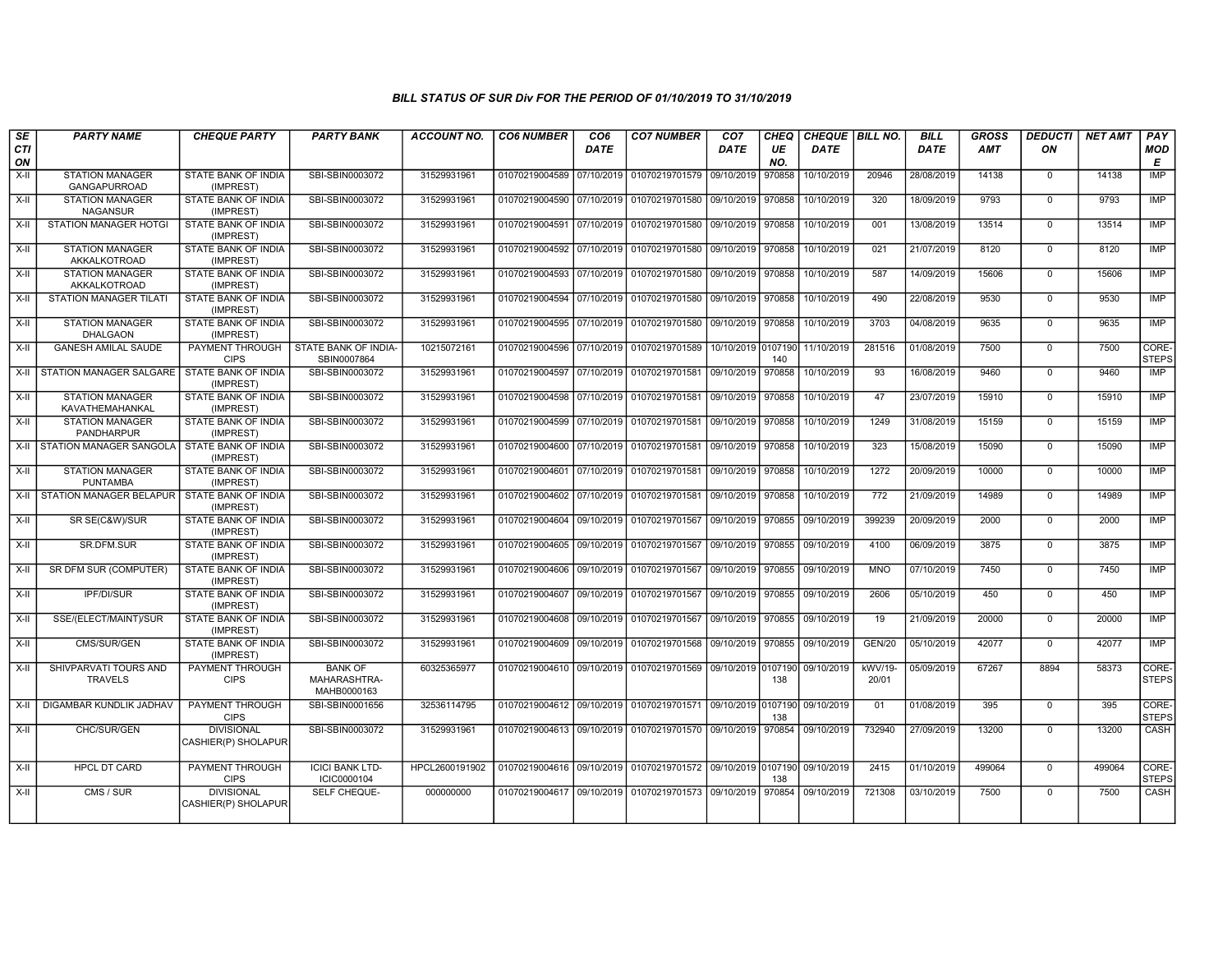| SE<br><b>CTI</b><br>ON | <b>PARTY NAME</b>                           | <b>CHEQUE PARTY</b>                      | <b>PARTY BANK</b>                             | <b>ACCOUNT NO.</b> | <b>CO6 NUMBER</b>         | CO <sub>6</sub><br><b>DATE</b> | <b>CO7 NUMBER</b>                            | CO <sub>7</sub><br>DATE | CHEQ<br>UE<br>NO. | CHEQUE   BILL NO.<br><b>DATE</b> |                  | <b>BILL</b><br><b>DATE</b> | <b>GROSS</b><br>AMT | <b>DEDUCTI</b><br>ON | <b>NET AMT</b> | PAY<br><b>MOD</b><br>E |
|------------------------|---------------------------------------------|------------------------------------------|-----------------------------------------------|--------------------|---------------------------|--------------------------------|----------------------------------------------|-------------------------|-------------------|----------------------------------|------------------|----------------------------|---------------------|----------------------|----------------|------------------------|
| X-II                   | <b>STATION MANAGER</b><br>GANGAPURROAD      | STATE BANK OF INDIA<br>(IMPREST)         | SBI-SBIN0003072                               | 31529931961        | 01070219004589            | 07/10/2019                     | 01070219701579 09/10/2019                    |                         | 970858            | 10/10/2019                       | 20946            | 28/08/2019                 | 14138               | $\mathbf 0$          | 14138          | <b>IMP</b>             |
| $X-H$                  | <b>STATION MANAGER</b><br><b>NAGANSUR</b>   | STATE BANK OF INDIA<br>(IMPREST)         | SBI-SBIN0003072                               | 31529931961        | 01070219004590 07/10/2019 |                                | 01070219701580 09/10/2019 970858             |                         |                   | 10/10/2019                       | 320              | 18/09/2019                 | 9793                | $\mathbf 0$          | 9793           | IMP                    |
| $X-H$                  | <b>STATION MANAGER HOTGI</b>                | STATE BANK OF INDIA<br>(IMPREST)         | SBI-SBIN0003072                               | 31529931961        | 01070219004591            | 07/10/2019                     | 01070219701580 09/10/2019 970858             |                         |                   | 10/10/2019                       | 001              | 13/08/2019                 | 13514               | $\Omega$             | 13514          | <b>IMP</b>             |
| X-II                   | <b>STATION MANAGER</b><br>AKKALKOTROAD      | STATE BANK OF INDIA<br>(IMPREST)         | SBI-SBIN0003072                               | 31529931961        | 01070219004592 07/10/2019 |                                | 01070219701580 09/10/2019 970858             |                         |                   | 10/10/2019                       | 021              | 21/07/2019                 | 8120                | $\overline{0}$       | 8120           | IMP                    |
| $X-H$                  | <b>STATION MANAGER</b><br>AKKALKOTROAD      | STATE BANK OF INDIA<br>(IMPREST)         | SBI-SBIN0003072                               | 31529931961        | 01070219004593            | 07/10/2019                     | 01070219701580 09/10/2019 970858             |                         |                   | 10/10/2019                       | 587              | 14/09/2019                 | 15606               | $\mathbf 0$          | 15606          | <b>IMP</b>             |
| X-II                   | <b>STATION MANAGER TILATI</b>               | STATE BANK OF INDIA<br>(IMPREST)         | SBI-SBIN0003072                               | 31529931961        | 01070219004594            | 07/10/2019                     | 01070219701580 09/10/2019 970858             |                         |                   | 10/10/2019                       | 490              | 22/08/2019                 | 9530                | $\mathbf 0$          | 9530           | IMP                    |
| X-II                   | <b>STATION MANAGER</b><br><b>DHALGAON</b>   | STATE BANK OF INDIA<br>(IMPREST)         | SBI-SBIN0003072                               | 31529931961        | 01070219004595 07/10/2019 |                                | 01070219701580 09/10/2019 970858             |                         |                   | 10/10/2019                       | 3703             | 04/08/2019                 | 9635                | $\Omega$             | 9635           | <b>IMP</b>             |
| $X-H$                  | <b>GANESH AMILAL SAUDE</b>                  | PAYMENT THROUGH<br><b>CIPS</b>           | STATE BANK OF INDIA-<br>SBIN0007864           | 10215072161        | 01070219004596 07/10/2019 |                                | 01070219701589                               | 10/10/2019 0107190      | 140               | 11/10/2019                       | 281516           | 01/08/2019                 | 7500                | $\mathbf 0$          | 7500           | CORE-<br><b>STEPS</b>  |
| $X-H$                  | <b>STATION MANAGER SALGARE</b>              | <b>STATE BANK OF INDIA</b><br>(IMPREST)  | SBI-SBIN0003072                               | 31529931961        | 01070219004597 07/10/2019 |                                | 01070219701581 09/10/2019 970858             |                         |                   | 10/10/2019                       | 93               | 16/08/2019                 | 9460                | $\overline{0}$       | 9460           | <b>IMP</b>             |
| X-II                   | <b>STATION MANAGER</b><br>KAVATHEMAHANKAL   | STATE BANK OF INDIA<br>(IMPREST)         | SBI-SBIN0003072                               | 31529931961        | 01070219004598 07/10/2019 |                                | 01070219701581 09/10/2019 970858             |                         |                   | 10/10/2019                       | 47               | 23/07/2019                 | 15910               | $\mathbf 0$          | 15910          | IMP                    |
| X-II                   | <b>STATION MANAGER</b><br><b>PANDHARPUR</b> | STATE BANK OF INDIA<br>(IMPREST)         | SBI-SBIN0003072                               | 31529931961        | 01070219004599            | 07/10/2019                     | 01070219701581 09/10/2019 970858             |                         |                   | 10/10/2019                       | 1249             | 31/08/2019                 | 15159               | $\mathbf 0$          | 15159          | <b>IMP</b>             |
| $X-H$                  | <b>STATION MANAGER SANGOLA</b>              | <b>STATE BANK OF INDIA</b><br>(IMPREST)  | SBI-SBIN0003072                               | 31529931961        | 01070219004600 07/10/2019 |                                | 01070219701581 09/10/2019 970858             |                         |                   | 10/10/2019                       | 323              | 15/08/2019                 | 15090               | $\overline{0}$       | 15090          | IMP                    |
| X-II                   | <b>STATION MANAGER</b><br><b>PUNTAMBA</b>   | STATE BANK OF INDIA<br>(IMPREST)         | SBI-SBIN0003072                               | 31529931961        | 01070219004601 07/10/2019 |                                | 01070219701581 09/10/2019 970858             |                         |                   | 10/10/2019                       | 1272             | 20/09/2019                 | 10000               | $\mathbf 0$          | 10000          | IMP                    |
| $X-H$                  | STATION MANAGER BELAPUR                     | STATE BANK OF INDIA<br>(IMPREST)         | SBI-SBIN0003072                               | 31529931961        | 01070219004602 07/10/2019 |                                | 01070219701581 09/10/2019 970858             |                         |                   | 10/10/2019                       | $\overline{772}$ | 21/09/2019                 | 14989               | $\mathbf 0$          | 14989          | IMP                    |
| X-II                   | SR SE(C&W)/SUR                              | STATE BANK OF INDIA<br>(IMPREST)         | SBI-SBIN0003072                               | 31529931961        | 01070219004604            | 09/10/2019                     | 01070219701567 09/10/2019 970855             |                         |                   | 09/10/2019                       | 399239           | 20/09/2019                 | 2000                | $\Omega$             | 2000           | <b>IMP</b>             |
| $X-H$                  | SR.DFM.SUR                                  | <b>STATE BANK OF INDIA</b><br>(IMPREST)  | SBI-SBIN0003072                               | 31529931961        | 01070219004605 09/10/2019 |                                | 01070219701567 09/10/2019 970855             |                         |                   | 09/10/2019                       | 4100             | 06/09/2019                 | 3875                | $\Omega$             | 3875           | IMP                    |
| X-II                   | <b>SR DFM SUR (COMPUTER)</b>                | STATE BANK OF INDIA<br>(IMPREST)         | SBI-SBIN0003072                               | 31529931961        | 01070219004606 09/10/2019 |                                | 01070219701567 09/10/2019                    |                         | 970855            | 09/10/2019                       | <b>MNO</b>       | 07/10/2019                 | 7450                | $\overline{0}$       | 7450           | IMP                    |
| X-II                   | IPF/DI/SUR                                  | STATE BANK OF INDIA<br>(IMPREST)         | SBI-SBIN0003072                               | 31529931961        | 01070219004607            | 09/10/2019                     | 01070219701567 09/10/2019 970855             |                         |                   | 09/10/2019                       | 2606             | 05/10/2019                 | 450                 | $\Omega$             | 450            | IMP                    |
| X-II                   | SSE/(ELECT/MAINT)/SUR                       | STATE BANK OF INDIA<br>(IMPREST)         | SBI-SBIN0003072                               | 31529931961        | 01070219004608            | 09/10/2019                     | 01070219701567 09/10/2019 970855             |                         |                   | 09/10/2019                       | 19               | 21/09/2019                 | 20000               | $\mathbf 0$          | 20000          | IMP                    |
| X-II                   | CMS/SUR/GEN                                 | STATE BANK OF INDIA<br>(IMPREST)         | SBI-SBIN0003072                               | 31529931961        | 01070219004609 09/10/2019 |                                | 01070219701568 09/10/2019 970855             |                         |                   | 09/10/2019                       | <b>GEN/20</b>    | 05/10/2019                 | 42077               | $\overline{0}$       | 42077          | IMP                    |
| X-II                   | SHIVPARVATI TOURS AND<br><b>TRAVELS</b>     | PAYMENT THROUGH<br><b>CIPS</b>           | <b>BANK OF</b><br>MAHARASHTRA-<br>MAHB0000163 | 60325365977        | 01070219004610 09/10/2019 |                                | 01070219701569 09/10/2019 0107190            |                         | 138               | 09/10/2019                       | kWV/19-<br>20/01 | 05/09/2019                 | 67267               | 8894                 | 58373          | CORE-<br><b>STEPS</b>  |
| X-II                   | DIGAMBAR KUNDLIK JADHAV                     | PAYMENT THROUGH<br><b>CIPS</b>           | SBI-SBIN0001656                               | 32536114795        | 01070219004612 09/10/2019 |                                | 01070219701571 09/10/2019 0107190            |                         | 138               | 09/10/2019                       | 01               | 01/08/2019                 | 395                 | $\mathbf 0$          | 395            | CORE-<br><b>STEPS</b>  |
| $X-H$                  | CHC/SUR/GEN                                 | <b>DIVISIONAL</b><br>CASHIER(P) SHOLAPUR | SBI-SBIN0003072                               | 31529931961        | 01070219004613 09/10/2019 |                                | 01070219701570 09/10/2019 970854             |                         |                   | 09/10/2019                       | 732940           | 27/09/2019                 | 13200               | $\Omega$             | 13200          | CASH                   |
| $X-H$                  | <b>HPCL DT CARD</b>                         | PAYMENT THROUGH<br><b>CIPS</b>           | <b>ICICI BANK LTD-</b><br>ICIC0000104         | HPCL2600191902     | 01070219004616 09/10/2019 |                                | 01070219701572 09/10/2019 0107190 09/10/2019 |                         | 138               |                                  | 2415             | 01/10/2019                 | 499064              | $\overline{0}$       | 499064         | CORE-<br><b>STEPS</b>  |
| X-II                   | CMS / SUR                                   | <b>DIVISIONAL</b><br>CASHIER(P) SHOLAPUR | SELF CHEQUE-                                  | 000000000          | 01070219004617 09/10/2019 |                                | 01070219701573 09/10/2019                    |                         | 970854            | 09/10/2019                       | 721308           | 03/10/2019                 | 7500                | $\Omega$             | 7500           | CASH                   |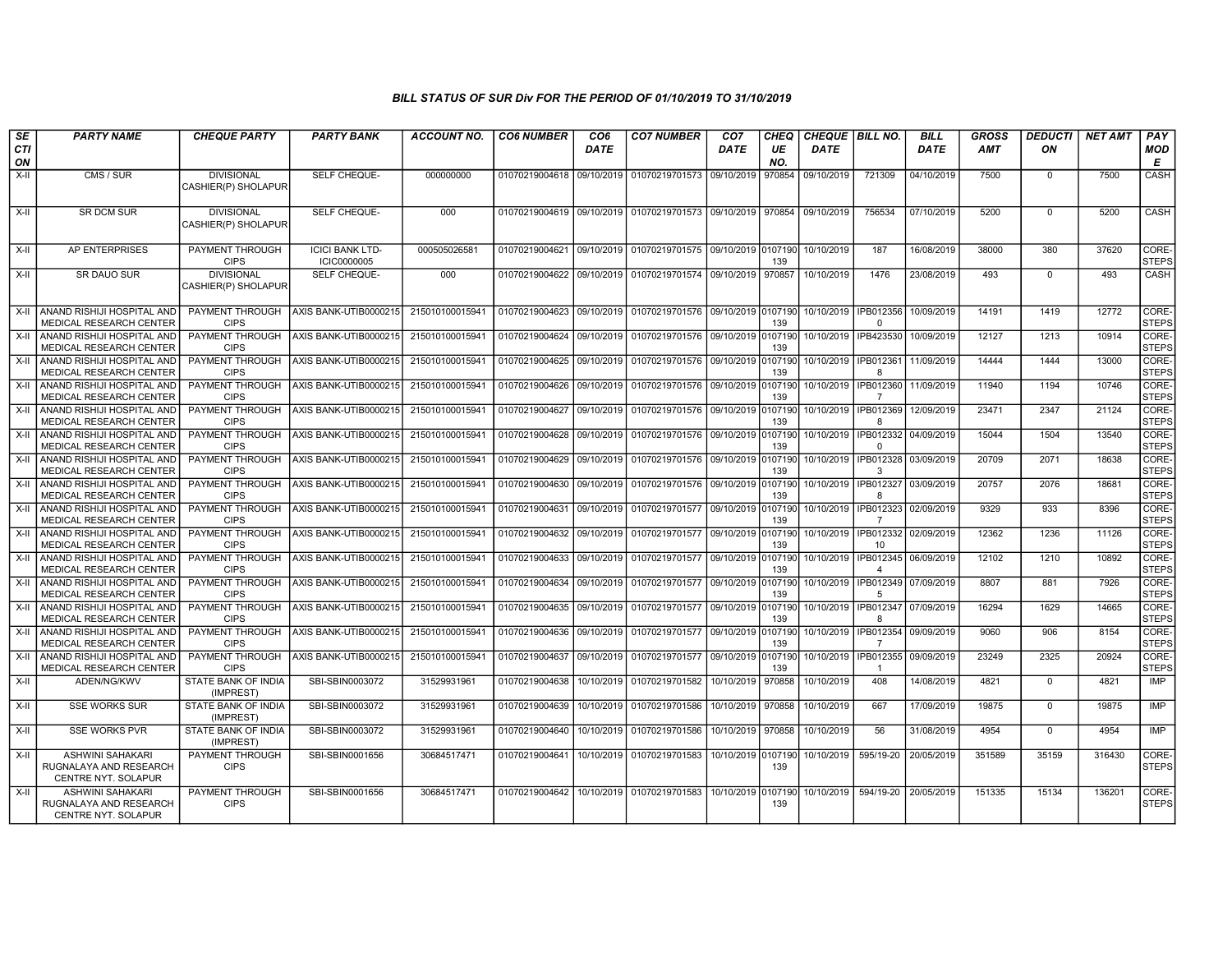| $s_E$<br><b>CTI</b> | <b>PARTY NAME</b>                                                                   | <b>CHEQUE PARTY</b>                               | <b>PARTY BANK</b>                              | <b>ACCOUNT NO.</b>                 | <b>CO6 NUMBER</b>                           | CO <sub>6</sub><br><b>DATE</b> | <b>CO7 NUMBER</b>                                                      | CO <sub>7</sub><br><b>DATE</b> | <b>CHEQ</b><br>UE | CHEQUE   BILL NO.<br><b>DATE</b> |                                                       | <b>BILL</b><br><b>DATE</b> | <b>GROSS</b><br><b>AMT</b> | <b>DEDUCTI</b><br>ON | <b>NET AMT</b> | PAY<br>MOD                     |
|---------------------|-------------------------------------------------------------------------------------|---------------------------------------------------|------------------------------------------------|------------------------------------|---------------------------------------------|--------------------------------|------------------------------------------------------------------------|--------------------------------|-------------------|----------------------------------|-------------------------------------------------------|----------------------------|----------------------------|----------------------|----------------|--------------------------------|
| ON                  |                                                                                     |                                                   |                                                |                                    |                                             |                                |                                                                        |                                | NO.               |                                  |                                                       |                            |                            |                      |                | E                              |
| $X-I$               | CMS / SUR                                                                           | <b>DIVISIONAL</b><br>CASHIER(P) SHOLAPUR          | <b>SELF CHEQUE-</b>                            | 000000000                          | 01070219004618                              | 09/10/2019                     | 01070219701573                                                         | 09/10/2019                     | 970854            | 09/10/2019                       | 721309                                                | 04/10/2019                 | 7500                       | $\Omega$             | 7500           | <b>CASH</b>                    |
| $X-H$               | <b>SR DCM SUR</b>                                                                   | <b>DIVISIONAL</b><br>CASHIER(P) SHOLAPUR          | SELF CHEQUE-                                   | 000                                | 01070219004619 09/10/2019                   |                                | 01070219701573 09/10/2019 970854                                       |                                |                   | 09/10/2019                       | 756534                                                | 07/10/2019                 | 5200                       | $\mathbf 0$          | 5200           | CASH                           |
| $X-H$               | AP ENTERPRISES                                                                      | PAYMENT THROUGH<br><b>CIPS</b>                    | <b>ICICI BANK LTD-</b><br><b>ICIC0000005</b>   | 000505026581                       | 01070219004621 09/10/2019                   |                                | 01070219701575 09/10/2019 0107190                                      |                                | 139               | 10/10/2019                       | 187                                                   | 16/08/2019                 | 38000                      | 380                  | 37620          | CORE-<br><b>STEPS</b>          |
| $X-H$               | <b>SR DAUO SUR</b>                                                                  | <b>DIVISIONAL</b><br>CASHIER(P) SHOLAPUR          | SELF CHEQUE-                                   | 000                                |                                             |                                | 01070219004622 09/10/2019 01070219701574 09/10/2019 970857             |                                |                   | 10/10/2019                       | 1476                                                  | 23/08/2019                 | 493                        | $\Omega$             | 493            | CASH                           |
|                     | X-II ANAND RISHIJI HOSPITAL AND<br>MEDICAL RESEARCH CENTER                          | PAYMENT THROUGH<br><b>CIPS</b>                    | AXIS BANK-UTIB0000215                          | 215010100015941                    |                                             |                                | 01070219004623 09/10/2019 01070219701576 09/10/2019 0107190            |                                | 139               | 10/10/2019   IPB012356           | $\Omega$                                              | 10/09/2019                 | 14191                      | 1419                 | 12772          | CORE-<br>STEPS                 |
| $X-H$               | ANAND RISHIJI HOSPITAL AND<br>MEDICAL RESEARCH CENTER                               | PAYMENT THROUGH<br><b>CIPS</b>                    | AXIS BANK-UTIB0000215                          | 215010100015941                    | 01070219004624 09/10/2019                   |                                | 01070219701576 09/10/2019 0107190                                      |                                | 139               | 10/10/2019   IPB423530           |                                                       | 10/09/2019                 | 12127                      | 1213                 | 10914          | CORE-<br><b>STEPS</b>          |
| X-II                | ANAND RISHIJI HOSPITAL AND<br>MEDICAL RESEARCH CENTER                               | PAYMENT THROUGH<br><b>CIPS</b>                    | AXIS BANK-UTIB0000215                          | 215010100015941                    | 01070219004625 09/10/2019                   |                                | 01070219701576 09/10/2019 0107190                                      |                                | 139               | 10/10/2019                       | IPB012361<br>8                                        | 11/09/2019                 | 14444                      | 1444                 | 13000          | CORE-<br><b>STEPS</b>          |
| X-II                | ANAND RISHIJI HOSPITAL AND<br>MEDICAL RESEARCH CENTER                               | PAYMENT THROUGH<br><b>CIPS</b>                    | AXIS BANK-UTIB0000215                          | 215010100015941                    | 01070219004626 09/10/2019                   |                                | 01070219701576 09/10/2019 0107190                                      |                                | 139               | 10/10/2019                       | IPB012360                                             | 11/09/2019                 | 11940                      | 1194                 | 10746          | CORE-<br><b>STEPS</b>          |
| $X-II$              | ANAND RISHIJI HOSPITAL AND<br>MEDICAL RESEARCH CENTER                               | PAYMENT THROUGH<br><b>CIPS</b>                    | AXIS BANK-UTIB0000215                          | 215010100015941                    | 01070219004627                              | 09/10/2019                     | 01070219701576 09/10/2019 0107190                                      |                                | 139               | 10/10/2019                       | IPB012369<br>8                                        | 12/09/2019                 | 23471                      | 2347                 | 21124          | CORE-<br><b>STEPS</b>          |
| X-II                | ANAND RISHIJI HOSPITAL AND<br>MEDICAL RESEARCH CENTER                               | PAYMENT THROUGH<br><b>CIPS</b>                    | AXIS BANK-UTIB0000215                          | 215010100015941                    | 01070219004628 09/10/2019                   |                                | 01070219701576 09/10/2019 0107190                                      |                                | 139               | 10/10/2019                       | $\Omega$                                              | IPB012332 04/09/2019       | 15044                      | 1504                 | 13540          | CORE-<br>STEPS                 |
| X-II                | ANAND RISHIJI HOSPITAL AND<br>MEDICAL RESEARCH CENTER                               | PAYMENT THROUGH<br><b>CIPS</b>                    | AXIS BANK-UTIB0000215                          | 215010100015941                    | 01070219004629 09/10/2019                   |                                | 01070219701576 09/10/2019 0107190                                      |                                | 139               | 10/10/2019                       | IPB012328<br>3                                        | 03/09/2019                 | 20709                      | 2071                 | 18638          | CORE-<br>STEPS                 |
| X-II                | ANAND RISHIJI HOSPITAL AND<br>MEDICAL RESEARCH CENTER                               | PAYMENT THROUGH<br><b>CIPS</b>                    | AXIS BANK-UTIB0000215                          | 215010100015941                    | 01070219004630                              | 09/10/2019                     | 01070219701576 09/10/2019 0107190                                      |                                | 139               | 10/10/2019                       | IPB012327<br>8                                        | 03/09/2019                 | 20757                      | 2076                 | 18681          | CORE-<br><b>STEPS</b>          |
| X-II<br>$X-H$       | ANAND RISHIJI HOSPITAL AND<br>MEDICAL RESEARCH CENTER<br>ANAND RISHIJI HOSPITAL AND | PAYMENT THROUGH<br><b>CIPS</b><br>PAYMENT THROUGH | AXIS BANK-UTIB0000215<br>AXIS BANK-UTIB0000215 | 215010100015941<br>215010100015941 | 01070219004631 09/10/2019                   |                                | 01070219701577 09/10/2019 0107190<br>01070219701577 09/10/2019 0107190 |                                | 139               | 10/10/2019<br>10/10/2019         | IPB012323<br>$\overline{7}$<br>IPB012332              | 02/09/2019                 | 9329<br>12362              | 933                  | 8396<br>11126  | CORE-<br><b>STEPS</b><br>CORE- |
| X-II                | <b>MEDICAL RESEARCH CENTER</b><br>ANAND RISHIJI HOSPITAL AND                        | <b>CIPS</b><br><b>PAYMENT THROUGH</b>             | AXIS BANK-UTIB0000215                          | 215010100015941                    | 01070219004632 09/10/2019<br>01070219004633 | 09/10/2019                     | 01070219701577 09/10/2019 0107190                                      |                                | 139               | 10/10/2019                       | 10 <sup>10</sup><br>IPB012345                         | 02/09/2019<br>06/09/2019   | 12102                      | 1236<br>1210         | 10892          | <b>STEPS</b><br>CORE-          |
| $X-H$               | MEDICAL RESEARCH CENTER<br>ANAND RISHIJI HOSPITAL AND                               | <b>CIPS</b><br><b>PAYMENT THROUGH</b>             | AXIS BANK-UTIB0000215                          | 215010100015941                    | 01070219004634 09/10/2019                   |                                | 01070219701577 09/10/2019 0107190                                      |                                | 139               |                                  | $\overline{a}$<br>10/10/2019   IPB012349   07/09/2019 |                            | 8807                       | 881                  | 7926           | <b>STEPS</b><br>CORE-          |
| X-II                | <b>MEDICAL RESEARCH CENTER</b><br>ANAND RISHIJI HOSPITAL AND                        | <b>CIPS</b><br>PAYMENT THROUGH                    | AXIS BANK-UTIB0000215                          | 215010100015941                    | 01070219004635 09/10/2019                   |                                | 01070219701577 09/10/2019 0107190                                      |                                | 139               | 10/10/2019                       | 5<br>IPB012347                                        | 07/09/2019                 | 16294                      | 1629                 | 14665          | <b>STEPS</b><br>CORE-          |
| $X-H$               | <b>MEDICAL RESEARCH CENTER</b><br>ANAND RISHIJI HOSPITAL AND                        | <b>CIPS</b><br>PAYMENT THROUGH                    | AXIS BANK-UTIB0000215                          | 215010100015941                    | 01070219004636 09/10/2019                   |                                | 01070219701577 09/10/2019 0107190                                      |                                | 139               | 10/10/2019                       | -8<br>IPB012354                                       | 09/09/2019                 | 9060                       | 906                  | 8154           | <b>STEPS</b><br>CORE-          |
|                     | MEDICAL RESEARCH CENTER                                                             | <b>CIPS</b>                                       |                                                |                                    |                                             |                                |                                                                        |                                | 139               |                                  | -7                                                    |                            |                            |                      |                | <b>STEPS</b>                   |
| $X-H$               | ANAND RISHIJI HOSPITAL AND<br>MEDICAL RESEARCH CENTER                               | PAYMENT THROUGH<br><b>CIPS</b>                    | AXIS BANK-UTIB0000215                          | 215010100015941                    | 01070219004637 09/10/2019                   |                                | 01070219701577 09/10/2019 0107190                                      |                                | 139               | 10/10/2019                       | IPB012355<br>$\overline{1}$                           | 09/09/2019                 | 23249                      | 2325                 | 20924          | CORE-<br><b>STEPS</b>          |
| X-II                | ADEN/NG/KWV                                                                         | <b>STATE BANK OF INDIA</b><br>(IMPREST)           | SBI-SBIN0003072                                | 31529931961                        | 01070219004638                              | 10/10/2019                     | 01070219701582                                                         | 10/10/2019                     | 970858            | 10/10/2019                       | 408                                                   | 14/08/2019                 | 4821                       | $\mathbf 0$          | 4821           | <b>IMP</b>                     |
| X-II                | <b>SSE WORKS SUR</b>                                                                | <b>STATE BANK OF INDIA</b><br>(IMPREST)           | SBI-SBIN0003072                                | 31529931961                        | 01070219004639                              | 10/10/2019                     | 01070219701586                                                         | 10/10/2019                     | 970858            | 10/10/2019                       | 667                                                   | 17/09/2019                 | 19875                      | $\Omega$             | 19875          | <b>IMP</b>                     |
| $X-H$               | <b>SSE WORKS PVR</b>                                                                | <b>STATE BANK OF INDIA</b><br>(IMPREST)           | SBI-SBIN0003072                                | 31529931961                        | 01070219004640                              | 10/10/2019                     | 01070219701586                                                         | 10/10/2019 970858              |                   | 10/10/2019                       | 56                                                    | 31/08/2019                 | 4954                       | $\overline{0}$       | 4954           | IMP                            |
| $X-H$               | <b>ASHWINI SAHAKARI</b><br>RUGNALAYA AND RESEARCH<br>CENTRE NYT. SOLAPUR            | PAYMENT THROUGH<br><b>CIPS</b>                    | SBI-SBIN0001656                                | 30684517471                        | 01070219004641                              | 10/10/2019                     | 01070219701583                                                         | 10/10/2019 0107190             | 139               | 10/10/2019                       | 595/19-20                                             | 20/05/2019                 | 351589                     | 35159                | 316430         | CORE-<br><b>STEPS</b>          |
| $X-H$               | <b>ASHWINI SAHAKARI</b><br>RUGNALAYA AND RESEARCH<br>CENTRE NYT. SOLAPUR            | PAYMENT THROUGH<br><b>CIPS</b>                    | SBI-SBIN0001656                                | 30684517471                        |                                             |                                | 01070219004642 10/10/2019 01070219701583 10/10/2019 0107190            |                                | 139               | 10/10/2019                       | 594/19-20                                             | 20/05/2019                 | 151335                     | 15134                | 136201         | CORE-<br>STEPS                 |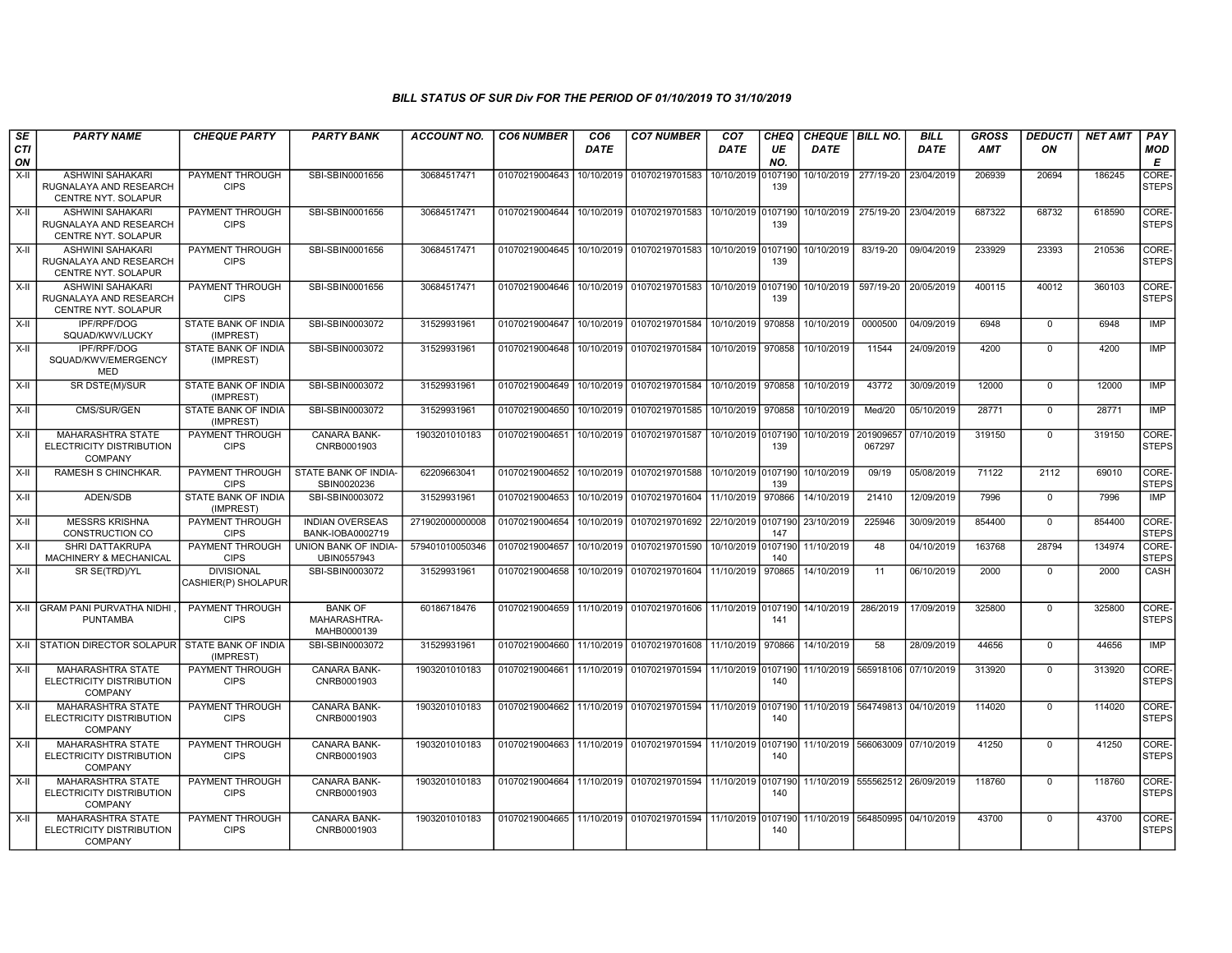| SE               | <b>PARTY NAME</b>                                                             | <b>CHEQUE PARTY</b>                      | <b>PARTY BANK</b>                             | ACCOUNT NO.     | <b>CO6 NUMBER</b> | CO <sub>6</sub> | <b>CO7 NUMBER</b>                                                      | CO <sub>7</sub>     | <b>CHEQ</b>    |             | CHEQUE BILL NO.                 | <b>BILL</b> | <b>GROSS</b> | <b>DEDUCTI</b> | <b>NET AMT</b> | PAY                   |
|------------------|-------------------------------------------------------------------------------|------------------------------------------|-----------------------------------------------|-----------------|-------------------|-----------------|------------------------------------------------------------------------|---------------------|----------------|-------------|---------------------------------|-------------|--------------|----------------|----------------|-----------------------|
| <b>CTI</b><br>ON |                                                                               |                                          |                                               |                 |                   | <b>DATE</b>     |                                                                        | <b>DATE</b>         | UE<br>NO.      | <b>DATE</b> |                                 | <b>DATE</b> | AMT          | ON             |                | MOD<br>E              |
| $X-H$            | <b>ASHWINI SAHAKARI</b><br>RUGNALAYA AND RESEARCH<br>CENTRE NYT. SOLAPUR      | PAYMENT THROUGH<br><b>CIPS</b>           | SBI-SBIN0001656                               | 30684517471     | 01070219004643    | 10/10/2019      | 01070219701583                                                         | 10/10/2019          | 0107190<br>139 |             | 10/10/2019 277/19-20            | 23/04/2019  | 206939       | 20694          | 186245         | CORE-<br>STEPS        |
| $X-H$            | <b>ASHWINI SAHAKARI</b><br>RUGNALAYA AND RESEARCH<br>CENTRE NYT. SOLAPUR      | <b>PAYMENT THROUGH</b><br><b>CIPS</b>    | SBI-SBIN0001656                               | 30684517471     |                   |                 | 01070219004644 10/10/2019 01070219701583 10/10/2019 0107190            |                     | 139            |             | 10/10/2019 275/19-20            | 23/04/2019  | 687322       | 68732          | 618590         | CORE-<br><b>STEPS</b> |
| $X-H$            | ASHWINI SAHAKARI<br>RUGNALAYA AND RESEARCH<br><b>CENTRE NYT, SOLAPUR</b>      | PAYMENT THROUGH<br><b>CIPS</b>           | SBI-SBIN0001656                               | 30684517471     |                   |                 | 01070219004645 10/10/2019 01070219701583 10/10/2019 0107190            |                     | 139            | 10/10/2019  | 83/19-20                        | 09/04/2019  | 233929       | 23393          | 210536         | CORE-<br><b>STEPS</b> |
| $X-H$            | <b>ASHWINI SAHAKARI</b><br>RUGNALAYA AND RESEARCH<br>CENTRE NYT. SOLAPUR      | PAYMENT THROUGH<br><b>CIPS</b>           | SBI-SBIN0001656                               | 30684517471     |                   |                 | 01070219004646 10/10/2019 01070219701583                               | 10/10/2019 0107190  | 139            | 10/10/2019  | 597/19-20                       | 20/05/2019  | 400115       | 40012          | 360103         | CORE-<br><b>STEPS</b> |
| $X-H$            | <b>IPF/RPF/DOG</b><br>SQUAD/KWV/LUCKY                                         | <b>STATE BANK OF INDIA</b><br>(IMPREST)  | SBI-SBIN0003072                               | 31529931961     |                   |                 | 01070219004647 10/10/2019 01070219701584 10/10/2019 970858             |                     |                | 10/10/2019  | 0000500                         | 04/09/2019  | 6948         | $\overline{0}$ | 6948           | <b>IMP</b>            |
| X-II             | IPF/RPF/DOG<br>SQUAD/KWV/EMERGENCY<br><b>MED</b>                              | STATE BANK OF INDIA<br>(IMPREST)         | SBI-SBIN0003072                               | 31529931961     | 01070219004648    |                 | 10/10/2019 01070219701584                                              | 10/10/2019 970858   |                | 10/10/2019  | 11544                           | 24/09/2019  | 4200         | $\mathbf 0$    | 4200           | <b>IMP</b>            |
| X-II             | SR DSTE(M)/SUR                                                                | STATE BANK OF INDIA<br>(IMPREST)         | SBI-SBIN0003072                               | 31529931961     |                   |                 | 01070219004649   10/10/2019   01070219701584   10/10/2019   970858     |                     |                | 10/10/2019  | 43772                           | 30/09/2019  | 12000        | $\mathbf 0$    | 12000          | IMP                   |
| $X-H$            | CMS/SUR/GEN                                                                   | <b>STATE BANK OF INDIA</b><br>(IMPREST)  | SBI-SBIN0003072                               | 31529931961     | 01070219004650    | 10/10/2019      | 01070219701585                                                         | 10/10/2019 970858   |                | 10/10/2019  | Med/20                          | 05/10/2019  | 28771        | $\Omega$       | 28771          | IMP                   |
| X-II             | MAHARASHTRA STATE<br>ELECTRICITY DISTRIBUTION<br>COMPANY                      | PAYMENT THROUGH<br><b>CIPS</b>           | CANARA BANK-<br>CNRB0001903                   | 1903201010183   | 01070219004651    |                 | 10/10/2019 01070219701587                                              | 10/10/2019 0107190  | 139            | 10/10/2019  | 201909657<br>067297             | 07/10/2019  | 319150       | $\mathbf 0$    | 319150         | CORE-<br><b>STEPS</b> |
| X-II             | RAMESH S CHINCHKAR.                                                           | PAYMENT THROUGH<br><b>CIPS</b>           | STATE BANK OF INDIA<br>SBIN0020236            | 62209663041     |                   |                 | 01070219004652 10/10/2019 01070219701588 10/10/2019 0107190            |                     | 139            | 10/10/2019  | 09/19                           | 05/08/2019  | 71122        | 2112           | 69010          | CORE-<br><b>STEPS</b> |
| X-II             | ADEN/SDB                                                                      | STATE BANK OF INDIA<br>(IMPREST)         | SBI-SBIN0003072                               | 31529931961     | 01070219004653    |                 | 10/10/2019 01070219701604 11/10/2019 970866                            |                     |                | 14/10/2019  | 21410                           | 12/09/2019  | 7996         | $\mathbf 0$    | 7996           | IMP                   |
| X-II             | <b>MESSRS KRISHNA</b><br>CONSTRUCTION CO                                      | PAYMENT THROUGH<br><b>CIPS</b>           | <b>INDIAN OVERSEAS</b><br>BANK-IOBA0002719    | 271902000000008 | 01070219004654    |                 | 10/10/2019 01070219701692                                              | 22/10/2019 0107190  | 147            | 23/10/2019  | 225946                          | 30/09/2019  | 854400       | $\mathbf 0$    | 854400         | CORE-<br><b>STEPS</b> |
| $X-H$            | <b>SHRI DATTAKRUPA</b><br>MACHINERY & MECHANICAL                              | PAYMENT THROUGH<br><b>CIPS</b>           | UNION BANK OF INDIA-<br>UBIN0557943           | 579401010050346 | 01070219004657    | 10/10/2019      | 01070219701590                                                         | 10/10/2019 0107190  | 140            | 11/10/2019  | 48                              | 04/10/2019  | 163768       | 28794          | 134974         | CORE-<br><b>STEPS</b> |
| $X-H$            | SR SE(TRD)/YL                                                                 | <b>DIVISIONAL</b><br>CASHIER(P) SHOLAPUR | SBI-SBIN0003072                               | 31529931961     |                   |                 | 01070219004658 10/10/2019 01070219701604 11/10/2019 970865             |                     |                | 14/10/2019  | 11                              | 06/10/2019  | 2000         | $\mathbf 0$    | 2000           | CASH                  |
|                  | X-II GRAM PANI PURVATHA NIDHI<br><b>PUNTAMBA</b>                              | PAYMENT THROUGH<br><b>CIPS</b>           | <b>BANK OF</b><br>MAHARASHTRA-<br>MAHB0000139 | 60186718476     |                   |                 | 01070219004659 11/10/2019 01070219701606 11/10/2019 0107190 14/10/2019 |                     | 141            |             | 286/2019                        | 17/09/2019  | 325800       | $\overline{0}$ | 325800         | CORE-<br><b>STEPS</b> |
|                  | X-II STATION DIRECTOR SOLAPUR                                                 | STATE BANK OF INDIA<br>(IMPREST)         | SBI-SBIN0003072                               | 31529931961     |                   |                 | 01070219004660 11/10/2019 01070219701608 11/10/2019                    |                     | 970866         | 14/10/2019  | 58                              | 28/09/2019  | 44656        | $\mathbf 0$    | 44656          | IMP                   |
| $X-H$            | <b>MAHARASHTRA STATE</b><br>ELECTRICITY DISTRIBUTION<br><b>COMPANY</b>        | PAYMENT THROUGH<br><b>CIPS</b>           | <b>CANARA BANK-</b><br>CNRB0001903            | 1903201010183   | 01070219004661    |                 | 11/10/2019 01070219701594                                              | 111/10/2019 0107190 | 140            |             | 11/10/2019 565918106 07/10/2019 |             | 313920       | $\Omega$       | 313920         | CORE-<br><b>STEPS</b> |
| X-II             | <b>MAHARASHTRA STATE</b><br><b>ELECTRICITY DISTRIBUTION</b><br><b>COMPANY</b> | PAYMENT THROUGH<br><b>CIPS</b>           | CANARA BANK-<br>CNRB0001903                   | 1903201010183   |                   |                 | 01070219004662   11/10/2019   01070219701594   11/10/2019 0107190      |                     | 140            |             | 11/10/2019 564749813 04/10/2019 |             | 114020       | $\mathbf 0$    | 114020         | CORE-<br><b>STEPS</b> |
| $X-H$            | MAHARASHTRA STATE<br>ELECTRICITY DISTRIBUTION<br><b>COMPANY</b>               | <b>PAYMENT THROUGH</b><br><b>CIPS</b>    | CANARA BANK-<br>CNRB0001903                   | 1903201010183   |                   |                 | 01070219004663 11/10/2019 01070219701594 11/10/2019 0107190            |                     | 140            |             | 11/10/2019 566063009 07/10/2019 |             | 41250        | $\mathbf 0$    | 41250          | CORE-<br><b>STEPS</b> |
| X-II             | <b>MAHARASHTRA STATE</b><br><b>ELECTRICITY DISTRIBUTION</b><br><b>COMPANY</b> | <b>PAYMENT THROUGH</b><br><b>CIPS</b>    | <b>CANARA BANK-</b><br>CNRB0001903            | 1903201010183   |                   |                 | 01070219004664 11/10/2019 01070219701594 11/10/2019 0107190            |                     | 140            |             | 11/10/2019 555562512 26/09/2019 |             | 118760       | $\mathbf 0$    | 118760         | CORE-<br><b>STEPS</b> |
| X-II             | MAHARASHTRA STATE<br>ELECTRICITY DISTRIBUTION<br><b>COMPANY</b>               | PAYMENT THROUGH<br><b>CIPS</b>           | CANARA BANK-<br>CNRB0001903                   | 1903201010183   |                   |                 | 01070219004665 11/10/2019 01070219701594 11/10/2019 0107190            |                     | 140            |             | 11/10/2019 564850995 04/10/2019 |             | 43700        | $\Omega$       | 43700          | CORE-<br><b>STEPS</b> |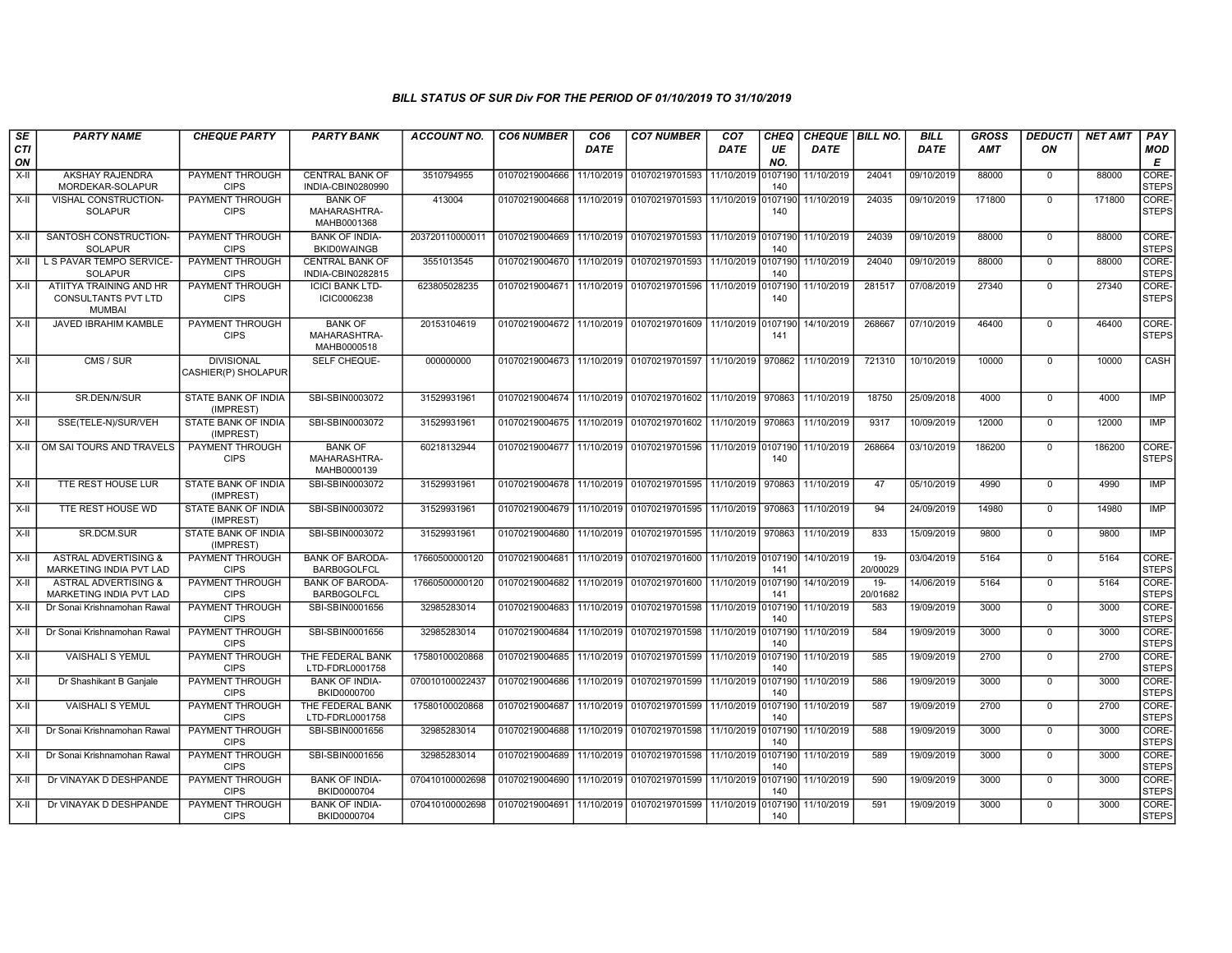| SE               | <b>PARTY NAME</b>                                                      | <b>CHEQUE PARTY</b>                      | <b>PARTY BANK</b>                             | <b>ACCOUNT NO.</b> | <b>CO6 NUMBER</b>         | CO <sub>6</sub> | <b>CO7 NUMBER</b>                                          | CO <sub>7</sub>    | CHEQ           | <b>CHEQUE BILL NO.</b> |                    | <b>BILL</b> | <b>GROSS</b> | <b>DEDUCTI</b> | <b>NET AMT</b> | PAY                              |
|------------------|------------------------------------------------------------------------|------------------------------------------|-----------------------------------------------|--------------------|---------------------------|-----------------|------------------------------------------------------------|--------------------|----------------|------------------------|--------------------|-------------|--------------|----------------|----------------|----------------------------------|
| <b>CTI</b><br>ON |                                                                        |                                          |                                               |                    |                           | <b>DATE</b>     |                                                            | <b>DATE</b>        | UE<br>NO.      | <b>DATE</b>            |                    | <b>DATE</b> | <b>AMT</b>   | ON             |                | <b>MOD</b><br>E                  |
| $X-H$            | <b>AKSHAY RAJENDRA</b><br>MORDEKAR-SOLAPUR                             | PAYMENT THROUGH<br><b>CIPS</b>           | <b>CENTRAL BANK OF</b><br>INDIA-CBIN0280990   | 3510794955         | 01070219004666            | 11/10/2019      | 01070219701593                                             | 11/10/2019         | 0107190<br>140 | 11/10/2019             | 24041              | 09/10/2019  | 88000        | $\Omega$       | 88000          | CORE <sub></sub><br><b>STEPS</b> |
| $X-II$           | <b>VISHAL CONSTRUCTION-</b><br><b>SOLAPUR</b>                          | PAYMENT THROUGH<br><b>CIPS</b>           | <b>BANK OF</b><br>MAHARASHTRA-<br>MAHB0001368 | 413004             | 01070219004668            | 11/10/2019      | 01070219701593                                             | 11/10/2019         | 107190<br>140  | 11/10/2019             | 24035              | 09/10/2019  | 171800       | $\Omega$       | 171800         | CORE-<br><b>STEPS</b>            |
| X-II             | SANTOSH CONSTRUCTION-<br><b>SOLAPUR</b>                                | <b>PAYMENT THROUGH</b><br><b>CIPS</b>    | <b>BANK OF INDIA-</b><br><b>BKID0WAINGB</b>   | 203720110000011    | 01070219004669            | 11/10/2019      | 01070219701593 11/10/2019 0107190                          |                    | 140            | 11/10/2019             | 24039              | 09/10/2019  | 88000        | $\mathbf 0$    | 88000          | CORE-<br><b>STEPS</b>            |
| X-II             | L S PAVAR TEMPO SERVICE-<br><b>SOLAPUR</b>                             | PAYMENT THROUGH<br><b>CIPS</b>           | <b>CENTRAL BANK OF</b><br>INDIA-CBIN0282815   | 3551013545         | 01070219004670            | 11/10/2019      | 01070219701593                                             | 11/10/2019 0107190 | 140            | 11/10/2019             | 24040              | 09/10/2019  | 88000        | $\mathbf 0$    | 88000          | CORE-<br><b>STEPS</b>            |
| $X-II$           | ATIITYA TRAINING AND HR<br><b>CONSULTANTS PVT LTD</b><br><b>MUMBAI</b> | PAYMENT THROUGH<br><b>CIPS</b>           | <b>ICICI BANK LTD-</b><br>ICIC0006238         | 623805028235       | 01070219004671            | 11/10/2019      | 01070219701596                                             | 11/10/2019         | 0107190<br>140 | 11/10/2019             | 281517             | 07/08/2019  | 27340        | $\mathbf 0$    | 27340          | CORE-<br><b>STEPS</b>            |
| X-II             | JAVED IBRAHIM KAMBLE                                                   | PAYMENT THROUGH<br><b>CIPS</b>           | <b>BANK OF</b><br>MAHARASHTRA-<br>MAHB0000518 | 20153104619        | 01070219004672            | 11/10/2019      | 01070219701609                                             | 11/10/2019         | 0107190<br>141 | 14/10/2019             | 268667             | 07/10/2019  | 46400        | $\mathbf 0$    | 46400          | <b>CORE</b><br><b>STEPS</b>      |
| X-II             | CMS / SUR                                                              | <b>DIVISIONAL</b><br>CASHIER(P) SHOLAPUR | SELF CHEQUE-                                  | 000000000          | 01070219004673            | 11/10/2019      | 01070219701597                                             | 11/10/2019         | 970862         | 11/10/2019             | 721310             | 10/10/2019  | 10000        | $\mathbf 0$    | 10000          | <b>CASH</b>                      |
| $X-II$           | SR.DEN/N/SUR                                                           | STATE BANK OF INDIA<br>(IMPREST)         | SBI-SBIN0003072                               | 31529931961        | 01070219004674            | 11/10/2019      | 01070219701602                                             | 11/10/2019         | 970863         | 11/10/2019             | 18750              | 25/09/2018  | 4000         | $\mathbf 0$    | 4000           | <b>IMP</b>                       |
| X-II             | SSE(TELE-N)/SUR/VEH                                                    | STATE BANK OF INDIA<br>(IMPREST)         | SBI-SBIN0003072                               | 31529931961        | 01070219004675 11/10/2019 |                 | 01070219701602                                             | 11/10/2019         | 970863         | 11/10/2019             | 9317               | 10/09/2019  | 12000        | $\mathbf 0$    | 12000          | <b>IMP</b>                       |
| X-II             | OM SAI TOURS AND TRAVELS                                               | <b>PAYMENT THROUGH</b><br><b>CIPS</b>    | <b>BANK OF</b><br>MAHARASHTRA-<br>MAHB0000139 | 60218132944        | 01070219004677            | 11/10/2019      | 01070219701596                                             | 11/10/2019 0107190 | 140            | 11/10/2019             | 268664             | 03/10/2019  | 186200       | $\mathbf 0$    | 186200         | CORE-<br>STEPS                   |
| $X-H$            | <b>TTE REST HOUSE LUR</b>                                              | <b>STATE BANK OF INDIA</b><br>(IMPREST)  | SBI-SBIN0003072                               | 31529931961        |                           |                 | 01070219004678 11/10/2019 01070219701595 11/10/2019 970863 |                    |                | 11/10/2019             | 47                 | 05/10/2019  | 4990         | $\Omega$       | 4990           | IMP                              |
| $X-H$            | TTE REST HOUSE WD                                                      | <b>STATE BANK OF INDIA</b><br>(IMPREST)  | SBI-SBIN0003072                               | 31529931961        | 01070219004679            | 11/10/2019      | 01070219701595                                             | 11/10/2019         | 970863         | 11/10/2019             | 94                 | 24/09/2019  | 14980        | $\Omega$       | 14980          | <b>IMP</b>                       |
| $X-H$            | SR.DCM.SUR                                                             | STATE BANK OF INDIA<br>(IMPREST)         | SBI-SBIN0003072                               | 31529931961        | 01070219004680            | 11/10/2019      | 01070219701595                                             | 11/10/2019         | 970863         | 11/10/2019             | 833                | 15/09/2019  | 9800         | $\Omega$       | 9800           | IMP                              |
| $X-II$           | <b>ASTRAL ADVERTISING &amp;</b><br>MARKETING INDIA PVT LAD             | PAYMENT THROUGH<br><b>CIPS</b>           | <b>BANK OF BARODA-</b><br><b>BARB0GOLFCL</b>  | 17660500000120     | 01070219004681            | 11/10/2019      | 01070219701600 11/10/2019 0107190                          |                    | 141            | 14/10/2019             | $19 -$<br>20/00029 | 03/04/2019  | 5164         | $\mathbf 0$    | 5164           | CORE-<br><b>STEPS</b>            |
| $X-H$            | <b>ASTRAL ADVERTISING &amp;</b><br><b>MARKETING INDIA PVT LAD</b>      | PAYMENT THROUGH<br><b>CIPS</b>           | <b>BANK OF BARODA-</b><br><b>BARB0GOLFCL</b>  | 17660500000120     | 01070219004682            | 11/10/2019      | 01070219701600 111/10/2019                                 |                    | 0107190<br>141 | 14/10/2019             | $19 -$<br>20/01682 | 14/06/2019  | 5164         | $\mathbf 0$    | 5164           | CORE-<br><b>STEPS</b>            |
| $X-H$            | Dr Sonai Krishnamohan Rawal                                            | <b>PAYMENT THROUGH</b><br><b>CIPS</b>    | SBI-SBIN0001656                               | 32985283014        | 01070219004683            | 11/10/2019      | 01070219701598                                             | 11/10/2019 0107190 | 140            | 11/10/2019             | 583                | 19/09/2019  | 3000         | $\mathbf 0$    | 3000           | CORE-<br><b>STEPS</b>            |
| $X-II$           | Dr Sonai Krishnamohan Rawal                                            | PAYMENT THROUGH<br><b>CIPS</b>           | SBI-SBIN0001656                               | 32985283014        | 01070219004684            | 11/10/2019      | 01070219701598                                             | 11/10/2019 0107190 | 140            | 11/10/2019             | 584                | 19/09/2019  | 3000         | $\mathbf 0$    | 3000           | CORE-<br><b>STEPS</b>            |
| $X-II$           | <b>VAISHALI S YEMUL</b>                                                | PAYMENT THROUGH<br><b>CIPS</b>           | THE FEDERAL BANK<br>LTD-FDRL0001758           | 17580100020868     | 01070219004685            | 11/10/2019      | 01070219701599                                             | 11/10/2019         | 0107190<br>140 | 11/10/2019             | 585                | 19/09/2019  | 2700         | $\mathbf 0$    | 2700           | CORE-<br><b>STEPS</b>            |
| $X-II$           | Dr Shashikant B Ganjale                                                | PAYMENT THROUGH<br><b>CIPS</b>           | <b>BANK OF INDIA-</b><br>BKID0000700          | 070010100022437    | 01070219004686            | 11/10/2019      | 01070219701599                                             | 11/10/2019 0107190 | 140            | 11/10/2019             | 586                | 19/09/2019  | 3000         | $\mathbf 0$    | 3000           | CORE-<br><b>STEPS</b>            |
| X-II             | <b>VAISHALI S YEMUL</b>                                                | PAYMENT THROUGH<br><b>CIPS</b>           | THE FEDERAL BANK<br>LTD-FDRL0001758           | 17580100020868     | 01070219004687            | 11/10/2019      | 01070219701599                                             | 11/10/2019 0107190 | 140            | 11/10/2019             | 587                | 19/09/2019  | 2700         | $\mathbf 0$    | 2700           | CORE-<br><b>STEPS</b>            |
| X-II             | Dr Sonai Krishnamohan Rawal                                            | PAYMENT THROUGH<br><b>CIPS</b>           | SBI-SBIN0001656                               | 32985283014        | 01070219004688            | 11/10/2019      | 01070219701598                                             | 11/10/2019         | 0107190<br>140 | 11/10/2019             | 588                | 19/09/2019  | 3000         | $\mathbf 0$    | 3000           | CORE-<br>STEPS                   |
| X-II             | Dr Sonai Krishnamohan Rawal                                            | PAYMENT THROUGH<br><b>CIPS</b>           | SBI-SBIN0001656                               | 32985283014        | 01070219004689            | 11/10/2019      | 01070219701598                                             | 11/10/2019         | 0107190<br>140 | 11/10/2019             | 589                | 19/09/2019  | 3000         | $\mathbf 0$    | 3000           | CORE-<br>STEPS                   |
| X-II             | Dr VINAYAK D DESHPANDE                                                 | PAYMENT THROUGH<br><b>CIPS</b>           | <b>BANK OF INDIA-</b><br>BKID0000704          | 070410100002698    | 01070219004690            | 11/10/2019      | 01070219701599                                             | 11/10/2019 0107190 | 140            | 11/10/2019             | 590                | 19/09/2019  | 3000         | 0              | 3000           | CORE-<br><b>STEPS</b>            |
| X-II             | Dr VINAYAK D DESHPANDE                                                 | PAYMENT THROUGH<br><b>CIPS</b>           | <b>BANK OF INDIA-</b><br>BKID0000704          | 070410100002698    | 01070219004691            | 11/10/2019      | 01070219701599 11/10/2019 0107190                          |                    | 140            | 11/10/2019             | 591                | 19/09/2019  | 3000         | $\mathbf 0$    | 3000           | CORE-<br>STEPS                   |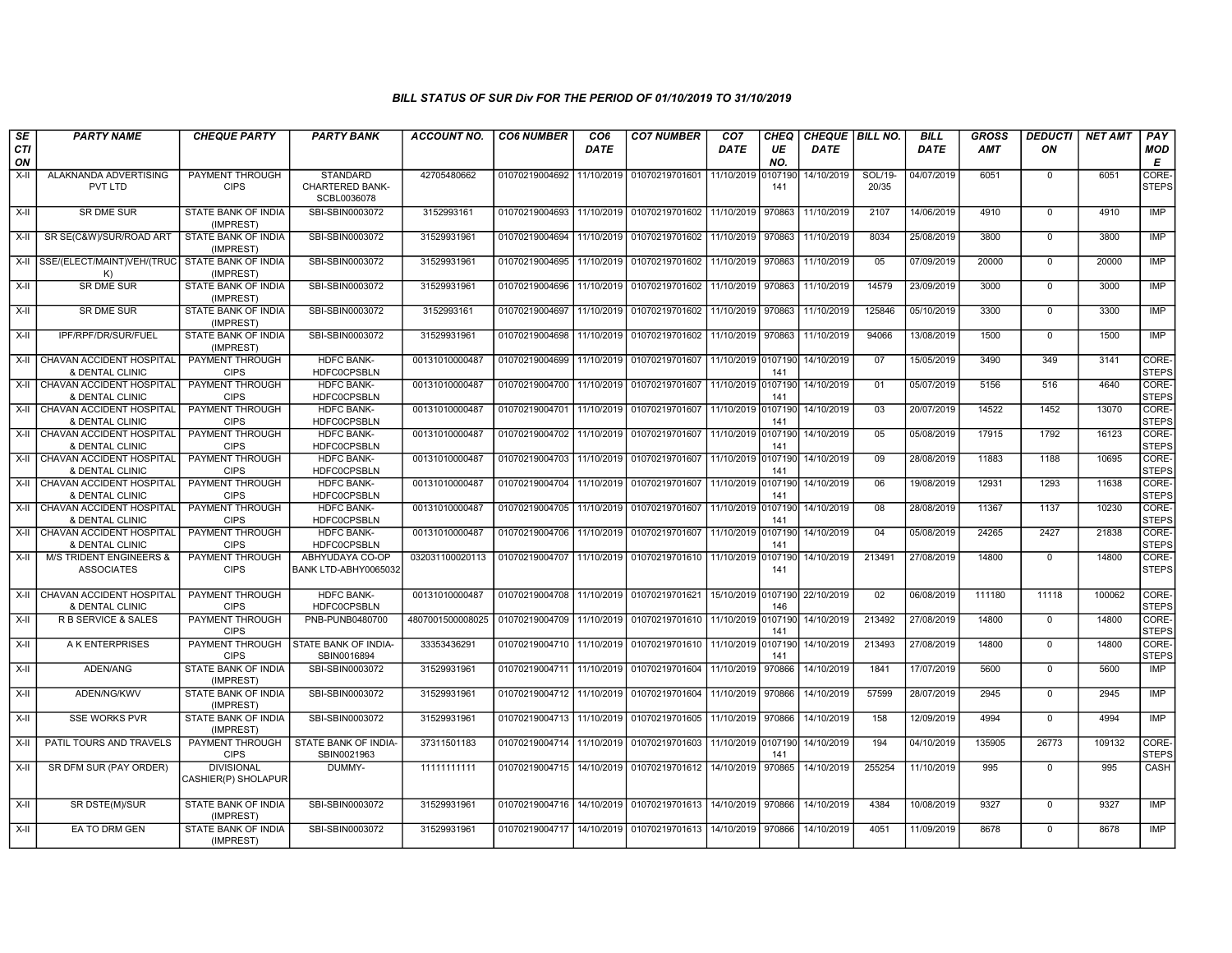| SE               | <b>PARTY NAME</b>                                           | <b>CHEQUE PARTY</b>                      | <b>PARTY BANK</b>                                        | <b>ACCOUNT NO.</b> | <b>CO6 NUMBER</b>                        | CO <sub>6</sub> | <b>CO7 NUMBER</b>                        | CO <sub>7</sub>    | <b>CHEQ</b>    | CHEQUE   BILL NO. |                  | <b>BILL</b> | <b>GROSS</b> | <b>DEDUCTI</b> | <b>NET AMT</b> | <b>PAY</b>                  |
|------------------|-------------------------------------------------------------|------------------------------------------|----------------------------------------------------------|--------------------|------------------------------------------|-----------------|------------------------------------------|--------------------|----------------|-------------------|------------------|-------------|--------------|----------------|----------------|-----------------------------|
| <b>CTI</b><br>ON |                                                             |                                          |                                                          |                    |                                          | <b>DATE</b>     |                                          | DATE               | UE<br>NO.      | DATE              |                  | <b>DATE</b> | <b>AMT</b>   | ON             |                | <b>MOD</b><br>Е             |
| X-II             | ALAKNANDA ADVERTISING<br>PVT LTD                            | PAYMENT THROUGH<br><b>CIPS</b>           | <b>STANDARD</b><br><b>CHARTERED BANK-</b><br>SCBL0036078 | 42705480662        | 01070219004692                           | 11/10/2019      | 01070219701601                           | 11/10/2019         | 0107190<br>141 | 14/10/2019        | SOL/19-<br>20/35 | 04/07/2019  | 6051         | $\mathbf 0$    | 6051           | <b>CORE</b><br><b>STEPS</b> |
| $X-H$            | <b>SR DME SUR</b>                                           | <b>STATE BANK OF INDIA</b><br>(IMPREST)  | SBI-SBIN0003072                                          | 3152993161         |                                          |                 | 01070219004693 11/10/2019 01070219701602 | 11/10/2019         | 970863         | 11/10/2019        | 2107             | 14/06/2019  | 4910         | $\mathbf 0$    | 4910           | <b>IMP</b>                  |
| X-II             | SR SE(C&W)/SUR/ROAD ART                                     | STATE BANK OF INDIA<br>(IMPREST)         | SBI-SBIN0003072                                          | 31529931961        | 01070219004694 11/10/2019 01070219701602 |                 |                                          | 11/10/2019         | 970863         | 11/10/2019        | 8034             | 25/08/2019  | 3800         | $\Omega$       | 3800           | IMP                         |
| X-II             | SSE/(ELECT/MAINT)VEH/(TRUC<br>K)                            | STATE BANK OF INDIA<br>(IMPREST)         | SBI-SBIN0003072                                          | 31529931961        | 01070219004695 11/10/2019 01070219701602 |                 |                                          | 11/10/2019         | 970863         | 11/10/2019        | 05               | 07/09/2019  | 20000        | $\Omega$       | 20000          | <b>IMP</b>                  |
| $X-H$            | <b>SR DME SUR</b>                                           | STATE BANK OF INDIA<br>(IMPREST)         | SBI-SBIN0003072                                          | 31529931961        |                                          |                 | 01070219004696 11/10/2019 01070219701602 | 11/10/2019         | 970863         | 11/10/2019        | 14579            | 23/09/2019  | 3000         | $\Omega$       | 3000           | <b>IMP</b>                  |
| X-II             | <b>SR DME SUR</b>                                           | <b>STATE BANK OF INDIA</b><br>(IMPREST)  | SBI-SBIN0003072                                          | 3152993161         | 01070219004697                           |                 | 11/10/2019 01070219701602                | 11/10/2019         | 970863         | 11/10/2019        | 125846           | 05/10/2019  | 3300         | $\mathbf 0$    | 3300           | <b>IMP</b>                  |
| $X-H$            | IPF/RPF/DR/SUR/FUEL                                         | <b>STATE BANK OF INDIA</b><br>(IMPREST)  | SBI-SBIN0003072                                          | 31529931961        | 01070219004698                           | 11/10/2019      | 01070219701602                           | 11/10/2019         | 970863         | 11/10/2019        | 94066            | 13/08/2019  | 1500         | $\Omega$       | 1500           | <b>IMP</b>                  |
| X-II             | CHAVAN ACCIDENT HOSPITAL<br>& DENTAL CLINIC                 | PAYMENT THROUGH<br><b>CIPS</b>           | HDFC BANK-<br><b>HDFC0CPSBLN</b>                         | 00131010000487     | 01070219004699 11/10/2019 01070219701607 |                 |                                          | 11/10/2019 0107190 | 141            | 14/10/2019        | 07               | 15/05/2019  | 3490         | 349            | 3141           | CORE-<br><b>STEPS</b>       |
| X-II             | CHAVAN ACCIDENT HOSPITAL<br>& DENTAL CLINIC                 | <b>PAYMENT THROUGH</b><br><b>CIPS</b>    | <b>HDFC BANK-</b><br><b>HDFC0CPSBLN</b>                  | 00131010000487     | 01070219004700 11/10/2019 01070219701607 |                 |                                          | 11/10/2019 0107190 | 141            | 14/10/2019        | 01               | 05/07/2019  | 5156         | 516            | 4640           | CORE-<br><b>STEPS</b>       |
|                  | X-II CHAVAN ACCIDENT HOSPITAL<br><b>&amp; DENTAL CLINIC</b> | <b>PAYMENT THROUGH</b><br><b>CIPS</b>    | <b>HDFC BANK-</b><br><b>HDFC0CPSBLN</b>                  | 00131010000487     | 01070219004701 11/10/2019 01070219701607 |                 |                                          | 11/10/2019 0107190 | 141            | 14/10/2019        | 03               | 20/07/2019  | 14522        | 1452           | 13070          | CORE-<br><b>STEPS</b>       |
| X-II             | CHAVAN ACCIDENT HOSPITAL<br>& DENTAL CLINIC                 | <b>PAYMENT THROUGH</b><br><b>CIPS</b>    | <b>HDFC BANK-</b><br><b>HDFC0CPSBLN</b>                  | 00131010000487     | 01070219004702 11/10/2019 01070219701607 |                 |                                          | 11/10/2019 0107190 | 141            | 14/10/2019        | 05               | 05/08/2019  | 17915        | 1792           | 16123          | CORE-<br><b>STEPS</b>       |
| $X-I$            | CHAVAN ACCIDENT HOSPITAL<br>& DENTAL CLINIC                 | <b>PAYMENT THROUGH</b><br><b>CIPS</b>    | <b>HDFC BANK-</b><br><b>HDFC0CPSBLN</b>                  | 00131010000487     | 01070219004703 11/10/2019 01070219701607 |                 |                                          | 11/10/2019 0107190 | 141            | 14/10/2019        | 09               | 28/08/2019  | 11883        | 1188           | 10695          | CORE-<br><b>STEPS</b>       |
| X-II             | CHAVAN ACCIDENT HOSPITAL<br>& DENTAL CLINIC                 | <b>PAYMENT THROUGH</b><br><b>CIPS</b>    | <b>HDFC BANK-</b><br><b>HDFC0CPSBLN</b>                  | 00131010000487     | 01070219004704 11/10/2019 01070219701607 |                 |                                          | 11/10/2019 0107190 | 141            | 14/10/2019        | 06               | 19/08/2019  | 12931        | 1293           | 11638          | CORE-<br><b>STEPS</b>       |
|                  | X-II CHAVAN ACCIDENT HOSPITAL<br>& DENTAL CLINIC            | <b>PAYMENT THROUGH</b><br><b>CIPS</b>    | <b>HDFC BANK-</b><br><b>HDFC0CPSBLN</b>                  | 00131010000487     | 01070219004705 11/10/2019                |                 | 01070219701607                           | 11/10/2019 0107190 | 141            | 14/10/2019        | 08               | 28/08/2019  | 11367        | 1137           | 10230          | CORE-<br><b>STEPS</b>       |
| X-II             | CHAVAN ACCIDENT HOSPITAL<br>& DENTAL CLINIC                 | <b>PAYMENT THROUGH</b><br><b>CIPS</b>    | <b>HDFC BANK-</b><br><b>HDFC0CPSBLN</b>                  | 00131010000487     | 01070219004706 11/10/2019 01070219701607 |                 |                                          | 11/10/2019 0107190 | 141            | 14/10/2019        | 04               | 05/08/2019  | 24265        | 2427           | 21838          | CORE-<br><b>STEPS</b>       |
| X-II             | <b>M/S TRIDENT ENGINEERS &amp;</b><br><b>ASSOCIATES</b>     | PAYMENT THROUGH<br><b>CIPS</b>           | ABHYUDAYA CO-OP<br>BANK LTD-ABHY0065032                  | 032031100020113    | 01070219004707 11/10/2019 01070219701610 |                 |                                          | 11/10/2019 0107190 | 141            | 14/10/2019        | 213491           | 27/08/2019  | 14800        | $\mathbf 0$    | 14800          | CORE-<br><b>STEPS</b>       |
|                  | X-II CHAVAN ACCIDENT HOSPITAL<br>& DENTAL CLINIC            | <b>PAYMENT THROUGH</b><br><b>CIPS</b>    | <b>HDFC BANK-</b><br><b>HDFC0CPSBLN</b>                  | 00131010000487     |                                          |                 | 01070219004708 11/10/2019 01070219701621 | 15/10/2019 0107190 | 146            | 22/10/2019        | 02               | 06/08/2019  | 111180       | 11118          | 100062         | CORE-<br><b>STEPS</b>       |
| X-II             | R B SERVICE & SALES                                         | <b>PAYMENT THROUGH</b><br><b>CIPS</b>    | PNB-PUNB0480700                                          | 4807001500008025   | 01070219004709 11/10/2019                |                 | 01070219701610                           | 11/10/2019 0107190 | 141            | 14/10/2019        | 213492           | 27/08/2019  | 14800        | $\mathbf 0$    | 14800          | CORE-<br><b>STEPS</b>       |
| $X-I$            | A K ENTERPRISES                                             | PAYMENT THROUGH<br><b>CIPS</b>           | STATE BANK OF INDIA-<br>SBIN0016894                      | 33353436291        |                                          |                 | 01070219004710 11/10/2019 01070219701610 | 11/10/2019 0107190 | 141            | 14/10/2019        | 213493           | 27/08/2019  | 14800        | $\mathbf{0}$   | 14800          | CORE-<br><b>STEPS</b>       |
| X-II             | ADEN/ANG                                                    | STATE BANK OF INDIA<br>(IMPREST)         | SBI-SBIN0003072                                          | 31529931961        | 01070219004711 11/10/2019 01070219701604 |                 |                                          | 11/10/2019         | 970866         | 14/10/2019        | 1841             | 17/07/2019  | 5600         | $\Omega$       | 5600           | IMP                         |
| X-II             | ADEN/NG/KWV                                                 | STATE BANK OF INDIA<br>(IMPREST)         | SBI-SBIN0003072                                          | 31529931961        | 01070219004712 11/10/2019 01070219701604 |                 |                                          | 11/10/2019         | 970866         | 14/10/2019        | 57599            | 28/07/2019  | 2945         | $\Omega$       | 2945           | IMP                         |
| X-II             | <b>SSE WORKS PVR</b>                                        | <b>STATE BANK OF INDIA</b><br>(IMPREST)  | SBI-SBIN0003072                                          | 31529931961        | 01070219004713 11/10/2019 01070219701605 |                 |                                          | 11/10/2019         | 970866         | 14/10/2019        | 158              | 12/09/2019  | 4994         | $\Omega$       | 4994           | IMP                         |
| X-II             | PATIL TOURS AND TRAVELS                                     | PAYMENT THROUGH<br><b>CIPS</b>           | STATE BANK OF INDIA-<br>SBIN0021963                      | 37311501183        | 01070219004714 11/10/2019 01070219701603 |                 |                                          | 11/10/2019 0107190 | 141            | 14/10/2019        | 194              | 04/10/2019  | 135905       | 26773          | 109132         | CORE-<br><b>STEPS</b>       |
| $X-H$            | SR DFM SUR (PAY ORDER)                                      | <b>DIVISIONAL</b><br>CASHIER(P) SHOLAPUR | DUMMY-                                                   | 11111111111        |                                          |                 | 01070219004715 14/10/2019 01070219701612 | 14/10/2019         | 970865         | 14/10/2019        | 255254           | 11/10/2019  | 995          | $\mathbf 0$    | 995            | CASH                        |
| X-II             | SR DSTE(M)/SUR                                              | STATE BANK OF INDIA<br>(IMPREST)         | SBI-SBIN0003072                                          | 31529931961        | 01070219004716 14/10/2019 01070219701613 |                 |                                          | 14/10/2019         | 970866         | 14/10/2019        | 4384             | 10/08/2019  | 9327         | $\Omega$       | 9327           | IMP                         |
| $X-I$            | EA TO DRM GEN                                               | STATE BANK OF INDIA<br>(IMPREST)         | SBI-SBIN0003072                                          | 31529931961        | 01070219004717 14/10/2019 01070219701613 |                 |                                          | 14/10/2019         | 970866         | 14/10/2019        | 4051             | 11/09/2019  | 8678         | $\Omega$       | 8678           | <b>IMP</b>                  |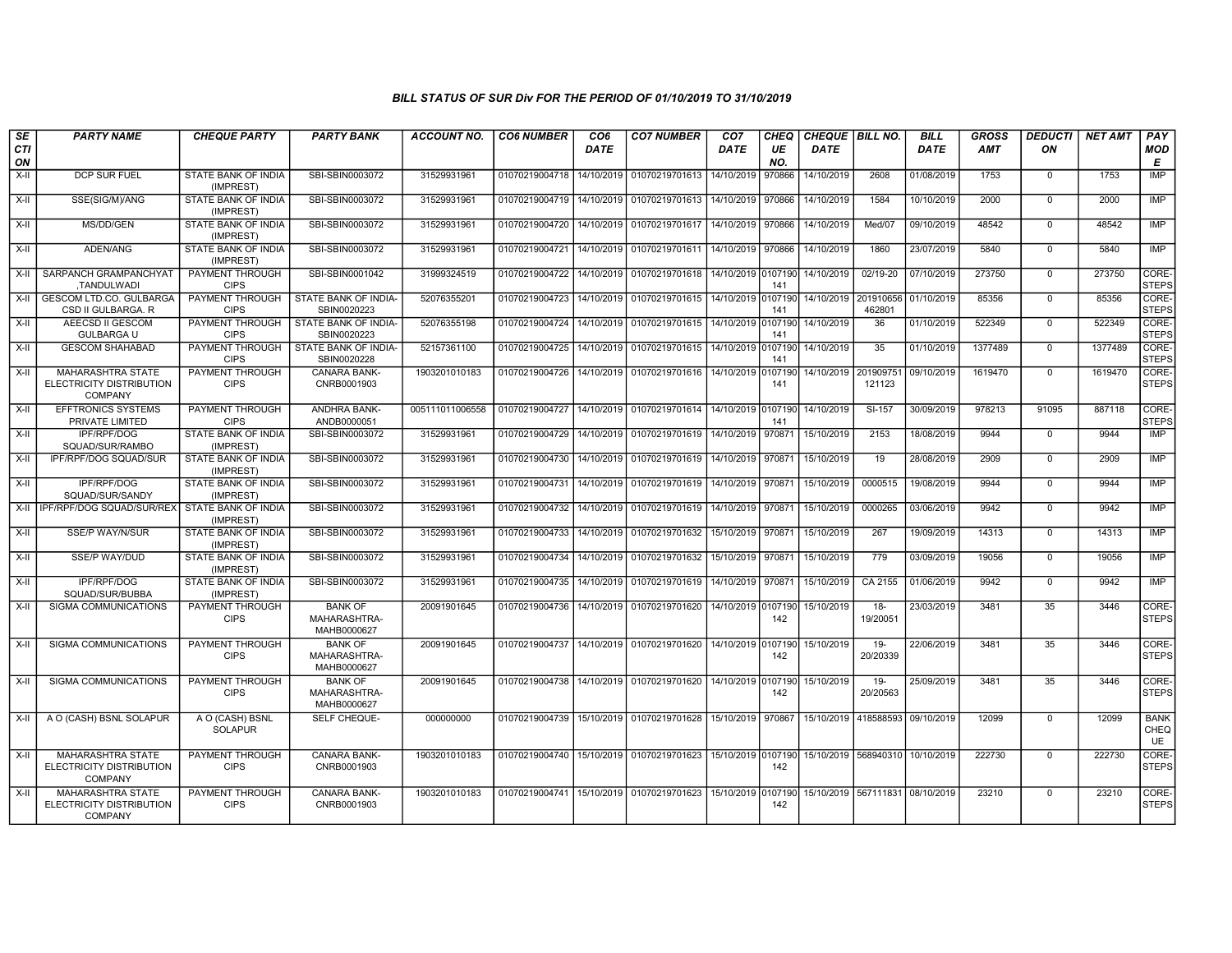| SE<br>CTI<br>ON | <b>PARTY NAME</b>                                               | <b>CHEQUE PARTY</b>                               | <b>PARTY BANK</b>                                          | <b>ACCOUNT NO.</b>           | <b>CO6 NUMBER</b>                | CO <sub>6</sub><br>DATE  | <b>CO7 NUMBER</b>                                                     | CO <sub>7</sub><br>DATE | <b>CHEQ</b><br>UE<br>NO. | CHEQUE BILL NO.<br><b>DATE</b> |                                     | <b>BILL</b><br>DATE      | <b>GROSS</b><br><b>AMT</b> | <b>DEDUCTI</b><br>ON    | <b>NET AMT</b>     | PAY<br><b>MOD</b><br>E           |
|-----------------|-----------------------------------------------------------------|---------------------------------------------------|------------------------------------------------------------|------------------------------|----------------------------------|--------------------------|-----------------------------------------------------------------------|-------------------------|--------------------------|--------------------------------|-------------------------------------|--------------------------|----------------------------|-------------------------|--------------------|----------------------------------|
| X-II            | DCP SUR FUEL                                                    | STATE BANK OF INDIA<br>(IMPREST)                  | SBI-SBIN0003072                                            | 31529931961                  | 01070219004718                   | 14/10/2019               | 01070219701613                                                        | 14/10/2019              | 970866                   | 14/10/2019                     | 2608                                | 01/08/2019               | 1753                       | $\mathbf 0$             | 1753               | IMP                              |
| X-II            | SSE(SIG/M)/ANG                                                  | STATE BANK OF INDIA<br>(IMPREST)                  | SBI-SBIN0003072                                            | 31529931961                  | 01070219004719                   | 14/10/2019               | 01070219701613                                                        | 14/10/2019              | 970866                   | 14/10/2019                     | 1584                                | 10/10/2019               | 2000                       | $\mathbf 0$             | 2000               | <b>IMP</b>                       |
| $X-II$          | MS/DD/GEN                                                       | STATE BANK OF INDIA<br>(IMPREST)                  | SBI-SBIN0003072                                            | 31529931961                  | 01070219004720                   | 14/10/2019               | 01070219701617                                                        | 14/10/2019              | 970866                   | 14/10/2019                     | Med/07                              | 09/10/2019               | 48542                      | $\overline{0}$          | 48542              | <b>IMP</b>                       |
| X-II            | ADEN/ANG                                                        | STATE BANK OF INDIA<br>(IMPREST)                  | SBI-SBIN0003072                                            | 31529931961                  | 01070219004721                   | 14/10/2019               | 01070219701611 14/10/2019 970866                                      |                         |                          | 14/10/2019                     | 1860                                | 23/07/2019               | 5840                       | $\mathbf 0$             | 5840               | IMP                              |
| X-II            | SARPANCH GRAMPANCHYAT<br>,TANDULWADI                            | PAYMENT THROUGH<br><b>CIPS</b>                    | SBI-SBIN0001042                                            | 31999324519                  | 01070219004722                   | 14/10/2019               | 01070219701618                                                        | 14/10/2019 0107190      | 141                      | 14/10/2019                     | 02/19-20                            | 07/10/2019               | 273750                     | $\mathbf 0$             | 273750             | CORE-<br><b>STEPS</b>            |
| $X-II$          | GESCOM LTD.CO. GULBARGA<br>CSD II GULBARGA. R                   | PAYMENT THROUGH<br><b>CIPS</b>                    | STATE BANK OF INDIA-<br>SBIN0020223                        | 52076355201                  | 01070219004723                   | 14/10/2019               | 01070219701615 14/10/2019 0107190                                     |                         | 141                      | 14/10/2019                     | 201910656<br>462801                 | 01/10/2019               | 85356                      | $\mathbf 0$             | 85356              | CORE-<br><b>STEPS</b>            |
| X-II            | AEECSD II GESCOM<br><b>GULBARGA U</b>                           | PAYMENT THROUGH<br><b>CIPS</b>                    | STATE BANK OF INDIA-<br>SBIN0020223                        | 52076355198                  | 01070219004724                   | 14/10/2019               | 01070219701615 14/10/2019 0107190                                     |                         | 141                      | 14/10/2019                     | 36                                  | 01/10/2019               | 522349                     | $\mathbf 0$             | 522349             | CORE-<br><b>STEPS</b>            |
| X-II<br>X-II    | <b>GESCOM SHAHABAD</b><br><b>MAHARASHTRA STATE</b>              | PAYMENT THROUGH<br><b>CIPS</b><br>PAYMENT THROUGH | STATE BANK OF INDIA-<br>SBIN0020228<br><b>CANARA BANK-</b> | 52157361100<br>1903201010183 | 01070219004725<br>01070219004726 | 14/10/2019<br>14/10/2019 | 01070219701615 14/10/2019 0107190<br>01070219701616 14/10/2019 010719 |                         | 141                      | 14/10/2019<br>14/10/2019       | 35<br>201909751                     | 01/10/2019<br>09/10/2019 | 1377489<br>1619470         | $\mathbf 0$<br>$\Omega$ | 1377489<br>1619470 | CORE-<br><b>STEPS</b><br>CORE-   |
|                 | ELECTRICITY DISTRIBUTION<br><b>COMPANY</b>                      | <b>CIPS</b>                                       | CNRB0001903                                                |                              |                                  |                          |                                                                       |                         | 141                      |                                | 121123                              |                          |                            |                         |                    | <b>STEPS</b>                     |
| $X-H$           | <b>EFFTRONICS SYSTEMS</b><br>PRIVATE LIMITED                    | PAYMENT THROUGH<br><b>CIPS</b>                    | <b>ANDHRA BANK-</b><br>ANDB0000051                         | 005111011006558              | 01070219004727                   | 14/10/2019               | 01070219701614 14/10/2019 0107190                                     |                         | 141                      | 14/10/2019                     | $SI-157$                            | 30/09/2019               | 978213                     | 91095                   | 887118             | CORE-<br><b>STEPS</b>            |
| $X-H$           | <b>IPF/RPF/DOG</b><br>SQUAD/SUR/RAMBO                           | <b>STATE BANK OF INDIA</b><br>(IMPREST)           | SBI-SBIN0003072                                            | 31529931961                  | 01070219004729                   | 14/10/2019               | 01070219701619                                                        | 14/10/2019              | 970871                   | 15/10/2019                     | 2153                                | 18/08/2019               | 9944                       | $\mathbf 0$             | 9944               | IMP                              |
| $X-H$           | IPF/RPF/DOG SQUAD/SUR                                           | STATE BANK OF INDIA<br>(IMPREST)                  | SBI-SBIN0003072                                            | 31529931961                  | 01070219004730                   | 14/10/2019               | 01070219701619 14/10/2019 970871                                      |                         |                          | 15/10/2019                     | 19                                  | 28/08/2019               | 2909                       | $\mathbf 0$             | 2909               | <b>IMP</b>                       |
| X-II            | <b>IPF/RPF/DOG</b><br>SQUAD/SUR/SANDY                           | STATE BANK OF INDIA<br>(IMPREST)                  | SBI-SBIN0003072                                            | 31529931961                  | 01070219004731                   | 14/10/2019               | 01070219701619 14/10/2019 970871                                      |                         |                          | 15/10/2019                     | 0000515                             | 19/08/2019               | 9944                       | $\mathbf 0$             | 9944               | IMP                              |
| $X-II$          | IPF/RPF/DOG SQUAD/SUR/REX                                       | STATE BANK OF INDIA<br>(IMPREST)                  | SBI-SBIN0003072                                            | 31529931961                  | 01070219004732                   | 14/10/2019               | 01070219701619                                                        | 14/10/2019 970871       |                          | 15/10/2019                     | 0000265                             | 03/06/2019               | 9942                       | $\mathbf 0$             | 9942               | <b>IMP</b>                       |
| X-II            | <b>SSE/P WAY/N/SUR</b>                                          | STATE BANK OF INDIA<br>(IMPREST)                  | SBI-SBIN0003072                                            | 31529931961                  | 01070219004733                   | 14/10/2019               | 01070219701632                                                        | 15/10/2019              | 970871                   | 15/10/2019                     | 267                                 | 19/09/2019               | 14313                      | $\mathbf 0$             | 14313              | <b>IMP</b>                       |
| X-II            | SSE/P WAY/DUD                                                   | STATE BANK OF INDIA<br>(IMPREST)                  | SBI-SBIN0003072                                            | 31529931961                  | 01070219004734                   | 14/10/2019               | 01070219701632                                                        | 15/10/2019 970871       |                          | 15/10/2019                     | 779                                 | 03/09/2019               | 19056                      | $\mathbf 0$             | 19056              | IMP                              |
| X-II            | IPF/RPF/DOG<br>SQUAD/SUR/BUBBA                                  | STATE BANK OF INDIA<br>(IMPREST)                  | SBI-SBIN0003072                                            | 31529931961                  | 01070219004735                   | 14/10/2019               | 01070219701619                                                        | 14/10/2019              | 970871                   | 15/10/2019                     | CA 2155                             | 01/06/2019               | 9942                       | $\mathbf 0$             | 9942               | IMP                              |
| $X-H$           | <b>SIGMA COMMUNICATIONS</b>                                     | PAYMENT THROUGH<br><b>CIPS</b>                    | <b>BANK OF</b><br>MAHARASHTRA-<br>MAHB0000627              | 20091901645                  | 01070219004736                   | 14/10/2019               | 01070219701620                                                        | 14/10/2019 0107190      | 142                      | 15/10/2019                     | $18-$<br>19/20051                   | 23/03/2019               | 3481                       | 35                      | 3446               | CORE-<br><b>STEPS</b>            |
| $X-H$           | SIGMA COMMUNICATIONS                                            | PAYMENT THROUGH<br><b>CIPS</b>                    | <b>BANK OF</b><br>MAHARASHTRA-<br>MAHB0000627              | 20091901645                  | 01070219004737                   | 14/10/2019               | 01070219701620                                                        | 14/10/2019 0107190      | 142                      | 15/10/2019                     | $19 -$<br>20/20339                  | 22/06/2019               | 3481                       | 35                      | 3446               | CORE-<br><b>STEPS</b>            |
| X-II            | <b>SIGMA COMMUNICATIONS</b>                                     | <b>PAYMENT THROUGH</b><br><b>CIPS</b>             | <b>BANK OF</b><br>MAHARASHTRA-<br>MAHB0000627              | 20091901645                  | 01070219004738                   | 14/10/2019               | 01070219701620 14/10/2019 0107190                                     |                         | 142                      | 15/10/2019                     | $19-$<br>20/20563                   | 25/09/2019               | 3481                       | 35                      | 3446               | CORE-<br><b>STEPS</b>            |
| X-II            | A O (CASH) BSNL SOLAPUR                                         | A O (CASH) BSNL<br><b>SOLAPUR</b>                 | SELF CHEQUE-                                               | 000000000                    | 01070219004739                   | 15/10/2019               | 01070219701628 15/10/2019 970867                                      |                         |                          | 15/10/2019                     | 418588593                           | 09/10/2019               | 12099                      | $\mathbf 0$             | 12099              | <b>BANK</b><br>CHEQ<br><b>UE</b> |
| X-II            | MAHARASHTRA STATE<br>ELECTRICITY DISTRIBUTION<br><b>COMPANY</b> | PAYMENT THROUGH<br><b>CIPS</b>                    | CANARA BANK-<br>CNRB0001903                                | 1903201010183                | 01070219004740                   | 15/10/2019               | 01070219701623 15/10/2019 0107190                                     |                         | 142                      |                                | 15/10/2019 568940310 10/10/2019     |                          | 222730                     | $\mathbf 0$             | 222730             | CORE-<br><b>STEPS</b>            |
| X-II            | MAHARASHTRA STATE<br>ELECTRICITY DISTRIBUTION<br><b>COMPANY</b> | PAYMENT THROUGH<br><b>CIPS</b>                    | CANARA BANK-<br>CNRB0001903                                | 1903201010183                | 01070219004741                   | 15/10/2019               | 01070219701623 15/10/2019 010719                                      |                         | 142                      |                                | 15/10/2019   567111831   08/10/2019 |                          | 23210                      | $\Omega$                | 23210              | CORE-<br><b>STEPS</b>            |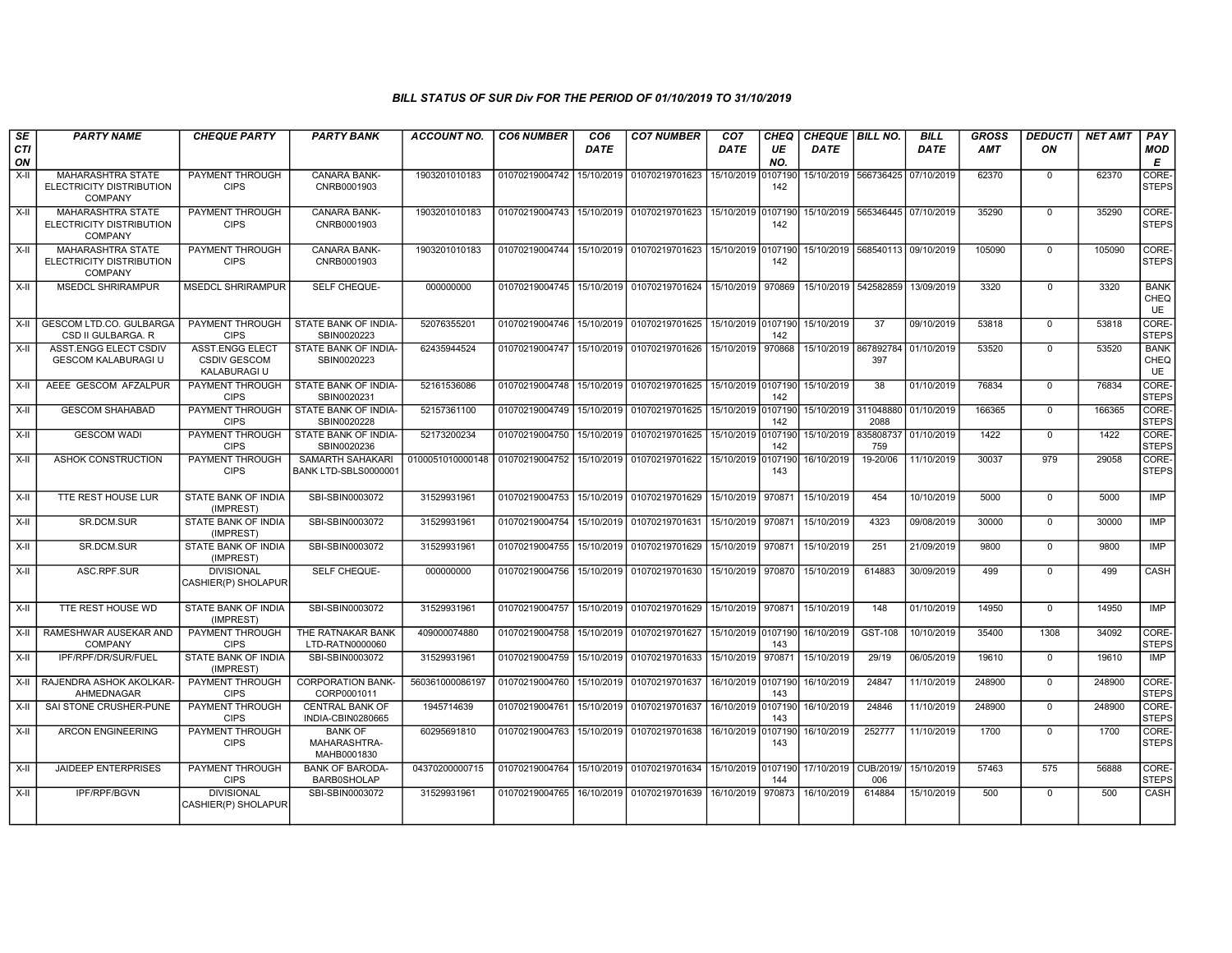| SE<br><b>CTI</b> | <b>PARTY NAME</b>                                                      | <b>CHEQUE PARTY</b>                                                  | <b>PARTY BANK</b>                             | <b>ACCOUNT NO.</b>              | <b>CO6 NUMBER</b>         | CO <sub>6</sub><br>DATE | <b>CO7 NUMBER</b>                            | CO <sub>7</sub><br>DATE | CHEQ<br>UE     | CHEQUE BILL NO.<br><b>DATE</b> |                                     | <b>BILL</b><br>DATE | <b>GROSS</b><br>AMT | <b>DEDUCTI</b><br>ON | <b>NET AMT</b> | PAY<br><b>MOD</b>                       |
|------------------|------------------------------------------------------------------------|----------------------------------------------------------------------|-----------------------------------------------|---------------------------------|---------------------------|-------------------------|----------------------------------------------|-------------------------|----------------|--------------------------------|-------------------------------------|---------------------|---------------------|----------------------|----------------|-----------------------------------------|
| ON               |                                                                        |                                                                      |                                               |                                 |                           |                         |                                              |                         | NO.            |                                |                                     |                     |                     |                      |                | E                                       |
| $X-H$            | <b>MAHARASHTRA STATE</b><br>ELECTRICITY DISTRIBUTION<br><b>COMPANY</b> | PAYMENT THROUGH<br><b>CIPS</b>                                       | <b>CANARA BANK-</b><br>CNRB0001903            | 1903201010183                   | 01070219004742            | 15/10/2019              | 01070219701623                               | 15/10/2019              | 0107190<br>142 |                                | 15/10/2019 566736425                | 07/10/2019          | 62370               | $\Omega$             | 62370          | CORE-<br><b>STEPS</b>                   |
| $X-H$            | <b>MAHARASHTRA STATE</b><br>ELECTRICITY DISTRIBUTION<br><b>COMPANY</b> | PAYMENT THROUGH<br><b>CIPS</b>                                       | <b>CANARA BANK-</b><br>CNRB0001903            | 1903201010183                   | 01070219004743            | 15/10/2019              | 01070219701623                               | 15/10/2019 0107190      | 142            |                                | 15/10/2019 565346445 07/10/2019     |                     | 35290               | $\mathbf 0$          | 35290          | CORE-<br><b>STEPS</b>                   |
| X-II             | <b>MAHARASHTRA STATE</b><br>ELECTRICITY DISTRIBUTION<br>COMPANY        | PAYMENT THROUGH<br><b>CIPS</b>                                       | CANARA BANK-<br>CNRB0001903                   | 1903201010183                   | 01070219004744            | 15/10/2019              | 01070219701623                               | 15/10/2019 0107190      | 142            |                                | 15/10/2019   568540113   09/10/2019 |                     | 105090              | $\mathbf 0$          | 105090         | CORE-<br><b>STEPS</b>                   |
| X-II             | <b>MSEDCL SHRIRAMPUR</b>                                               | <b>MSEDCL SHRIRAMPUR</b>                                             | SELF CHEQUE-                                  | 000000000                       | 01070219004745            | 15/10/2019              | 01070219701624                               | 15/10/2019              | 970869         | 15/10/2019                     | 542582859                           | 13/09/2019          | 3320                | $\Omega$             | 3320           | <b>BANK</b><br><b>CHEQ</b><br><b>UE</b> |
| $X-H$            | <b>GESCOM LTD.CO. GULBARGA</b><br>CSD II GULBARGA, R                   | PAYMENT THROUGH<br><b>CIPS</b>                                       | STATE BANK OF INDIA-<br>SBIN0020223           | 52076355201                     | 01070219004746 15/10/2019 |                         | 01070219701625 15/10/2019 0107190            |                         | 142            | 15/10/2019                     | $\overline{37}$                     | 09/10/2019          | 53818               | $\overline{0}$       | 53818          | CORE-<br><b>STEPS</b>                   |
| X-II             | ASST.ENGG ELECT CSDIV<br><b>GESCOM KALABURAGI U</b>                    | <b>ASST.ENGG ELECT</b><br><b>CSDIV GESCOM</b><br><b>KALABURAGI U</b> | STATE BANK OF INDIA-<br>SBIN0020223           | 62435944524                     | 01070219004747            | 15/10/2019              | 01070219701626                               | 15/10/2019              | 970868         | 15/10/2019                     | 867892784<br>397                    | 01/10/2019          | 53520               | $\Omega$             | 53520          | <b>BANK</b><br>CHEQ<br><b>UE</b>        |
| X-II             | AEEE GESCOM AFZALPUR                                                   | PAYMENT THROUGH<br><b>CIPS</b>                                       | STATE BANK OF INDIA-<br>SBIN0020231           | 52161536086                     | 01070219004748 15/10/2019 |                         | 01070219701625 15/10/2019 0107190 15/10/2019 |                         | 142            |                                | 38                                  | 01/10/2019          | 76834               | $\mathbf 0$          | 76834          | CORE-<br><b>STEPS</b>                   |
| $X-H$            | <b>GESCOM SHAHABAD</b>                                                 | <b>PAYMENT THROUGH</b><br><b>CIPS</b>                                | STATE BANK OF INDIA-<br>SBIN0020228           | 52157361100                     | 01070219004749            | 15/10/2019              | 01070219701625                               | 15/10/2019 0107190      | 142            | 15/10/2019                     | 311048880<br>2088                   | 01/10/2019          | 166365              | $\mathbf 0$          | 166365         | CORE-<br><b>STEPS</b>                   |
| X-II             | <b>GESCOM WADI</b>                                                     | PAYMENT THROUGH<br><b>CIPS</b>                                       | STATE BANK OF INDIA-<br>SBIN0020236           | 52173200234                     | 01070219004750            | 15/10/2019              | 01070219701625                               | 15/10/2019 0107190      | 142            | 15/10/2019                     | 835808737<br>759                    | 01/10/2019          | 1422                | $\mathbf 0$          | 1422           | CORE-<br>STEPS                          |
| X-II             | ASHOK CONSTRUCTION                                                     | PAYMENT THROUGH<br><b>CIPS</b>                                       | SAMARTH SAHAKARI<br>BANK LTD-SBLS0000001      | 0100051010000148 01070219004752 |                           | 15/10/2019              | 01070219701622                               | 15/10/2019 0107190      | 143            | 16/10/2019                     | 19-20/06                            | 11/10/2019          | 30037               | 979                  | 29058          | CORE-<br><b>STEPS</b>                   |
| $X-H$            | TTE REST HOUSE LUR                                                     | STATE BANK OF INDIA<br>(IMPREST)                                     | SBI-SBIN0003072                               | 31529931961                     | 01070219004753            | 15/10/2019              | 01070219701629                               | 15/10/2019              | 970871         | 15/10/2019                     | 454                                 | 10/10/2019          | 5000                | $\Omega$             | 5000           | IMP                                     |
| $X-II$           | SR.DCM.SUR                                                             | STATE BANK OF INDIA<br>(IMPREST)                                     | SBI-SBIN0003072                               | 31529931961                     | 01070219004754            | 15/10/2019              | 01070219701631                               | 15/10/2019              | 970871         | 15/10/2019                     | 4323                                | 09/08/2019          | 30000               | $\overline{0}$       | 30000          | <b>IMP</b>                              |
| $X-H$            | SR.DCM.SUR                                                             | STATE BANK OF INDIA<br>(IMPREST)                                     | SBI-SBIN0003072                               | 31529931961                     | 01070219004755            | 15/10/2019              | 01070219701629                               | 15/10/2019 970871       |                | 15/10/2019                     | 251                                 | 21/09/2019          | 9800                | $\Omega$             | 9800           | IMP                                     |
| $X-H$            | ASC.RPF.SUR                                                            | <b>DIVISIONAL</b><br>CASHIER(P) SHOLAPUR                             | SELF CHEQUE-                                  | 000000000                       | 01070219004756 15/10/2019 |                         | 01070219701630                               | 15/10/2019 970870       |                | 15/10/2019                     | 614883                              | 30/09/2019          | 499                 | $\mathbf 0$          | 499            | <b>CASH</b>                             |
| $X-II$           | TTE REST HOUSE WD                                                      | STATE BANK OF INDIA<br>(IMPREST)                                     | SBI-SBIN0003072                               | 31529931961                     | 01070219004757            | 15/10/2019              | 01070219701629 15/10/2019 970871             |                         |                | 15/10/2019                     | 148                                 | 01/10/2019          | 14950               | $\mathbf 0$          | 14950          | <b>IMP</b>                              |
| X-II             | RAMESHWAR AUSEKAR AND<br><b>COMPANY</b>                                | PAYMENT THROUGH<br><b>CIPS</b>                                       | THE RATNAKAR BANK<br>LTD-RATN0000060          | 409000074880                    | 01070219004758            | 15/10/2019              | 01070219701627                               | 15/10/2019 0107190      | 143            | 16/10/2019                     | GST-108                             | 10/10/2019          | 35400               | 1308                 | 34092          | CORE-<br><b>STEPS</b>                   |
| $X-H$            | IPF/RPF/DR/SUR/FUEL                                                    | <b>STATE BANK OF INDIA</b><br>(IMPREST)                              | SBI-SBIN0003072                               | 31529931961                     | 01070219004759            | 15/10/2019              | 01070219701633                               | 15/10/2019              | 970871         | 15/10/2019                     | 29/19                               | 06/05/2019          | 19610               | $\mathbf 0$          | 19610          | <b>IMP</b>                              |
| $X-II$           | RAJENDRA ASHOK AKOLKAR-<br>AHMEDNAGAR                                  | PAYMENT THROUGH<br><b>CIPS</b>                                       | <b>CORPORATION BANK-</b><br>CORP0001011       | 560361000086197                 | 01070219004760            | 15/10/2019              | 01070219701637                               | 16/10/2019 0107190      | 143            | 16/10/2019                     | 24847                               | 11/10/2019          | 248900              | $\mathbf 0$          | 248900         | CORE-<br><b>STEPS</b>                   |
| $X-H$            | SAI STONE CRUSHER-PUNE                                                 | PAYMENT THROUGH<br><b>CIPS</b>                                       | CENTRAL BANK OF<br>INDIA-CBIN0280665          | 1945714639                      | 01070219004761            | 15/10/2019              | 01070219701637                               | 16/10/2019 0107190      | 143            | 16/10/2019                     | 24846                               | 11/10/2019          | 248900              | $\Omega$             | 248900         | CORE-<br><b>STEPS</b>                   |
| $X-H$            | <b>ARCON ENGINEERING</b>                                               | PAYMENT THROUGH<br><b>CIPS</b>                                       | <b>BANK OF</b><br>MAHARASHTRA-<br>MAHB0001830 | 60295691810                     | 01070219004763            | 15/10/2019              | 01070219701638                               | 16/10/2019 0107190      | 143            | 16/10/2019                     | 252777                              | 11/10/2019          | 1700                | $\mathbf 0$          | 1700           | CORE-<br><b>STEPS</b>                   |
| X-II             | <b>JAIDEEP ENTERPRISES</b>                                             | PAYMENT THROUGH<br><b>CIPS</b>                                       | <b>BANK OF BARODA-</b><br><b>BARB0SHOLAP</b>  | 04370200000715                  | 01070219004764            | 15/10/2019              | 01070219701634                               | 15/10/2019              | 0107190<br>144 | 17/10/2019                     | CUB/2019/<br>006                    | 15/10/2019          | 57463               | 575                  | 56888          | CORE-<br><b>STEPS</b>                   |
| $X-II$           | IPF/RPF/BGVN                                                           | <b>DIVISIONAL</b><br>CASHIER(P) SHOLAPUR                             | SBI-SBIN0003072                               | 31529931961                     | 01070219004765            | 16/10/2019              | 01070219701639                               | 16/10/2019              | 970873         | 16/10/2019                     | 614884                              | 15/10/2019          | 500                 | $\mathbf 0$          | 500            | CASH                                    |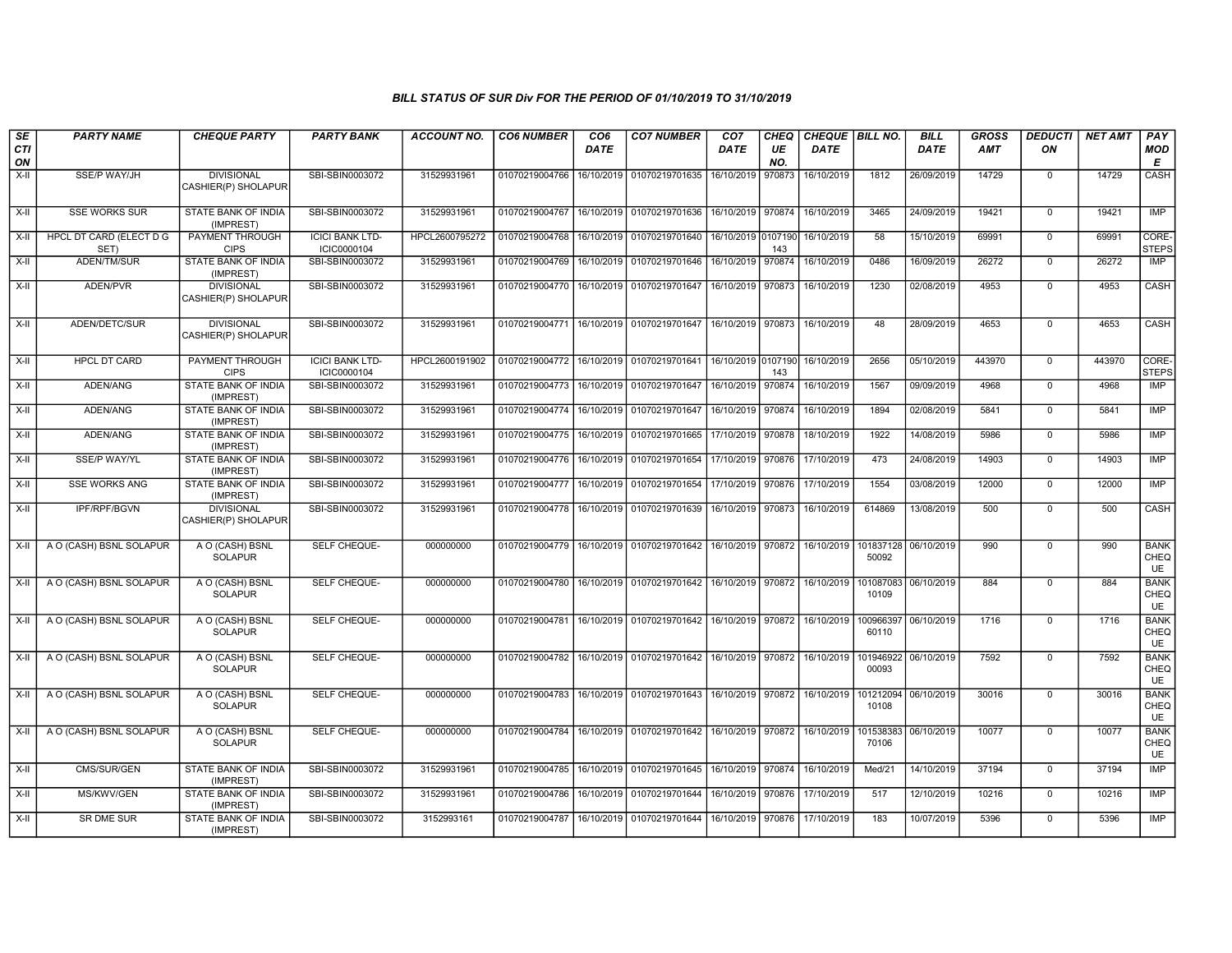| SE<br>CTI<br>ON | <b>PARTY NAME</b>                      | <b>CHEQUE PARTY</b>                      | <b>PARTY BANK</b>                     | <b>ACCOUNT NO.</b> | <b>CO6 NUMBER</b>         | CO <sub>6</sub><br><b>DATE</b> | <b>CO7 NUMBER</b>                                                               | CO <sub>7</sub><br><b>DATE</b> | <b>CHEQ</b><br>UE<br>NO. | CHEQUE   BILL NO.<br><b>DATE</b> |                               | <b>BILL</b><br><b>DATE</b> | <b>GROSS</b><br><b>AMT</b> | <b>DEDUCTI</b><br>ON | <b>NET AMT</b> | PAY<br>MOD<br>Е           |
|-----------------|----------------------------------------|------------------------------------------|---------------------------------------|--------------------|---------------------------|--------------------------------|---------------------------------------------------------------------------------|--------------------------------|--------------------------|----------------------------------|-------------------------------|----------------------------|----------------------------|----------------------|----------------|---------------------------|
| X-II            | <b>SSE/P WAY/JH</b>                    | <b>DIVISIONAL</b><br>CASHIER(P) SHOLAPUR | SBI-SBIN0003072                       | 31529931961        |                           |                                | 01070219004766   16/10/2019   01070219701635                                    | 16/10/2019                     | 970873                   | 16/10/2019                       | 1812                          | 26/09/2019                 | 14729                      | $\mathbf 0$          | 14729          | CASH                      |
| $X-H$           | <b>SSE WORKS SUR</b>                   | STATE BANK OF INDIA<br>(IMPREST)         | SBI-SBIN0003072                       | 31529931961        | 01070219004767            |                                | 16/10/2019 01070219701636                                                       | 16/10/2019 970874              |                          | 16/10/2019                       | 3465                          | 24/09/2019                 | 19421                      | $\mathbf 0$          | 19421          | <b>IMP</b>                |
| $X-H$           | <b>HPCL DT CARD (ELECT D G</b><br>SET) | <b>PAYMENT THROUGH</b><br><b>CIPS</b>    | <b>ICICI BANK LTD-</b><br>ICIC0000104 | HPCL2600795272     | 01070219004768 16/10/2019 |                                | 01070219701640 16/10/2019 0107190                                               |                                | 143                      | 16/10/2019                       | 58                            | 15/10/2019                 | 69991                      | $\mathbf 0$          | 69991          | CORE-<br><b>STEPS</b>     |
| $X-II$          | ADEN/TM/SUR                            | STATE BANK OF INDIA<br>(IMPREST)         | SBI-SBIN0003072                       | 31529931961        |                           |                                | 01070219004769 16/10/2019 01070219701646                                        | 16/10/2019                     | 970874                   | 16/10/2019                       | 0486                          | 16/09/2019                 | 26272                      | $\mathbf 0$          | 26272          | <b>IMP</b>                |
| $X-II$          | ADEN/PVR                               | <b>DIVISIONAL</b><br>CASHIER(P) SHOLAPUR | SBI-SBIN0003072                       | 31529931961        | 01070219004770            |                                | 16/10/2019 01070219701647                                                       | 16/10/2019                     | 970873                   | 16/10/2019                       | 1230                          | 02/08/2019                 | 4953                       | $\Omega$             | 4953           | <b>CASH</b>               |
| X-II            | ADEN/DETC/SUR                          | <b>DIVISIONAL</b><br>CASHIER(P) SHOLAPUR | SBI-SBIN0003072                       | 31529931961        |                           |                                | 01070219004771 16/10/2019 01070219701647                                        | 16/10/2019                     | 970873                   | 16/10/2019                       | 48                            | 28/09/2019                 | 4653                       | $\mathbf 0$          | 4653           | CASH                      |
| $X-H$           | <b>HPCL DT CARD</b>                    | <b>PAYMENT THROUGH</b><br><b>CIPS</b>    | <b>ICICI BANK LTD-</b><br>ICIC0000104 | HPCL2600191902     |                           |                                | 01070219004772 16/10/2019 01070219701641                                        |                                | 143                      | 16/10/2019 0107190 16/10/2019    | 2656                          | 05/10/2019                 | 443970                     | $\mathbf 0$          | 443970         | CORE-<br><b>STEPS</b>     |
| X-II            | ADEN/ANG                               | STATE BANK OF INDIA<br>(IMPREST)         | SBI-SBIN0003072                       | 31529931961        |                           |                                | 01070219004773 16/10/2019 01070219701647                                        | 16/10/2019                     | 970874                   | 16/10/2019                       | 1567                          | 09/09/2019                 | 4968                       | $\mathbf 0$          | 4968           | IMP                       |
| X-II            | ADEN/ANG                               | STATE BANK OF INDIA<br>(IMPREST)         | SBI-SBIN0003072                       | 31529931961        |                           |                                | 01070219004774 16/10/2019 01070219701647                                        | 16/10/2019                     | 970874                   | 16/10/2019                       | 1894                          | 02/08/2019                 | 5841                       | $\mathbf 0$          | 5841           | IMP                       |
| X-II            | ADEN/ANG                               | STATE BANK OF INDIA<br>(IMPREST)         | SBI-SBIN0003072                       | 31529931961        |                           |                                | 01070219004775   16/10/2019   01070219701665   17/10/2019   970878              |                                |                          | 18/10/2019                       | 1922                          | 14/08/2019                 | 5986                       | $\Omega$             | 5986           | <b>IMP</b>                |
| X-II            | SSE/P WAY/YL                           | STATE BANK OF INDIA<br>(IMPREST)         | SBI-SBIN0003072                       | 31529931961        | 01070219004776            |                                | 16/10/2019 01070219701654                                                       | 17/10/2019                     | 970876                   | 17/10/2019                       | 473                           | 24/08/2019                 | 14903                      | 0                    | 14903          | <b>IMP</b>                |
| X-II            | <b>SSE WORKS ANG</b>                   | STATE BANK OF INDIA<br>(IMPREST)         | SBI-SBIN0003072                       | 31529931961        | 01070219004777 16/10/2019 |                                | 01070219701654 17/10/2019 970876                                                |                                |                          | 17/10/2019                       | 1554                          | 03/08/2019                 | 12000                      | $\mathbf 0$          | 12000          | <b>IMP</b>                |
| X-II            | IPF/RPF/BGVN                           | <b>DIVISIONAL</b><br>CASHIER(P) SHOLAPUR | SBI-SBIN0003072                       | 31529931961        |                           |                                | 01070219004778 16/10/2019 01070219701639                                        | 16/10/2019 970873              |                          | 16/10/2019                       | 614869                        | 13/08/2019                 | 500                        | $\Omega$             | 500            | CASH                      |
| X-II            | A O (CASH) BSNL SOLAPUR                | A O (CASH) BSNL<br><b>SOLAPUR</b>        | <b>SELF CHEQUE-</b>                   | 000000000          |                           |                                | 01070219004779 16/10/2019 01070219701642 16/10/2019 970872 16/10/2019           |                                |                          |                                  | 101837128 06/10/2019<br>50092 |                            | 990                        | $\Omega$             | 990            | <b>BANK</b><br>CHEQ<br>UE |
| $X-II$          | A O (CASH) BSNL SOLAPUR                | A O (CASH) BSNL<br><b>SOLAPUR</b>        | <b>SELF CHEQUE-</b>                   | 000000000          |                           |                                | 01070219004780 16/10/2019 01070219701642 16/10/2019 970872 16/10/2019           |                                |                          |                                  | 10109                         | 101087083 06/10/2019       | 884                        | $\Omega$             | 884            | <b>BANK</b><br>CHEQ<br>UE |
| X-II            | A O (CASH) BSNL SOLAPUR                | A O (CASH) BSNL<br><b>SOLAPUR</b>        | SELF CHEQUE-                          | 000000000          |                           |                                | 01070219004781 16/10/2019 01070219701642                                        | 16/10/2019 970872              |                          | 16/10/2019                       | 100966397<br>60110            | 06/10/2019                 | 1716                       | $\Omega$             | 1716           | <b>BANK</b><br>CHEQ<br>UE |
| X-II            | A O (CASH) BSNL SOLAPUR                | A O (CASH) BSNL<br><b>SOLAPUR</b>        | <b>SELF CHEQUE-</b>                   | 000000000          |                           |                                | 01070219004782   16/10/2019   01070219701642   16/10/2019   970872   16/10/2019 |                                |                          |                                  | 101946922<br>00093            | 06/10/2019                 | 7592                       | $\Omega$             | 7592           | <b>BANK</b><br>CHEQ<br>UE |
| $X-H$           | A O (CASH) BSNL SOLAPUR                | A O (CASH) BSNL<br><b>SOLAPUR</b>        | SELF CHEQUE-                          | 000000000          |                           |                                | 01070219004783   16/10/2019   01070219701643   16/10/2019   970872              |                                |                          | 16/10/2019                       | 101212094<br>10108            | 06/10/2019                 | 30016                      | $\overline{0}$       | 30016          | <b>BANK</b><br>CHEQ<br>UE |
| $X-II$          | A O (CASH) BSNL SOLAPUR                | A O (CASH) BSNL<br><b>SOLAPUR</b>        | SELF CHEQUE-                          | 000000000          |                           |                                | 01070219004784 16/10/2019 01070219701642                                        | 16/10/2019 970872              |                          | 16/10/2019                       | 101538383<br>70106            | 06/10/2019                 | 10077                      | $\overline{0}$       | 10077          | <b>BANK</b><br>CHEQ<br>UE |
| X-II            | CMS/SUR/GEN                            | <b>STATE BANK OF INDIA</b><br>(IMPREST)  | SBI-SBIN0003072                       | 31529931961        |                           |                                | 01070219004785   16/10/2019   01070219701645   16/10/2019   970874              |                                |                          | 16/10/2019                       | Med/21                        | 14/10/2019                 | 37194                      | $\mathbf 0$          | 37194          | IMP                       |
| X-II            | MS/KWV/GEN                             | STATE BANK OF INDIA<br>(IMPREST)         | SBI-SBIN0003072                       | 31529931961        |                           |                                | 01070219004786   16/10/2019   01070219701644                                    | 16/10/2019 970876              |                          | 17/10/2019                       | 517                           | 12/10/2019                 | 10216                      | $\mathbf 0$          | 10216          | IMP                       |
| X-II            | <b>SR DME SUR</b>                      | STATE BANK OF INDIA<br>(IMPREST)         | SBI-SBIN0003072                       | 3152993161         |                           |                                | 01070219004787   16/10/2019   01070219701644                                    | 16/10/2019                     | 970876                   | 17/10/2019                       | 183                           | 10/07/2019                 | 5396                       | $\Omega$             | 5396           | IMP                       |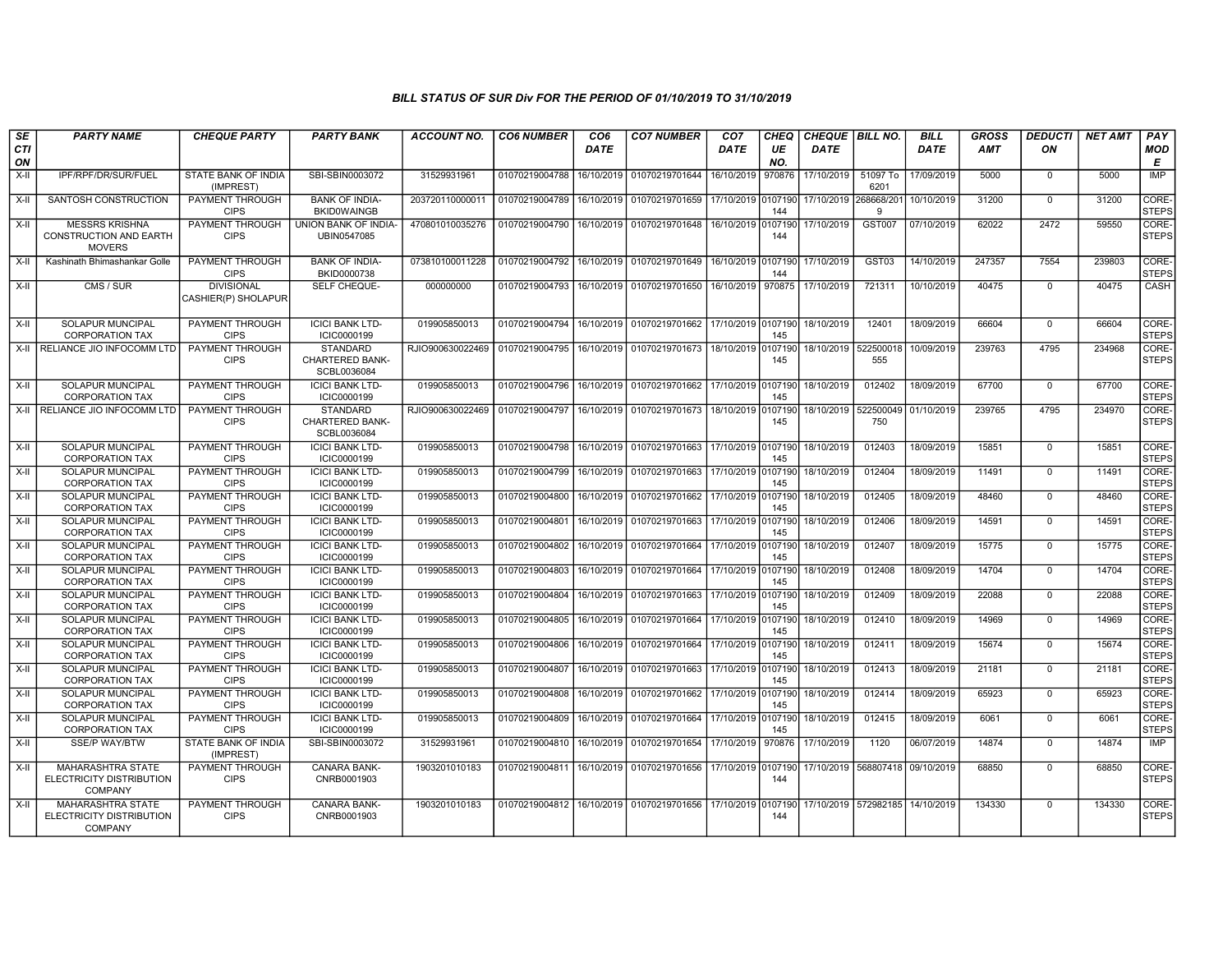| SE<br>CTI  | <b>PARTY NAME</b>                                                       | <b>CHEQUE PARTY</b>                                    | <b>PARTY BANK</b>                                        | <b>ACCOUNT NO.</b> | <b>CO6 NUMBER</b>         | CO <sub>6</sub><br><b>DATE</b> | <b>CO7 NUMBER</b>                            | CO <sub>7</sub><br><b>DATE</b> | <b>CHEQ</b><br>UE | CHEQUE   BILL NO.<br><b>DATE</b> |                                 | <b>BILL</b><br><b>DATE</b> | <b>GROSS</b><br><b>AMT</b> | <b>DEDUCTI</b><br>ON | <b>NET AMT</b> | PAY<br>MOD                 |
|------------|-------------------------------------------------------------------------|--------------------------------------------------------|----------------------------------------------------------|--------------------|---------------------------|--------------------------------|----------------------------------------------|--------------------------------|-------------------|----------------------------------|---------------------------------|----------------------------|----------------------------|----------------------|----------------|----------------------------|
| ON<br>X-II | IPF/RPF/DR/SUR/FUEL                                                     | STATE BANK OF INDIA<br>(IMPREST)                       | SBI-SBIN0003072                                          | 31529931961        | 01070219004788            | 16/10/2019                     | 01070219701644                               | 16/10/2019                     | NO.<br>970876     | 17/10/2019                       | 51097 To<br>6201                | 17/09/2019                 | 5000                       | $\mathbf{0}$         | 5000           | E<br><b>IMP</b>            |
| X-II       | SANTOSH CONSTRUCTION                                                    | PAYMENT THROUGH<br><b>CIPS</b>                         | <b>BANK OF INDIA-</b><br><b>BKID0WAINGB</b>              | 203720110000011    | 01070219004789            | 16/10/2019                     | 01070219701659                               | 17/10/2019 0107190             | 144               | 17/10/2019                       | 268668/201<br>Q                 | 10/10/2019                 | 31200                      | $\Omega$             | 31200          | CORE-<br><b>STEPS</b>      |
| X-II       | <b>MESSRS KRISHNA</b><br><b>CONSTRUCTION AND EARTH</b><br><b>MOVERS</b> | PAYMENT THROUGH<br><b>CIPS</b>                         | UNION BANK OF INDIA-<br>UBIN0547085                      | 470801010035276    | 01070219004790            | 16/10/2019                     | 01070219701648                               | 16/10/2019 0107190             | 144               | 17/10/2019                       | <b>GST007</b>                   | 07/10/2019                 | 62022                      | 2472                 | 59550          | CORE-<br><b>STEPS</b>      |
| X-II       | Kashinath Bhimashankar Golle                                            | PAYMENT THROUGH<br><b>CIPS</b>                         | <b>BANK OF INDIA-</b><br>BKID0000738                     | 073810100011228    | 01070219004792            |                                | 16/10/2019 01070219701649                    | 16/10/2019 0107190             | 144               | 17/10/2019                       | GST03                           | 14/10/2019                 | 247357                     | 7554                 | 239803         | CORE-<br><b>STEPS</b>      |
| X-II       | CMS / SUR                                                               | <b>DIVISIONAL</b><br>CASHIER(P) SHOLAPUR               | SELF CHEQUE-                                             | 000000000          | 01070219004793            | 16/10/2019                     | 01070219701650                               | 16/10/2019                     | 970875            | 17/10/2019                       | 721311                          | 10/10/2019                 | 40475                      | $\Omega$             | 40475          | CASH                       |
| $X-H$      | <b>SOLAPUR MUNCIPAL</b><br><b>CORPORATION TAX</b>                       | PAYMENT THROUGH<br><b>CIPS</b>                         | <b>ICICI BANK LTD-</b><br>ICIC0000199                    | 019905850013       | 01070219004794            |                                | 16/10/2019 01070219701662                    | 17/10/2019 0107190             | 145               | 18/10/2019                       | 12401                           | 18/09/2019                 | 66604                      | $\mathbf{0}$         | 66604          | CORE-<br><b>STEPS</b>      |
|            | X-II RELIANCE JIO INFOCOMM LTD                                          | PAYMENT THROUGH<br><b>CIPS</b>                         | <b>STANDARD</b><br>CHARTERED BANK-<br>SCBL0036084        | RJIO900630022469   | 01070219004795            | 16/10/2019                     | 01070219701673                               | 18/10/2019 0107190             | 145               | 18/10/2019                       | 522500018<br>555                | 10/09/2019                 | 239763                     | 4795                 | 234968         | CORE-<br><b>STEPS</b>      |
| X-II       | SOLAPUR MUNCIPAL<br><b>CORPORATION TAX</b>                              | PAYMENT THROUGH<br><b>CIPS</b>                         | <b>ICICI BANK LTD-</b><br>ICIC0000199                    | 019905850013       | 01070219004796            | 16/10/2019                     | 01070219701662                               | 17/10/2019 0107190             | 145               | 18/10/2019                       | 012402                          | 18/09/2019                 | 67700                      | $\Omega$             | 67700          | CORE-<br><b>STEPS</b>      |
|            | X-II RELIANCE JIO INFOCOMM LTD                                          | PAYMENT THROUGH<br><b>CIPS</b>                         | <b>STANDARD</b><br><b>CHARTERED BANK-</b><br>SCBL0036084 | RJIO900630022469   | 01070219004797            | 16/10/2019                     | 01070219701673                               | 18/10/2019                     | 0107190<br>145    | 18/10/2019                       | 522500049<br>750                | 01/10/2019                 | 239765                     | 4795                 | 234970         | CORE-<br><b>STEPS</b>      |
| X-II       | <b>SOLAPUR MUNCIPAL</b><br><b>CORPORATION TAX</b>                       | PAYMENT THROUGH<br><b>CIPS</b>                         | <b>ICICI BANK LTD-</b><br>ICIC0000199                    | 019905850013       | 01070219004798            |                                | 16/10/2019 01070219701663 17/10/2019 0107190 |                                | 145               | 18/10/2019                       | 012403                          | 18/09/2019                 | 15851                      | $\mathbf{0}$         | 15851          | CORE-<br><b>STEPS</b>      |
| $X-II$     | SOLAPUR MUNCIPAL<br><b>CORPORATION TAX</b>                              | <b>PAYMENT THROUGH</b><br><b>CIPS</b>                  | <b>ICICI BANK LTD-</b><br>ICIC0000199                    | 019905850013       | 01070219004799            | 16/10/2019                     | 01070219701663                               | 17/10/2019                     | 0107190<br>145    | 18/10/2019                       | 012404                          | 18/09/2019                 | 11491                      | $\Omega$             | 11491          | CORE-<br><b>STEPS</b>      |
| $X-H$      | SOLAPUR MUNCIPAL<br><b>CORPORATION TAX</b>                              | PAYMENT THROUGH<br><b>CIPS</b>                         | <b>ICICI BANK LTD-</b><br>ICIC0000199                    | 019905850013       | 01070219004800            | 16/10/2019                     | 01070219701662                               | 17/10/2019 0107190             | 145               | 18/10/2019                       | 012405                          | 18/09/2019                 | 48460                      | $\mathbf{0}$         | 48460          | CORE-<br><b>STEPS</b>      |
| X-II       | <b>SOLAPUR MUNCIPAL</b><br><b>CORPORATION TAX</b>                       | PAYMENT THROUGH<br><b>CIPS</b>                         | <b>ICICI BANK LTD-</b><br>ICIC0000199                    | 019905850013       | 01070219004801            | 16/10/2019                     | 01070219701663                               | 17/10/2019                     | 0107190<br>145    | 18/10/2019                       | 012406                          | 18/09/2019                 | 14591                      | $\Omega$             | 14591          | CORE-<br><b>STEPS</b>      |
| X-II       | <b>SOLAPUR MUNCIPAL</b><br><b>CORPORATION TAX</b>                       | <b>PAYMENT THROUGH</b><br><b>CIPS</b>                  | <b>ICICI BANK LTD-</b><br>ICIC0000199                    | 019905850013       | 01070219004802            |                                | 16/10/2019 01070219701664                    | 17/10/2019 0107190             | 145               | 18/10/2019                       | 012407                          | 18/09/2019                 | 15775                      | $\mathbf{0}$         | 15775          | CORE-<br><b>STEPS</b>      |
| X-II       | SOLAPUR MUNCIPAL<br><b>CORPORATION TAX</b>                              | PAYMENT THROUGH<br><b>CIPS</b>                         | <b>ICICI BANK LTD-</b><br>ICIC0000199                    | 019905850013       | 01070219004803            | 16/10/2019                     | 01070219701664                               | 17/10/2019                     | 0107190<br>145    | 18/10/2019                       | 012408                          | 18/09/2019                 | 14704                      | $\mathbf 0$          | 14704          | CORE-<br><b>STEPS</b>      |
| $X-II$     | SOLAPUR MUNCIPAL<br><b>CORPORATION TAX</b>                              | PAYMENT THROUGH<br><b>CIPS</b>                         | <b>ICICI BANK LTD-</b><br>ICIC0000199                    | 019905850013       | 01070219004804            | 16/10/2019                     | 01070219701663                               | 17/10/2019 0107190             | 145               | 18/10/2019                       | 012409                          | 18/09/2019                 | 22088                      | $\mathbf 0$          | 22088          | CORE-<br><b>STEPS</b>      |
| X-II       | SOLAPUR MUNCIPAL<br><b>CORPORATION TAX</b>                              | PAYMENT THROUGH<br><b>CIPS</b>                         | <b>ICICI BANK LTD-</b><br>ICIC0000199                    | 019905850013       | 01070219004805            | 16/10/2019                     | 01070219701664                               | 17/10/2019 0107190             | 145               | 18/10/2019                       | 012410                          | 18/09/2019                 | 14969                      | $\mathbf{0}$         | 14969          | CORE-<br><b>STEPS</b>      |
| X-II       | <b>SOLAPUR MUNCIPAL</b><br><b>CORPORATION TAX</b>                       | PAYMENT THROUGH<br><b>CIPS</b>                         | <b>ICICI BANK LTD-</b><br>ICIC0000199                    | 019905850013       | 01070219004806            | 16/10/2019                     | 01070219701664                               | 17/10/2019                     | 0107190<br>145    | 18/10/2019                       | 012411                          | 18/09/2019                 | 15674                      | $\Omega$             | 15674          | CORE-<br><b>STEPS</b>      |
| X-II       | <b>SOLAPUR MUNCIPAL</b><br><b>CORPORATION TAX</b>                       | PAYMENT THROUGH<br><b>CIPS</b>                         | <b>ICICI BANK LTD-</b><br>ICIC0000199                    | 019905850013       | 01070219004807            | 16/10/2019                     | 01070219701663                               | 17/10/2019 0107190             | 145               | 18/10/2019                       | 012413                          | 18/09/2019                 | 21181                      | $\mathbf{0}$         | 21181          | CORE-<br><b>STEPS</b>      |
| X-II       | <b>SOLAPUR MUNCIPAL</b><br><b>CORPORATION TAX</b>                       | PAYMENT THROUGH<br><b>CIPS</b>                         | <b>ICICI BANK LTD-</b><br>ICIC0000199                    | 019905850013       | 01070219004808            | 16/10/2019                     | 01070219701662                               | 17/10/2019 0107190             | 145               | 18/10/2019                       | 012414                          | 18/09/2019                 | 65923                      | $\Omega$             | 65923          | CORE-<br><b>STEPS</b>      |
| X-II       | SOLAPUR MUNCIPAL                                                        | <b>PAYMENT THROUGH</b>                                 | <b>ICICI BANK LTD-</b>                                   | 019905850013       | 01070219004809            | 16/10/2019                     | 01070219701664                               | 17/10/2019 0107190             |                   | 18/10/2019                       | 012415                          | 18/09/2019                 | 6061                       | $\mathbf{0}$         | 6061           | CORE-                      |
| $X-H$      | <b>CORPORATION TAX</b><br><b>SSE/P WAY/BTW</b>                          | <b>CIPS</b><br><b>STATE BANK OF INDIA</b><br>(IMPREST) | ICIC0000199<br>SBI-SBIN0003072                           | 31529931961        | 01070219004810            | 16/10/2019                     | 01070219701654                               | 17/10/2019                     | 145<br>970876     | 17/10/2019                       | 1120                            | 06/07/2019                 | 14874                      | $\Omega$             | 14874          | <b>STEPS</b><br><b>IMP</b> |
| X-II       | MAHARASHTRA STATE<br>ELECTRICITY DISTRIBUTION<br><b>COMPANY</b>         | PAYMENT THROUGH<br><b>CIPS</b>                         | CANARA BANK-<br>CNRB0001903                              | 1903201010183      | 01070219004811            | 16/10/2019                     | 01070219701656                               | 17/10/2019 0107190             | 144               | 17/10/2019                       | 568807418                       | 09/10/2019                 | 68850                      | $\mathbf{0}$         | 68850          | CORE-<br><b>STEPS</b>      |
| X-II       | <b>MAHARASHTRA STATE</b><br>ELECTRICITY DISTRIBUTION<br><b>COMPANY</b>  | PAYMENT THROUGH<br><b>CIPS</b>                         | CANARA BANK-<br>CNRB0001903                              | 1903201010183      | 01070219004812 16/10/2019 |                                | 01070219701656                               | 17/10/2019 0107190             | 144               |                                  | 17/10/2019 572982185 14/10/2019 |                            | 134330                     | $\Omega$             | 134330         | CORE-<br><b>STEPS</b>      |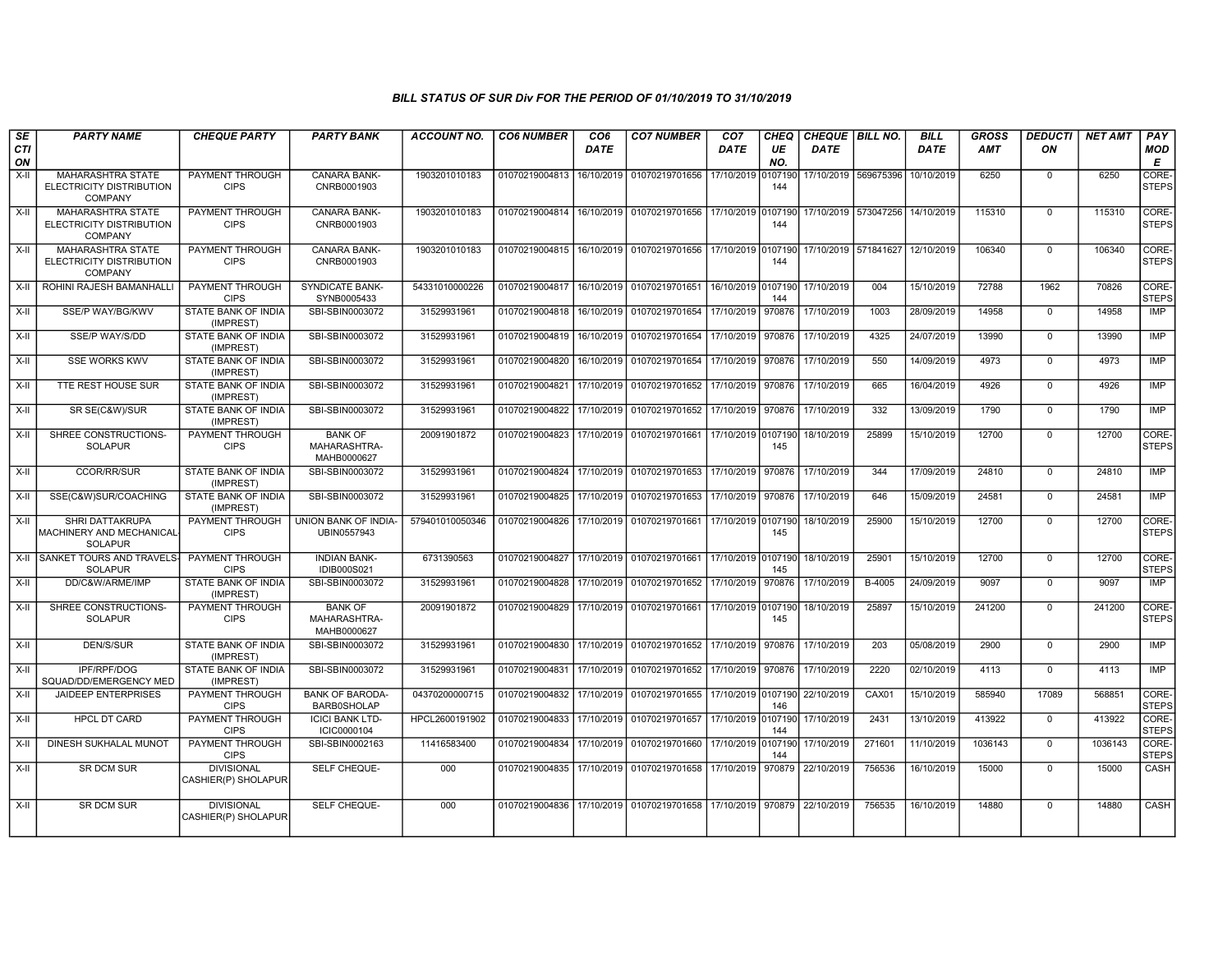| SE<br><b>CTI</b><br>ON | <b>PARTY NAME</b>                                                      | <b>CHEQUE PARTY</b>                      | <b>PARTY BANK</b>                             | <b>ACCOUNT NO.</b> | <b>CO6 NUMBER</b> | CO <sub>6</sub><br><b>DATE</b> | <b>CO7 NUMBER</b>                                      | CO <sub>7</sub><br>DATE | CHEQ<br>UE<br>NO. | CHEQUE   BILL NO.<br><b>DATE</b> |                      | <b>BILL</b><br><b>DATE</b> | <b>GROSS</b><br><b>AMT</b> | <b>DEDUCTI</b><br>ON | <b>NET AMT</b> | PAY<br><b>MOD</b><br>E |
|------------------------|------------------------------------------------------------------------|------------------------------------------|-----------------------------------------------|--------------------|-------------------|--------------------------------|--------------------------------------------------------|-------------------------|-------------------|----------------------------------|----------------------|----------------------------|----------------------------|----------------------|----------------|------------------------|
| $X-I$                  | MAHARASHTRA STATE<br>ELECTRICITY DISTRIBUTION<br><b>COMPANY</b>        | PAYMENT THROUGH<br><b>CIPS</b>           | CANARA BANK-<br>CNRB0001903                   | 1903201010183      | 01070219004813    | 16/10/2019                     | 01070219701656                                         | 17/10/2019              | 0107190<br>144    |                                  | 17/10/2019 569675396 | 10/10/2019                 | 6250                       | $\mathbf 0$          | 6250           | CORE-<br><b>STEPS</b>  |
| $X-H$                  | <b>MAHARASHTRA STATE</b><br>ELECTRICITY DISTRIBUTION<br><b>COMPANY</b> | <b>PAYMENT THROUGH</b><br><b>CIPS</b>    | CANARA BANK-<br>CNRB0001903                   | 1903201010183      | 01070219004814    |                                | 16/10/2019 01070219701656 17/10/2019 0107190           |                         | 144               |                                  | 17/10/2019 573047256 | 14/10/2019                 | 115310                     | $\mathbf 0$          | 115310         | CORE-<br><b>STEPS</b>  |
| $X-II$                 | <b>MAHARASHTRA STATE</b><br>ELECTRICITY DISTRIBUTION<br><b>COMPANY</b> | PAYMENT THROUGH<br><b>CIPS</b>           | <b>CANARA BANK-</b><br>CNRB0001903            | 1903201010183      | 01070219004815    |                                | 16/10/2019 01070219701656                              | 17/10/2019 0107190      | 144               |                                  | 17/10/2019 571841627 | 12/10/2019                 | 106340                     | $\Omega$             | 106340         | CORE-<br><b>STEPS</b>  |
| X-II                   | ROHINI RAJESH BAMANHALL                                                | PAYMENT THROUGH<br><b>CIPS</b>           | <b>SYNDICATE BANK-</b><br>SYNB0005433         | 54331010000226     | 01070219004817    |                                | 16/10/2019 01070219701651                              | 16/10/2019 0107190      | 144               | 17/10/2019                       | 004                  | 15/10/2019                 | 72788                      | 1962                 | 70826          | CORE-<br><b>STEPS</b>  |
| $X-H$                  | SSE/P WAY/BG/KWV                                                       | STATE BANK OF INDIA<br>(IMPREST)         | SBI-SBIN0003072                               | 31529931961        | 01070219004818    |                                | 16/10/2019 01070219701654                              | 17/10/2019              | 970876            | 17/10/2019                       | 1003                 | 28/09/2019                 | 14958                      | $\mathbf 0$          | 14958          | IMP                    |
| $X-H$                  | SSE/P WAY/S/DD                                                         | STATE BANK OF INDIA<br>(IMPREST)         | SBI-SBIN0003072                               | 31529931961        | 01070219004819    |                                | 16/10/2019 01070219701654                              | 17/10/2019 970876       |                   | 17/10/2019                       | 4325                 | 24/07/2019                 | 13990                      | $\Omega$             | 13990          | <b>IMP</b>             |
| X-II                   | <b>SSE WORKS KWV</b>                                                   | STATE BANK OF INDIA<br>(IMPREST)         | SBI-SBIN0003072                               | 31529931961        | 01070219004820    | 16/10/2019                     | 01070219701654                                         | 17/10/2019              | 970876            | 17/10/2019                       | 550                  | 14/09/2019                 | 4973                       | $\mathbf 0$          | 4973           | <b>IMP</b>             |
| X-II                   | TTE REST HOUSE SUR                                                     | STATE BANK OF INDIA<br>(IMPREST)         | SBI-SBIN0003072                               | 31529931961        | 01070219004821    |                                | 17/10/2019 01070219701652                              | 17/10/2019              | 970876            | 17/10/2019                       | 665                  | 16/04/2019                 | 4926                       | $\Omega$             | 4926           | IMP                    |
| X-II                   | SR SE(C&W)/SUR                                                         | STATE BANK OF INDIA<br>(IMPREST)         | SBI-SBIN0003072                               | 31529931961        | 01070219004822    | 17/10/2019                     | 01070219701652                                         | 17/10/2019              | 970876            | 17/10/2019                       | 332                  | 13/09/2019                 | 1790                       | $^{\circ}$           | 1790           | IMP                    |
| $X-II$                 | SHREE CONSTRUCTIONS-<br><b>SOLAPUR</b>                                 | <b>PAYMENT THROUGH</b><br><b>CIPS</b>    | <b>BANK OF</b><br>MAHARASHTRA-<br>MAHB0000627 | 20091901872        | 01070219004823    |                                | 17/10/2019 01070219701661                              | 17/10/2019 0107190      | 145               | 18/10/2019                       | 25899                | 15/10/2019                 | 12700                      | $\mathbf 0$          | 12700          | CORE-<br><b>STEPS</b>  |
| $X-I$                  | <b>CCOR/RR/SUR</b>                                                     | STATE BANK OF INDIA<br>(IMPREST)         | SBI-SBIN0003072                               | 31529931961        | 01070219004824    |                                | 17/10/2019 01070219701653                              | 17/10/2019              | 970876            | 17/10/2019                       | 344                  | 17/09/2019                 | 24810                      | $\Omega$             | 24810          | IMP                    |
| X-II                   | SSE(C&W)SUR/COACHING                                                   | <b>STATE BANK OF INDIA</b><br>(IMPREST)  | SBI-SBIN0003072                               | 31529931961        | 01070219004825    |                                | 17/10/2019 01070219701653                              | 17/10/2019 970876       |                   | 17/10/2019                       | 646                  | 15/09/2019                 | 24581                      | $\mathbf 0$          | 24581          | <b>IMP</b>             |
| $X-H$                  | <b>SHRI DATTAKRUPA</b><br>MACHINERY AND MECHANICAL<br><b>SOLAPUR</b>   | PAYMENT THROUGH<br><b>CIPS</b>           | <b>UNION BANK OF INDIA-</b><br>UBIN0557943    | 579401010050346    | 01070219004826    |                                | 17/10/2019 01070219701661                              | 17/10/2019 0107190      | 145               | 18/10/2019                       | 25900                | 15/10/2019                 | 12700                      | $\overline{0}$       | 12700          | CORE-<br><b>STEPS</b>  |
|                        | X-II SANKET TOURS AND TRAVELS-<br><b>SOLAPUR</b>                       | <b>PAYMENT THROUGH</b><br><b>CIPS</b>    | <b>INDIAN BANK-</b><br>IDIB000S021            | 6731390563         | 01070219004827    |                                | 17/10/2019 01070219701661                              | 17/10/2019 0107190      | 145               | 18/10/2019                       | 25901                | 15/10/2019                 | 12700                      | $\Omega$             | 12700          | CORE-<br><b>STEPS</b>  |
| X-II                   | DD/C&W/ARME/IMP                                                        | STATE BANK OF INDIA<br>(IMPREST)         | SBI-SBIN0003072                               | 31529931961        | 01070219004828    |                                | 17/10/2019 01070219701652                              | 17/10/2019              | 970876            | 17/10/2019                       | B-4005               | 24/09/2019                 | 9097                       | $^{\circ}$           | 9097           | <b>IMP</b>             |
| X-II                   | SHREE CONSTRUCTIONS-<br><b>SOLAPUR</b>                                 | <b>PAYMENT THROUGH</b><br><b>CIPS</b>    | <b>BANK OF</b><br>MAHARASHTRA-<br>MAHB0000627 | 20091901872        | 01070219004829    |                                | 17/10/2019 01070219701661                              | 17/10/2019              | 0107190<br>145    | 18/10/2019                       | 25897                | 15/10/2019                 | 241200                     | $\Omega$             | 241200         | CORE-<br><b>STEPS</b>  |
| $X-H$                  | <b>DEN/S/SUR</b>                                                       | <b>STATE BANK OF INDIA</b><br>(IMPREST)  | SBI-SBIN0003072                               | 31529931961        | 01070219004830    |                                | 17/10/2019 01070219701652                              | 17/10/2019              | 970876            | 17/10/2019                       | 203                  | 05/08/2019                 | 2900                       | $\overline{0}$       | 2900           | IMP                    |
| X-II                   | IPF/RPF/DOG<br>SQUAD/DD/EMERGENCY MED                                  | <b>STATE BANK OF INDIA</b><br>(IMPREST)  | SBI-SBIN0003072                               | 31529931961        | 01070219004831    |                                | 17/10/2019 01070219701652                              | 17/10/2019              | 970876            | 17/10/2019                       | 2220                 | 02/10/2019                 | 4113                       | $\Omega$             | 4113           | <b>IMP</b>             |
| X-II                   | <b>JAIDEEP ENTERPRISES</b>                                             | PAYMENT THROUGH<br><b>CIPS</b>           | <b>BANK OF BARODA-</b><br><b>BARB0SHOLAP</b>  | 04370200000715     | 01070219004832    | 17/10/2019                     | 01070219701655                                         | 17/10/2019 0107190      | 146               | 22/10/2019                       | CAX01                | 15/10/2019                 | 585940                     | 17089                | 568851         | CORE-<br><b>STEPS</b>  |
| $X-H$                  | <b>HPCL DT CARD</b>                                                    | PAYMENT THROUGH<br><b>CIPS</b>           | <b>ICICI BANK LTD-</b><br>ICIC0000104         | HPCL2600191902     | 01070219004833    |                                | 17/10/2019 01070219701657                              | 17/10/2019 0107190      | 144               | 17/10/2019                       | 2431                 | 13/10/2019                 | 413922                     | $\mathbf 0$          | 413922         | CORE-<br><b>STEPS</b>  |
| $X-H$                  | <b>DINESH SUKHALAL MUNOT</b>                                           | PAYMENT THROUGH<br><b>CIPS</b>           | SBI-SBIN0002163                               | 11416583400        | 01070219004834    |                                | 17/10/2019 01070219701660                              | 17/10/2019              | 0107190<br>144    | 17/10/2019                       | 271601               | 11/10/2019                 | 1036143                    | $\Omega$             | 1036143        | CORE-<br><b>STEPS</b>  |
| $\overline{x}$         | <b>SR DCM SUR</b>                                                      | <b>DIVISIONAL</b><br>CASHIER(P) SHOLAPUR | SELF CHEQUE-                                  | 000                | 01070219004835    |                                | 17/10/2019 01070219701658                              | 17/10/2019              | 970879            | 22/10/2019                       | 756536               | 16/10/2019                 | 15000                      | $\mathbf 0$          | 15000          | CASH                   |
| $X-H$                  | <b>SR DCM SUR</b>                                                      | <b>DIVISIONAL</b><br>CASHIER(P) SHOLAPUR | SELF CHEQUE-                                  | 000                | 01070219004836    |                                | 17/10/2019 01070219701658 17/10/2019 970879 22/10/2019 |                         |                   |                                  | 756535               | 16/10/2019                 | 14880                      | $\mathbf 0$          | 14880          | <b>CASH</b>            |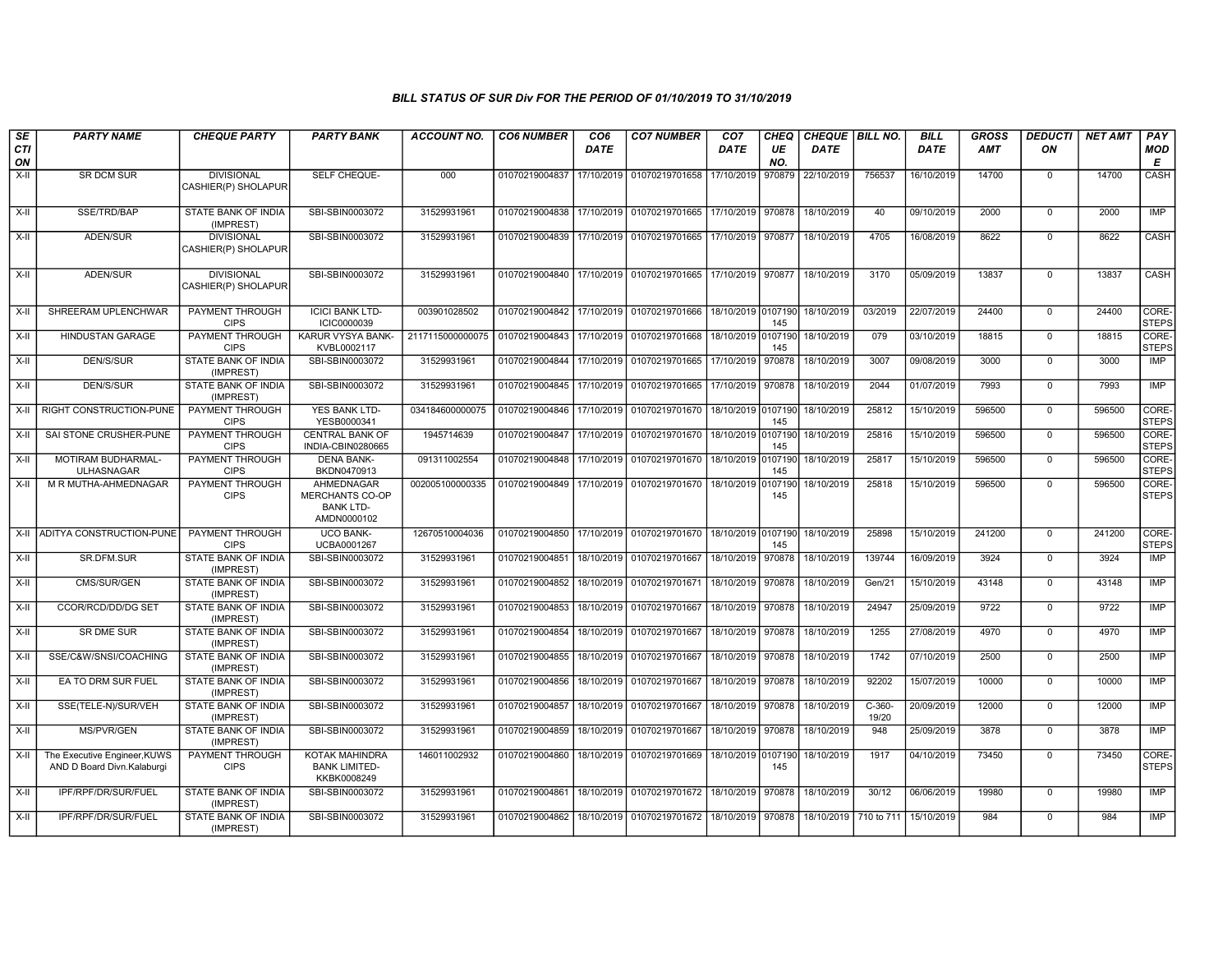| SE               | <b>PARTY NAME</b>                                          | <b>CHEQUE PARTY</b>                      | <b>PARTY BANK</b>                                                | <b>ACCOUNT NO.</b> | <b>CO6 NUMBER</b>                            | CO <sub>6</sub> | <b>CO7 NUMBER</b>                                                  | CO <sub>7</sub>    | <b>CHEQ</b>    | CHEQUE   BILL NO. |                   | <b>BILL</b> | <b>GROSS</b> | <b>DEDUCTI</b> | <b>NET AMT</b> | <b>PAY</b>            |
|------------------|------------------------------------------------------------|------------------------------------------|------------------------------------------------------------------|--------------------|----------------------------------------------|-----------------|--------------------------------------------------------------------|--------------------|----------------|-------------------|-------------------|-------------|--------------|----------------|----------------|-----------------------|
| <b>CTI</b><br>ON |                                                            |                                          |                                                                  |                    |                                              | <b>DATE</b>     |                                                                    | <b>DATE</b>        | UE<br>NO.      | <b>DATE</b>       |                   | <b>DATE</b> | <b>AMT</b>   | ON             |                | <b>MOD</b><br>E       |
| $X-I$            | <b>SR DCM SUR</b>                                          | <b>DIVISIONAL</b><br>CASHIER(P) SHOLAPUR | SELF CHEQUE-                                                     | 000                | 01070219004837                               | 17/10/2019      | 01070219701658                                                     | 17/10/2019         | 970879         | 22/10/2019        | 756537            | 16/10/2019  | 14700        | $\mathbf 0$    | 14700          | CASH                  |
| $X-H$            | SSE/TRD/BAP                                                | STATE BANK OF INDIA<br>(IMPREST)         | SBI-SBIN0003072                                                  | 31529931961        | 01070219004838                               |                 | 17/10/2019 01070219701665                                          | 17/10/2019         | 970878         | 18/10/2019        | 40                | 09/10/2019  | 2000         | $\mathbf 0$    | 2000           | <b>IMP</b>            |
| $X-H$            | ADEN/SUR                                                   | <b>DIVISIONAL</b><br>CASHIER(P) SHOLAPUR | SBI-SBIN0003072                                                  | 31529931961        |                                              |                 | 01070219004839 17/10/2019 01070219701665                           | 17/10/2019 970877  |                | 18/10/2019        | 4705              | 16/08/2019  | 8622         | $\Omega$       | 8622           | CASH                  |
| $X-H$            | ADEN/SUR                                                   | <b>DIVISIONAL</b><br>CASHIER(P) SHOLAPUR | SBI-SBIN0003072                                                  | 31529931961        |                                              |                 | 01070219004840   17/10/2019   01070219701665   17/10/2019   970877 |                    |                | 18/10/2019        | 3170              | 05/09/2019  | 13837        | $\Omega$       | 13837          | <b>CASH</b>           |
| X-II             | SHREERAM UPLENCHWAR                                        | PAYMENT THROUGH<br><b>CIPS</b>           | <b>ICICI BANK LTD-</b><br>ICIC0000039                            | 003901028502       |                                              |                 | 01070219004842 17/10/2019 01070219701666                           | 18/10/2019 0107190 | 145            | 18/10/2019        | 03/2019           | 22/07/2019  | 24400        | $\Omega$       | 24400          | CORE-<br><b>STEPS</b> |
| $X-H$            | <b>HINDUSTAN GARAGE</b>                                    | <b>PAYMENT THROUGH</b><br><b>CIPS</b>    | KARUR VYSYA BANK-<br>KVBL0002117                                 | 2117115000000075   | 01070219004843 17/10/2019 01070219701668     |                 |                                                                    | 18/10/2019 0107190 | 145            | 18/10/2019        | 079               | 03/10/2019  | 18815        | $\mathbf 0$    | 18815          | CORE-<br><b>STEPS</b> |
| X-II             | <b>DEN/S/SUR</b>                                           | <b>STATE BANK OF INDIA</b><br>(IMPREST)  | SBI-SBIN0003072                                                  | 31529931961        |                                              |                 | 01070219004844 17/10/2019 01070219701665                           | 17/10/2019         | 970878         | 18/10/2019        | 3007              | 09/08/2019  | 3000         | $\mathbf 0$    | 3000           | <b>IMP</b>            |
| X-II             | <b>DEN/S/SUR</b>                                           | <b>STATE BANK OF INDIA</b><br>(IMPREST)  | SBI-SBIN0003072                                                  | 31529931961        |                                              |                 | 01070219004845 17/10/2019 01070219701665                           | 17/10/2019         | 970878         | 18/10/2019        | 2044              | 01/07/2019  | 7993         | $\mathbf 0$    | 7993           | IMP                   |
| X-II             | RIGHT CONSTRUCTION-PUNE                                    | PAYMENT THROUGH<br><b>CIPS</b>           | YES BANK LTD-<br>YESB0000341                                     | 034184600000075    | 01070219004846 17/10/2019 01070219701670     |                 |                                                                    | 18/10/2019 0107190 | 145            | 18/10/2019        | 25812             | 15/10/2019  | 596500       | $\mathbf 0$    | 596500         | CORE-<br><b>STEPS</b> |
| $X-H$            | SAI STONE CRUSHER-PUNE                                     | PAYMENT THROUGH<br><b>CIPS</b>           | <b>CENTRAL BANK OF</b><br>INDIA-CBIN0280665                      | 1945714639         |                                              |                 | 01070219004847 17/10/2019 01070219701670                           | 18/10/2019 0107190 | 145            | 18/10/2019        | 25816             | 15/10/2019  | 596500       | $\Omega$       | 596500         | CORE-<br><b>STEPS</b> |
| X-II             | MOTIRAM BUDHARMAL-<br><b>ULHASNAGAR</b>                    | <b>PAYMENT THROUGH</b><br><b>CIPS</b>    | <b>DENA BANK-</b><br>BKDN0470913                                 | 091311002554       |                                              |                 | 01070219004848 17/10/2019 01070219701670                           | 18/10/2019 0107190 | 145            | 18/10/2019        | 25817             | 15/10/2019  | 596500       | $\mathbf 0$    | 596500         | CORE-<br><b>STEPS</b> |
| X-II             | M R MUTHA-AHMEDNAGAR                                       | <b>PAYMENT THROUGH</b><br><b>CIPS</b>    | AHMEDNAGAR<br>MERCHANTS CO-OP<br><b>BANK LTD-</b><br>AMDN0000102 | 002005100000335    | 01070219004849                               |                 | 17/10/2019 01070219701670                                          | 18/10/2019         | 0107190<br>145 | 18/10/2019        | 25818             | 15/10/2019  | 596500       | $\mathbf 0$    | 596500         | CORE-<br><b>STEPS</b> |
|                  | X-II ADITYA CONSTRUCTION-PUNE                              | PAYMENT THROUGH<br><b>CIPS</b>           | <b>UCO BANK-</b><br>UCBA0001267                                  | 12670510004036     |                                              |                 | 01070219004850   17/10/2019   01070219701670   18/10/2019 0107190  |                    | 145            | 18/10/2019        | 25898             | 15/10/2019  | 241200       | $\mathbf 0$    | 241200         | CORE-<br><b>STEPS</b> |
| $X-H$            | SR.DFM.SUR                                                 | <b>STATE BANK OF INDIA</b><br>(IMPREST)  | SBI-SBIN0003072                                                  | 31529931961        | 01070219004851                               | 18/10/2019      | 01070219701667                                                     | 18/10/2019         | 970878         | 18/10/2019        | 139744            | 16/09/2019  | 3924         | $\Omega$       | 3924           | IMP                   |
| X-II             | CMS/SUR/GEN                                                | STATE BANK OF INDIA<br>(IMPREST)         | SBI-SBIN0003072                                                  | 31529931961        | 01070219004852   18/10/2019   01070219701671 |                 |                                                                    | 18/10/2019 970878  |                | 18/10/2019        | Gen/21            | 15/10/2019  | 43148        | $\mathbf 0$    | 43148          | IMP                   |
| $X-II$           | CCOR/RCD/DD/DG SET                                         | STATE BANK OF INDIA<br>(IMPREST)         | SBI-SBIN0003072                                                  | 31529931961        | 01070219004853                               | 18/10/2019      | 01070219701667                                                     | 18/10/2019         | 970878         | 18/10/2019        | 24947             | 25/09/2019  | 9722         | $\mathbf 0$    | 9722           | <b>IMP</b>            |
| X-II             | <b>SR DME SUR</b>                                          | STATE BANK OF INDIA<br>(IMPREST)         | SBI-SBIN0003072                                                  | 31529931961        | 01070219004854                               |                 | 18/10/2019 01070219701667                                          | 18/10/2019         | 970878         | 18/10/2019        | 1255              | 27/08/2019  | 4970         | $\Omega$       | 4970           | <b>IMP</b>            |
| $X-II$           | SSE/C&W/SNSI/COACHING                                      | STATE BANK OF INDIA<br>(IMPREST)         | SBI-SBIN0003072                                                  | 31529931961        | 01070219004855 18/10/2019 01070219701667     |                 |                                                                    | 18/10/2019         | 970878         | 18/10/2019        | 1742              | 07/10/2019  | 2500         | $\Omega$       | 2500           | <b>IMP</b>            |
| $X-I$            | EA TO DRM SUR FUEL                                         | STATE BANK OF INDIA<br>(IMPREST)         | SBI-SBIN0003072                                                  | 31529931961        | 01070219004856                               |                 | 18/10/2019 01070219701667                                          | 18/10/2019         | 970878         | 18/10/2019        | 92202             | 15/07/2019  | 10000        | $\Omega$       | 10000          | IMP                   |
| $X-H$            | SSE(TELE-N)/SUR/VEH                                        | <b>STATE BANK OF INDIA</b><br>(IMPREST)  | SBI-SBIN0003072                                                  | 31529931961        | 01070219004857                               |                 | 18/10/2019 01070219701667                                          | 18/10/2019 970878  |                | 18/10/2019        | $C-360-$<br>19/20 | 20/09/2019  | 12000        | $\mathbf 0$    | 12000          | <b>IMP</b>            |
| $X-H$            | <b>MS/PVR/GEN</b>                                          | STATE BANK OF INDIA<br>(IMPREST)         | SBI-SBIN0003072                                                  | 31529931961        | 01070219004859 18/10/2019 01070219701667     |                 |                                                                    | 18/10/2019         | 970878         | 18/10/2019        | 948               | 25/09/2019  | 3878         | $\mathbf 0$    | 3878           | <b>IMP</b>            |
| X-II             | The Executive Engineer, KUWS<br>AND D Board Divn.Kalaburgi | PAYMENT THROUGH<br><b>CIPS</b>           | KOTAK MAHINDRA<br><b>BANK LIMITED-</b><br>KKBK0008249            | 146011002932       | 01070219004860                               |                 | 18/10/2019 01070219701669                                          | 18/10/2019 0107190 | 145            | 18/10/2019        | 1917              | 04/10/2019  | 73450        | $\Omega$       | 73450          | CORE-<br><b>STEPS</b> |
| $X-H$            | IPF/RPF/DR/SUR/FUEL                                        | <b>STATE BANK OF INDIA</b><br>(IMPREST)  | SBI-SBIN0003072                                                  | 31529931961        | 01070219004861                               |                 | 18/10/2019 01070219701672 18/10/2019                               |                    | 970878         | 18/10/2019        | 30/12             | 06/06/2019  | 19980        | $\mathbf 0$    | 19980          | IMP                   |
| X-II             | IPF/RPF/DR/SUR/FUEL                                        | STATE BANK OF INDIA<br>(IMPREST)         | SBI-SBIN0003072                                                  | 31529931961        |                                              |                 | 01070219004862   18/10/2019   01070219701672   18/10/2019   970878 |                    |                | 18/10/2019        | 710 to 711        | 15/10/2019  | 984          | $\Omega$       | 984            | IMP                   |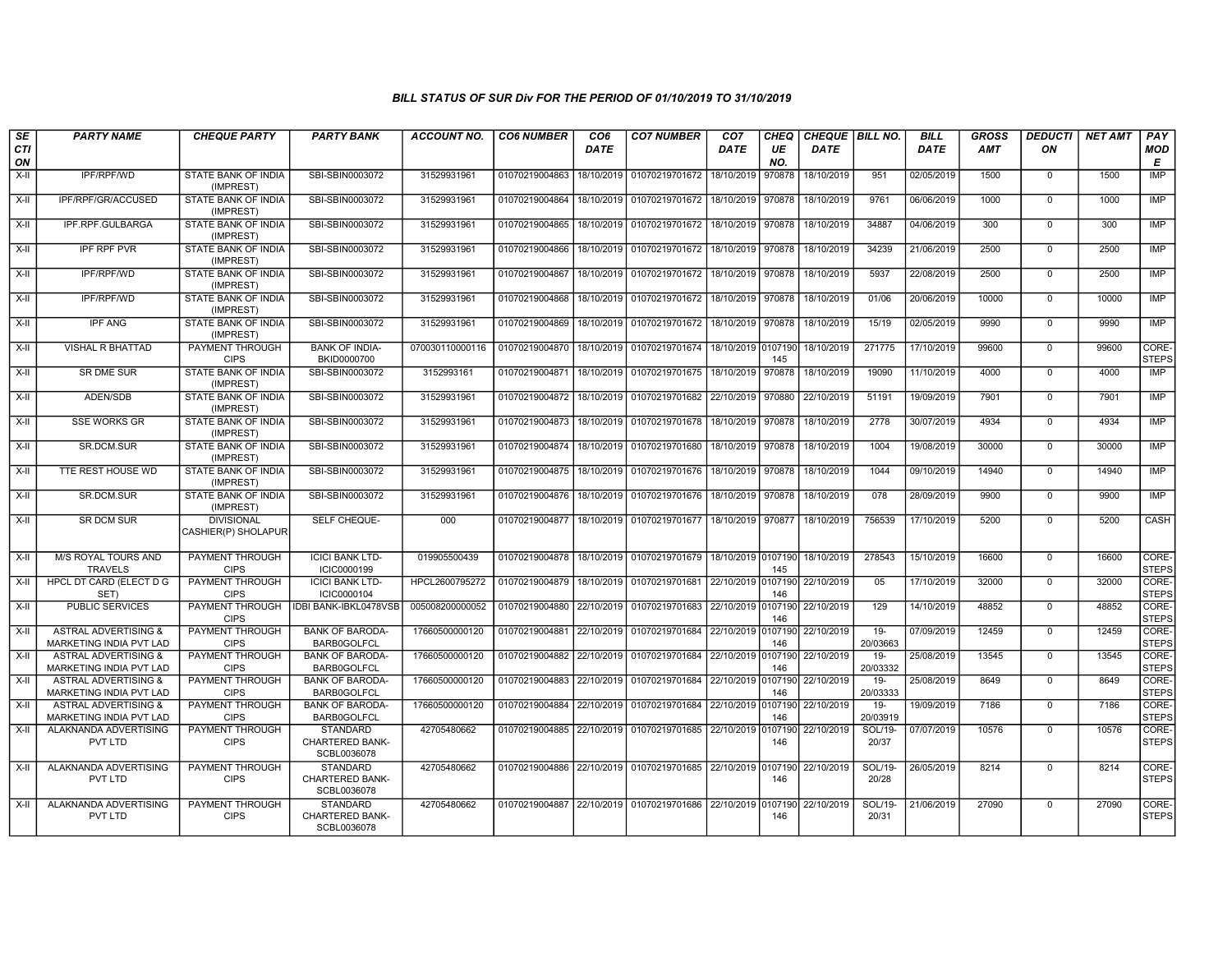| SE               | <b>PARTY NAME</b>                                                 | <b>CHEQUE PARTY</b>                      | <b>PARTY BANK</b>                                        | <b>ACCOUNT NO.</b> | <b>CO6 NUMBER</b>                            | CO <sub>6</sub> | <b>CO7 NUMBER</b>                                                      | CO <sub>7</sub>   | <b>CHEQ</b> | CHEQUE   BILL NO.             |                    | <b>BILL</b> | GROSS | <b>DEDUCTI</b> | <b>NET AMT</b> | <b>PAY</b>            |
|------------------|-------------------------------------------------------------------|------------------------------------------|----------------------------------------------------------|--------------------|----------------------------------------------|-----------------|------------------------------------------------------------------------|-------------------|-------------|-------------------------------|--------------------|-------------|-------|----------------|----------------|-----------------------|
| <b>CTI</b><br>ON |                                                                   |                                          |                                                          |                    |                                              | <b>DATE</b>     |                                                                        | <b>DATE</b>       | UE<br>NO.   | <b>DATE</b>                   |                    | <b>DATE</b> | AMT   | ON             |                | <b>MOD</b><br>E       |
| $X-I$            | <b>IPF/RPF/WD</b>                                                 | <b>STATE BANK OF INDIA</b><br>(IMPREST)  | SBI-SBIN0003072                                          | 31529931961        | 01070219004863                               | 18/10/2019      | 01070219701672                                                         | 18/10/2019        | 970878      | 18/10/2019                    | 951                | 02/05/2019  | 1500  | $\Omega$       | 1500           | IMP                   |
| X-II             | IPF/RPF/GR/ACCUSED                                                | STATE BANK OF INDIA<br>(IMPREST)         | SBI-SBIN0003072                                          | 31529931961        | 01070219004864                               | 18/10/2019      | 01070219701672 18/10/2019 970878                                       |                   |             | 18/10/2019                    | 9761               | 06/06/2019  | 1000  | $\Omega$       | 1000           | <b>IMP</b>            |
| $X-II$           | IPF.RPF.GULBARGA                                                  | <b>STATE BANK OF INDIA</b><br>(IMPREST)  | SBI-SBIN0003072                                          | 31529931961        | 01070219004865                               |                 | 18/10/2019 01070219701672 18/10/2019 970878                            |                   |             | 18/10/2019                    | 34887              | 04/06/2019  | 300   | $\Omega$       | 300            | <b>IMP</b>            |
| X-II             | <b>IPF RPF PVR</b>                                                | STATE BANK OF INDIA<br>(IMPREST)         | SBI-SBIN0003072                                          | 31529931961        |                                              |                 | 01070219004866   18/10/2019   01070219701672   18/10/2019   970878     |                   |             | 18/10/2019                    | 34239              | 21/06/2019  | 2500  | $\mathbf 0$    | 2500           | IMP                   |
| $X-II$           | IPF/RPF/WD                                                        | <b>STATE BANK OF INDIA</b><br>(IMPREST)  | SBI-SBIN0003072                                          | 31529931961        | 01070219004867                               | 18/10/2019      | 01070219701672                                                         | 18/10/2019 970878 |             | 18/10/2019                    | 5937               | 22/08/2019  | 2500  | $\mathbf 0$    | 2500           | <b>IMP</b>            |
| X-II             | IPF/RPF/WD                                                        | STATE BANK OF INDIA<br>(IMPREST)         | SBI-SBIN0003072                                          | 31529931961        | 01070219004868                               |                 | 18/10/2019 01070219701672                                              | 18/10/2019 970878 |             | 18/10/2019                    | 01/06              | 20/06/2019  | 10000 | $\mathbf 0$    | 10000          | <b>IMP</b>            |
| X-II             | <b>IPF ANG</b>                                                    | STATE BANK OF INDIA<br>(IMPREST)         | SBI-SBIN0003072                                          | 31529931961        | 01070219004869                               | 18/10/2019      | 01070219701672                                                         | 18/10/2019        | 970878      | 18/10/2019                    | 15/19              | 02/05/2019  | 9990  | $\overline{0}$ | 9990           | <b>IMP</b>            |
| X-II             | <b>VISHAL R BHATTAD</b>                                           | <b>PAYMENT THROUGH</b><br><b>CIPS</b>    | <b>BANK OF INDIA-</b><br>BKID0000700                     | 070030110000116    |                                              |                 | 01070219004870   18/10/2019   01070219701674   18/10/2019 0107190      |                   | 145         | 18/10/2019                    | 271775             | 17/10/2019  | 99600 | $\mathbf 0$    | 99600          | CORE-<br><b>STEPS</b> |
| X-II             | SR DME SUR                                                        | <b>STATE BANK OF INDIA</b><br>(IMPREST)  | SBI-SBIN0003072                                          | 3152993161         | 01070219004871                               | 18/10/2019      | 01070219701675                                                         | 18/10/2019        | 970878      | 18/10/2019                    | 19090              | 11/10/2019  | 4000  | $\mathbf 0$    | 4000           | IMP                   |
| $X-I$            | ADEN/SDB                                                          | STATE BANK OF INDIA<br>(IMPREST)         | SBI-SBIN0003072                                          | 31529931961        | 01070219004872 18/10/2019                    |                 | 01070219701682 22/10/2019                                              |                   | 970880      | 22/10/2019                    | 51191              | 19/09/2019  | 7901  | $\mathbf 0$    | 7901           | IMP                   |
| $X-II$           | <b>SSE WORKS GR</b>                                               | STATE BANK OF INDIA<br>(IMPREST)         | SBI-SBIN0003072                                          | 31529931961        | 01070219004873                               |                 | 18/10/2019 01070219701678                                              | 18/10/2019 970878 |             | 18/10/2019                    | 2778               | 30/07/2019  | 4934  | $\mathbf 0$    | 4934           | <b>IMP</b>            |
| $X-H$            | SR.DCM.SUR                                                        | <b>STATE BANK OF INDIA</b><br>(IMPREST)  | SBI-SBIN0003072                                          | 31529931961        |                                              |                 | 01070219004874 18/10/2019 01070219701680                               | 18/10/2019        | 970878      | 18/10/2019                    | 1004               | 19/08/2019  | 30000 | $\overline{0}$ | 30000          | IMP                   |
| X-II             | TTE REST HOUSE WD                                                 | STATE BANK OF INDIA<br>(IMPREST)         | SBI-SBIN0003072                                          | 31529931961        |                                              |                 | 01070219004875   18/10/2019   01070219701676   18/10/2019   970878     |                   |             | 18/10/2019                    | 1044               | 09/10/2019  | 14940 | $\mathbf 0$    | 14940          | IMP                   |
| $X-II$           | SR.DCM.SUR                                                        | STATE BANK OF INDIA<br>(IMPREST)         | SBI-SBIN0003072                                          | 31529931961        | 01070219004876                               | 18/10/2019      | 01070219701676                                                         | 18/10/2019 970878 |             | 18/10/2019                    | 078                | 28/09/2019  | 9900  | $\mathbf 0$    | 9900           | IMP                   |
| $X-H$            | <b>SR DCM SUR</b>                                                 | <b>DIVISIONAL</b><br>CASHIER(P) SHOLAPUR | SELF CHEQUE-                                             | 000                |                                              |                 | 01070219004877   18/10/2019   01070219701677   18/10/2019   970877     |                   |             | 18/10/2019                    | 756539             | 17/10/2019  | 5200  | $\Omega$       | 5200           | CASH                  |
| $X-H$            | <b>M/S ROYAL TOURS AND</b><br><b>TRAVELS</b>                      | <b>PAYMENT THROUGH</b><br><b>CIPS</b>    | <b>ICICI BANK LTD-</b><br>ICIC0000199                    | 019905500439       |                                              |                 | 01070219004878 18/10/2019 01070219701679 18/10/2019 0107190 18/10/2019 |                   | 145         |                               | 278543             | 15/10/2019  | 16600 | $\Omega$       | 16600          | CORE-<br><b>STEPS</b> |
| X-II             | HPCL DT CARD (ELECT D G<br>SET)                                   | PAYMENT THROUGH<br><b>CIPS</b>           | <b>ICICI BANK LTD-</b><br>ICIC0000104                    | HPCL2600795272     | 01070219004879   18/10/2019   01070219701681 |                 |                                                                        |                   | 146         | 22/10/2019 0107190 22/10/2019 | 05                 | 17/10/2019  | 32000 | $\mathbf 0$    | 32000          | CORE-<br><b>STEPS</b> |
| $X-H$            | <b>PUBLIC SERVICES</b>                                            | <b>PAYMENT THROUGH</b><br><b>CIPS</b>    | <b>IDBI BANK-IBKL0478VSB</b>                             | 005008200000052    |                                              |                 | 01070219004880 22/10/2019 01070219701683 22/10/2019 0107190            |                   | 146         | 22/10/2019                    | 129                | 14/10/2019  | 48852 | $\overline{0}$ | 48852          | CORE-<br><b>STEPS</b> |
| X-II             | <b>ASTRAL ADVERTISING &amp;</b><br>MARKETING INDIA PVT LAD        | <b>PAYMENT THROUGH</b><br><b>CIPS</b>    | <b>BANK OF BARODA-</b><br><b>BARB0GOLFCL</b>             | 17660500000120     |                                              |                 | 01070219004881 22/10/2019 01070219701684 22/10/2019 0107190            |                   | 146         | 22/10/2019                    | $19 -$<br>20/03663 | 07/09/2019  | 12459 | $\mathbf 0$    | 12459          | CORE-<br><b>STEPS</b> |
| $X-II$           | <b>ASTRAL ADVERTISING &amp;</b><br><b>MARKETING INDIA PVT LAD</b> | PAYMENT THROUGH<br><b>CIPS</b>           | <b>BANK OF BARODA-</b><br><b>BARB0GOLFCL</b>             | 17660500000120     | 01070219004882 22/10/2019 01070219701684     |                 |                                                                        |                   | 146         | 22/10/2019 0107190 22/10/2019 | $19 -$<br>20/03332 | 25/08/2019  | 13545 | $\mathbf 0$    | 13545          | CORE-<br><b>STEPS</b> |
| X-II             | <b>ASTRAL ADVERTISING &amp;</b><br>MARKETING INDIA PVT LAD        | <b>PAYMENT THROUGH</b><br><b>CIPS</b>    | <b>BANK OF BARODA-</b><br><b>BARB0GOLFCL</b>             | 17660500000120     | 01070219004883 22/10/2019                    |                 | 01070219701684 22/10/2019 0107190                                      |                   | 146         | 22/10/2019                    | $19-$<br>20/03333  | 25/08/2019  | 8649  | $\mathbf 0$    | 8649           | CORE-<br><b>STEPS</b> |
| $X-H$            | <b>ASTRAL ADVERTISING &amp;</b><br>MARKETING INDIA PVT LAD        | PAYMENT THROUGH<br><b>CIPS</b>           | <b>BANK OF BARODA-</b><br><b>BARB0GOLFCL</b>             | 17660500000120     |                                              |                 | 01070219004884 22/10/2019 01070219701684 22/10/2019 0107190            |                   | 146         | 22/10/2019                    | $19-$<br>20/03919  | 19/09/2019  | 7186  | $\Omega$       | 7186           | CORE-<br><b>STEPS</b> |
| X-II             | ALAKNANDA ADVERTISING<br>PVT LTD                                  | <b>PAYMENT THROUGH</b><br><b>CIPS</b>    | <b>STANDARD</b><br><b>CHARTERED BANK-</b><br>SCBL0036078 | 42705480662        |                                              |                 | 01070219004885 22/10/2019 01070219701685 22/10/2019 0107190            |                   | 146         | 22/10/2019                    | SOL/19-<br>20/37   | 07/07/2019  | 10576 | $\mathbf 0$    | 10576          | CORE-<br><b>STEPS</b> |
| $X-II$           | ALAKNANDA ADVERTISING<br>PVT LTD                                  | <b>PAYMENT THROUGH</b><br><b>CIPS</b>    | <b>STANDARD</b><br>CHARTERED BANK-<br>SCBL0036078        | 42705480662        |                                              |                 | 01070219004886 22/10/2019 01070219701685 22/10/2019 0107190 22/10/2019 |                   | 146         |                               | SOL/19-<br>20/28   | 26/05/2019  | 8214  | $\overline{0}$ | 8214           | CORE-<br><b>STEPS</b> |
| X-II             | ALAKNANDA ADVERTISING<br>PVT LTD                                  | <b>PAYMENT THROUGH</b><br><b>CIPS</b>    | <b>STANDARD</b><br><b>CHARTERED BANK-</b><br>SCBL0036078 | 42705480662        |                                              |                 | 01070219004887 22/10/2019 01070219701686 22/10/2019 0107190            |                   | 146         | 22/10/2019                    | SOL/19-<br>20/31   | 21/06/2019  | 27090 | $\mathbf 0$    | 27090          | CORE-<br>STEPS        |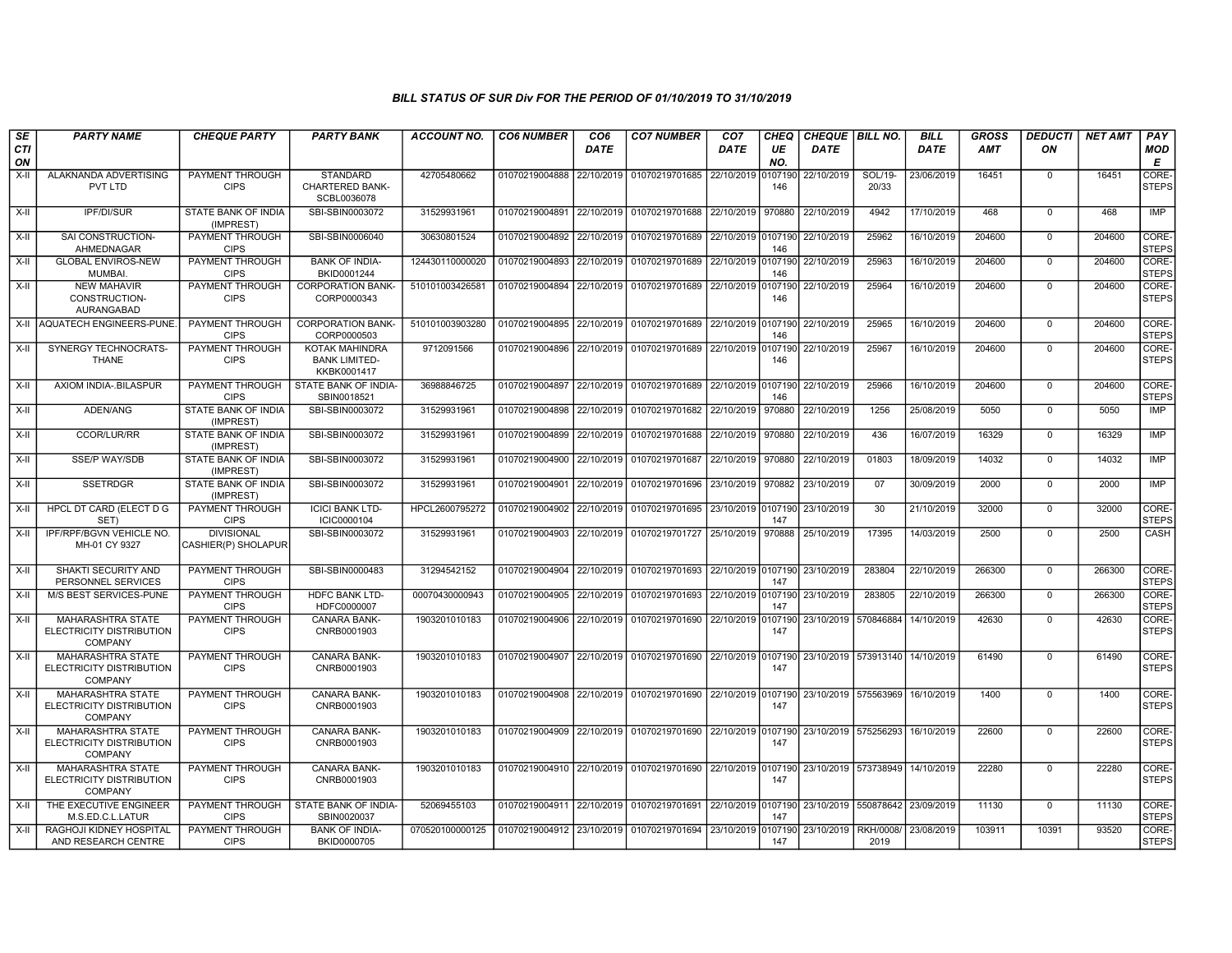| SE        | <b>PARTY NAME</b>                                                      | <b>CHEQUE PARTY</b>                      | <b>PARTY BANK</b>                                        | <b>ACCOUNT NO.</b> | <b>CO6 NUMBER</b>         | CO <sub>6</sub> | <b>CO7 NUMBER</b>                                           | CO <sub>7</sub>    | <b>CHEQ</b>    | <b>CHEQUE   BILL NO.</b> |                                 | <b>BILL</b> | <b>GROSS</b> | <b>DEDUCTI</b> | <b>NET AMT</b> | <b>PAY</b>            |
|-----------|------------------------------------------------------------------------|------------------------------------------|----------------------------------------------------------|--------------------|---------------------------|-----------------|-------------------------------------------------------------|--------------------|----------------|--------------------------|---------------------------------|-------------|--------------|----------------|----------------|-----------------------|
| CTI<br>ON |                                                                        |                                          |                                                          |                    |                           | <b>DATE</b>     |                                                             | DATE               | UE<br>NO.      | <b>DATE</b>              |                                 | <b>DATE</b> | <b>AMT</b>   | ON             |                | <b>MOD</b><br>Е       |
| $X-II$    | ALAKNANDA ADVERTISING<br>PVT LTD                                       | PAYMENT THROUGH<br><b>CIPS</b>           | <b>STANDARD</b><br><b>CHARTERED BANK-</b><br>SCBL0036078 | 42705480662        | 01070219004888            | 22/10/2019      | 01070219701685                                              | 22/10/2019         | 107190<br>146  | 22/10/2019               | SOL/19-<br>20/33                | 23/06/2019  | 16451        | $\mathbf{0}$   | 16451          | CORE-<br><b>STEPS</b> |
| X-II      | IPF/DI/SUR                                                             | STATE BANK OF INDIA<br>(IMPREST)         | SBI-SBIN0003072                                          | 31529931961        | 01070219004891            |                 | 22/10/2019 01070219701688                                   | 22/10/2019         | 970880         | 22/10/2019               | 4942                            | 17/10/2019  | 468          | $\Omega$       | 468            | IMP                   |
| X-II      | SAI CONSTRUCTION-<br>AHMEDNAGAR                                        | PAYMENT THROUGH<br><b>CIPS</b>           | SBI-SBIN0006040                                          | 30630801524        | 01070219004892            | 22/10/2019      | 01070219701689                                              | 22/10/2019 0107190 | 146            | 22/10/2019               | 25962                           | 16/10/2019  | 204600       | $\Omega$       | 204600         | CORE-<br><b>STEPS</b> |
| $X-II$    | <b>GLOBAL ENVIROS-NEW</b><br>MUMBAI.                                   | PAYMENT THROUGH<br><b>CIPS</b>           | <b>BANK OF INDIA-</b><br>BKID0001244                     | 124430110000020    | 01070219004893            | 22/10/2019      | 01070219701689                                              | 22/10/2019 0107190 | 146            | 22/10/2019               | 25963                           | 16/10/2019  | 204600       | $\mathbf 0$    | 204600         | CORE-<br><b>STEPS</b> |
| X-II      | <b>NEW MAHAVIR</b><br>CONSTRUCTION-<br>AURANGABAD                      | PAYMENT THROUGH<br><b>CIPS</b>           | <b>CORPORATION BANK-</b><br>CORP0000343                  | 510101003426581    | 01070219004894            | 22/10/2019      | 01070219701689                                              | 22/10/2019 0107190 | 146            | 22/10/2019               | 25964                           | 16/10/2019  | 204600       | $\mathbf{0}$   | 204600         | CORE-<br><b>STEPS</b> |
|           | X-II AQUATECH ENGINEERS-PUNE                                           | PAYMENT THROUGH<br><b>CIPS</b>           | <b>CORPORATION BANK-</b><br>CORP0000503                  | 510101003903280    |                           |                 | 01070219004895 22/10/2019 01070219701689                    | 22/10/2019 0107190 | 146            | 22/10/2019               | 25965                           | 16/10/2019  | 204600       | $\Omega$       | 204600         | CORE-<br><b>STEPS</b> |
| $X-II$    | SYNERGY TECHNOCRATS-<br><b>THANE</b>                                   | PAYMENT THROUGH<br><b>CIPS</b>           | KOTAK MAHINDRA<br><b>BANK LIMITED-</b><br>KKBK0001417    | 9712091566         | 01070219004896 22/10/2019 |                 | 01070219701689                                              | 22/10/2019         | 0107190<br>146 | 22/10/2019               | 25967                           | 16/10/2019  | 204600       | $\Omega$       | 204600         | CORE-<br><b>STEPS</b> |
| X-II      | AXIOM INDIA-.BILASPUR                                                  | PAYMENT THROUGH<br><b>CIPS</b>           | STATE BANK OF INDIA-<br>SBIN0018521                      | 36988846725        | 01070219004897            |                 | 22/10/2019 01070219701689                                   | 22/10/2019         | 0107190<br>146 | 22/10/2019               | 25966                           | 16/10/2019  | 204600       | $\Omega$       | 204600         | CORE-<br><b>STEPS</b> |
| X-II      | ADEN/ANG                                                               | STATE BANK OF INDIA<br>(IMPREST)         | SBI-SBIN0003072                                          | 31529931961        | 01070219004898            | 22/10/2019      | 01070219701682                                              | 22/10/2019         | 970880         | 22/10/2019               | 1256                            | 25/08/2019  | 5050         | $\Omega$       | 5050           | <b>IMP</b>            |
| X-II      | CCOR/LUR/RR                                                            | STATE BANK OF INDIA<br>(IMPREST)         | SBI-SBIN0003072                                          | 31529931961        | 01070219004899            | 22/10/2019      | 01070219701688                                              | 22/10/2019         | 970880         | 22/10/2019               | 436                             | 16/07/2019  | 16329        | $\mathbf 0$    | 16329          | <b>IMP</b>            |
| $X-H$     | <b>SSE/P WAY/SDB</b>                                                   | STATE BANK OF INDIA<br>(IMPREST)         | SBI-SBIN0003072                                          | 31529931961        | 01070219004900            | 22/10/2019      | 01070219701687                                              | 22/10/2019         | 970880         | 22/10/2019               | 01803                           | 18/09/2019  | 14032        | $\mathbf 0$    | 14032          | IMP                   |
| $X-H$     | <b>SSETRDGR</b>                                                        | STATE BANK OF INDIA<br>(IMPREST)         | SBI-SBIN0003072                                          | 31529931961        | 01070219004901            | 22/10/2019      | 01070219701696                                              | 23/10/2019         | 970882         | 23/10/2019               | 07                              | 30/09/2019  | 2000         | $\Omega$       | 2000           | <b>IMP</b>            |
| X-II      | HPCL DT CARD (ELECT D G<br>SET)                                        | PAYMENT THROUGH<br><b>CIPS</b>           | <b>ICICI BANK LTD-</b><br>ICIC0000104                    | HPCL2600795272     | 01070219004902            | 22/10/2019      | 01070219701695                                              | 23/10/2019 0107190 | 147            | 23/10/2019               | 30                              | 21/10/2019  | 32000        | $\mathbf 0$    | 32000          | CORE-<br><b>STEPS</b> |
| X-II      | IPF/RPF/BGVN VEHICLE NO.<br>MH-01 CY 9327                              | <b>DIVISIONAL</b><br>CASHIER(P) SHOLAPUR | SBI-SBIN0003072                                          | 31529931961        | 01070219004903            | 22/10/2019      | 01070219701727                                              | 25/10/2019         | 970888         | 25/10/2019               | 17395                           | 14/03/2019  | 2500         | $\mathbf{0}$   | 2500           | CASH                  |
| X-II      | SHAKTI SECURITY AND<br>PERSONNEL SERVICES                              | PAYMENT THROUGH<br><b>CIPS</b>           | SBI-SBIN0000483                                          | 31294542152        | 01070219004904            | 22/10/2019      | 01070219701693                                              | 22/10/2019 0107190 | 147            | 23/10/2019               | 283804                          | 22/10/2019  | 266300       | $\mathbf{0}$   | 266300         | CORE-<br><b>STEPS</b> |
| $X-H$     | M/S BEST SERVICES-PUNE                                                 | PAYMENT THROUGH<br><b>CIPS</b>           | <b>HDFC BANK LTD-</b><br>HDFC0000007                     | 00070430000943     | 01070219004905            | 22/10/2019      | 01070219701693                                              | 22/10/2019 0107190 | 147            | 23/10/2019               | 283805                          | 22/10/2019  | 266300       | $\mathbf 0$    | 266300         | CORE-<br><b>STEPS</b> |
| X-II      | <b>MAHARASHTRA STATE</b><br>ELECTRICITY DISTRIBUTION<br><b>COMPANY</b> | PAYMENT THROUGH<br><b>CIPS</b>           | CANARA BANK-<br>CNRB0001903                              | 1903201010183      | 01070219004906 22/10/2019 |                 | 01070219701690                                              | 22/10/2019 0107190 | 147            |                          | 23/10/2019 570846884            | 14/10/2019  | 42630        | $\Omega$       | 42630          | CORE-<br><b>STEPS</b> |
| X-II      | MAHARASHTRA STATE<br>ELECTRICITY DISTRIBUTION<br><b>COMPANY</b>        | PAYMENT THROUGH<br><b>CIPS</b>           | CANARA BANK-<br>CNRB0001903                              | 1903201010183      | 01070219004907            |                 | 22/10/2019 01070219701690                                   | 22/10/2019         | 0107190<br>147 |                          | 23/10/2019 573913140 14/10/2019 |             | 61490        | $\Omega$       | 61490          | CORE-<br><b>STEPS</b> |
| X-II      | <b>MAHARASHTRA STATE</b><br>ELECTRICITY DISTRIBUTION<br><b>COMPANY</b> | PAYMENT THROUGH<br><b>CIPS</b>           | <b>CANARA BANK-</b><br>CNRB0001903                       | 1903201010183      | 01070219004908            |                 | 22/10/2019 01070219701690                                   | 22/10/2019 0107190 | 147            |                          | 23/10/2019 575563969            | 16/10/2019  | 1400         | $\Omega$       | 1400           | CORE-<br><b>STEPS</b> |
| X-II      | <b>MAHARASHTRA STATE</b><br>ELECTRICITY DISTRIBUTION<br><b>COMPANY</b> | PAYMENT THROUGH<br><b>CIPS</b>           | <b>CANARA BANK-</b><br>CNRB0001903                       | 1903201010183      |                           |                 | 01070219004909 22/10/2019 01070219701690 22/10/2019 0107190 |                    | 147            |                          | 23/10/2019 575256293            | 16/10/2019  | 22600        | $\Omega$       | 22600          | CORE-<br><b>STEPS</b> |
| X-II      | <b>MAHARASHTRA STATE</b><br>ELECTRICITY DISTRIBUTION<br>COMPANY        | PAYMENT THROUGH<br><b>CIPS</b>           | <b>CANARA BANK-</b><br>CNRB0001903                       | 1903201010183      |                           |                 | 01070219004910 22/10/2019 01070219701690                    | 22/10/2019 0107190 | 147            |                          | 23/10/2019 573738949            | 14/10/2019  | 22280        | $\Omega$       | 22280          | CORE-<br><b>STEPS</b> |
| X-II      | THE EXECUTIVE ENGINEER<br>M.S.ED.C.L.LATUR                             | PAYMENT THROUGH<br><b>CIPS</b>           | STATE BANK OF INDIA-<br>SBIN0020037                      | 52069455103        | 01070219004911            |                 | 22/10/2019 01070219701691                                   | 22/10/2019 0107190 | 147            |                          | 23/10/2019 550878642            | 23/09/2019  | 11130        | $\Omega$       | 11130          | CORE-<br><b>STEPS</b> |
| X-II      | RAGHOJI KIDNEY HOSPITAL<br>AND RESEARCH CENTRE                         | PAYMENT THROUGH<br><b>CIPS</b>           | <b>BANK OF INDIA-</b><br>BKID0000705                     | 070520100000125    | 01070219004912 23/10/2019 |                 | 01070219701694                                              | 23/10/2019         | 0107190<br>147 | 23/10/2019               | RKH/0008/<br>2019               | 23/08/2019  | 103911       | 10391          | 93520          | CORE-<br><b>STEPS</b> |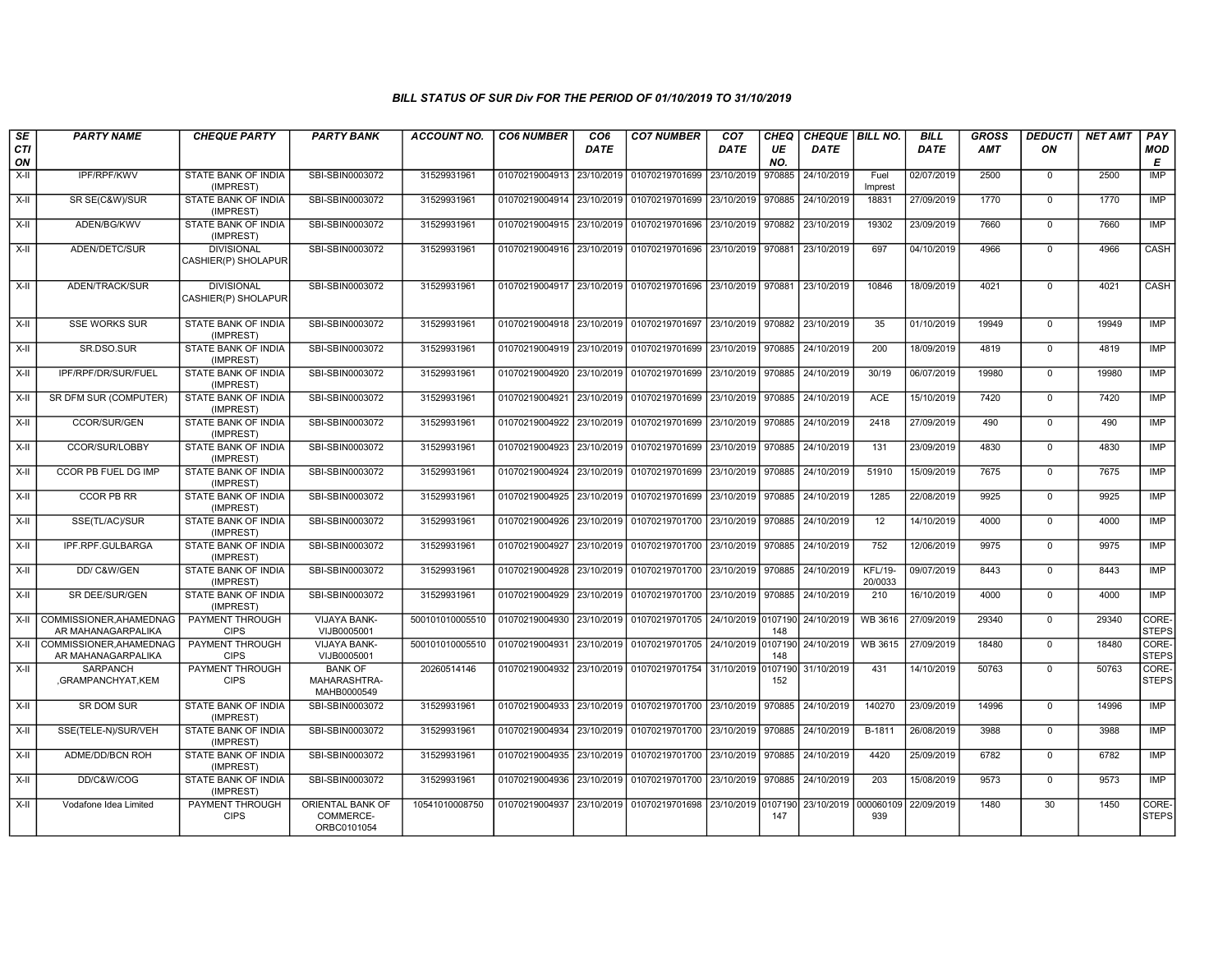| SE<br><b>CTI</b><br>ON | <b>PARTY NAME</b>                             | <b>CHEQUE PARTY</b>                      | <b>PARTY BANK</b>                             | <b>ACCOUNT NO.</b> | <b>CO6 NUMBER</b>                        | CO <sub>6</sub><br><b>DATE</b> | <b>CO7 NUMBER</b>                                                      | CO <sub>7</sub><br><b>DATE</b> | CHEQ<br>UE<br>NO. | CHEQUE   BILL NO.<br><b>DATE</b> |                           | <b>BILL</b><br><b>DATE</b> | <b>GROSS</b><br><b>AMT</b> | <b>DEDUCTI</b><br>ON | <b>NET AMT</b> | PAY<br>MOD<br>E       |
|------------------------|-----------------------------------------------|------------------------------------------|-----------------------------------------------|--------------------|------------------------------------------|--------------------------------|------------------------------------------------------------------------|--------------------------------|-------------------|----------------------------------|---------------------------|----------------------------|----------------------------|----------------------|----------------|-----------------------|
| X-II                   | IPF/RPF/KWV                                   | STATE BANK OF INDIA<br>(IMPREST)         | SBI-SBIN0003072                               | 31529931961        | 01070219004913 23/10/2019                |                                | 01070219701699                                                         | 23/10/2019                     | 970885            | 24/10/2019                       | Fuel<br>Imprest           | 02/07/2019                 | 2500                       | $\mathbf 0$          | 2500           | <b>IMP</b>            |
| X-II                   | SR SE(C&W)/SUR                                | STATE BANK OF INDIA<br>(IMPREST)         | SBI-SBIN0003072                               | 31529931961        |                                          |                                | 01070219004914 23/10/2019 01070219701699                               | 23/10/2019                     | 970885            | 24/10/2019                       | 18831                     | 27/09/2019                 | 1770                       | $\Omega$             | 1770           | IMP                   |
| X-II                   | ADEN/BG/KWV                                   | <b>STATE BANK OF INDIA</b><br>(IMPREST)  | SBI-SBIN0003072                               | 31529931961        |                                          |                                | 01070219004915 23/10/2019 01070219701696                               | 23/10/2019                     | 970882            | 23/10/2019                       | 19302                     | 23/09/2019                 | 7660                       | $\mathbf 0$          | 7660           | <b>IMP</b>            |
| $X-H$                  | ADEN/DETC/SUR                                 | <b>DIVISIONAL</b><br>CASHIER(P) SHOLAPUR | SBI-SBIN0003072                               | 31529931961        | 01070219004916 23/10/2019 01070219701696 |                                |                                                                        | 23/10/2019 970881              |                   | 23/10/2019                       | 697                       | 04/10/2019                 | 4966                       | $\Omega$             | 4966           | CASH                  |
| $X-H$                  | ADEN/TRACK/SUR                                | <b>DIVISIONAL</b><br>CASHIER(P) SHOLAPUR | SBI-SBIN0003072                               | 31529931961        |                                          |                                | 01070219004917 23/10/2019 01070219701696 23/10/2019 970881             |                                |                   | 23/10/2019                       | 10846                     | 18/09/2019                 | 4021                       | $\Omega$             | 4021           | CASH                  |
| $X-I$                  | <b>SSE WORKS SUR</b>                          | STATE BANK OF INDIA<br>(IMPREST)         | SBI-SBIN0003072                               | 31529931961        |                                          |                                | 01070219004918 23/10/2019 01070219701697                               | 23/10/2019 970882              |                   | 23/10/2019                       | 35                        | 01/10/2019                 | 19949                      | $\mathbf 0$          | 19949          | IMP                   |
| $X-II$                 | SR.DSO.SUR                                    | STATE BANK OF INDIA<br>(IMPREST)         | SBI-SBIN0003072                               | 31529931961        |                                          |                                | 01070219004919 23/10/2019 01070219701699                               | 23/10/2019                     | 970885            | 24/10/2019                       | 200                       | 18/09/2019                 | 4819                       | $\mathbf 0$          | 4819           | <b>IMP</b>            |
| X-II                   | IPF/RPF/DR/SUR/FUEL                           | STATE BANK OF INDIA<br>(IMPREST)         | SBI-SBIN0003072                               | 31529931961        | 01070219004920 23/10/2019 01070219701699 |                                |                                                                        | 23/10/2019                     | 970885            | 24/10/2019                       | 30/19                     | 06/07/2019                 | 19980                      | $\mathbf 0$          | 19980          | <b>IMP</b>            |
| $X-H$                  | <b>SR DFM SUR (COMPUTER)</b>                  | <b>STATE BANK OF INDIA</b><br>(IMPREST)  | SBI-SBIN0003072                               | 31529931961        |                                          |                                | 01070219004921 23/10/2019 01070219701699 23/10/2019 970885             |                                |                   | 24/10/2019                       | <b>ACE</b>                | 15/10/2019                 | 7420                       | $\mathbf 0$          | 7420           | <b>IMP</b>            |
| X-II                   | CCOR/SUR/GEN                                  | STATE BANK OF INDIA<br>(IMPREST)         | SBI-SBIN0003072                               | 31529931961        |                                          |                                | 01070219004922 23/10/2019 01070219701699                               | 23/10/2019                     | 970885            | 24/10/2019                       | 2418                      | 27/09/2019                 | 490                        | $\mathbf 0$          | 490            | IMP                   |
| X-II                   | CCOR/SUR/LOBBY                                | STATE BANK OF INDIA<br>(IMPREST)         | SBI-SBIN0003072                               | 31529931961        |                                          |                                | 01070219004923 23/10/2019 01070219701699                               | 23/10/2019                     | 970885            | 24/10/2019                       | 131                       | 23/09/2019                 | 4830                       | $\mathbf 0$          | 4830           | IMP                   |
| $X-H$                  | CCOR PB FUEL DG IMP                           | STATE BANK OF INDIA<br>(IMPREST)         | SBI-SBIN0003072                               | 31529931961        |                                          |                                | 01070219004924 23/10/2019 01070219701699                               | 23/10/2019 970885              |                   | 24/10/2019                       | 51910                     | 15/09/2019                 | 7675                       | $\Omega$             | 7675           | <b>IMP</b>            |
| $X-H$                  | <b>CCOR PB RR</b>                             | <b>STATE BANK OF INDIA</b><br>(IMPREST)  | SBI-SBIN0003072                               | 31529931961        | 01070219004925 23/10/2019 01070219701699 |                                |                                                                        | 23/10/2019                     | 970885            | 24/10/2019                       | 1285                      | 22/08/2019                 | 9925                       | $\mathbf 0$          | 9925           | <b>IMP</b>            |
| X-II                   | SSE(TL/AC)/SUR                                | STATE BANK OF INDIA<br>(IMPREST)         | SBI-SBIN0003072                               | 31529931961        |                                          |                                | 01070219004926 23/10/2019 01070219701700 23/10/2019                    |                                | 970885            | 24/10/2019                       | 12                        | 14/10/2019                 | 4000                       | $\Omega$             | 4000           | <b>IMP</b>            |
| $X-II$                 | IPF.RPF.GULBARGA                              | STATE BANK OF INDIA<br>(IMPREST)         | SBI-SBIN0003072                               | 31529931961        |                                          |                                | 01070219004927 23/10/2019 01070219701700                               | 23/10/2019 970885              |                   | 24/10/2019                       | 752                       | 12/06/2019                 | 9975                       | $\mathbf 0$          | 9975           | IMP                   |
| X-II                   | DD/C&W/GEN                                    | STATE BANK OF INDIA<br>(IMPREST)         | SBI-SBIN0003072                               | 31529931961        |                                          |                                | 01070219004928 23/10/2019 01070219701700                               | 23/10/2019                     | 970885            | 24/10/2019                       | <b>KFL/19-</b><br>20/0033 | 09/07/2019                 | 8443                       | $\mathbf 0$          | 8443           | IMP                   |
| $X-H$                  | SR DEE/SUR/GEN                                | <b>STATE BANK OF INDIA</b><br>(IMPREST)  | SBI-SBIN0003072                               | 31529931961        |                                          |                                | 01070219004929 23/10/2019 01070219701700 23/10/2019                    |                                | 970885            | 24/10/2019                       | 210                       | 16/10/2019                 | 4000                       | $\Omega$             | 4000           | <b>IMP</b>            |
| $X-I$                  | COMMISSIONER, AHAMEDNAG<br>AR MAHANAGARPALIKA | PAYMENT THROUGH<br><b>CIPS</b>           | VIJAYA BANK-<br>VIJB0005001                   | 500101010005510    |                                          |                                | 01070219004930   23/10/2019   01070219701705   24/10/2019   0107190    |                                | 148               | 24/10/2019                       | <b>WB 3616</b>            | 27/09/2019                 | 29340                      | $\mathbf 0$          | 29340          | CORE-<br><b>STEPS</b> |
| $X-H$                  | COMMISSIONER, AHAMEDNAG<br>AR MAHANAGARPALIKA | PAYMENT THROUGH<br><b>CIPS</b>           | VIJAYA BANK-<br>VIJB0005001                   | 500101010005510    |                                          |                                | 01070219004931 23/10/2019 01070219701705 24/10/2019 0107190 24/10/2019 |                                | 148               |                                  | WB 3615                   | 27/09/2019                 | 18480                      | $\Omega$             | 18480          | CORE-<br><b>STEPS</b> |
| $X-H$                  | <b>SARPANCH</b><br>,GRAMPANCHYAT,KEM          | PAYMENT THROUGH<br><b>CIPS</b>           | <b>BANK OF</b><br>MAHARASHTRA-<br>MAHB0000549 | 20260514146        |                                          |                                | 01070219004932 23/10/2019 01070219701754                               | 31/10/2019 0107190             | 152               | 31/10/2019                       | 431                       | 14/10/2019                 | 50763                      | $\mathbf 0$          | 50763          | CORE-<br><b>STEPS</b> |
| $X-I$                  | <b>SR DOM SUR</b>                             | <b>STATE BANK OF INDIA</b><br>(IMPREST)  | SBI-SBIN0003072                               | 31529931961        |                                          |                                | 01070219004933 23/10/2019 01070219701700 23/10/2019                    |                                | 970885            | 24/10/2019                       | 140270                    | 23/09/2019                 | 14996                      | $\mathbf 0$          | 14996          | <b>IMP</b>            |
| $X-II$                 | SSE(TELE-N)/SUR/VEH                           | STATE BANK OF INDIA<br>(IMPREST)         | SBI-SBIN0003072                               | 31529931961        |                                          |                                | 01070219004934 23/10/2019 01070219701700 23/10/2019                    |                                | 970885            | 24/10/2019                       | B-1811                    | 26/08/2019                 | 3988                       | $\mathbf 0$          | 3988           | IMP                   |
| X-II                   | ADME/DD/BCN ROH                               | STATE BANK OF INDIA<br>(IMPREST)         | SBI-SBIN0003072                               | 31529931961        |                                          |                                | 01070219004935   23/10/2019   01070219701700   23/10/2019   970885     |                                |                   | 24/10/2019                       | 4420                      | 25/09/2019                 | 6782                       | $\mathbf 0$          | 6782           | <b>IMP</b>            |
| $X-H$                  | DD/C&W/COG                                    | <b>STATE BANK OF INDIA</b><br>(IMPREST)  | SBI-SBIN0003072                               | 31529931961        | 01070219004936 23/10/2019 01070219701700 |                                |                                                                        | 23/10/2019                     | 970885            | 24/10/2019                       | $\overline{203}$          | 15/08/2019                 | 9573                       | $\mathbf 0$          | 9573           | IMP                   |
| $X-I$                  | Vodafone Idea Limited                         | PAYMENT THROUGH<br><b>CIPS</b>           | ORIENTAL BANK OF<br>COMMERCE-<br>ORBC0101054  | 10541010008750     |                                          |                                | 01070219004937 23/10/2019 01070219701698 23/10/2019 0107190            |                                | 147               | 23/10/2019                       | 000060109<br>939          | 22/09/2019                 | 1480                       | 30                   | 1450           | CORE-<br><b>STEPS</b> |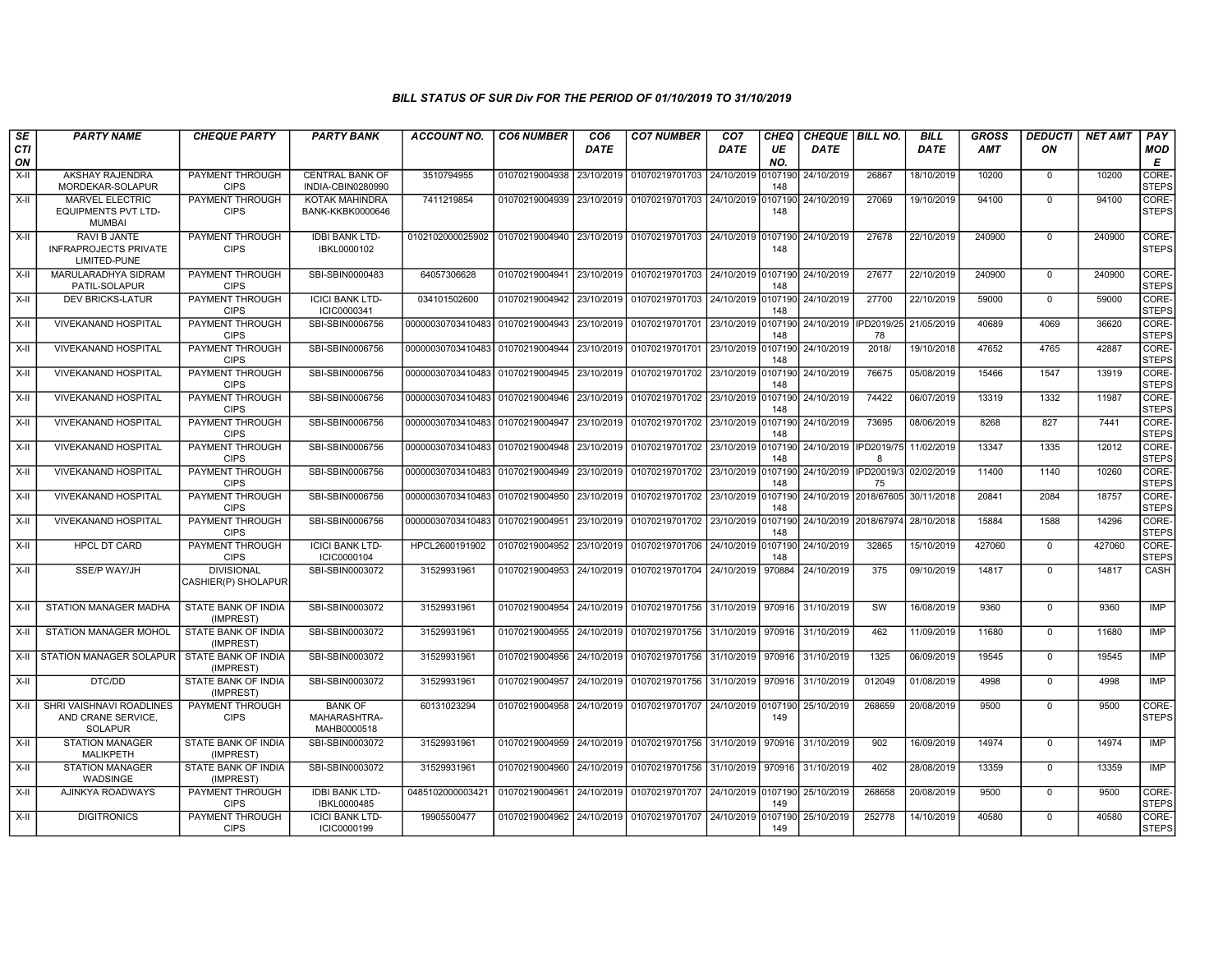| SE               | <b>PARTY NAME</b>                                                     | <b>CHEQUE PARTY</b>                      | <b>PARTY BANK</b>                             | <b>ACCOUNT NO.</b>                          | <b>CO6 NUMBER</b>         | CO <sub>6</sub> | <b>CO7 NUMBER</b>                                                      | CO <sub>7</sub> | CHEQ           | CHEQUE   BILL NO.     |                                  | <b>BILL</b> | <b>GROSS</b> | <b>DEDUCTI</b> | <b>NET AMT</b> | <b>PAY</b>            |
|------------------|-----------------------------------------------------------------------|------------------------------------------|-----------------------------------------------|---------------------------------------------|---------------------------|-----------------|------------------------------------------------------------------------|-----------------|----------------|-----------------------|----------------------------------|-------------|--------------|----------------|----------------|-----------------------|
| <b>CTI</b><br>ON |                                                                       |                                          |                                               |                                             |                           | <b>DATE</b>     |                                                                        | <b>DATE</b>     | UE<br>NO.      | <b>DATE</b>           |                                  | DATE        | AMT          | ON             |                | <b>MOD</b><br>E       |
| $X-H$            | <b>AKSHAY RAJENDRA</b><br>MORDEKAR-SOLAPUR                            | PAYMENT THROUGH<br><b>CIPS</b>           | <b>CENTRAL BANK OF</b><br>INDIA-CBIN0280990   | 3510794955                                  | 01070219004938            | 23/10/2019      | 01070219701703 24/10/2019                                              |                 | 0107190<br>148 | 24/10/2019            | 26867                            | 18/10/2019  | 10200        | $\mathbf 0$    | 10200          | CORE-<br><b>STEPS</b> |
| X-II             | <b>MARVEL ELECTRIC</b><br><b>EQUIPMENTS PVT LTD-</b><br><b>MUMBAI</b> | PAYMENT THROUGH<br><b>CIPS</b>           | KOTAK MAHINDRA<br><b>BANK-KKBK0000646</b>     | 7411219854                                  | 01070219004939 23/10/2019 |                 | 01070219701703 24/10/2019 0107190                                      |                 | 148            | 24/10/2019            | 27069                            | 19/10/2019  | 94100        | $\Omega$       | 94100          | CORE-<br><b>STEPS</b> |
| $X-H$            | <b>RAVI B JANTE</b><br><b>INFRAPROJECTS PRIVATE</b><br>LIMITED-PUNE   | <b>PAYMENT THROUGH</b><br><b>CIPS</b>    | <b>IDBI BANK LTD-</b><br>IBKL0000102          | 0102102000025902                            |                           |                 | 01070219004940 23/10/2019 01070219701703 24/10/2019 0107190            |                 | 148            | 24/10/2019            | 27678                            | 22/10/2019  | 240900       | $\overline{0}$ | 240900         | CORE-<br><b>STEPS</b> |
| $X-H$            | <b>MARULARADHYA SIDRAM</b><br>PATIL-SOLAPUR                           | <b>PAYMENT THROUGH</b><br><b>CIPS</b>    | SBI-SBIN0000483                               | 64057306628                                 | 01070219004941            | 23/10/2019      | 01070219701703 24/10/2019 0107190                                      |                 | 148            | 24/10/2019            | 27677                            | 22/10/2019  | 240900       | $\Omega$       | 240900         | CORE-<br><b>STEPS</b> |
| X-II             | <b>DEV BRICKS-LATUR</b>                                               | PAYMENT THROUGH<br><b>CIPS</b>           | <b>ICICI BANK LTD-</b><br>ICIC0000341         | 034101502600                                |                           |                 | 01070219004942 23/10/2019 01070219701703 24/10/2019 0107190 24/10/2019 |                 | 148            |                       | 27700                            | 22/10/2019  | 59000        | $\mathbf 0$    | 59000          | CORE-<br><b>STEPS</b> |
| $X-H$            | <b>VIVEKANAND HOSPITAL</b>                                            | PAYMENT THROUGH<br><b>CIPS</b>           | SBI-SBIN0006756                               | 00000030703410483                           | 01070219004943 23/10/2019 |                 | 01070219701701 23/10/2019 0107190                                      |                 | 148            | 24/10/2019 IPD2019/25 | 78                               | 21/05/2019  | 40689        | 4069           | 36620          | CORE-<br>STEPS        |
| $X-II$           | <b>VIVEKANAND HOSPITAL</b>                                            | <b>PAYMENT THROUGH</b><br><b>CIPS</b>    | SBI-SBIN0006756                               | 00000030703410483 01070219004944            |                           | 23/10/2019      | 01070219701701 23/10/2019 0107190                                      |                 | 148            | 24/10/2019            | 2018/                            | 19/10/2018  | 47652        | 4765           | 42887          | CORE-<br><b>STEPS</b> |
| X-II             | <b>VIVEKANAND HOSPITAL</b>                                            | PAYMENT THROUGH<br><b>CIPS</b>           | SBI-SBIN0006756                               | 00000030703410483 01070219004945 23/10/2019 |                           |                 | 01070219701702 23/10/2019 0107190                                      |                 | 148            | 24/10/2019            | 76675                            | 05/08/2019  | 15466        | 1547           | 13919          | CORE-<br><b>STEPS</b> |
| $X-H$            | <b>VIVEKANAND HOSPITAL</b>                                            | <b>PAYMENT THROUGH</b><br><b>CIPS</b>    | SBI-SBIN0006756                               | 00000030703410483 01070219004946 23/10/2019 |                           |                 | 01070219701702 23/10/2019 0107190                                      |                 | 148            | 24/10/2019            | 74422                            | 06/07/2019  | 13319        | 1332           | 11987          | CORE-<br><b>STEPS</b> |
| X-II             | <b>VIVEKANAND HOSPITAL</b>                                            | PAYMENT THROUGH<br><b>CIPS</b>           | SBI-SBIN0006756                               | 00000030703410483 01070219004947 23/10/2019 |                           |                 | 01070219701702 23/10/2019 0107190                                      |                 | 148            | 24/10/2019            | 73695                            | 08/06/2019  | 8268         | 827            | 7441           | CORE-<br><b>STEPS</b> |
| X-II             | <b>VIVEKANAND HOSPITAL</b>                                            | PAYMENT THROUGH<br><b>CIPS</b>           | SBI-SBIN0006756                               | 00000030703410483 01070219004948 23/10/2019 |                           |                 | 01070219701702 23/10/2019 0107190                                      |                 | 148            | 24/10/2019 IPD2019/75 | $\mathbf{R}$                     | 11/02/2019  | 13347        | 1335           | 12012          | CORE-<br><b>STEPS</b> |
| $X-H$            | <b>VIVEKANAND HOSPITAL</b>                                            | <b>PAYMENT THROUGH</b><br><b>CIPS</b>    | SBI-SBIN0006756                               | 00000030703410483 01070219004949 23/10/2019 |                           |                 | 01070219701702 23/10/2019 0107190                                      |                 | 148            | 24/10/2019 IPD20019/3 | 75                               | 02/02/2019  | 11400        | 1140           | 10260          | CORE-<br><b>STEPS</b> |
| X-II             | <b>VIVEKANAND HOSPITAL</b>                                            | PAYMENT THROUGH<br><b>CIPS</b>           | SBI-SBIN0006756                               | 00000030703410483 01070219004950 23/10/2019 |                           |                 | 01070219701702 23/10/2019 0107190                                      |                 | 148            |                       | 24/10/2019 2018/67605 30/11/2018 |             | 20841        | 2084           | 18757          | CORE-<br><b>STEPS</b> |
| $X-II$           | <b>VIVEKANAND HOSPITAL</b>                                            | PAYMENT THROUGH<br><b>CIPS</b>           | SBI-SBIN0006756                               | 00000030703410483                           | 01070219004951            | 23/10/2019      | 01070219701702 23/10/2019 0107190                                      |                 | 148            | 24/10/2019 2018/67974 |                                  | 28/10/2018  | 15884        | 1588           | 14296          | CORE-<br><b>STEPS</b> |
| $X-H$            | <b>HPCL DT CARD</b>                                                   | <b>PAYMENT THROUGH</b><br><b>CIPS</b>    | <b>ICICI BANK LTD-</b><br>ICIC0000104         | HPCL2600191902                              | 01070219004952 23/10/2019 |                 | 01070219701706 24/10/2019 0107190                                      |                 | 148            | 24/10/2019            | 32865                            | 15/10/2019  | 427060       | $\Omega$       | 427060         | CORE-<br><b>STEPS</b> |
| X-II             | <b>SSE/P WAY/JH</b>                                                   | <b>DIVISIONAL</b><br>CASHIER(P) SHOLAPUR | SBI-SBIN0003072                               | 31529931961                                 | 01070219004953 24/10/2019 |                 | 01070219701704 24/10/2019                                              |                 | 970884         | 24/10/2019            | 375                              | 09/10/2019  | 14817        | $\Omega$       | 14817          | <b>CASH</b>           |
| X-II             | STATION MANAGER MADHA                                                 | <b>STATE BANK OF INDIA</b><br>(IMPREST)  | SBI-SBIN0003072                               | 31529931961                                 | 01070219004954 24/10/2019 |                 | 01070219701756 31/10/2019 970916                                       |                 |                | 31/10/2019            | SW                               | 16/08/2019  | 9360         | $\mathbf 0$    | 9360           | IMP                   |
| X-II             | STATION MANAGER MOHOL                                                 | STATE BANK OF INDIA<br>(IMPREST)         | SBI-SBIN0003072                               | 31529931961                                 | 01070219004955 24/10/2019 |                 | 01070219701756 31/10/2019 970916                                       |                 |                | 31/10/2019            | 462                              | 11/09/2019  | 11680        | $\mathbf 0$    | 11680          | <b>IMP</b>            |
| X-II             | STATION MANAGER SOLAPUR I STATE BANK OF INDIA                         | (IMPREST)                                | SBI-SBIN0003072                               | 31529931961                                 | 01070219004956            | 24/10/2019      | 01070219701756 31/10/2019 970916                                       |                 |                | 31/10/2019            | 1325                             | 06/09/2019  | 19545        | $\mathbf 0$    | 19545          | IMP                   |
| $X-H$            | DTC/DD                                                                | <b>STATE BANK OF INDIA</b><br>(IMPREST)  | SBI-SBIN0003072                               | 31529931961                                 | 01070219004957            | 24/10/2019      | 01070219701756 31/10/2019 970916                                       |                 |                | 31/10/2019            | 012049                           | 01/08/2019  | 4998         | $\Omega$       | 4998           | <b>IMP</b>            |
| $X-II$           | SHRI VAISHNAVI ROADLINES<br>AND CRANE SERVICE,<br><b>SOLAPUR</b>      | PAYMENT THROUGH<br><b>CIPS</b>           | <b>BANK OF</b><br>MAHARASHTRA-<br>MAHB0000518 | 60131023294                                 | 01070219004958            | 24/10/2019      | 01070219701707 24/10/2019 0107190                                      |                 | 149            | 25/10/2019            | 268659                           | 20/08/2019  | 9500         | $\Omega$       | 9500           | CORE-<br><b>STEPS</b> |
| X-II             | <b>STATION MANAGER</b><br><b>MALIKPETH</b>                            | <b>STATE BANK OF INDIA</b><br>(IMPREST)  | SBI-SBIN0003072                               | 31529931961                                 | 01070219004959            |                 | 24/10/2019 01070219701756 31/10/2019 970916                            |                 |                | 31/10/2019            | 902                              | 16/09/2019  | 14974        | $\mathbf 0$    | 14974          | <b>IMP</b>            |
| X-II             | <b>STATION MANAGER</b><br><b>WADSINGE</b>                             | STATE BANK OF INDIA<br>(IMPREST)         | SBI-SBIN0003072                               | 31529931961                                 | 01070219004960            | 24/10/2019      | 01070219701756 31/10/2019 970916                                       |                 |                | 31/10/2019            | 402                              | 28/08/2019  | 13359        | $\mathbf 0$    | 13359          | IMP                   |
| $X-II$           | AJINKYA ROADWAYS                                                      | PAYMENT THROUGH<br><b>CIPS</b>           | <b>IDBI BANK LTD-</b><br>IBKL0000485          | 0485102000003421                            | 01070219004961            | 24/10/2019      | 01070219701707 24/10/2019 0107190                                      |                 | 149            | 25/10/2019            | 268658                           | 20/08/2019  | 9500         | $\Omega$       | 9500           | CORE-<br>STEPS        |
| $X-II$           | <b>DIGITRONICS</b>                                                    | PAYMENT THROUGH<br><b>CIPS</b>           | <b>ICICI BANK LTD-</b><br>ICIC0000199         | 19905500477                                 | 01070219004962 24/10/2019 |                 | 01070219701707 24/10/2019 0107190                                      |                 | 149            | 25/10/2019            | 252778                           | 14/10/2019  | 40580        | $\mathbf 0$    | 40580          | CORE-<br><b>STEPS</b> |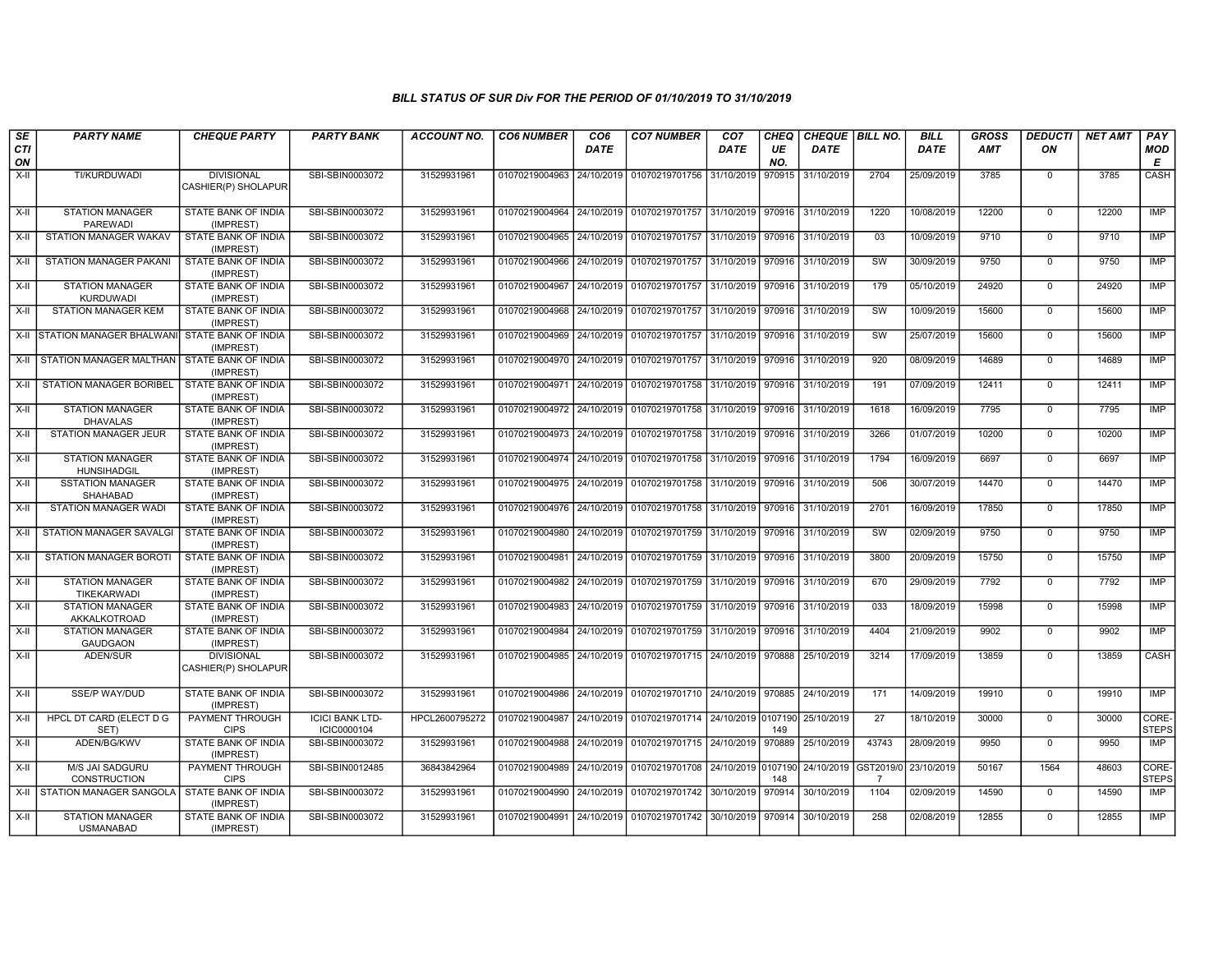| SE<br><b>CTI</b><br>ON | <b>PARTY NAME</b>                            | <b>CHEQUE PARTY</b>                      | <b>PARTY BANK</b>                     | <b>ACCOUNT NO.</b> | <b>CO6 NUMBER</b>                        | CO <sub>6</sub><br><b>DATE</b> | <b>CO7 NUMBER</b>                                              | CO <sub>7</sub><br>DATE      | CHEQ<br>UE<br>NO. | CHEQUE   BILL NO.<br><b>DATE</b> |                 | <b>BILL</b><br><b>DATE</b> | <b>GROSS</b><br><b>AMT</b> | <b>DEDUCTI</b><br>ΟN | <b>NET AMT</b> | PAY<br><b>MOD</b><br>Е |
|------------------------|----------------------------------------------|------------------------------------------|---------------------------------------|--------------------|------------------------------------------|--------------------------------|----------------------------------------------------------------|------------------------------|-------------------|----------------------------------|-----------------|----------------------------|----------------------------|----------------------|----------------|------------------------|
| X-II                   | TI/KURDUWADI                                 | <b>DIVISIONAL</b><br>CASHIER(P) SHOLAPUR | SBI-SBIN0003072                       | 31529931961        | 01070219004963                           | 24/10/2019                     | 01070219701756                                                 | 31/10/2019                   | 970915            | 31/10/2019                       | 2704            | 25/09/2019                 | 3785                       | $^{\circ}$           | 3785           | CASH                   |
| $X-H$                  | <b>STATION MANAGER</b><br>PAREWADI           | STATE BANK OF INDIA<br>(IMPREST)         | SBI-SBIN0003072                       | 31529931961        | 01070219004964                           |                                | 24/10/2019 01070219701757                                      | 31/10/2019 970916 31/10/2019 |                   |                                  | 1220            | 10/08/2019                 | 12200                      | $^{\circ}$           | 12200          | IMP                    |
| X-II                   | <b>STATION MANAGER WAKAV</b>                 | <b>STATE BANK OF INDIA</b><br>(IMPREST)  | SBI-SBIN0003072                       | 31529931961        | 01070219004965                           |                                | 24/10/2019 01070219701757                                      | 31/10/2019 970916            |                   | 31/10/2019                       | 03              | 10/09/2019                 | 9710                       | $\Omega$             | 9710           | IMP                    |
| $X-II$                 | <b>STATION MANAGER PAKANI</b>                | STATE BANK OF INDIA<br>(IMPREST)         | SBI-SBIN0003072                       | 31529931961        | 01070219004966                           |                                | 24/10/2019 01070219701757                                      | 31/10/2019                   | 970916            | 31/10/2019                       | SW              | 30/09/2019                 | 9750                       | $\mathbf 0$          | 9750           | IMP                    |
| $X-II$                 | <b>STATION MANAGER</b><br><b>KURDUWADI</b>   | STATE BANK OF INDIA<br>(IMPREST)         | SBI-SBIN0003072                       | 31529931961        | 01070219004967                           | 24/10/2019                     | 01070219701757                                                 | 31/10/2019                   | 970916            | 31/10/2019                       | 179             | 05/10/2019                 | 24920                      | $\mathbf 0$          | 24920          | <b>IMP</b>             |
| X-II                   | <b>STATION MANAGER KEM</b>                   | <b>STATE BANK OF INDIA</b><br>(IMPREST)  | SBI-SBIN0003072                       | 31529931961        | 01070219004968                           | 24/10/2019                     | 01070219701757                                                 | 31/10/2019                   | 970916            | 31/10/2019                       | sw              | 10/09/2019                 | 15600                      | $\mathbf 0$          | 15600          | <b>IMP</b>             |
|                        | X-II STATION MANAGER BHALWANI                | <b>STATE BANK OF INDIA</b><br>(IMPREST)  | SBI-SBIN0003072                       | 31529931961        | 01070219004969 24/10/2019 01070219701757 |                                |                                                                | 31/10/2019 970916 31/10/2019 |                   |                                  | SW              | 25/07/2019                 | 15600                      | $\mathbf 0$          | 15600          | IMP                    |
| X-II                   | STATION MANAGER MALTHAN                      | STATE BANK OF INDIA<br>(IMPREST)         | SBI-SBIN0003072                       | 31529931961        | 01070219004970                           | 24/10/2019                     | 01070219701757                                                 | 31/10/2019                   | 970916            | 31/10/2019                       | 920             | 08/09/2019                 | 14689                      | $\Omega$             | 14689          | IMP                    |
| $X-H$                  | <b>STATION MANAGER BORIBEL</b>               | STATE BANK OF INDIA<br>(IMPREST)         | SBI-SBIN0003072                       | 31529931961        | 01070219004971                           | 24/10/2019                     | 01070219701758                                                 | 31/10/2019                   | 970916            | 31/10/2019                       | 191             | 07/09/2019                 | 12411                      | $^{\circ}$           | 12411          | <b>IMP</b>             |
| X-II                   | <b>STATION MANAGER</b><br><b>DHAVALAS</b>    | STATE BANK OF INDIA<br>(IMPREST)         | SBI-SBIN0003072                       | 31529931961        |                                          |                                | 01070219004972 24/10/2019 01070219701758 31/10/2019            |                              | 970916            | 31/10/2019                       | 1618            | 16/09/2019                 | 7795                       | $^{\circ}$           | 7795           | IMP                    |
| $X-H$                  | <b>STATION MANAGER JEUR</b>                  | <b>STATE BANK OF INDIA</b><br>(IMPREST)  | SBI-SBIN0003072                       | 31529931961        | 01070219004973 24/10/2019                |                                | 01070219701758                                                 | 31/10/2019                   | 970916            | 31/10/2019                       | 3266            | 01/07/2019                 | 10200                      | $\mathbf 0$          | 10200          | IMP                    |
| X-II                   | <b>STATION MANAGER</b><br><b>HUNSIHADGIL</b> | STATE BANK OF INDIA<br>(IMPREST)         | SBI-SBIN0003072                       | 31529931961        | 01070219004974 24/10/2019 01070219701758 |                                |                                                                | 31/10/2019                   | 970916            | 31/10/2019                       | 1794            | 16/09/2019                 | 6697                       | $^{\circ}$           | 6697           | IMP                    |
| $X-II$                 | <b>SSTATION MANAGER</b><br>SHAHABAD          | STATE BANK OF INDIA<br>(IMPREST)         | SBI-SBIN0003072                       | 31529931961        |                                          |                                | 01070219004975 24/10/2019 01070219701758                       | 31/10/2019                   | 970916            | 31/10/2019                       | 506             | 30/07/2019                 | 14470                      | $\mathbf 0$          | 14470          | <b>IMP</b>             |
| X-II                   | <b>STATION MANAGER WAD</b>                   | STATE BANK OF INDIA<br>(IMPREST)         | SBI-SBIN0003072                       | 31529931961        |                                          |                                | 01070219004976 24/10/2019 01070219701758 31/10/2019            |                              | 970916            | 31/10/2019                       | 2701            | 16/09/2019                 | 17850                      | $^{\circ}$           | 17850          | <b>IMP</b>             |
| X-II                   | STATION MANAGER SAVALGI                      | STATE BANK OF INDIA<br>(IMPREST)         | SBI-SBIN0003072                       | 31529931961        | 01070219004980                           | 24/10/2019                     | 01070219701759                                                 | 31/10/2019                   | 970916            | 31/10/2019                       | SW              | 02/09/2019                 | 9750                       | $\mathbf 0$          | 9750           | IMP                    |
| $X-II$                 | STATION MANAGER BOROTI                       | STATE BANK OF INDIA<br>(IMPREST)         | SBI-SBIN0003072                       | 31529931961        | 01070219004981                           | 24/10/2019                     | 01070219701759                                                 | 31/10/2019                   | 970916            | 31/10/2019                       | 3800            | 20/09/2019                 | 15750                      | $\mathbf 0$          | 15750          | IMP                    |
| X-II                   | <b>STATION MANAGER</b><br>TIKEKARWADI        | STATE BANK OF INDIA<br>(IMPREST)         | SBI-SBIN0003072                       | 31529931961        | 01070219004982                           |                                | 24/10/2019   01070219701759   31/10/2019   970916   31/10/2019 |                              |                   |                                  | 670             | 29/09/2019                 | 7792                       | $^{\circ}$           | 7792           | IMP                    |
| X-II                   | <b>STATION MANAGER</b><br>AKKALKOTROAD       | STATE BANK OF INDIA<br>(IMPREST)         | SBI-SBIN0003072                       | 31529931961        | 01070219004983                           | 24/10/2019                     | 01070219701759                                                 | 31/10/2019                   | 970916            | 31/10/2019                       | 033             | 18/09/2019                 | 15998                      | $\mathbf 0$          | 15998          | IMP                    |
| $X-H$                  | <b>STATION MANAGER</b><br><b>GAUDGAON</b>    | <b>STATE BANK OF INDIA</b><br>(IMPREST)  | SBI-SBIN0003072                       | 31529931961        | 01070219004984                           | 24/10/2019                     | 01070219701759                                                 | 31/10/2019                   | 970916            | 31/10/2019                       | 4404            | 21/09/2019                 | 9902                       | $^{\circ}$           | 9902           | IMP                    |
| X-II                   | ADEN/SUR                                     | <b>DIVISIONAL</b><br>CASHIER(P) SHOLAPUR | SBI-SBIN0003072                       | 31529931961        |                                          |                                | 01070219004985 24/10/2019 01070219701715 24/10/2019 970888     |                              |                   | 25/10/2019                       | 3214            | 17/09/2019                 | 13859                      | $\Omega$             | 13859          | CASH                   |
| X-II                   | <b>SSE/P WAY/DUD</b>                         | STATE BANK OF INDIA<br>(IMPREST)         | SBI-SBIN0003072                       | 31529931961        | 01070219004986                           |                                | 24/10/2019 01070219701710 24/10/2019 970885                    |                              |                   | 24/10/2019                       | 171             | 14/09/2019                 | 19910                      | $^{\circ}$           | 19910          | <b>IMP</b>             |
| $X-H$                  | <b>HPCL DT CARD (ELECT D G</b><br>SET)       | <b>PAYMENT THROUGH</b><br><b>CIPS</b>    | <b>ICICI BANK LTD-</b><br>ICIC0000104 | HPCL2600795272     | 01070219004987                           |                                | 24/10/2019 01070219701714                                      | 24/10/2019 0107190           | 149               | 25/10/2019                       | $\overline{27}$ | 18/10/2019                 | 30000                      | $\Omega$             | 30000          | CORE-<br><b>STEPS</b>  |
| X-II                   | ADEN/BG/KWV                                  | STATE BANK OF INDIA<br>(IMPREST)         | SBI-SBIN0003072                       | 31529931961        | 01070219004988                           | 24/10/2019                     | 01070219701715                                                 | 24/10/2019                   | 970889            | 25/10/2019                       | 43743           | 28/09/2019                 | 9950                       | $\mathbf 0$          | 9950           | IMP                    |
| $X-H$                  | M/S JAI SADGURU<br><b>CONSTRUCTION</b>       | <b>PAYMENT THROUGH</b><br><b>CIPS</b>    | SBI-SBIN0012485                       | 36843842964        | 01070219004989                           |                                | 24/10/2019   01070219701708   24/10/2019 0107190               |                              | 148               | 24/10/2019 GST2019/0             | $\overline{7}$  | 23/10/2019                 | 50167                      | 1564                 | 48603          | CORE-<br><b>STEPS</b>  |
|                        | X-II STATION MANAGER SANGOLA                 | STATE BANK OF INDIA<br>(IMPREST)         | SBI-SBIN0003072                       | 31529931961        | 01070219004990                           |                                | 24/10/2019 01070219701742 30/10/2019                           |                              |                   | 970914 30/10/2019                | 1104            | 02/09/2019                 | 14590                      | $^{\circ}$           | 14590          | <b>IMP</b>             |
| X-II                   | <b>STATION MANAGER</b><br><b>USMANABAD</b>   | <b>STATE BANK OF INDIA</b><br>(IMPREST)  | SBI-SBIN0003072                       | 31529931961        | 01070219004991                           |                                | 24/10/2019   01070219701742                                    | 30/10/2019                   | 970914            | 30/10/2019                       | 258             | 02/08/2019                 | 12855                      | $^{\circ}$           | 12855          | IMP                    |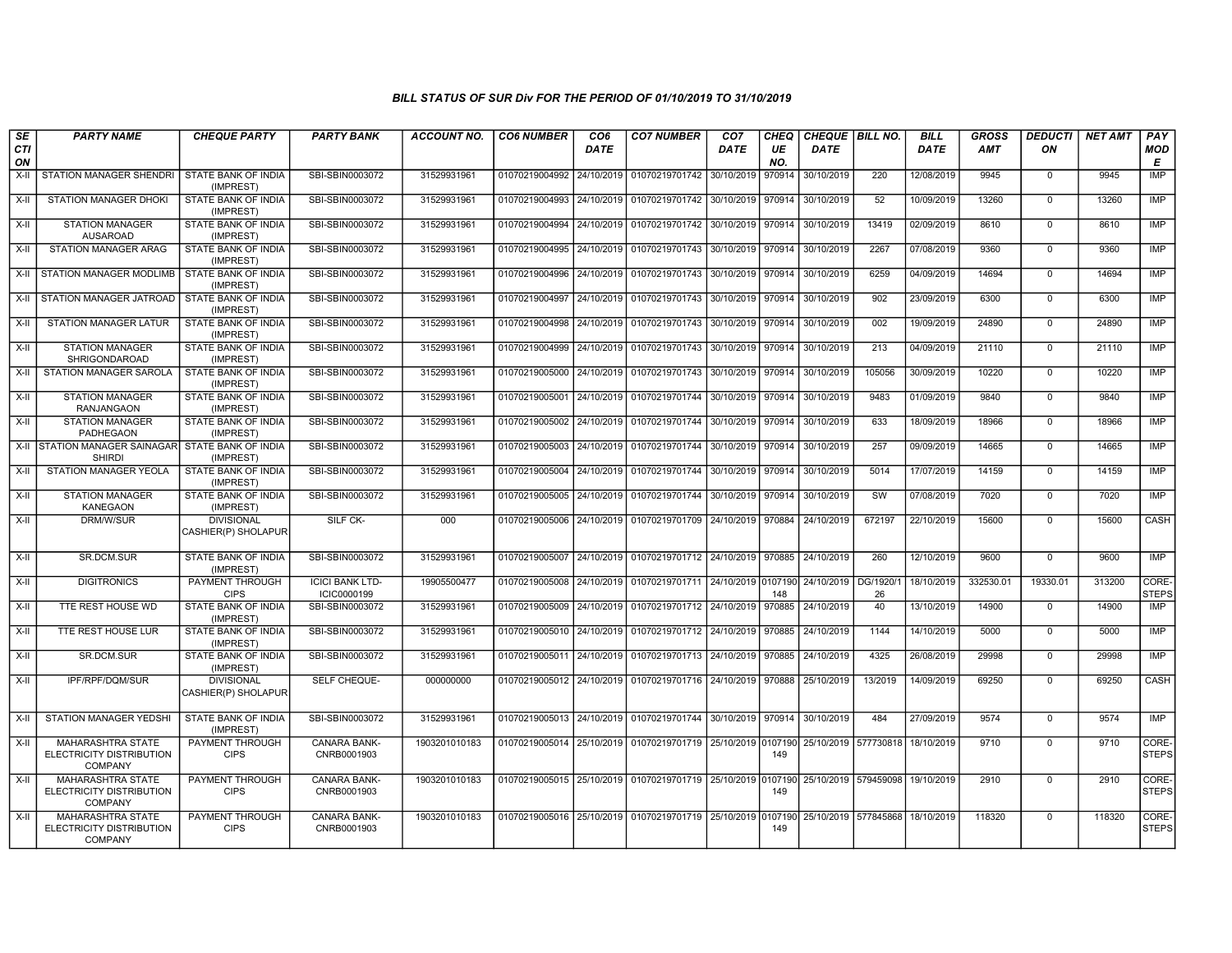| SE        | <b>PARTY NAME</b>                                                      | <b>CHEQUE PARTY</b>                      | <b>PARTY BANK</b>                     | <b>ACCOUNT NO.</b> | <b>CO6 NUMBER</b>         | CO <sub>6</sub> | <b>CO7 NUMBER</b>                                                                | CO <sub>7</sub>     | <b>CHEQ</b> | CHEQUE BILL NO.                 |                | <b>BILL</b> | <b>GROSS</b> | <b>DEDUCTI</b> | <b>NET AMT</b> | PAY                   |
|-----------|------------------------------------------------------------------------|------------------------------------------|---------------------------------------|--------------------|---------------------------|-----------------|----------------------------------------------------------------------------------|---------------------|-------------|---------------------------------|----------------|-------------|--------------|----------------|----------------|-----------------------|
| CTI<br>ON |                                                                        |                                          |                                       |                    |                           | <b>DATE</b>     |                                                                                  | DATE                | UE<br>NO.   | <b>DATE</b>                     |                | DATE        | <b>AMT</b>   | ON             |                | MOD<br>Е              |
| $X-H$     | <b>STATION MANAGER SHENDRI</b>                                         | STATE BANK OF INDIA<br>(IMPREST)         | SBI-SBIN0003072                       | 31529931961        | 01070219004992 24/10/2019 |                 | 01070219701742                                                                   | 30/10/2019          | 970914      | 30/10/2019                      | 220            | 12/08/2019  | 9945         | $\mathbf 0$    | 9945           | <b>IMP</b>            |
| $X-II$    | <b>STATION MANAGER DHOKI</b>                                           | STATE BANK OF INDIA<br>(IMPREST)         | SBI-SBIN0003072                       | 31529931961        | 01070219004993 24/10/2019 |                 | 01070219701742 30/10/2019                                                        |                     | 970914      | 30/10/2019                      | 52             | 10/09/2019  | 13260        | $\Omega$       | 13260          | <b>IMP</b>            |
| X-II      | <b>STATION MANAGER</b><br><b>AUSAROAD</b>                              | STATE BANK OF INDIA<br>(IMPREST)         | SBI-SBIN0003072                       | 31529931961        | 01070219004994 24/10/2019 |                 | 01070219701742 30/10/2019 970914                                                 |                     |             | 30/10/2019                      | 13419          | 02/09/2019  | 8610         | $\mathbf 0$    | 8610           | <b>IMP</b>            |
| X-II      | <b>STATION MANAGER ARAG</b>                                            | STATE BANK OF INDIA<br>(IMPREST)         | SBI-SBIN0003072                       | 31529931961        | 01070219004995            | 24/10/2019      | 01070219701743 30/10/2019                                                        |                     | 970914      | 30/10/2019                      | 2267           | 07/08/2019  | 9360         | $\mathbf 0$    | 9360           | <b>IMP</b>            |
| X-II      | STATION MANAGER MODLIMB                                                | STATE BANK OF INDIA<br>(IMPREST)         | SBI-SBIN0003072                       | 31529931961        | 01070219004996            | 24/10/2019      | 01070219701743 30/10/2019 970914                                                 |                     |             | 30/10/2019                      | 6259           | 04/09/2019  | 14694        | $\Omega$       | 14694          | <b>IMP</b>            |
| X-II      | STATION MANAGER JATROAD                                                | STATE BANK OF INDIA<br>(IMPREST)         | SBI-SBIN0003072                       | 31529931961        | 01070219004997            | 24/10/2019      | 01070219701743 30/10/2019 970914                                                 |                     |             | 30/10/2019                      | 902            | 23/09/2019  | 6300         | 0              | 6300           | <b>IMP</b>            |
| $X-II$    | <b>STATION MANAGER LATUR</b>                                           | STATE BANK OF INDIA<br>(IMPREST)         | SBI-SBIN0003072                       | 31529931961        | 01070219004998            | 24/10/2019      | 01070219701743 30/10/2019 970914                                                 |                     |             | 30/10/2019                      | 002            | 19/09/2019  | 24890        | $\Omega$       | 24890          | <b>IMP</b>            |
| X-II      | <b>STATION MANAGER</b><br>SHRIGONDAROAD                                | <b>STATE BANK OF INDIA</b><br>(IMPREST)  | SBI-SBIN0003072                       | 31529931961        | 01070219004999            | 24/10/2019      | 01070219701743                                                                   | 30/10/2019   970914 |             | 30/10/2019                      | 213            | 04/09/2019  | 21110        | $\mathbf 0$    | 21110          | <b>IMP</b>            |
| X-II      | <b>STATION MANAGER SAROLA</b>                                          | <b>STATE BANK OF INDIA</b><br>(IMPREST)  | SBI-SBIN0003072                       | 31529931961        | 01070219005000            | 24/10/2019      | 01070219701743 30/10/2019 970914                                                 |                     |             | 30/10/2019                      | 105056         | 30/09/2019  | 10220        | $\Omega$       | 10220          | IMP                   |
| X-II      | <b>STATION MANAGER</b><br><b>RANJANGAON</b>                            | STATE BANK OF INDIA<br>(IMPREST)         | SBI-SBIN0003072                       | 31529931961        | 01070219005001 24/10/2019 |                 | 01070219701744 30/10/2019 970914                                                 |                     |             | 30/10/2019                      | 9483           | 01/09/2019  | 9840         | $\mathbf 0$    | 9840           | IMP                   |
| X-II      | <b>STATION MANAGER</b><br><b>PADHEGAON</b>                             | STATE BANK OF INDIA<br>(IMPREST)         | SBI-SBIN0003072                       | 31529931961        | 01070219005002            | 24/10/2019      | 01070219701744                                                                   | 30/10/2019          | 970914      | 30/10/2019                      | 633            | 18/09/2019  | 18966        | $\overline{0}$ | 18966          | <b>IMP</b>            |
| X-II      | <b>STATION MANAGER SAINAGAR</b><br><b>SHIRDI</b>                       | STATE BANK OF INDIA<br>(IMPREST)         | SBI-SBIN0003072                       | 31529931961        | 01070219005003            | 24/10/2019      | 01070219701744 30/10/2019                                                        |                     | 970914      | 30/10/2019                      | 257            | 09/09/2019  | 14665        | $\mathbf 0$    | 14665          | <b>IMP</b>            |
| X-II      | <b>STATION MANAGER YEOLA</b>                                           | STATE BANK OF INDIA<br>(IMPREST)         | SBI-SBIN0003072                       | 31529931961        | 01070219005004            | 24/10/2019      | 01070219701744 30/10/2019 970914                                                 |                     |             | 30/10/2019                      | 5014           | 17/07/2019  | 14159        | $\mathbf 0$    | 14159          | IMP                   |
| $X-H$     | <b>STATION MANAGER</b><br><b>KANEGAON</b>                              | STATE BANK OF INDIA<br>(IMPREST)         | SBI-SBIN0003072                       | 31529931961        | 01070219005005 24/10/2019 |                 | 01070219701744 30/10/2019 970914                                                 |                     |             | 30/10/2019                      | SW             | 07/08/2019  | 7020         | $\mathbf 0$    | 7020           | IMP                   |
| $X-II$    | DRM/W/SUR                                                              | <b>DIVISIONAL</b><br>CASHIER(P) SHOLAPUR | SILF CK-                              | 000                | 01070219005006            | 24/10/2019      | 01070219701709 24/10/2019 970884                                                 |                     |             | 24/10/2019                      | 672197         | 22/10/2019  | 15600        | $\Omega$       | 15600          | CASH                  |
| X-II      | <b>SR.DCM.SUR</b>                                                      | STATE BANK OF INDIA<br>(IMPREST)         | SBI-SBIN0003072                       | 31529931961        | 01070219005007 24/10/2019 |                 | 01070219701712 24/10/2019 970885                                                 |                     |             | 24/10/2019                      | 260            | 12/10/2019  | 9600         | $\mathbf 0$    | 9600           | IMP                   |
| X-II      | <b>DIGITRONICS</b>                                                     | PAYMENT THROUGH<br><b>CIPS</b>           | <b>ICICI BANK LTD-</b><br>ICIC0000199 | 19905500477        | 01070219005008 24/10/2019 |                 | 01070219701711 24/10/2019 0107190                                                |                     | 148         | 24/10/2019                      | DG/1920/<br>26 | 18/10/2019  | 332530.01    | 19330.01       | 313200         | CORE-<br><b>STEPS</b> |
| $X-II$    | TTE REST HOUSE WD                                                      | STATE BANK OF INDIA<br>(IMPREST)         | SBI-SBIN0003072                       | 31529931961        | 01070219005009            | 24/10/2019      | 01070219701712 24/10/2019                                                        |                     | 970885      | 24/10/2019                      | 40             | 13/10/2019  | 14900        | $\Omega$       | 14900          | <b>IMP</b>            |
| $X-H$     | <b>TTE REST HOUSE LUR</b>                                              | STATE BANK OF INDIA<br>(IMPREST)         | SBI-SBIN0003072                       | 31529931961        | 01070219005010 24/10/2019 |                 | 01070219701712 24/10/2019 970885                                                 |                     |             | 24/10/2019                      | 1144           | 14/10/2019  | 5000         | $\mathbf 0$    | 5000           | <b>IMP</b>            |
| $X-H$     | SR.DCM.SUR                                                             | <b>STATE BANK OF INDIA</b><br>(IMPREST)  | SBI-SBIN0003072                       | 31529931961        | 01070219005011 24/10/2019 |                 | 01070219701713 24/10/2019 970885                                                 |                     |             | 24/10/2019                      | 4325           | 26/08/2019  | 29998        | $\mathbf{0}$   | 29998          | IMP                   |
| X-II      | IPF/RPF/DQM/SUR                                                        | <b>DIVISIONAL</b><br>CASHIER(P) SHOLAPUR | SELF CHEQUE-                          | 000000000          | 01070219005012 24/10/2019 |                 | 01070219701716 24/10/2019 970888                                                 |                     |             | 25/10/2019                      | 13/2019        | 14/09/2019  | 69250        | $\Omega$       | 69250          | CASH                  |
| X-II      | STATION MANAGER YEDSHI                                                 | STATE BANK OF INDIA<br>(IMPREST)         | SBI-SBIN0003072                       | 31529931961        |                           |                 | 01070219005013 24/10/2019 01070219701744 30/10/2019 970914                       |                     |             | 30/10/2019                      | 484            | 27/09/2019  | 9574         | $\mathbf 0$    | 9574           | IMP                   |
| X-II      | <b>MAHARASHTRA STATE</b><br>ELECTRICITY DISTRIBUTION<br><b>COMPANY</b> | PAYMENT THROUGH<br><b>CIPS</b>           | <b>CANARA BANK-</b><br>CNRB0001903    | 1903201010183      |                           |                 | 01070219005014 25/10/2019 01070219701719 25/10/2019 0107190 25/10/2019 577730818 |                     | 149         |                                 |                | 18/10/2019  | 9710         | $\Omega$       | 9710           | CORE-<br><b>STEPS</b> |
| X-II      | <b>MAHARASHTRA STATE</b><br>ELECTRICITY DISTRIBUTION<br><b>COMPANY</b> | PAYMENT THROUGH<br><b>CIPS</b>           | <b>CANARA BANK-</b><br>CNRB0001903    | 1903201010183      |                           |                 | 01070219005015 25/10/2019 01070219701719 25/10/2019 0107190                      |                     | 149         | 25/10/2019 579459098 19/10/2019 |                |             | 2910         | $\mathbf 0$    | 2910           | CORE-<br><b>STEPS</b> |
| X-II      | <b>MAHARASHTRA STATE</b><br>ELECTRICITY DISTRIBUTION<br>COMPANY        | <b>PAYMENT THROUGH</b><br><b>CIPS</b>    | CANARA BANK-<br>CNRB0001903           | 1903201010183      |                           |                 | 01070219005016 25/10/2019 01070219701719 25/10/2019 0107190                      |                     | 149         | 25/10/2019 577845868 18/10/2019 |                |             | 118320       | $\mathbf 0$    | 118320         | CORE-<br><b>STEPS</b> |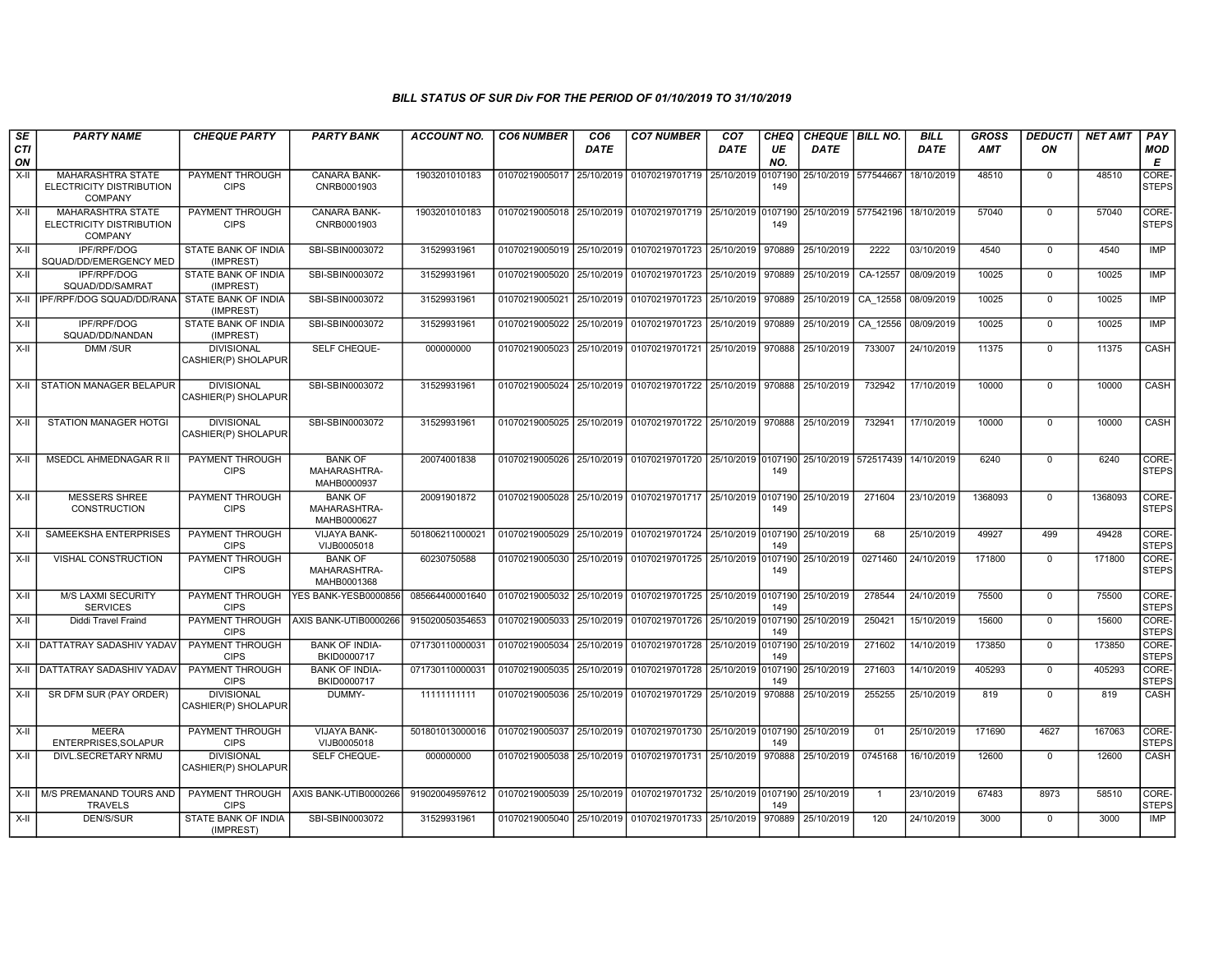| SE               | <b>PARTY NAME</b>                                                      | <b>CHEQUE PARTY</b>                      | <b>PARTY BANK</b>                             | <b>ACCOUNT NO.</b> | <b>CO6 NUMBER</b>         | CO <sub>6</sub> | <b>CO7 NUMBER</b>                                           | CO <sub>7</sub> | CHEQ      | CHEQUE   BILL NO.    |                | <b>BILL</b> | <b>GROSS</b> | <i><b>DEDUCTI</b></i> | <b>NET AMT</b> | PAY                         |
|------------------|------------------------------------------------------------------------|------------------------------------------|-----------------------------------------------|--------------------|---------------------------|-----------------|-------------------------------------------------------------|-----------------|-----------|----------------------|----------------|-------------|--------------|-----------------------|----------------|-----------------------------|
| <b>CTI</b><br>ON |                                                                        |                                          |                                               |                    |                           | DATE            |                                                             | DATE            | UE<br>NO. | <b>DATE</b>          |                | <b>DATE</b> | <b>AMT</b>   | ON                    |                | <b>MOD</b><br>E             |
| X-II             | MAHARASHTRA STATE<br>ELECTRICITY DISTRIBUTION<br><b>COMPANY</b>        | PAYMENT THROUGH<br><b>CIPS</b>           | CANARA BANK-<br>CNRB0001903                   | 1903201010183      | 01070219005017            | 25/10/2019      | 01070219701719 25/10/2019 0107190                           |                 | 149       | 25/10/2019 577544667 |                | 18/10/2019  | 48510        | $\mathbf 0$           | 48510          | CORE-<br><b>STEPS</b>       |
| $X-H$            | <b>MAHARASHTRA STATE</b><br>ELECTRICITY DISTRIBUTION<br><b>COMPANY</b> | PAYMENT THROUGH<br><b>CIPS</b>           | <b>CANARA BANK-</b><br>CNRB0001903            | 1903201010183      |                           |                 | 01070219005018 25/10/2019 01070219701719 25/10/2019 0107190 |                 | 149       | 25/10/2019 577542196 |                | 18/10/2019  | 57040        | $\mathbf 0$           | 57040          | <b>CORE</b><br><b>STEPS</b> |
| $X-H$            | IPF/RPF/DOG<br>SQUAD/DD/EMERGENCY MED                                  | STATE BANK OF INDIA<br>(IMPREST)         | SBI-SBIN0003072                               | 31529931961        | 01070219005019 25/10/2019 |                 | 01070219701723 25/10/2019                                   |                 | 970889    | 25/10/2019           | 2222           | 03/10/2019  | 4540         | $\mathbf 0$           | 4540           | <b>IMP</b>                  |
| $X-H$            | <b>IPF/RPF/DOG</b><br>SQUAD/DD/SAMRAT                                  | <b>STATE BANK OF INDIA</b><br>(IMPREST)  | SBI-SBIN0003072                               | 31529931961        | 01070219005020 25/10/2019 |                 | 01070219701723 25/10/2019 970889                            |                 |           | 25/10/2019           | CA-12557       | 08/09/2019  | 10025        | $\mathbf 0$           | 10025          | <b>IMP</b>                  |
|                  | X-II I IPF/RPF/DOG SQUAD/DD/RANA STATE BANK OF INDIA                   | (IMPREST)                                | SBI-SBIN0003072                               | 31529931961        | 01070219005021 25/10/2019 |                 | 01070219701723 25/10/2019 970889                            |                 |           | 25/10/2019 CA 12558  |                | 08/09/2019  | 10025        | $\Omega$              | 10025          | IMP                         |
| X-II             | IPF/RPF/DOG<br>SQUAD/DD/NANDAN                                         | STATE BANK OF INDIA<br>(IMPREST)         | SBI-SBIN0003072                               | 31529931961        | 01070219005022            | 25/10/2019      | 01070219701723 25/10/2019                                   |                 | 970889    | 25/10/2019           | CA 12556       | 08/09/2019  | 10025        | $\Omega$              | 10025          | IMP                         |
| X-II             | DMM /SUR                                                               | <b>DIVISIONAL</b><br>CASHIER(P) SHOLAPUR | SELF CHEQUE-                                  | 000000000          | 01070219005023 25/10/2019 |                 | 01070219701721 25/10/2019 970888                            |                 |           | 25/10/2019           | 733007         | 24/10/2019  | 11375        | $\Omega$              | 11375          | CASH                        |
| X-II             | <b>STATION MANAGER BELAPUR</b>                                         | <b>DIVISIONAL</b><br>CASHIER(P) SHOLAPUR | SBI-SBIN0003072                               | 31529931961        | 01070219005024            | 25/10/2019      | 01070219701722 25/10/2019 970888                            |                 |           | 25/10/2019           | 732942         | 17/10/2019  | 10000        | $\Omega$              | 10000          | CASH                        |
| X-II             | STATION MANAGER HOTGI                                                  | <b>DIVISIONAL</b><br>CASHIER(P) SHOLAPUR | SBI-SBIN0003072                               | 31529931961        |                           |                 | 01070219005025 25/10/2019 01070219701722 25/10/2019 970888  |                 |           | 25/10/2019           | 732941         | 17/10/2019  | 10000        | $\Omega$              | 10000          | CASH                        |
| $X-H$            | <b>MSEDCL AHMEDNAGAR R II</b>                                          | PAYMENT THROUGH<br><b>CIPS</b>           | <b>BANK OF</b><br>MAHARASHTRA-<br>MAHB0000937 | 20074001838        |                           |                 | 01070219005026 25/10/2019 01070219701720 25/10/2019 0107190 |                 | 149       | 25/10/2019 572517439 |                | 14/10/2019  | 6240         | $\Omega$              | 6240           | CORE-<br>Isteps             |
| $X-I$            | <b>MESSERS SHREE</b><br><b>CONSTRUCTION</b>                            | PAYMENT THROUGH<br><b>CIPS</b>           | <b>BANK OF</b><br>MAHARASHTRA-<br>MAHB0000627 | 20091901872        | 01070219005028 25/10/2019 |                 | 01070219701717 25/10/2019 0107190                           |                 | 149       | 25/10/2019           | 271604         | 23/10/2019  | 1368093      | $\mathbf 0$           | 1368093        | <b>CORE</b><br><b>STEPS</b> |
| X-II             | SAMEEKSHA ENTERPRISES                                                  | <b>PAYMENT THROUGH</b><br><b>CIPS</b>    | <b>VIJAYA BANK-</b><br>VIJB0005018            | 501806211000021    |                           |                 | 01070219005029 25/10/2019 01070219701724 25/10/2019 0107190 |                 | 149       | 25/10/2019           | 68             | 25/10/2019  | 49927        | 499                   | 49428          | CORE-<br><b>STEPS</b>       |
| X-II             | VISHAL CONSTRUCTION                                                    | PAYMENT THROUGH<br><b>CIPS</b>           | <b>BANK OF</b><br>MAHARASHTRA-<br>MAHB0001368 | 60230750588        | 01070219005030            | 25/10/2019      | 01070219701725 25/10/2019 0107190                           |                 | 149       | 25/10/2019           | 0271460        | 24/10/2019  | 171800       | $\mathbf 0$           | 171800         | CORE-<br><b>STEPS</b>       |
| X-II             | <b>M/S LAXMI SECURITY</b><br><b>SERVICES</b>                           | PAYMENT THROUGH<br><b>CIPS</b>           | YES BANK-YESB0000856                          | 085664400001640    | 01070219005032            | 25/10/2019      | 01070219701725 25/10/2019 0107190                           |                 | 149       | 25/10/2019           | 278544         | 24/10/2019  | 75500        | $\mathbf 0$           | 75500          | CORE-<br><b>STEPS</b>       |
| $X-II$           | <b>Diddi Travel Fraind</b>                                             | PAYMENT THROUGH<br><b>CIPS</b>           | AXIS BANK-UTIB0000266                         | 915020050354653    | 01070219005033            | 25/10/2019      | 01070219701726 25/10/2019 0107190                           |                 | 149       | 25/10/2019           | 250421         | 15/10/2019  | 15600        | $\Omega$              | 15600          | CORE-<br><b>STEPS</b>       |
|                  | X-II DATTATRAY SADASHIV YADAV                                          | PAYMENT THROUGH<br><b>CIPS</b>           | <b>BANK OF INDIA-</b><br>BKID0000717          | 071730110000031    | 01070219005034            | 25/10/2019      | 01070219701728 25/10/2019 0107190                           |                 | 149       | 25/10/2019           | 271602         | 14/10/2019  | 173850       | $\mathbf 0$           | 173850         | CORE-<br><b>STEPS</b>       |
|                  | X-II DATTATRAY SADASHIV YADAV                                          | PAYMENT THROUGH<br><b>CIPS</b>           | <b>BANK OF INDIA-</b><br>BKID0000717          | 071730110000031    | 01070219005035 25/10/2019 |                 | 01070219701728 25/10/2019 0107190                           |                 | 149       | 25/10/2019           | 271603         | 14/10/2019  | 405293       | $\mathbf 0$           | 405293         | CORE-<br><b>STEPS</b>       |
| X-II             | SR DFM SUR (PAY ORDER)                                                 | <b>DIVISIONAL</b><br>CASHIER(P) SHOLAPUR | DUMMY-                                        | 11111111111        | 01070219005036 25/10/2019 |                 | 01070219701729 25/10/2019 970888                            |                 |           | 25/10/2019           | 255255         | 25/10/2019  | 819          | $\Omega$              | 819            | CASH                        |
| $X-H$            | <b>MEERA</b><br>ENTERPRISES, SOLAPUR                                   | PAYMENT THROUGH<br><b>CIPS</b>           | <b>VIJAYA BANK-</b><br>VIJB0005018            | 501801013000016    | 01070219005037 25/10/2019 |                 | 01070219701730 25/10/2019 0107190 25/10/2019                |                 | 149       |                      | 01             | 25/10/2019  | 171690       | 4627                  | 167063         | CORE-<br><b>STEPS</b>       |
| X-II             | DIVL.SECRETARY NRMU                                                    | <b>DIVISIONAL</b><br>CASHIER(P) SHOLAPUR | SELF CHEQUE-                                  | 000000000          | 01070219005038 25/10/2019 |                 | 01070219701731 25/10/2019                                   |                 | 970888    | 25/10/2019           | 0745168        | 16/10/2019  | 12600        | $\Omega$              | 12600          | CASH                        |
| $X-II$           | M/S PREMANAND TOURS AND<br><b>TRAVELS</b>                              | PAYMENT THROUGH<br><b>CIPS</b>           | AXIS BANK-UTIB0000266                         | 919020049597612    | 01070219005039            | 25/10/2019      | 01070219701732 25/10/2019 0107190                           |                 | 149       | 25/10/2019           | $\overline{1}$ | 23/10/2019  | 67483        | 8973                  | 58510          | CORE-<br><b>STEPS</b>       |
| $X-H$            | <b>DEN/S/SUR</b>                                                       | STATE BANK OF INDIA<br>(IMPREST)         | SBI-SBIN0003072                               | 31529931961        |                           |                 | 01070219005040 25/10/2019 01070219701733 25/10/2019         |                 | 970889    | 25/10/2019           | 120            | 24/10/2019  | 3000         | $\Omega$              | 3000           | <b>IMP</b>                  |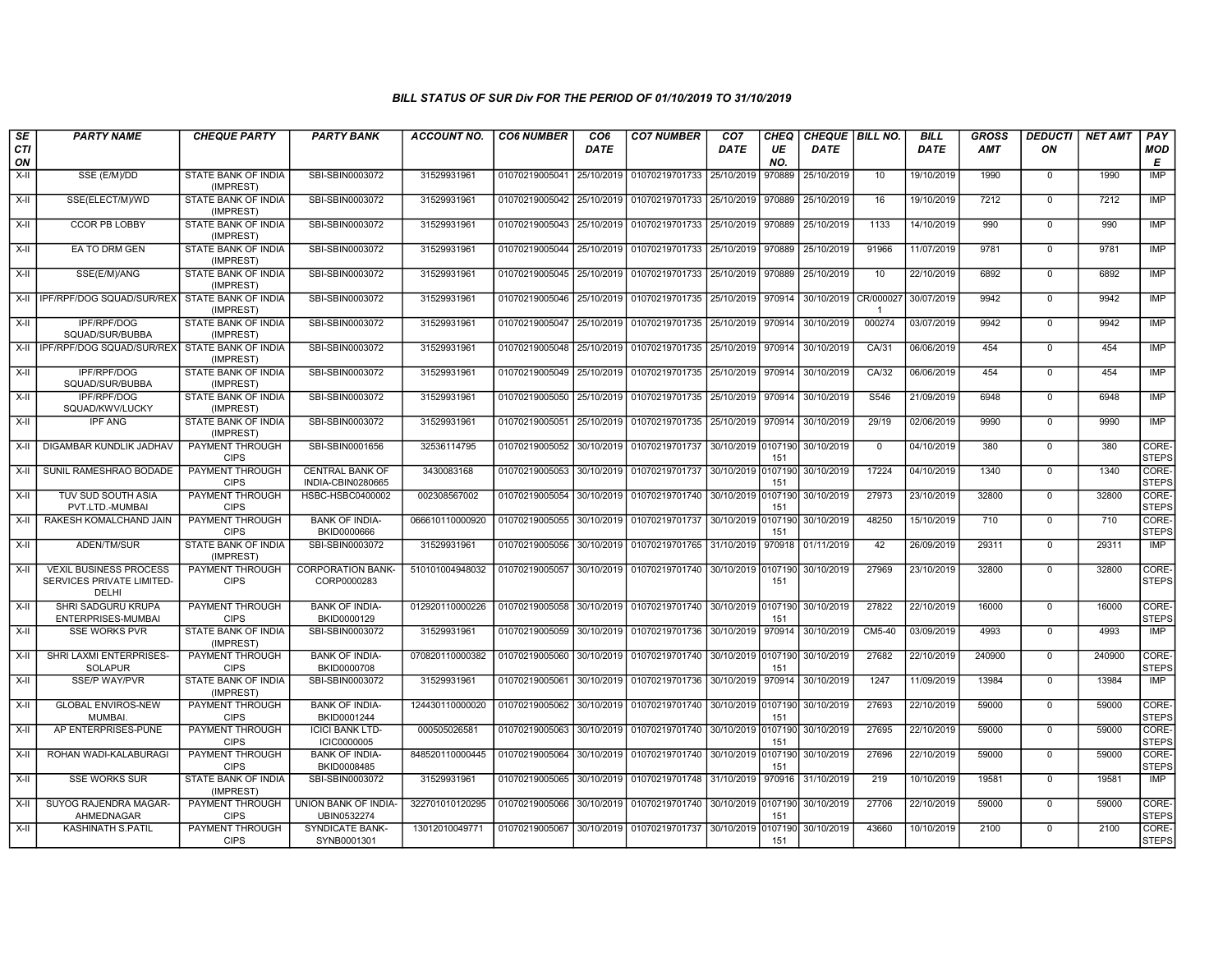| SE<br><b>CTI</b><br>ON | <b>PARTY NAME</b>                                                   | <b>CHEQUE PARTY</b>                     | <b>PARTY BANK</b>                            | <b>ACCOUNT NO.</b> | <b>CO6 NUMBER</b>         | CO <sub>6</sub><br><b>DATE</b> | <b>CO7 NUMBER</b>                                                      | CO <sub>7</sub><br><b>DATE</b> | <b>CHEQ</b><br>UE<br>NO. | CHEQUE BILL NO.<br><b>DATE</b> |             | <b>BILL</b><br><b>DATE</b> | <b>GROSS</b><br><b>AMT</b> | <b>DEDUCTI</b><br>ON | <b>NET AMT</b> | PAY<br><b>MOD</b><br>E      |
|------------------------|---------------------------------------------------------------------|-----------------------------------------|----------------------------------------------|--------------------|---------------------------|--------------------------------|------------------------------------------------------------------------|--------------------------------|--------------------------|--------------------------------|-------------|----------------------------|----------------------------|----------------------|----------------|-----------------------------|
| $X-H$                  | SSE (E/M)/DD                                                        | STATE BANK OF INDIA<br>(IMPREST)        | SBI-SBIN0003072                              | 31529931961        | 01070219005041 25/10/2019 |                                | 01070219701733                                                         | 25/10/2019                     | 970889                   | 25/10/2019                     | 10          | 19/10/2019                 | 1990                       | $\mathbf 0$          | 1990           | <b>IMP</b>                  |
| $X-II$                 | SSE(ELECT/M)/WD                                                     | STATE BANK OF INDIA<br>(IMPREST)        | SBI-SBIN0003072                              | 31529931961        | 01070219005042 25/10/2019 |                                | 01070219701733 25/10/2019                                              |                                | 970889                   | 25/10/2019                     | 16          | 19/10/2019                 | 7212                       | $\Omega$             | 7212           | <b>IMP</b>                  |
| $X-II$                 | <b>CCOR PB LOBBY</b>                                                | <b>STATE BANK OF INDIA</b><br>(IMPREST) | SBI-SBIN0003072                              | 31529931961        |                           |                                | 01070219005043 25/10/2019 01070219701733 25/10/2019 970889             |                                |                          | 25/10/2019                     | 1133        | 14/10/2019                 | 990                        | $\Omega$             | 990            | <b>IMP</b>                  |
| $X-H$                  | EA TO DRM GEN                                                       | <b>STATE BANK OF INDIA</b><br>(IMPREST) | SBI-SBIN0003072                              | 31529931961        | 01070219005044 25/10/2019 |                                | 01070219701733 25/10/2019                                              |                                | 970889                   | 25/10/2019                     | 91966       | 11/07/2019                 | 9781                       | $\mathbf 0$          | 9781           | <b>IMP</b>                  |
| X-II                   | SSE(E/M)/ANG                                                        | STATE BANK OF INDIA<br>(IMPREST)        | SBI-SBIN0003072                              | 31529931961        |                           |                                | 01070219005045 25/10/2019 01070219701733                               | 25/10/2019                     | 970889                   | 25/10/2019                     | 10          | 22/10/2019                 | 6892                       | $\Omega$             | 6892           | IMP                         |
|                        | X-II I IPF/RPF/DOG SQUAD/SUR/REX STATE BANK OF INDIA                | (IMPREST)                               | SBI-SBIN0003072                              | 31529931961        | 01070219005046 25/10/2019 |                                | 01070219701735                                                         | 25/10/2019                     | 970914                   | 30/10/2019                     | CR/000027   | 30/07/2019                 | 9942                       | $\mathbf 0$          | 9942           | IMP                         |
| $X-II$                 | IPF/RPF/DOG<br>SQUAD/SUR/BUBBA                                      | <b>STATE BANK OF INDIA</b><br>(IMPREST) | SBI-SBIN0003072                              | 31529931961        | 01070219005047 25/10/2019 |                                | 01070219701735 25/10/2019 970914                                       |                                |                          | 30/10/2019                     | 000274      | 03/07/2019                 | 9942                       | $\Omega$             | 9942           | <b>IMP</b>                  |
| $X-H$                  | IPF/RPF/DOG SQUAD/SUR/REX STATE BANK OF INDIA                       | (IMPREST)                               | SBI-SBIN0003072                              | 31529931961        |                           |                                | 01070219005048 25/10/2019 01070219701735 25/10/2019 970914             |                                |                          | 30/10/2019                     | CA/31       | 06/06/2019                 | 454                        | $\mathbf 0$          | 454            | <b>IMP</b>                  |
| $X-II$                 | <b>IPF/RPF/DOG</b><br>SQUAD/SUR/BUBBA                               | <b>STATE BANK OF INDIA</b><br>(IMPREST) | SBI-SBIN0003072                              | 31529931961        | 01070219005049 25/10/2019 |                                | 01070219701735 25/10/2019 970914                                       |                                |                          | 30/10/2019                     | CA/32       | 06/06/2019                 | 454                        | $\mathbf 0$          | 454            | <b>IMP</b>                  |
| X-II                   | IPF/RPF/DOG<br>SQUAD/KWV/LUCKY                                      | STATE BANK OF INDIA<br>(IMPREST)        | SBI-SBIN0003072                              | 31529931961        |                           |                                | 01070219005050 25/10/2019 01070219701735 25/10/2019 970914             |                                |                          | 30/10/2019                     | S546        | 21/09/2019                 | 6948                       | $\mathbf 0$          | 6948           | IMP                         |
| X-II                   | <b>IPF ANG</b>                                                      | STATE BANK OF INDIA<br>(IMPREST)        | SBI-SBIN0003072                              | 31529931961        | 01070219005051 25/10/2019 |                                | 01070219701735 25/10/2019 970914                                       |                                |                          | 30/10/2019                     | 29/19       | 02/06/2019                 | 9990                       | $\Omega$             | 9990           | <b>IMP</b>                  |
| X-II                   | DIGAMBAR KUNDLIK JADHAV                                             | PAYMENT THROUGH<br><b>CIPS</b>          | SBI-SBIN0001656                              | 32536114795        |                           |                                | 01070219005052 30/10/2019 01070219701737                               |                                | 151                      | 30/10/2019 0107190 30/10/2019  | $\mathbf 0$ | 04/10/2019                 | 380                        | $\mathbf 0$          | 380            | CORE-<br><b>STEPS</b>       |
| $X-H$                  | SUNIL RAMESHRAO BODADE                                              | PAYMENT THROUGH<br><b>CIPS</b>          | <b>CENTRAL BANK OF</b><br>INDIA-CBIN0280665  | 3430083168         | 01070219005053 30/10/2019 |                                | 01070219701737                                                         | 30/10/2019 0107190             | 151                      | 30/10/2019                     | 17224       | 04/10/2019                 | 1340                       | $\mathbf 0$          | 1340           | CORE-<br><b>STEPS</b>       |
| X-II                   | TUV SUD SOUTH ASIA<br>PVT.LTD.-MUMBAI                               | PAYMENT THROUGH<br><b>CIPS</b>          | HSBC-HSBC0400002                             | 002308567002       |                           |                                | 01070219005054 30/10/2019 01070219701740 30/10/2019 0107190            |                                | 151                      | 30/10/2019                     | 27973       | 23/10/2019                 | 32800                      | $\Omega$             | 32800          | CORE-<br><b>STEPS</b>       |
| $X-II$                 | RAKESH KOMALCHAND JAIN                                              | <b>PAYMENT THROUGH</b><br><b>CIPS</b>   | <b>BANK OF INDIA-</b><br>BKID0000666         | 066610110000920    |                           |                                | 01070219005055 30/10/2019 01070219701737                               | 30/10/2019 0107190             | 151                      | 30/10/2019                     | 48250       | 15/10/2019                 | 710                        | $\Omega$             | 710            | CORE-<br><b>STEPS</b>       |
| $X-H$                  | ADEN/TM/SUR                                                         | <b>STATE BANK OF INDIA</b><br>(IMPREST) | SBI-SBIN0003072                              | 31529931961        | 01070219005056            | 30/10/2019                     | 01070219701765 31/10/2019                                              |                                | 970918                   | 01/11/2019                     | 42          | 26/09/2019                 | 29311                      | $\mathbf 0$          | 29311          | <b>IMP</b>                  |
| $X-H$                  | <b>VEXIL BUSINESS PROCESS</b><br>SERVICES PRIVATE LIMITED-<br>DELHI | <b>PAYMENT THROUGH</b><br><b>CIPS</b>   | <b>CORPORATION BANK-</b><br>CORP0000283      | 510101004948032    |                           |                                | 01070219005057 30/10/2019 01070219701740 30/10/2019 0107190            |                                | 151                      | 30/10/2019                     | 27969       | 23/10/2019                 | 32800                      | $\Omega$             | 32800          | CORE-<br><b>STEPS</b>       |
| X-II                   | SHRI SADGURU KRUPA<br>ENTERPRISES-MUMBAI                            | PAYMENT THROUGH<br><b>CIPS</b>          | <b>BANK OF INDIA-</b><br>BKID0000129         | 012920110000226    |                           |                                | 01070219005058 30/10/2019 01070219701740 30/10/2019 0107190            |                                | 151                      | 30/10/2019                     | 27822       | 22/10/2019                 | 16000                      | $\Omega$             | 16000          | <b>CORE</b><br><b>STEPS</b> |
| $X-H$                  | <b>SSE WORKS PVR</b>                                                | <b>STATE BANK OF INDIA</b><br>(IMPREST) | SBI-SBIN0003072                              | 31529931961        | 01070219005059 30/10/2019 |                                | 01070219701736 30/10/2019 970914                                       |                                |                          | 30/10/2019                     | CM5-40      | 03/09/2019                 | 4993                       | $\Omega$             | 4993           | IMP                         |
| X-II                   | SHRI LAXMI ENTERPRISES-<br><b>SOLAPUR</b>                           | PAYMENT THROUGH<br><b>CIPS</b>          | <b>BANK OF INDIA-</b><br>BKID0000708         | 070820110000382    | 01070219005060 30/10/2019 |                                | 01070219701740                                                         | 30/10/2019 0107190             | 151                      | 30/10/2019                     | 27682       | 22/10/2019                 | 240900                     | $\Omega$             | 240900         | CORE-<br><b>STEPS</b>       |
| X-II                   | <b>SSE/P WAY/PVR</b>                                                | STATE BANK OF INDIA<br>(IMPREST)        | SBI-SBIN0003072                              | 31529931961        | 01070219005061 30/10/2019 |                                | 01070219701736 30/10/2019                                              |                                | 970914                   | 30/10/2019                     | 1247        | 11/09/2019                 | 13984                      | $\mathbf 0$          | 13984          | IMP                         |
| $X-H$                  | <b>GLOBAL ENVIROS-NEW</b><br><b>MUMBAI</b>                          | PAYMENT THROUGH<br><b>CIPS</b>          | <b>BANK OF INDIA-</b><br>BKID0001244         | 124430110000020    |                           |                                | 01070219005062 30/10/2019 01070219701740 30/10/2019 0107190            |                                | 151                      | 30/10/2019                     | 27693       | 22/10/2019                 | 59000                      | $\mathbf 0$          | 59000          | CORE-<br><b>STEPS</b>       |
| $X-H$                  | AP ENTERPRISES-PUNE                                                 | PAYMENT THROUGH<br><b>CIPS</b>          | <b>ICICI BANK LTD-</b><br><b>ICIC0000005</b> | 000505026581       | 01070219005063 30/10/2019 |                                | 01070219701740 30/10/2019 0107190 30/10/2019                           |                                | 151                      |                                | 27695       | 22/10/2019                 | 59000                      | $\mathbf 0$          | 59000          | CORE-<br><b>STEPS</b>       |
| X-II                   | ROHAN WADI-KALABURAGI                                               | PAYMENT THROUGH<br><b>CIPS</b>          | <b>BANK OF INDIA-</b><br>BKID0008485         | 848520110000445    | 01070219005064 30/10/2019 |                                | 01070219701740                                                         | 30/10/2019 0107190             | 151                      | 30/10/2019                     | 27696       | 22/10/2019                 | 59000                      | $\Omega$             | 59000          | CORE-<br><b>STEPS</b>       |
| X-II                   | <b>SSE WORKS SUR</b>                                                | STATE BANK OF INDIA<br>(IMPREST)        | SBI-SBIN0003072                              | 31529931961        |                           |                                | 01070219005065 30/10/2019 01070219701748 31/10/2019                    |                                | 970916                   | 31/10/2019                     | 219         | 10/10/2019                 | 19581                      | $\Omega$             | 19581          | <b>IMP</b>                  |
| $X-II$                 | SUYOG RAJENDRA MAGAR-<br>AHMEDNAGAR                                 | PAYMENT THROUGH<br><b>CIPS</b>          | UNION BANK OF INDIA-<br>UBIN0532274          | 322701010120295    | 01070219005066 30/10/2019 |                                | 01070219701740 30/10/2019 0107190                                      |                                | 151                      | 30/10/2019                     | 27706       | 22/10/2019                 | 59000                      | $\Omega$             | 59000          | CORE-<br><b>STEPS</b>       |
| $X-H$                  | <b>KASHINATH S.PATIL</b>                                            | PAYMENT THROUGH<br><b>CIPS</b>          | <b>SYNDICATE BANK-</b><br>SYNB0001301        | 13012010049771     |                           |                                | 01070219005067 30/10/2019 01070219701737 30/10/2019 0107190 30/10/2019 |                                | 151                      |                                | 43660       | 10/10/2019                 | 2100                       | $\Omega$             | 2100           | CORE-<br><b>STEPS</b>       |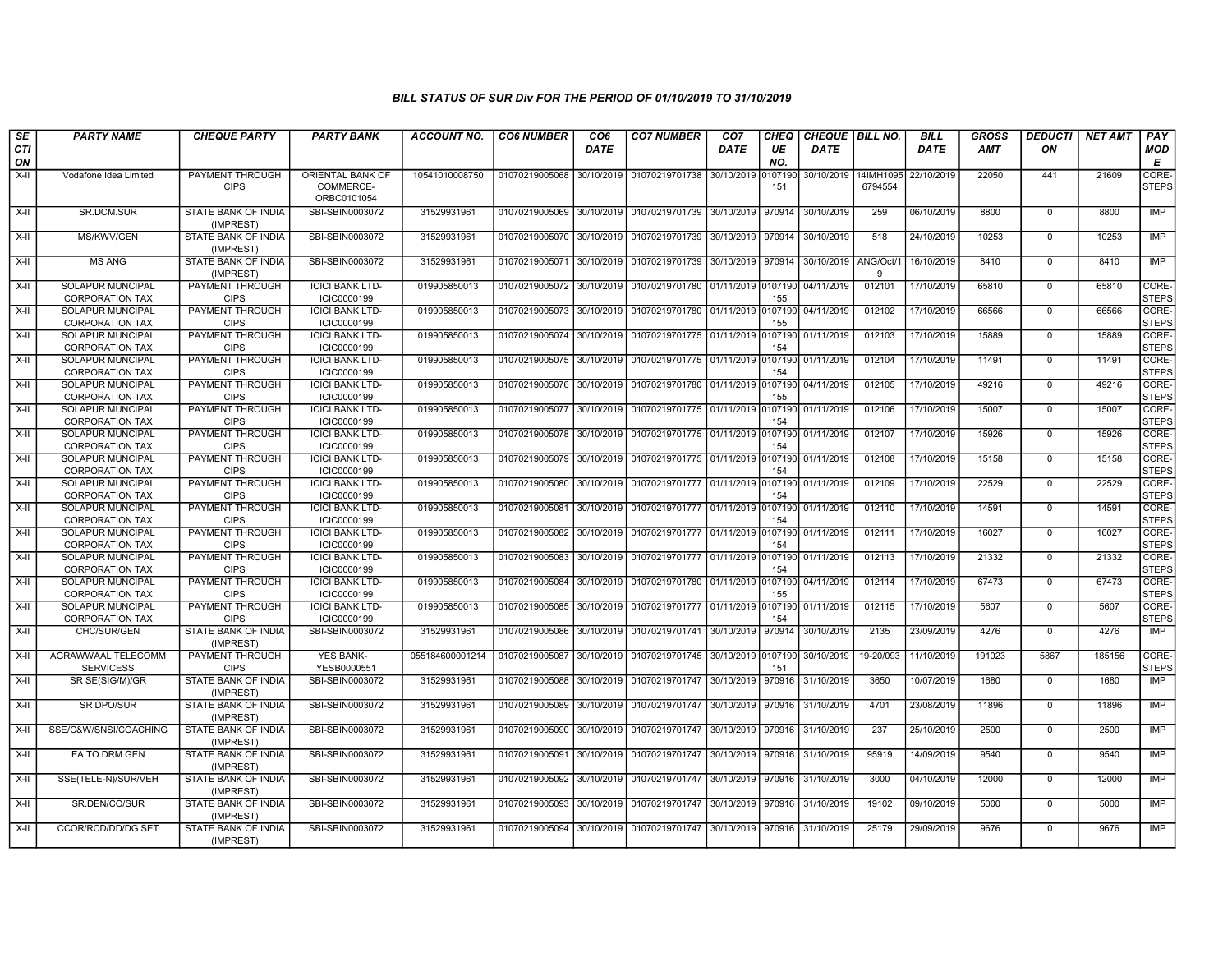| SE               | <b>PARTY NAME</b>                                 | <b>CHEQUE PARTY</b>                     | <b>PARTY BANK</b>                            | <b>ACCOUNT NO.</b> | <b>CO6 NUMBER</b> | CO <sub>6</sub> | <b>CO7 NUMBER</b>                            | CO <sub>7</sub>    | <b>CHEQ</b>    | CHEQUE   BILL NO. |                      | <b>BILL</b> | <b>GROSS</b> | <b>DEDUCTI</b> | <b>NET AMT</b> | <b>PAY</b>            |
|------------------|---------------------------------------------------|-----------------------------------------|----------------------------------------------|--------------------|-------------------|-----------------|----------------------------------------------|--------------------|----------------|-------------------|----------------------|-------------|--------------|----------------|----------------|-----------------------|
| <b>CTI</b><br>ON |                                                   |                                         |                                              |                    |                   | <b>DATE</b>     |                                              | DATE               | UE<br>NO.      | <b>DATE</b>       |                      | <b>DATE</b> | AMT          | ON             |                | <b>MOD</b><br>E       |
| $X-I$            | Vodafone Idea Limited                             | PAYMENT THROUGH<br><b>CIPS</b>          | ORIENTAL BANK OF<br>COMMERCE-<br>ORBC0101054 | 10541010008750     | 01070219005068    | 30/10/2019      | 01070219701738                               | 30/10/2019         | 0107190<br>151 | 30/10/2019        | 14IMH1095<br>6794554 | 22/10/2019  | 22050        | 441            | 21609          | CORE-<br><b>STEPS</b> |
| $X-H$            | SR.DCM.SUR                                        | <b>STATE BANK OF INDIA</b><br>(IMPREST) | SBI-SBIN0003072                              | 31529931961        | 01070219005069    |                 | 30/10/2019 01070219701739 30/10/2019         |                    | 970914         | 30/10/2019        | 259                  | 06/10/2019  | 8800         | $\mathbf 0$    | 8800           | <b>IMP</b>            |
| X-II             | MS/KWV/GEN                                        | <b>STATE BANK OF INDIA</b><br>(IMPREST) | SBI-SBIN0003072                              | 31529931961        | 01070219005070    |                 | 30/10/2019 01070219701739                    | 30/10/2019         | 970914         | 30/10/2019        | 518                  | 24/10/2019  | 10253        | $\mathbf 0$    | 10253          | IMP                   |
| X-II             | <b>MS ANG</b>                                     | STATE BANK OF INDIA<br>(IMPREST)        | SBI-SBIN0003072                              | 31529931961        | 01070219005071    | 30/10/2019      | 01070219701739                               | 30/10/2019         | 970914         | 30/10/2019        | ANG/Oct/<br><b>q</b> | 16/10/2019  | 8410         | $\mathbf 0$    | 8410           | <b>IMP</b>            |
| $X-II$           | SOLAPUR MUNCIPAL<br><b>CORPORATION TAX</b>        | <b>PAYMENT THROUGH</b><br><b>CIPS</b>   | <b>ICICI BANK LTD-</b><br>ICIC0000199        | 019905850013       | 01070219005072    | 30/10/2019      | 01070219701780                               | 01/11/2019 0107190 | 155            | 04/11/2019        | 012101               | 17/10/2019  | 65810        | $\Omega$       | 65810          | CORE-<br><b>STEPS</b> |
| X-II             | <b>SOLAPUR MUNCIPAL</b><br><b>CORPORATION TAX</b> | <b>PAYMENT THROUGH</b><br><b>CIPS</b>   | <b>ICICI BANK LTD-</b><br>ICIC0000199        | 019905850013       | 01070219005073    |                 | 30/10/2019 01070219701780                    | 01/11/2019         | 0107190<br>155 | 04/11/2019        | 012102               | 17/10/2019  | 66566        | $^{\circ}$     | 66566          | CORE-<br><b>STEPS</b> |
| X-II             | SOLAPUR MUNCIPAL<br><b>CORPORATION TAX</b>        | <b>PAYMENT THROUGH</b><br><b>CIPS</b>   | <b>ICICI BANK LTD-</b><br>ICIC0000199        | 019905850013       | 01070219005074    |                 | 30/10/2019 01070219701775 01/11/2019 0107190 |                    | 154            | 01/11/2019        | 012103               | 17/10/2019  | 15889        | $\Omega$       | 15889          | CORE-<br><b>STEPS</b> |
| X-II             | SOLAPUR MUNCIPAL<br><b>CORPORATION TAX</b>        | PAYMENT THROUGH<br><b>CIPS</b>          | <b>ICICI BANK LTD-</b><br>ICIC0000199        | 019905850013       | 01070219005075    |                 | 30/10/2019 01070219701775 01/11/2019         |                    | 0107190<br>154 | 01/11/2019        | 012104               | 17/10/2019  | 11491        | $\mathbf 0$    | 11491          | CORE-<br><b>STEPS</b> |
| $X-II$           | <b>SOLAPUR MUNCIPAL</b><br><b>CORPORATION TAX</b> | <b>PAYMENT THROUGH</b><br><b>CIPS</b>   | <b>ICICI BANK LTD-</b><br>ICIC0000199        | 019905850013       | 01070219005076    | 30/10/2019      | 01070219701780                               | 01/11/2019         | 0107190<br>155 | 04/11/2019        | 012105               | 17/10/2019  | 49216        | $\mathbf 0$    | 49216          | CORE-<br><b>STEPS</b> |
| X-II             | SOLAPUR MUNCIPAL<br><b>CORPORATION TAX</b>        | <b>PAYMENT THROUGH</b><br><b>CIPS</b>   | <b>ICICI BANK LTD-</b><br>ICIC0000199        | 019905850013       | 01070219005077    |                 | 30/10/2019   01070219701775   01/11/2019     |                    | 0107190<br>154 | 01/11/2019        | 012106               | 17/10/2019  | 15007        | $^{\circ}$     | 15007          | CORE-<br><b>STEPS</b> |
| X-II             | SOLAPUR MUNCIPAL<br><b>CORPORATION TAX</b>        | <b>PAYMENT THROUGH</b><br><b>CIPS</b>   | <b>ICICI BANK LTD-</b><br>ICIC0000199        | 019905850013       | 01070219005078    | 30/10/2019      | 01070219701775 01/11/2019                    |                    | 0107190<br>154 | 01/11/2019        | 012107               | 17/10/2019  | 15926        | $\Omega$       | 15926          | CORE-<br><b>STEPS</b> |
| X-II             | <b>SOLAPUR MUNCIPAL</b><br><b>CORPORATION TAX</b> | PAYMENT THROUGH<br><b>CIPS</b>          | <b>ICICI BANK LTD-</b><br>ICIC0000199        | 019905850013       | 01070219005079    | 30/10/2019      | 01070219701775 01/11/2019                    |                    | 0107190<br>154 | 01/11/2019        | 012108               | 17/10/2019  | 15158        | $\Omega$       | 15158          | CORE-<br><b>STEPS</b> |
| $X-II$           | <b>SOLAPUR MUNCIPAL</b><br><b>CORPORATION TAX</b> | <b>PAYMENT THROUGH</b><br><b>CIPS</b>   | <b>ICICI BANK LTD-</b><br>ICIC0000199        | 019905850013       | 01070219005080    | 30/10/2019      | 01070219701777                               | 01/11/2019         | 0107190<br>154 | 01/11/2019        | 012109               | 17/10/2019  | 22529        | $\Omega$       | 22529          | CORE-<br><b>STEPS</b> |
| X-II             | <b>SOLAPUR MUNCIPAL</b><br><b>CORPORATION TAX</b> | <b>PAYMENT THROUGH</b><br><b>CIPS</b>   | <b>ICICI BANK LTD-</b><br>ICIC0000199        | 019905850013       | 01070219005081    |                 | 30/10/2019 01070219701777 01/11/2019 0107190 |                    | 154            | 01/11/2019        | 012110               | 17/10/2019  | 14591        | $\mathbf 0$    | 14591          | CORE-<br><b>STEPS</b> |
| $X-H$            | <b>SOLAPUR MUNCIPAL</b><br><b>CORPORATION TAX</b> | <b>PAYMENT THROUGH</b><br><b>CIPS</b>   | <b>ICICI BANK LTD-</b><br>ICIC0000199        | 019905850013       | 01070219005082    |                 | 30/10/2019 01070219701777                    | 01/11/2019         | 0107190<br>154 | 01/11/2019        | 012111               | 17/10/2019  | 16027        | $\mathbf 0$    | 16027          | CORE-<br><b>STEPS</b> |
| X-II             | SOLAPUR MUNCIPAL<br><b>CORPORATION TAX</b>        | PAYMENT THROUGH<br><b>CIPS</b>          | <b>ICICI BANK LTD-</b><br>ICIC0000199        | 019905850013       | 01070219005083    | 30/10/2019      | 01070219701777                               | 01/11/2019         | 0107190<br>154 | 01/11/2019        | 012113               | 17/10/2019  | 21332        | $\mathbf 0$    | 21332          | CORE-<br><b>STEPS</b> |
| $X-II$           | SOLAPUR MUNCIPAL<br><b>CORPORATION TAX</b>        | <b>PAYMENT THROUGH</b><br><b>CIPS</b>   | <b>ICICI BANK LTD-</b><br>ICIC0000199        | 019905850013       | 01070219005084    | 30/10/2019      | 01070219701780                               | 01/11/2019         | 0107190<br>155 | 04/11/2019        | 012114               | 17/10/2019  | 67473        | $^{\circ}$     | 67473          | CORE-<br><b>STEPS</b> |
| X-II             | SOLAPUR MUNCIPAL<br><b>CORPORATION TAX</b>        | <b>PAYMENT THROUGH</b><br><b>CIPS</b>   | <b>ICICI BANK LTD-</b><br>ICIC0000199        | 019905850013       | 01070219005085    | 30/10/2019      | 01070219701777                               | 01/11/2019         | 0107190<br>154 | 01/11/2019        | 012115               | 17/10/2019  | 5607         | $^{\circ}$     | 5607           | CORE-<br><b>STEPS</b> |
| X-II             | CHC/SUR/GEN                                       | <b>STATE BANK OF INDIA</b><br>(IMPREST) | SBI-SBIN0003072                              | 31529931961        | 01070219005086    | 30/10/2019      | 01070219701741                               | 30/10/2019         | 970914         | 30/10/2019        | 2135                 | 23/09/2019  | 4276         | $\Omega$       | 4276           | IMP                   |
| X-II             | AGRAWWAAL TELECOMM<br><b>SERVICESS</b>            | PAYMENT THROUGH<br><b>CIPS</b>          | <b>YES BANK-</b><br>YESB0000551              | 055184600001214    | 01070219005087    | 30/10/2019      | 01070219701745                               | 30/10/2019         | 0107190<br>151 | 30/10/2019        | 19-20/093            | 11/10/2019  | 191023       | 5867           | 185156         | CORE-<br><b>STEPS</b> |
| $X-H$            | SR SE(SIG/M)/GR                                   | <b>STATE BANK OF INDIA</b><br>(IMPREST) | SBI-SBIN0003072                              | 31529931961        | 01070219005088    | 30/10/2019      | 01070219701747                               | 30/10/2019         | 970916         | 31/10/2019        | 3650                 | 10/07/2019  | 1680         | $\mathbf 0$    | 1680           | IMP                   |
| X-II             | SR DPO/SUR                                        | STATE BANK OF INDIA<br>(IMPREST)        | SBI-SBIN0003072                              | 31529931961        | 01070219005089    |                 | 30/10/2019   01070219701747                  | 30/10/2019 970916  |                | 31/10/2019        | 4701                 | 23/08/2019  | 11896        | $^{\circ}$     | 11896          | IMP                   |
| X-II             | SSE/C&W/SNSI/COACHING                             | STATE BANK OF INDIA<br>(IMPREST)        | SBI-SBIN0003072                              | 31529931961        | 01070219005090    | 30/10/2019      | 01070219701747                               | 30/10/2019         | 970916         | 31/10/2019        | 237                  | 25/10/2019  | 2500         | $\mathbf 0$    | 2500           | <b>IMP</b>            |
| X-II             | EA TO DRM GEN                                     | <b>STATE BANK OF INDIA</b><br>(IMPREST) | SBI-SBIN0003072                              | 31529931961        | 01070219005091    | 30/10/2019      | 01070219701747                               | 30/10/2019         | 970916         | 31/10/2019        | 95919                | 14/09/2019  | 9540         | $\Omega$       | 9540           | <b>IMP</b>            |
| X-II             | SSE(TELE-N)/SUR/VEH                               | STATE BANK OF INDIA<br>(IMPREST)        | SBI-SBIN0003072                              | 31529931961        | 01070219005092    |                 | 30/10/2019 01070219701747                    | 30/10/2019         | 970916         | 31/10/2019        | 3000                 | 04/10/2019  | 12000        | $\Omega$       | 12000          | <b>IMP</b>            |
| $X-H$            | SR.DEN/CO/SUR                                     | STATE BANK OF INDIA<br>(IMPREST)        | SBI-SBIN0003072                              | 31529931961        | 01070219005093    |                 | 30/10/2019 01070219701747                    | 30/10/2019         |                | 970916 31/10/2019 | 19102                | 09/10/2019  | 5000         | $\mathbf 0$    | 5000           | <b>IMP</b>            |
| $X-H$            | CCOR/RCD/DD/DG SET                                | <b>STATE BANK OF INDIA</b><br>(IMPREST) | SBI-SBIN0003072                              | 31529931961        | 01070219005094    |                 | 30/10/2019 01070219701747                    | 30/10/2019         |                | 970916 31/10/2019 | 25179                | 29/09/2019  | 9676         | $^{\circ}$     | 9676           | <b>IMP</b>            |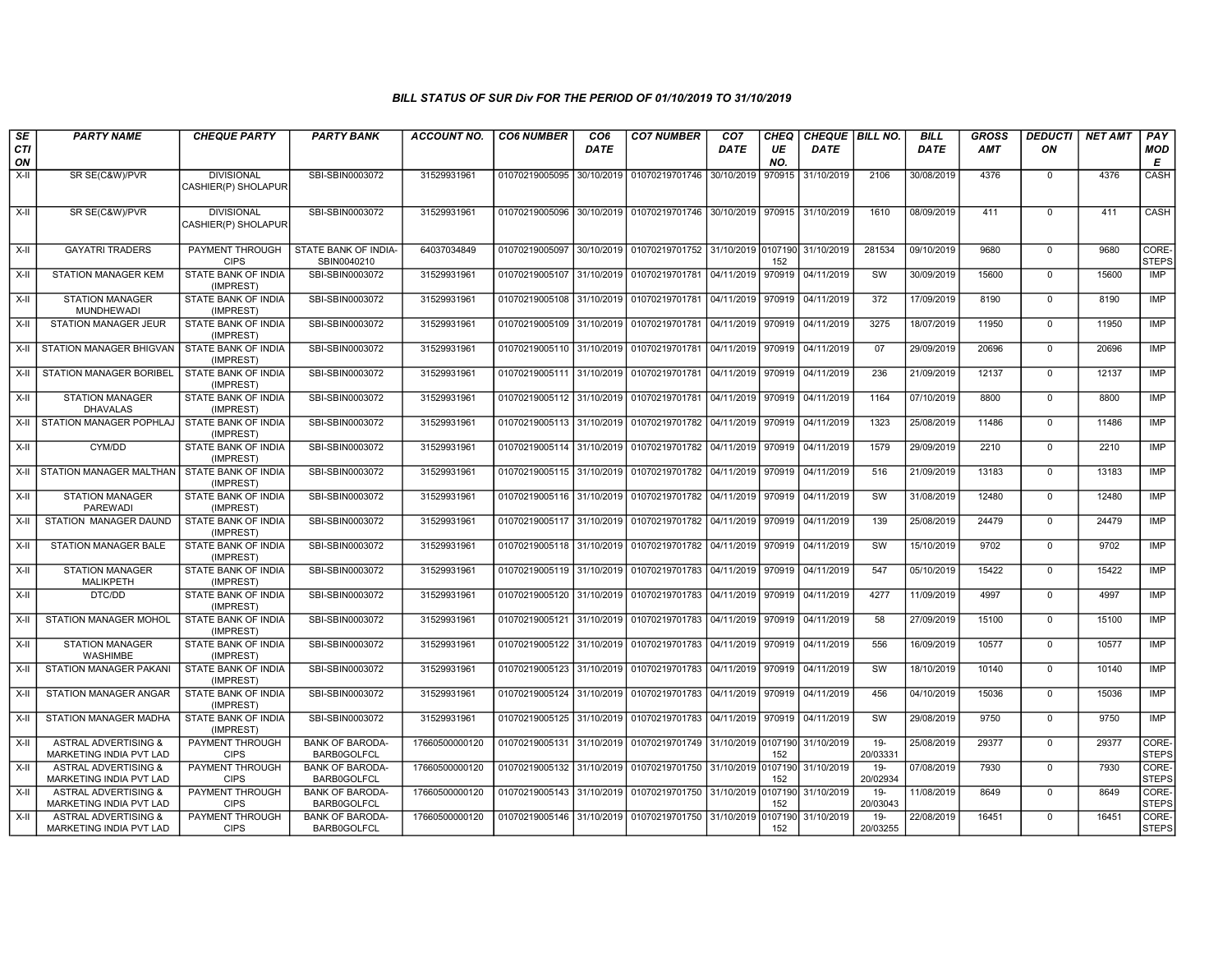| SE<br>CTI<br>ON | <b>PARTY NAME</b>                                                 | <b>CHEQUE PARTY</b>                      | <b>PARTY BANK</b>                            | <b>ACCOUNT NO.</b> | <b>CO6 NUMBER</b>         | CO <sub>6</sub><br><b>DATE</b> | <b>CO7 NUMBER</b>                                                      | CO <sub>7</sub><br><b>DATE</b> | <b>CHEQ</b><br>UE<br>NO. | CHEQUE   BILL NO.<br><b>DATE</b> |                    | <b>BILL</b><br><b>DATE</b> | <b>GROSS</b><br>AMT | <b>DEDUCTI</b><br>OΝ | <b>NET AMT</b> | PAY<br>MOD<br>E       |
|-----------------|-------------------------------------------------------------------|------------------------------------------|----------------------------------------------|--------------------|---------------------------|--------------------------------|------------------------------------------------------------------------|--------------------------------|--------------------------|----------------------------------|--------------------|----------------------------|---------------------|----------------------|----------------|-----------------------|
| X-II            | SR SE(C&W)/PVR                                                    | <b>DIVISIONAL</b><br>CASHIER(P) SHOLAPUR | SBI-SBIN0003072                              | 31529931961        | 01070219005095 30/10/2019 |                                | 01070219701746                                                         | 30/10/2019                     | 970915                   | 31/10/2019                       | 2106               | 30/08/2019                 | 4376                | $\mathbf 0$          | 4376           | CASH                  |
| X-II            | SR SE(C&W)/PVR                                                    | <b>DIVISIONAL</b><br>CASHIER(P) SHOLAPUR | SBI-SBIN0003072                              | 31529931961        |                           |                                | 01070219005096 30/10/2019 01070219701746 30/10/2019 970915             |                                |                          | 31/10/2019                       | 1610               | 08/09/2019                 | 411                 | $^{\circ}$           | 411            | CASH                  |
| $X-H$           | <b>GAYATRI TRADERS</b>                                            | PAYMENT THROUGH<br><b>CIPS</b>           | STATE BANK OF INDIA-<br>SBIN0040210          | 64037034849        | 01070219005097            | 30/10/2019                     | 01070219701752                                                         | 31/10/2019 0107190             | 152                      | 31/10/2019                       | 281534             | 09/10/2019                 | 9680                | $\Omega$             | 9680           | CORE-<br><b>STEPS</b> |
| $X-H$           | <b>STATION MANAGER KEM</b>                                        | <b>STATE BANK OF INDIA</b><br>(IMPREST)  | SBI-SBIN0003072                              | 31529931961        | 01070219005107 31/10/2019 |                                | 01070219701781 04/11/2019                                              |                                | 970919                   | 04/11/2019                       | sw                 | 30/09/2019                 | 15600               | $\mathbf 0$          | 15600          | IMP                   |
| X-II            | <b>STATION MANAGER</b><br><b>MUNDHEWADI</b>                       | STATE BANK OF INDIA<br>(IMPREST)         | SBI-SBIN0003072                              | 31529931961        |                           |                                | 01070219005108 31/10/2019 01070219701781 04/11/2019 970919             |                                |                          | 04/11/2019                       | 372                | 17/09/2019                 | 8190                | $\mathbf 0$          | 8190           | IMP                   |
| X-II            | STATION MANAGER JEUR                                              | STATE BANK OF INDIA<br>(IMPREST)         | SBI-SBIN0003072                              | 31529931961        | 01070219005109 31/10/2019 |                                | 01070219701781                                                         | 04/11/2019                     | 970919                   | 04/11/2019                       | 3275               | 18/07/2019                 | 11950               | $\mathbf 0$          | 11950          | IMP                   |
| X-II            | <b>STATION MANAGER BHIGVAN</b>                                    | STATE BANK OF INDIA<br>(IMPREST)         | SBI-SBIN0003072                              | 31529931961        | 01070219005110 31/10/2019 |                                | 01070219701781                                                         | 04/11/2019                     | 970919                   | 04/11/2019                       | 07                 | 29/09/2019                 | 20696               | $\Omega$             | 20696          | <b>IMP</b>            |
| $X-H$           | STATION MANAGER BORIBEL                                           | STATE BANK OF INDIA<br>(IMPREST)         | SBI-SBIN0003072                              | 31529931961        | 01070219005111 31/10/2019 |                                | 01070219701781                                                         | 04/11/2019                     | 970919                   | 04/11/2019                       | 236                | 21/09/2019                 | 12137               | $\Omega$             | 12137          | <b>IMP</b>            |
| $X-H$           | <b>STATION MANAGER</b><br><b>DHAVALAS</b>                         | <b>STATE BANK OF INDIA</b><br>(IMPREST)  | SBI-SBIN0003072                              | 31529931961        |                           |                                | 01070219005112 31/10/2019 01070219701781 04/11/2019 970919             |                                |                          | 04/11/2019                       | 1164               | 07/10/2019                 | 8800                | $\Omega$             | 8800           | IMP                   |
| X-II            | STATION MANAGER POPHLAJ                                           | STATE BANK OF INDIA<br>(IMPREST)         | SBI-SBIN0003072                              | 31529931961        |                           |                                | 01070219005113 31/10/2019 01070219701782                               | 04/11/2019                     | 970919                   | 04/11/2019                       | 1323               | 25/08/2019                 | 11486               | $\Omega$             | 11486          | <b>IMP</b>            |
| X-II            | CYM/DD                                                            | STATE BANK OF INDIA<br>(IMPREST)         | SBI-SBIN0003072                              | 31529931961        | 01070219005114 31/10/2019 |                                | 01070219701782 04/11/2019                                              |                                | 970919                   | 04/11/2019                       | 1579               | 29/09/2019                 | 2210                | $\overline{0}$       | 2210           | IMP                   |
| X-II            | STATION MANAGER MALTHAN                                           | STATE BANK OF INDIA<br>(IMPREST)         | SBI-SBIN0003072                              | 31529931961        |                           |                                | 01070219005115 31/10/2019 01070219701782 04/11/2019 970919             |                                |                          | 04/11/2019                       | 516                | 21/09/2019                 | 13183               | $\Omega$             | 13183          | <b>IMP</b>            |
| $X-H$           | <b>STATION MANAGER</b><br><b>PAREWADI</b>                         | STATE BANK OF INDIA<br>(IMPREST)         | SBI-SBIN0003072                              | 31529931961        |                           |                                | 01070219005116 31/10/2019 01070219701782                               | 04/11/2019 970919              |                          | 04/11/2019                       | SW                 | 31/08/2019                 | 12480               | $\mathbf 0$          | 12480          | <b>IMP</b>            |
| X-II            | STATION MANAGER DAUND                                             | STATE BANK OF INDIA<br>(IMPREST)         | SBI-SBIN0003072                              | 31529931961        | 01070219005117 31/10/2019 |                                | 01070219701782 04/11/2019                                              |                                | 970919                   | 04/11/2019                       | 139                | 25/08/2019                 | 24479               | $\mathbf 0$          | 24479          | IMP                   |
| $X-II$          | STATION MANAGER BALE                                              | STATE BANK OF INDIA<br>(IMPREST)         | SBI-SBIN0003072                              | 31529931961        |                           |                                | 01070219005118 31/10/2019 01070219701782 04/11/2019 970919             |                                |                          | 04/11/2019                       | SW                 | 15/10/2019                 | 9702                | $\Omega$             | 9702           | <b>IMP</b>            |
| X-II            | <b>STATION MANAGER</b><br><b>MALIKPETH</b>                        | STATE BANK OF INDIA<br>(IMPREST)         | SBI-SBIN0003072                              | 31529931961        | 01070219005119 31/10/2019 |                                | 01070219701783 04/11/2019                                              |                                | 970919                   | 04/11/2019                       | 547                | 05/10/2019                 | 15422               | $\mathbf 0$          | 15422          | <b>IMP</b>            |
| X-II            | DTC/DD                                                            | STATE BANK OF INDIA<br>(IMPREST)         | SBI-SBIN0003072                              | 31529931961        |                           |                                | 01070219005120 31/10/2019 01070219701783 04/11/2019                    |                                | 970919                   | 04/11/2019                       | 4277               | 11/09/2019                 | 4997                | $\mathbf 0$          | 4997           | IMP                   |
| $X-II$          | STATION MANAGER MOHOL                                             | STATE BANK OF INDIA<br>(IMPREST)         | SBI-SBIN0003072                              | 31529931961        | 01070219005121 31/10/2019 |                                | 01070219701783                                                         | 04/11/2019                     | 970919                   | 04/11/2019                       | 58                 | 27/09/2019                 | 15100               | $\Omega$             | 15100          | <b>IMP</b>            |
| X-II            | <b>STATION MANAGER</b><br><b>WASHIMBE</b>                         | STATE BANK OF INDIA<br>(IMPREST)         | SBI-SBIN0003072                              | 31529931961        | 01070219005122 31/10/2019 |                                | 01070219701783 04/11/2019 970919                                       |                                |                          | 04/11/2019                       | 556                | 16/09/2019                 | 10577               | $\mathbf 0$          | 10577          | IMP                   |
| $X-H$           | <b>STATION MANAGER PAKANI</b>                                     | STATE BANK OF INDIA<br>(IMPREST)         | SBI-SBIN0003072                              | 31529931961        |                           |                                | 01070219005123 31/10/2019 01070219701783 04/11/2019 970919             |                                |                          | 04/11/2019                       | <b>SW</b>          | 18/10/2019                 | 10140               | $\mathbf 0$          | 10140          | <b>IMP</b>            |
| X-II            | STATION MANAGER ANGAR                                             | STATE BANK OF INDIA<br>(IMPREST)         | SBI-SBIN0003072                              | 31529931961        | 01070219005124 31/10/2019 |                                | 01070219701783 04/11/2019                                              |                                | 970919                   | 04/11/2019                       | 456                | 04/10/2019                 | 15036               | $\mathbf 0$          | 15036          | IMP                   |
| X-II            | STATION MANAGER MADHA                                             | STATE BANK OF INDIA<br>(IMPREST)         | SBI-SBIN0003072                              | 31529931961        |                           |                                | 01070219005125 31/10/2019 01070219701783 04/11/2019 970919             |                                |                          | 04/11/2019                       | SW                 | 29/08/2019                 | 9750                | $\mathbf 0$          | 9750           | IMP                   |
| X-II            | <b>ASTRAL ADVERTISING &amp;</b><br><b>MARKETING INDIA PVT LAD</b> | PAYMENT THROUGH<br><b>CIPS</b>           | <b>BANK OF BARODA-</b><br><b>BARB0GOLFCL</b> | 17660500000120     | 01070219005131 31/10/2019 |                                | 01070219701749                                                         | 31/10/2019 0107190             | 152                      | 31/10/2019                       | 19-<br>20/03331    | 25/08/2019                 | 29377               | $\mathbf 0$          | 29377          | CORE-<br><b>STEPS</b> |
| X-II            | <b>ASTRAL ADVERTISING &amp;</b><br>MARKETING INDIA PVT LAD        | PAYMENT THROUGH<br><b>CIPS</b>           | <b>BANK OF BARODA-</b><br><b>BARB0GOLFCL</b> | 17660500000120     | 01070219005132 31/10/2019 |                                | 01070219701750 31/10/2019 0107190                                      |                                | 152                      | 31/10/2019                       | $19-$<br>20/02934  | 07/08/2019                 | 7930                | $\mathbf 0$          | 7930           | CORE-<br><b>STEPS</b> |
| $X-II$          | <b>ASTRAL ADVERTISING &amp;</b><br>MARKETING INDIA PVT LAD        | <b>PAYMENT THROUGH</b><br><b>CIPS</b>    | <b>BANK OF BARODA-</b><br><b>BARB0GOLFCL</b> | 17660500000120     |                           |                                | 01070219005143 31/10/2019 01070219701750 31/10/2019 0107190 31/10/2019 |                                | 152                      |                                  | $19-$<br>20/03043  | 11/08/2019                 | 8649                | $\Omega$             | 8649           | CORE-<br><b>STEPS</b> |
| X-II            | <b>ASTRAL ADVERTISING &amp;</b><br>MARKETING INDIA PVT LAD        | PAYMENT THROUGH<br><b>CIPS</b>           | <b>BANK OF BARODA-</b><br><b>BARB0GOLFCL</b> | 17660500000120     |                           |                                | 01070219005146 31/10/2019 01070219701750 31/10/2019                    |                                | 0107190<br>152           | 31/10/2019                       | $19 -$<br>20/03255 | 22/08/2019                 | 16451               | $\mathbf 0$          | 16451          | CORE-<br><b>STEPS</b> |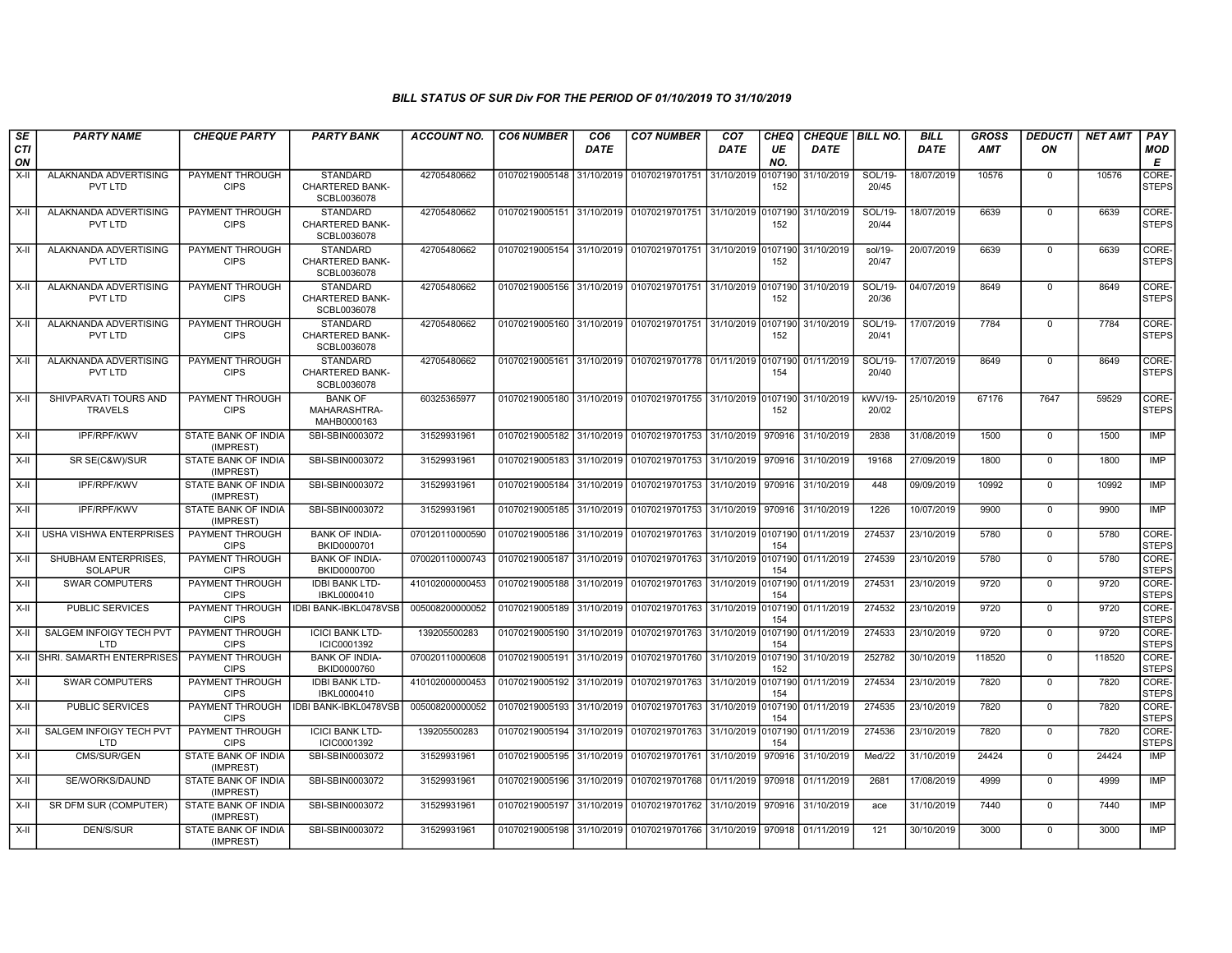| SE               | <b>PARTY NAME</b>                            | <b>CHEQUE PARTY</b>                     | <b>PARTY BANK</b>                                        | <b>ACCOUNT NO.</b> | <b>CO6 NUMBER</b>         | CO <sub>6</sub> | <b>CO7 NUMBER</b>                                                     | CO <sub>7</sub> | <b>CHEQ</b>    | CHEQUE   BILL NO. |                  | <b>BILL</b> | <b>GROSS</b> | <b>DEDUCTI</b>          | <b>NET AMT</b> | <b>PAY</b>            |
|------------------|----------------------------------------------|-----------------------------------------|----------------------------------------------------------|--------------------|---------------------------|-----------------|-----------------------------------------------------------------------|-----------------|----------------|-------------------|------------------|-------------|--------------|-------------------------|----------------|-----------------------|
| <b>CTI</b><br>ON |                                              |                                         |                                                          |                    |                           | <b>DATE</b>     |                                                                       | <b>DATE</b>     | UE<br>NO.      | <b>DATE</b>       |                  | <b>DATE</b> | <b>AMT</b>   | ON                      |                | <b>MOD</b><br>Е       |
| $X-II$           | ALAKNANDA ADVERTISING<br>PVT LTD             | PAYMENT THROUGH<br><b>CIPS</b>          | <b>STANDARD</b><br><b>CHARTERED BANK-</b><br>SCBL0036078 | 42705480662        | 01070219005148            | 31/10/2019      | 01070219701751 31/10/2019                                             |                 | 0107190<br>152 | 31/10/2019        | SOL/19-<br>20/45 | 18/07/2019  | 10576        | $\mathbf 0$             | 10576          | CORE-<br><b>STEPS</b> |
| X-II             | ALAKNANDA ADVERTISING<br>PVT LTD             | PAYMENT THROUGH<br><b>CIPS</b>          | <b>STANDARD</b><br>CHARTERED BANK-<br>SCBL0036078        | 42705480662        |                           |                 | 01070219005151 31/10/2019 01070219701751 31/10/2019 0107190           |                 | 152            | 31/10/2019        | SOL/19-<br>20/44 | 18/07/2019  | 6639         | $\mathbf 0$             | 6639           | CORE-<br><b>STEPS</b> |
| $X-II$           | ALAKNANDA ADVERTISING<br>PVT LTD             | PAYMENT THROUGH<br><b>CIPS</b>          | <b>STANDARD</b><br><b>CHARTERED BANK-</b><br>SCBL0036078 | 42705480662        |                           |                 | 01070219005154 31/10/2019 01070219701751 31/10/2019 0107190           |                 | 152            | 31/10/2019        | sol/19-<br>20/47 | 20/07/2019  | 6639         | $\Omega$                | 6639           | CORE-<br><b>STEPS</b> |
| $X-II$           | ALAKNANDA ADVERTISING<br>PVT LTD             | PAYMENT THROUGH<br><b>CIPS</b>          | <b>STANDARD</b><br><b>CHARTERED BANK-</b><br>SCBL0036078 | 42705480662        | 01070219005156 31/10/2019 |                 | 01070219701751 31/10/2019 0107190                                     |                 | 152            | 31/10/2019        | SOL/19-<br>20/36 | 04/07/2019  | 8649         | $\mathbf 0$             | 8649           | CORE-<br><b>STEPS</b> |
| $X-H$            | ALAKNANDA ADVERTISING<br>PVT LTD             | PAYMENT THROUGH<br><b>CIPS</b>          | <b>STANDARD</b><br><b>CHARTERED BANK-</b><br>SCBL0036078 | 42705480662        |                           |                 | 01070219005160 31/10/2019 01070219701751 31/10/2019 0107190           |                 | 152            | 31/10/2019        | SOL/19-<br>20/41 | 17/07/2019  | 7784         | $\mathbf 0$             | 7784           | CORE-<br><b>STEPS</b> |
| X-II             | ALAKNANDA ADVERTISING<br>PVT LTD             | PAYMENT THROUGH<br><b>CIPS</b>          | <b>STANDARD</b><br><b>CHARTERED BANK-</b><br>SCBL0036078 | 42705480662        |                           |                 | 01070219005161 31/10/2019 01070219701778 01/11/2019 0107190           |                 | 154            | 01/11/2019        | SOL/19-<br>20/40 | 17/07/2019  | 8649         | $\mathbf 0$             | 8649           | CORE-<br><b>STEPS</b> |
| X-II             | SHIVPARVATI TOURS AND<br><b>TRAVELS</b>      | PAYMENT THROUGH<br><b>CIPS</b>          | <b>BANK OF</b><br>MAHARASHTRA-<br>MAHB0000163            | 60325365977        |                           |                 | 01070219005180 31/10/2019 01070219701755 31/10/2019 0107190           |                 | 152            | 31/10/2019        | kWV/19-<br>20/02 | 25/10/2019  | 67176        | 7647                    | 59529          | CORE-<br><b>STEPS</b> |
| $X-H$            | <b>IPF/RPF/KWV</b>                           | <b>STATE BANK OF INDIA</b><br>(IMPREST) | SBI-SBIN0003072                                          | 31529931961        |                           |                 | 01070219005182 31/10/2019 01070219701753 31/10/2019 970916            |                 |                | 31/10/2019        | 2838             | 31/08/2019  | 1500         | $\overline{0}$          | 1500           | <b>IMP</b>            |
| X-II             | SR SE(C&W)/SUR                               | STATE BANK OF INDIA<br>(IMPREST)        | SBI-SBIN0003072                                          | 31529931961        | 01070219005183 31/10/2019 |                 | 01070219701753 31/10/2019 970916                                      |                 |                | 31/10/2019        | 19168            | 27/09/2019  | 1800         | $\mathbf 0$             | 1800           | <b>IMP</b>            |
| $X-H$            | IPF/RPF/KWV                                  | STATE BANK OF INDIA<br>(IMPREST)        | SBI-SBIN0003072                                          | 31529931961        | 01070219005184 31/10/2019 |                 | 01070219701753 31/10/2019 970916                                      |                 |                | 31/10/2019        | 448              | 09/09/2019  | 10992        | $\Omega$                | 10992          | <b>IMP</b>            |
| $X-II$           | <b>IPF/RPF/KWV</b>                           | <b>STATE BANK OF INDIA</b><br>(IMPREST) | SBI-SBIN0003072                                          | 31529931961        | 01070219005185 31/10/2019 |                 | 01070219701753 31/10/2019 970916                                      |                 |                | 31/10/2019        | 1226             | 10/07/2019  | 9900         | $\overline{0}$          | 9900           | <b>IMP</b>            |
| X-II             | USHA VISHWA ENTERPRISES                      | PAYMENT THROUGH<br><b>CIPS</b>          | <b>BANK OF INDIA-</b><br>BKID0000701                     | 070120110000590    |                           |                 | 01070219005186 31/10/2019 01070219701763 31/10/2019 0107190           |                 | 154            | 01/11/2019        | 274537           | 23/10/2019  | 5780         | $\Omega$                | 5780           | CORE-<br><b>STEPS</b> |
| $X-II$           | SHUBHAM ENTERPRISES.<br><b>SOLAPUR</b>       | PAYMENT THROUGH<br><b>CIPS</b>          | <b>BANK OF INDIA-</b><br>BKID0000700                     | 070020110000743    | 01070219005187 31/10/2019 |                 | 01070219701763 31/10/2019 0107190                                     |                 | 154            | 01/11/2019        | 274539           | 23/10/2019  | 5780         | $\mathbf 0$             | 5780           | CORE-<br><b>STEPS</b> |
| X-II             | <b>SWAR COMPUTERS</b>                        | PAYMENT THROUGH<br><b>CIPS</b>          | <b>IDBI BANK LTD-</b><br>IBKL0000410                     | 410102000000453    | 01070219005188            | 31/10/2019      | 01070219701763 31/10/2019 0107190                                     |                 | 154            | 01/11/2019        | 274531           | 23/10/2019  | 9720         | $\mathbf 0$             | 9720           | CORE-<br><b>STEPS</b> |
| X-II             | <b>PUBLIC SERVICES</b>                       | PAYMENT THROUGH<br><b>CIPS</b>          | IDBI BANK-IBKL0478VSB                                    | 005008200000052    | 01070219005189            | 31/10/2019      | 01070219701763 31/10/2019 0107190                                     |                 | 154            | 01/11/2019        | 274532           | 23/10/2019  | 9720<br>9720 | $\mathbf 0$<br>$\Omega$ | 9720           | CORE-<br><b>STEPS</b> |
| $X-H$            | <b>SALGEM INFOIGY TECH PVT</b><br>LTD        | <b>PAYMENT THROUGH</b><br><b>CIPS</b>   | <b>ICICI BANK LTD-</b><br>ICIC0001392                    | 139205500283       | 01070219005190 31/10/2019 |                 | 01070219701763 31/10/2019 0107190                                     |                 | 154            | 01/11/2019        | 274533           | 23/10/2019  |              |                         | 9720           | CORE-<br><b>STEPS</b> |
| X-II             | SHRI. SAMARTH ENTERPRISES                    | <b>PAYMENT THROUGH</b><br><b>CIPS</b>   | <b>BANK OF INDIA-</b><br>BKID0000760                     | 070020110000608    | 01070219005191 31/10/2019 |                 | 01070219701760 31/10/2019 0107190                                     |                 | 152            | 31/10/2019        | 252782           | 30/10/2019  | 118520       | $\mathbf 0$             | 118520         | CORE-<br><b>STEPS</b> |
| $X-II$           | <b>SWAR COMPUTERS</b>                        | PAYMENT THROUGH<br><b>CIPS</b>          | <b>IDBI BANK LTD-</b><br>IBKL0000410                     | 410102000000453    | 01070219005192 31/10/2019 |                 | 01070219701763 31/10/2019 0107190                                     |                 | 154            | 01/11/2019        | 274534           | 23/10/2019  | 7820         | $\mathbf 0$             | 7820           | CORE-<br><b>STEPS</b> |
| X-II             | <b>PUBLIC SERVICES</b>                       | PAYMENT THROUGH<br><b>CIPS</b>          | IDBI BANK-IBKL0478VSB                                    | 005008200000052    | 01070219005193 31/10/2019 |                 | 01070219701763 31/10/2019 0107190                                     |                 | 154            | 01/11/2019        | 274535           | 23/10/2019  | 7820         | $\Omega$                | 7820           | CORE-<br><b>STEPS</b> |
| $X-H$            | <b>SALGEM INFOIGY TECH PVT</b><br><b>LTD</b> | <b>PAYMENT THROUGH</b><br><b>CIPS</b>   | <b>ICICI BANK LTD-</b><br>ICIC0001392                    | 139205500283       | 01070219005194 31/10/2019 |                 | 01070219701763 31/10/2019 0107190                                     |                 | 154            | 01/11/2019        | 274536           | 23/10/2019  | 7820         | $\overline{0}$          | 7820           | CORE-<br><b>STEPS</b> |
| $X-H$            | CMS/SUR/GEN                                  | <b>STATE BANK OF INDIA</b><br>(IMPREST) | SBI-SBIN0003072                                          | 31529931961        | 01070219005195 31/10/2019 |                 | 01070219701761 31/10/2019                                             |                 | 970916         | 31/10/2019        | Med/22           | 31/10/2019  | 24424        | $\overline{0}$          | 24424          | IMP                   |
| $X-H$            | SE/WORKS/DAUND                               | <b>STATE BANK OF INDIA</b><br>(IMPREST) | SBI-SBIN0003072                                          | 31529931961        | 01070219005196            | 31/10/2019      | 01070219701768 01/11/2019 970918                                      |                 |                | 01/11/2019        | 2681             | 17/08/2019  | 4999         | $\mathbf 0$             | 4999           | <b>IMP</b>            |
| $X-H$            | SR DFM SUR (COMPUTER)                        | STATE BANK OF INDIA<br>(IMPREST)        | SBI-SBIN0003072                                          | 31529931961        |                           |                 | 01070219005197 31/10/2019 01070219701762 31/10/2019 970916 31/10/2019 |                 |                |                   | ace              | 31/10/2019  | 7440         | $\Omega$                | 7440           | <b>IMP</b>            |
| $X-H$            | <b>DEN/S/SUR</b>                             | <b>STATE BANK OF INDIA</b><br>(IMPREST) | SBI-SBIN0003072                                          | 31529931961        |                           |                 | 01070219005198 31/10/2019 01070219701766 31/10/2019 970918 01/11/2019 |                 |                |                   | 121              | 30/10/2019  | 3000         | $\mathbf 0$             | 3000           | <b>IMP</b>            |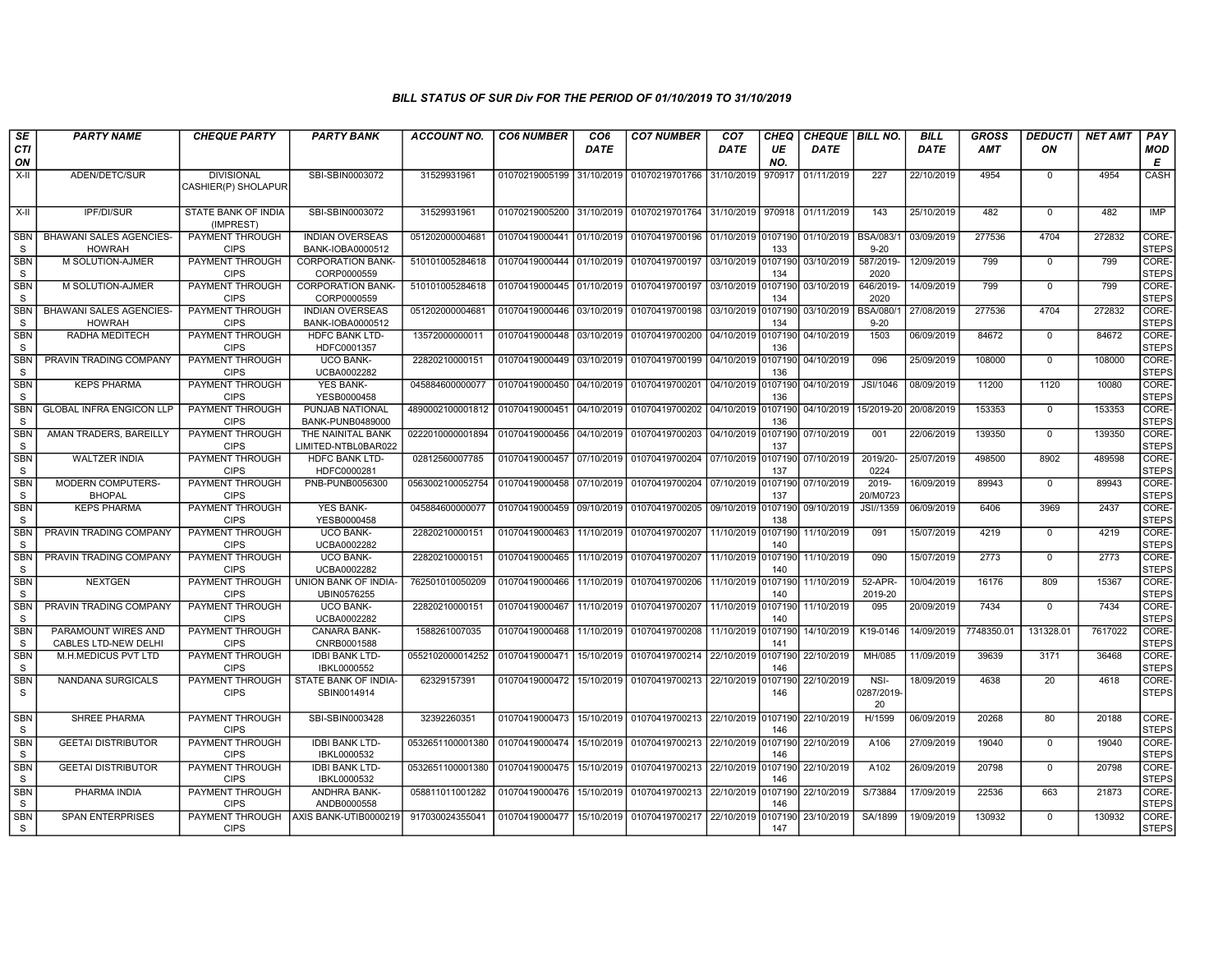| SE                         | <b>PARTY NAME</b>                               | <b>CHEQUE PARTY</b>                      | <b>PARTY BANK</b>                          | <b>ACCOUNT NO.</b>              | <b>CO6 NUMBER</b>         | CO <sub>6</sub> | <b>CO7 NUMBER</b>                 | CO <sub>7</sub>    | CHEQ           | CHEQUE   BILL NO. |                          | <b>BILL</b> | <b>GROSS</b> | <b>DEDUCTI</b> | <b>NET AMT</b> | <b>PAY</b>            |
|----------------------------|-------------------------------------------------|------------------------------------------|--------------------------------------------|---------------------------------|---------------------------|-----------------|-----------------------------------|--------------------|----------------|-------------------|--------------------------|-------------|--------------|----------------|----------------|-----------------------|
| CTI<br>ON                  |                                                 |                                          |                                            |                                 |                           | <b>DATE</b>     |                                   | <b>DATE</b>        | UE<br>NO.      | <b>DATE</b>       |                          | DATE        | AMT          | ON             |                | <b>MOD</b><br>E       |
| X-II                       | ADEN/DETC/SUR                                   | <b>DIVISIONAL</b><br>CASHIER(P) SHOLAPUR | SBI-SBIN0003072                            | 31529931961                     | 01070219005199            | 31/10/2019      | 01070219701766                    | 31/10/2019         | 970917         | 01/11/2019        | 227                      | 22/10/2019  | 4954         | $\mathbf 0$    | 4954           | CASH                  |
| $X-H$                      | IPF/DI/SUR                                      | STATE BANK OF INDIA<br>(IMPREST)         | SBI-SBIN0003072                            | 31529931961                     | 01070219005200            | 31/10/2019      | 01070219701764 31/10/2019         |                    | 970918         | 01/11/2019        | 143                      | 25/10/2019  | 482          | $\mathbf 0$    | 482            | IMP                   |
| <b>SBN</b><br>S            | <b>BHAWANI SALES AGENCIES</b><br><b>HOWRAH</b>  | PAYMENT THROUGH<br><b>CIPS</b>           | <b>INDIAN OVERSEAS</b><br>BANK-IOBA0000512 | 05120200000468                  | 01070419000441 01/10/2019 |                 | 01070419700196 01/10/2019 0107190 |                    | 133            | 01/10/2019        | BSA/083/<br>$9 - 20$     | 03/09/2019  | 277536       | 4704           | 272832         | CORE-<br><b>STEPS</b> |
| SBN<br><sub>S</sub>        | M SOLUTION-AJMER                                | PAYMENT THROUGH<br><b>CIPS</b>           | <b>CORPORATION BANK-</b><br>CORP0000559    | 510101005284618                 | 01070419000444            | 01/10/2019      | 01070419700197 03/10/2019 0107190 |                    | 134            | 03/10/2019        | 587/2019-<br>2020        | 12/09/2019  | 799          | $\mathbf 0$    | 799            | CORE-<br><b>STEPS</b> |
| <b>SBN</b><br>S            | M SOLUTION-AJMER                                | PAYMENT THROUGH<br><b>CIPS</b>           | <b>CORPORATION BANK-</b><br>CORP0000559    | 510101005284618                 | 01070419000445            | 01/10/2019      | 01070419700197                    | 03/10/2019         | 0107190<br>134 | 03/10/2019        | 646/2019-<br>2020        | 14/09/2019  | 799          | $\overline{0}$ | 799            | CORE-<br><b>STEPS</b> |
| <b>SBN</b><br><sub>S</sub> | <b>BHAWANI SALES AGENCIES-</b><br><b>HOWRAH</b> | PAYMENT THROUGH<br><b>CIPS</b>           | <b>INDIAN OVERSEAS</b><br>BANK-IOBA0000512 | 051202000004681                 | 01070419000446            | 03/10/2019      | 01070419700198 03/10/2019 0107190 |                    | 134            | 03/10/2019        | BSA/080/<br>$9 - 20$     | 27/08/2019  | 277536       | 4704           | 272832         | CORE-<br><b>STEPS</b> |
| SBN<br><sub>S</sub>        | RADHA MEDITECH                                  | PAYMENT THROUGH<br><b>CIPS</b>           | <b>HDFC BANK LTD-</b><br>HDFC0001357       | 13572000000011                  | 01070419000448            | 03/10/2019      | 01070419700200 04/10/2019         |                    | 0107190<br>136 | 04/10/2019        | 1503                     | 06/09/2019  | 84672        | $\mathbf 0$    | 84672          | CORE-<br><b>STEPS</b> |
| SBN<br><sub>S</sub>        | PRAVIN TRADING COMPANY                          | PAYMENT THROUGH<br><b>CIPS</b>           | <b>UCO BANK-</b><br>UCBA0002282            | 22820210000151                  | 01070419000449            | 03/10/2019      | 01070419700199 04/10/2019 0107190 |                    | 136            | 04/10/2019        | 096                      | 25/09/2019  | 108000       | $\Omega$       | 108000         | CORE-<br>STEPS        |
| <b>SBN</b><br>S            | <b>KEPS PHARMA</b>                              | PAYMENT THROUGH<br><b>CIPS</b>           | <b>YES BANK-</b><br>YESB0000458            | 045884600000077                 | 01070419000450            | 04/10/2019      | 01070419700201                    | 04/10/2019 0107190 | 136            | 04/10/2019        | JSI/1046                 | 08/09/2019  | 11200        | 1120           | 10080          | CORE-<br><b>STEPS</b> |
| SBN<br><b>S</b>            | <b>GLOBAL INFRA ENGICON LLP</b>                 | PAYMENT THROUGH<br><b>CIPS</b>           | PUNJAB NATIONAL<br>BANK-PUNB0489000        | 4890002100001812                | 01070419000451            | 04/10/2019      | 01070419700202                    | 04/10/2019 0107190 | 136            | 04/10/2019        | 15/2019-20               | 20/08/2019  | 153353       | $\mathbf 0$    | 153353         | CORE-<br><b>STEPS</b> |
| <b>SBN</b><br>S            | AMAN TRADERS, BAREILLY                          | <b>PAYMENT THROUGH</b><br><b>CIPS</b>    | THE NAINITAL BANK<br>LIMITED-NTBL0BAR022   | 0222010000001894 01070419000456 |                           | 04/10/2019      | 01070419700203 04/10/2019 0107190 |                    | 137            | 07/10/2019        | 001                      | 22/06/2019  | 139350       | $\Omega$       | 139350         | CORE-<br><b>STEPS</b> |
| <b>SBN</b><br>S            | <b>WALTZER INDIA</b>                            | PAYMENT THROUGH<br><b>CIPS</b>           | <b>HDFC BANK LTD-</b><br>HDFC0000281       | 02812560007785                  | 01070419000457            | 07/10/2019      | 01070419700204                    | 07/10/2019         | 0107190<br>137 | 07/10/2019        | 2019/20-<br>0224         | 25/07/2019  | 498500       | 8902           | 489598         | CORE-<br><b>STEPS</b> |
| <b>SBN</b><br><sub>S</sub> | <b>MODERN COMPUTERS-</b><br><b>BHOPAL</b>       | <b>PAYMENT THROUGH</b><br><b>CIPS</b>    | PNB-PUNB0056300                            | 0563002100052754                | 01070419000458            | 07/10/2019      | 01070419700204 07/10/2019 0107190 |                    | 137            | 07/10/2019        | $2019 -$<br>20/M0723     | 16/09/2019  | 89943        | $\mathbf 0$    | 89943          | CORE-<br><b>STEPS</b> |
| <b>SBN</b><br>S            | <b>KEPS PHARMA</b>                              | PAYMENT THROUGH<br><b>CIPS</b>           | <b>YES BANK-</b><br>YESB0000458            | 045884600000077                 | 01070419000459            | 09/10/2019      | 01070419700205 09/10/2019 0107190 |                    | 138            | 09/10/2019        | JSI//1359                | 06/09/2019  | 6406         | 3969           | 2437           | CORE-<br><b>STEPS</b> |
| <b>SBN</b><br><b>S</b>     | PRAVIN TRADING COMPANY                          | PAYMENT THROUGH<br><b>CIPS</b>           | <b>UCO BANK-</b><br>UCBA0002282            | 22820210000151                  | 01070419000463            | 11/10/2019      | 01070419700207                    | 11/10/2019         | 0107190<br>140 | 11/10/2019        | 091                      | 15/07/2019  | 4219         | $\mathbf 0$    | 4219           | CORE-<br><b>STEPS</b> |
| <b>SBN</b><br><sub>S</sub> | PRAVIN TRADING COMPANY                          | PAYMENT THROUGH<br><b>CIPS</b>           | <b>UCO BANK-</b><br>UCBA0002282            | 22820210000151                  | 01070419000465            | 11/10/2019      | 01070419700207                    | 11/10/2019         | 0107190<br>140 | 11/10/2019        | 090                      | 15/07/2019  | 2773         | $\Omega$       | 2773           | CORE-<br><b>STEPS</b> |
| <b>SBN</b><br><sub>S</sub> | <b>NEXTGEN</b>                                  | PAYMENT THROUGH<br><b>CIPS</b>           | UNION BANK OF INDIA-<br>UBIN0576255        | 762501010050209                 | 01070419000466            | 11/10/2019      | 01070419700206                    | 11/10/2019         | 0107190<br>140 | 11/10/2019        | 52-APR-<br>2019-20       | 10/04/2019  | 16176        | 809            | 15367          | CORE-<br><b>STEPS</b> |
| SBN<br>S                   | PRAVIN TRADING COMPANY                          | PAYMENT THROUGH<br><b>CIPS</b>           | <b>UCO BANK-</b><br>UCBA0002282            | 22820210000151                  | 01070419000467            | 11/10/2019      | 01070419700207                    | 11/10/2019 0107190 | 140            | 11/10/2019        | 095                      | 20/09/2019  | 7434         | $\mathbf 0$    | 7434           | CORE-<br><b>STEPS</b> |
| <b>SBN</b><br>S            | PARAMOUNT WIRES AND<br>CABLES LTD-NEW DELHI     | PAYMENT THROUGH<br><b>CIPS</b>           | CANARA BANK-<br>CNRB0001588                | 1588261007035                   | 01070419000468            | 11/10/2019      | 01070419700208                    | 11/10/2019 0107190 | 141            | 14/10/2019        | K19-0146                 | 14/09/2019  | 7748350.01   | 131328.01      | 7617022        | CORE-<br><b>STEPS</b> |
| <b>SBN</b><br>S            | M.H.MEDICUS PVT LTD                             | PAYMENT THROUGH<br><b>CIPS</b>           | <b>IDBI BANK LTD-</b><br>IBKL0000552       | 0552102000014252                | 01070419000471            | 15/10/2019      | 01070419700214 22/10/2019 0107190 |                    | 146            | 22/10/2019        | MH/085                   | 11/09/2019  | 39639        | 3171           | 36468          | CORE-<br><b>STEPS</b> |
| <b>SBN</b><br>S            | NANDANA SURGICALS                               | PAYMENT THROUGH<br><b>CIPS</b>           | STATE BANK OF INDIA-<br>SBIN0014914        | 62329157391                     | 01070419000472            | 15/10/2019      | 01070419700213 22/10/2019 0107190 |                    | 146            | 22/10/2019        | NSI-<br>0287/2019-<br>20 | 18/09/2019  | 4638         | 20             | 4618           | CORE-<br><b>STEPS</b> |
| <b>SBN</b><br>S            | <b>SHREE PHARMA</b>                             | PAYMENT THROUGH<br><b>CIPS</b>           | SBI-SBIN0003428                            | 32392260351                     | 01070419000473            | 15/10/2019      | 01070419700213 22/10/2019 0107190 |                    | 146            | 22/10/2019        | H/1599                   | 06/09/2019  | 20268        | 80             | 20188          | CORE-<br><b>STEPS</b> |
| <b>SBN</b><br>S            | <b>GEETAI DISTRIBUTOR</b>                       | PAYMENT THROUGH<br><b>CIPS</b>           | <b>IDBI BANK LTD-</b><br>IBKL0000532       | 0532651100001380                | 01070419000474            | 15/10/2019      | 01070419700213 22/10/2019         |                    | 0107190<br>146 | 22/10/2019        | A106                     | 27/09/2019  | 19040        | $\mathbf 0$    | 19040          | CORE-<br><b>STEPS</b> |
| <b>SBN</b><br>S            | <b>GEETAI DISTRIBUTOR</b>                       | PAYMENT THROUGH<br><b>CIPS</b>           | <b>IDBI BANK LTD-</b><br>IBKL0000532       | 0532651100001380                | 01070419000475            | 15/10/2019      | 01070419700213 22/10/2019         |                    | 0107190<br>146 | 22/10/2019        | A102                     | 26/09/2019  | 20798        | $\mathbf 0$    | 20798          | CORE-<br><b>STEPS</b> |
| <b>SBN</b><br>S            | PHARMA INDIA                                    | PAYMENT THROUGH<br><b>CIPS</b>           | <b>ANDHRA BANK-</b><br>ANDB0000558         | 058811011001282                 | 01070419000476            | 15/10/2019      | 01070419700213 22/10/2019 0107190 |                    | 146            | 22/10/2019        | S/73884                  | 17/09/2019  | 22536        | 663            | 21873          | CORE-<br><b>STEPS</b> |
| SBN<br>S                   | <b>SPAN ENTERPRISES</b>                         | PAYMENT THROUGH<br><b>CIPS</b>           | AXIS BANK-UTIB0000219                      | 917030024355041                 | 01070419000477            | 15/10/2019      | 01070419700217 22/10/2019         |                    | 0107190<br>147 | 23/10/2019        | SA/1899                  | 19/09/2019  | 130932       | $\Omega$       | 130932         | CORE-<br><b>STEPS</b> |